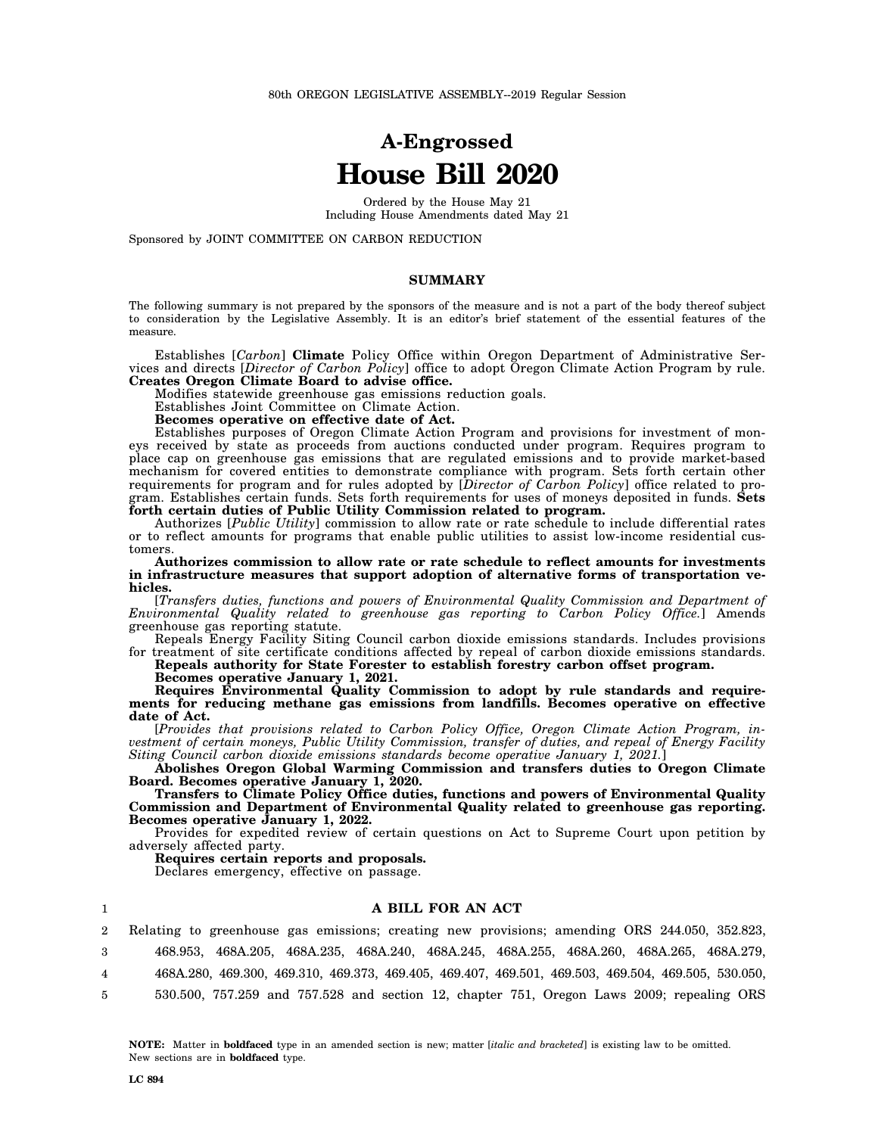# **A-Engrossed House Bill 2020**

Ordered by the House May 21 Including House Amendments dated May 21

Sponsored by JOINT COMMITTEE ON CARBON REDUCTION

#### **SUMMARY**

The following summary is not prepared by the sponsors of the measure and is not a part of the body thereof subject to consideration by the Legislative Assembly. It is an editor's brief statement of the essential features of the measure.

Establishes [*Carbon*] **Climate** Policy Office within Oregon Department of Administrative Services and directs [*Director of Carbon Policy*] office to adopt Oregon Climate Action Program by rule. **Creates Oregon Climate Board to advise office.**

Modifies statewide greenhouse gas emissions reduction goals.

Establishes Joint Committee on Climate Action.

**Becomes operative on effective date of Act.**

Establishes purposes of Oregon Climate Action Program and provisions for investment of moneys received by state as proceeds from auctions conducted under program. Requires program to place cap on greenhouse gas emissions that are regulated emissions and to provide market-based mechanism for covered entities to demonstrate compliance with program. Sets forth certain other requirements for program and for rules adopted by [*Director of Carbon Policy*] office related to program. Establishes certain funds. Sets forth requirements for uses of moneys deposited in funds. **Sets forth certain duties of Public Utility Commission related to program.**

Authorizes [*Public Utility*] commission to allow rate or rate schedule to include differential rates or to reflect amounts for programs that enable public utilities to assist low-income residential customers.

**Authorizes commission to allow rate or rate schedule to reflect amounts for investments in infrastructure measures that support adoption of alternative forms of transportation vehicles.**

[*Transfers duties, functions and powers of Environmental Quality Commission and Department of Environmental Quality related to greenhouse gas reporting to Carbon Policy Office.*] Amends greenhouse gas reporting statute.

Repeals Energy Facility Siting Council carbon dioxide emissions standards. Includes provisions for treatment of site certificate conditions affected by repeal of carbon dioxide emissions standards. **Repeals authority for State Forester to establish forestry carbon offset program.**

**Becomes operative January 1, 2021.**

**Requires Environmental Quality Commission to adopt by rule standards and requirements for reducing methane gas emissions from landfills. Becomes operative on effective date of Act.**

[*Provides that provisions related to Carbon Policy Office, Oregon Climate Action Program, investment of certain moneys, Public Utility Commission, transfer of duties, and repeal of Energy Facility Siting Council carbon dioxide emissions standards become operative January 1, 2021.*]

**Abolishes Oregon Global Warming Commission and transfers duties to Oregon Climate Board. Becomes operative January 1, 2020.**

**Transfers to Climate Policy Office duties, functions and powers of Environmental Quality Commission and Department of Environmental Quality related to greenhouse gas reporting. Becomes operative January 1, 2022.**

Provides for expedited review of certain questions on Act to Supreme Court upon petition by adversely affected party.

**Requires certain reports and proposals.**

Declares emergency, effective on passage.

#### 1 2 3 4 5 **A BILL FOR AN ACT** Relating to greenhouse gas emissions; creating new provisions; amending ORS 244.050, 352.823, 468.953, 468A.205, 468A.235, 468A.240, 468A.245, 468A.255, 468A.260, 468A.265, 468A.279, 468A.280, 469.300, 469.310, 469.373, 469.405, 469.407, 469.501, 469.503, 469.504, 469.505, 530.050, 530.500, 757.259 and 757.528 and section 12, chapter 751, Oregon Laws 2009; repealing ORS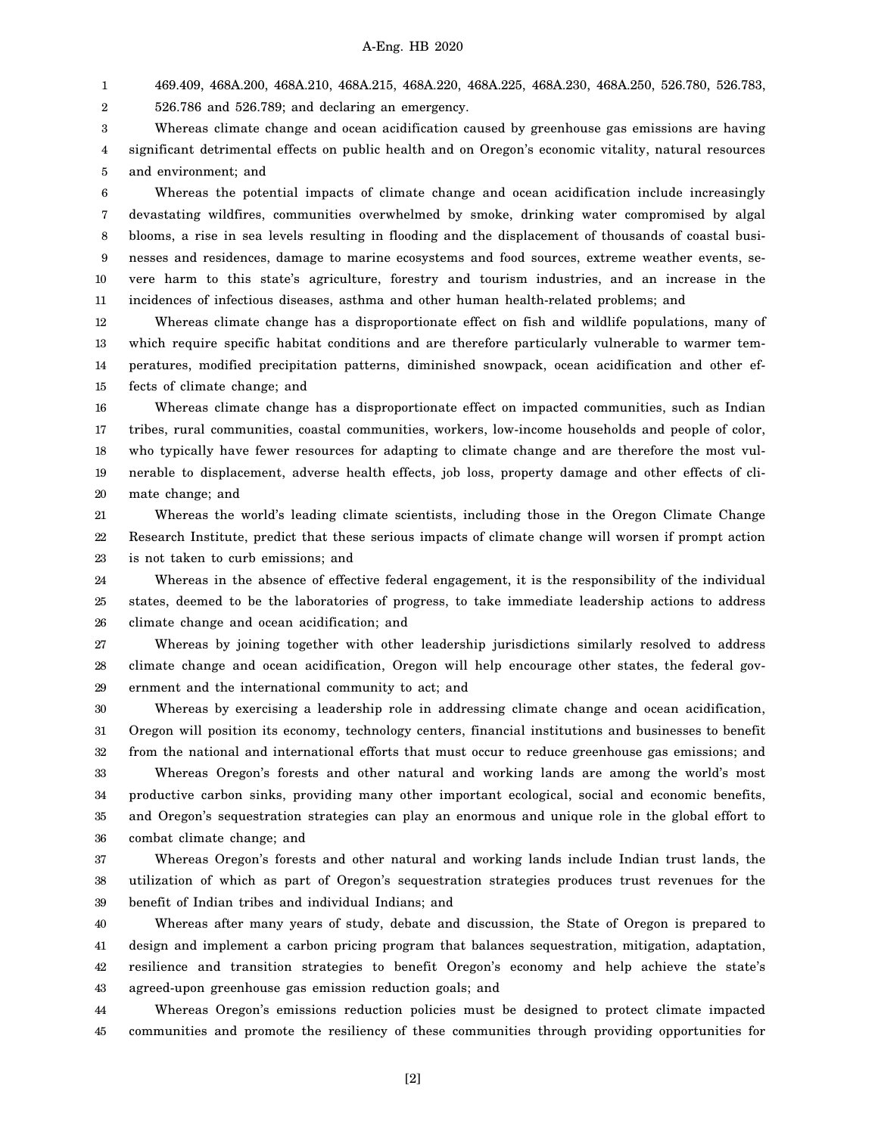1 469.409, 468A.200, 468A.210, 468A.215, 468A.220, 468A.225, 468A.230, 468A.250, 526.780, 526.783,

2 526.786 and 526.789; and declaring an emergency.

3 4 5 Whereas climate change and ocean acidification caused by greenhouse gas emissions are having significant detrimental effects on public health and on Oregon's economic vitality, natural resources and environment; and

6 7 8 9 10 11 Whereas the potential impacts of climate change and ocean acidification include increasingly devastating wildfires, communities overwhelmed by smoke, drinking water compromised by algal blooms, a rise in sea levels resulting in flooding and the displacement of thousands of coastal businesses and residences, damage to marine ecosystems and food sources, extreme weather events, severe harm to this state's agriculture, forestry and tourism industries, and an increase in the incidences of infectious diseases, asthma and other human health-related problems; and

12 13 14 15 Whereas climate change has a disproportionate effect on fish and wildlife populations, many of which require specific habitat conditions and are therefore particularly vulnerable to warmer temperatures, modified precipitation patterns, diminished snowpack, ocean acidification and other effects of climate change; and

16 17 18 19 20 Whereas climate change has a disproportionate effect on impacted communities, such as Indian tribes, rural communities, coastal communities, workers, low-income households and people of color, who typically have fewer resources for adapting to climate change and are therefore the most vulnerable to displacement, adverse health effects, job loss, property damage and other effects of climate change; and

21 22 23 Whereas the world's leading climate scientists, including those in the Oregon Climate Change Research Institute, predict that these serious impacts of climate change will worsen if prompt action is not taken to curb emissions; and

24 25 26 Whereas in the absence of effective federal engagement, it is the responsibility of the individual states, deemed to be the laboratories of progress, to take immediate leadership actions to address climate change and ocean acidification; and

27 28 29 Whereas by joining together with other leadership jurisdictions similarly resolved to address climate change and ocean acidification, Oregon will help encourage other states, the federal government and the international community to act; and

30 31 32 Whereas by exercising a leadership role in addressing climate change and ocean acidification, Oregon will position its economy, technology centers, financial institutions and businesses to benefit from the national and international efforts that must occur to reduce greenhouse gas emissions; and

33 34 35 36 Whereas Oregon's forests and other natural and working lands are among the world's most productive carbon sinks, providing many other important ecological, social and economic benefits, and Oregon's sequestration strategies can play an enormous and unique role in the global effort to combat climate change; and

37 38 39 Whereas Oregon's forests and other natural and working lands include Indian trust lands, the utilization of which as part of Oregon's sequestration strategies produces trust revenues for the benefit of Indian tribes and individual Indians; and

40 41 42 43 Whereas after many years of study, debate and discussion, the State of Oregon is prepared to design and implement a carbon pricing program that balances sequestration, mitigation, adaptation, resilience and transition strategies to benefit Oregon's economy and help achieve the state's agreed-upon greenhouse gas emission reduction goals; and

44 45 Whereas Oregon's emissions reduction policies must be designed to protect climate impacted communities and promote the resiliency of these communities through providing opportunities for

[2]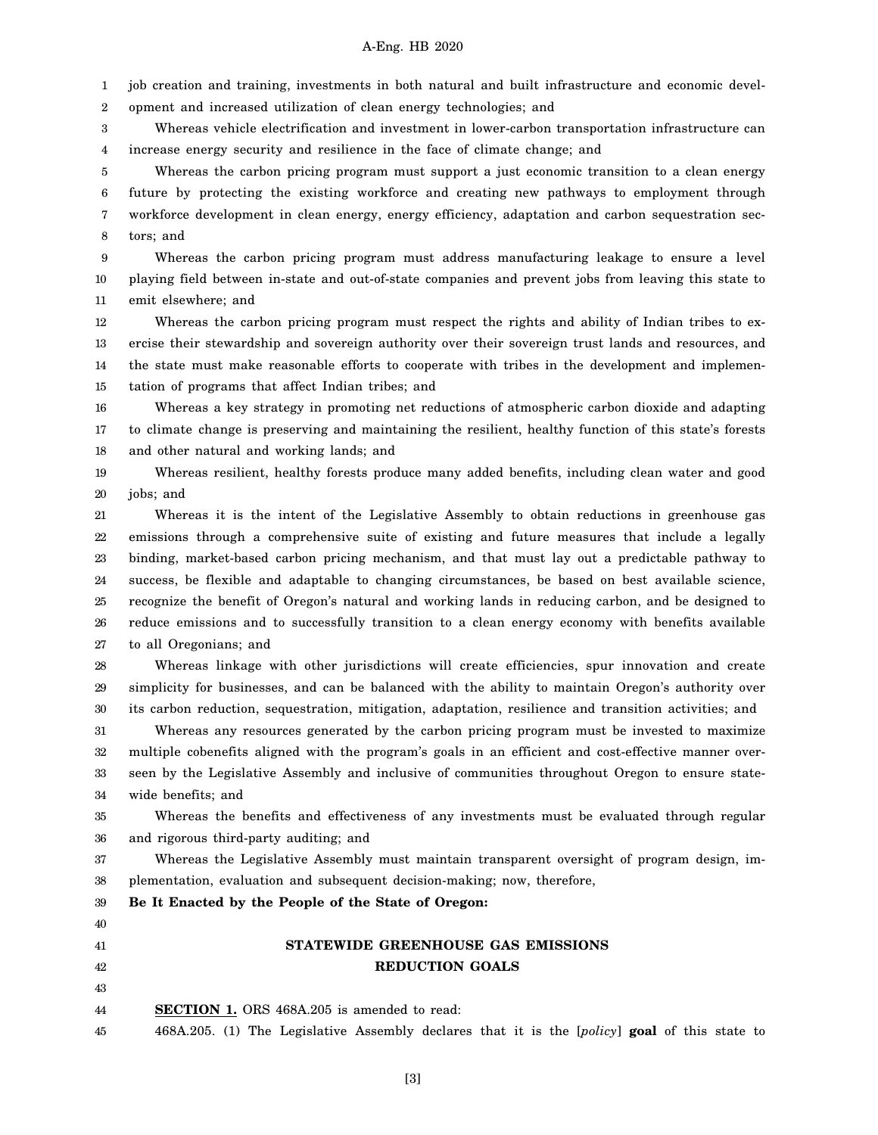1 job creation and training, investments in both natural and built infrastructure and economic devel-

2 opment and increased utilization of clean energy technologies; and

3 4 Whereas vehicle electrification and investment in lower-carbon transportation infrastructure can increase energy security and resilience in the face of climate change; and

5 6 7 8 Whereas the carbon pricing program must support a just economic transition to a clean energy future by protecting the existing workforce and creating new pathways to employment through workforce development in clean energy, energy efficiency, adaptation and carbon sequestration sectors; and

9 10 11 Whereas the carbon pricing program must address manufacturing leakage to ensure a level playing field between in-state and out-of-state companies and prevent jobs from leaving this state to emit elsewhere; and

12 13 14 15 Whereas the carbon pricing program must respect the rights and ability of Indian tribes to exercise their stewardship and sovereign authority over their sovereign trust lands and resources, and the state must make reasonable efforts to cooperate with tribes in the development and implementation of programs that affect Indian tribes; and

16 17 18 Whereas a key strategy in promoting net reductions of atmospheric carbon dioxide and adapting to climate change is preserving and maintaining the resilient, healthy function of this state's forests and other natural and working lands; and

19 20 Whereas resilient, healthy forests produce many added benefits, including clean water and good jobs; and

21 22 23 24 25 26 27 Whereas it is the intent of the Legislative Assembly to obtain reductions in greenhouse gas emissions through a comprehensive suite of existing and future measures that include a legally binding, market-based carbon pricing mechanism, and that must lay out a predictable pathway to success, be flexible and adaptable to changing circumstances, be based on best available science, recognize the benefit of Oregon's natural and working lands in reducing carbon, and be designed to reduce emissions and to successfully transition to a clean energy economy with benefits available to all Oregonians; and

28 29 30 Whereas linkage with other jurisdictions will create efficiencies, spur innovation and create simplicity for businesses, and can be balanced with the ability to maintain Oregon's authority over its carbon reduction, sequestration, mitigation, adaptation, resilience and transition activities; and

31 32 33 34 Whereas any resources generated by the carbon pricing program must be invested to maximize multiple cobenefits aligned with the program's goals in an efficient and cost-effective manner overseen by the Legislative Assembly and inclusive of communities throughout Oregon to ensure statewide benefits; and

35 36 Whereas the benefits and effectiveness of any investments must be evaluated through regular and rigorous third-party auditing; and

37 38 Whereas the Legislative Assembly must maintain transparent oversight of program design, implementation, evaluation and subsequent decision-making; now, therefore,

39 **Be It Enacted by the People of the State of Oregon:**

## **STATEWIDE GREENHOUSE GAS EMISSIONS REDUCTION GOALS**

44 **SECTION 1.** ORS 468A.205 is amended to read:

45 468A.205. (1) The Legislative Assembly declares that it is the [*policy*] **goal** of this state to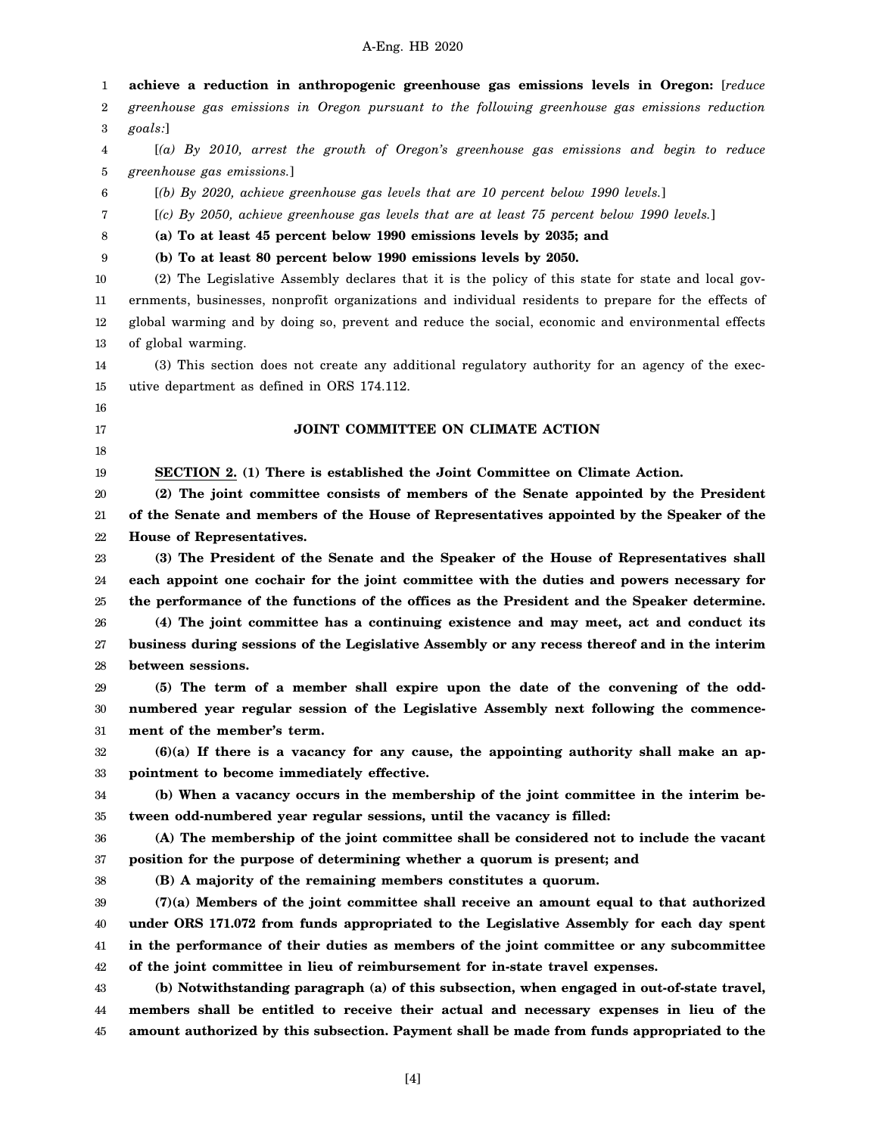1 2 3 4 5 6 7 8 9 10 11 12 13 14 15 16 17 18 19 20 21 22 23 24 25 26 27 28 29 30 31 32 33 34 35 36 37 38 39 40 41 42 43 44 45 **achieve a reduction in anthropogenic greenhouse gas emissions levels in Oregon:** [*reduce greenhouse gas emissions in Oregon pursuant to the following greenhouse gas emissions reduction goals:*] [*(a) By 2010, arrest the growth of Oregon's greenhouse gas emissions and begin to reduce greenhouse gas emissions.*] [*(b) By 2020, achieve greenhouse gas levels that are 10 percent below 1990 levels.*] [*(c) By 2050, achieve greenhouse gas levels that are at least 75 percent below 1990 levels.*] **(a) To at least 45 percent below 1990 emissions levels by 2035; and (b) To at least 80 percent below 1990 emissions levels by 2050.** (2) The Legislative Assembly declares that it is the policy of this state for state and local governments, businesses, nonprofit organizations and individual residents to prepare for the effects of global warming and by doing so, prevent and reduce the social, economic and environmental effects of global warming. (3) This section does not create any additional regulatory authority for an agency of the executive department as defined in ORS 174.112. **JOINT COMMITTEE ON CLIMATE ACTION SECTION 2. (1) There is established the Joint Committee on Climate Action. (2) The joint committee consists of members of the Senate appointed by the President of the Senate and members of the House of Representatives appointed by the Speaker of the House of Representatives. (3) The President of the Senate and the Speaker of the House of Representatives shall each appoint one cochair for the joint committee with the duties and powers necessary for the performance of the functions of the offices as the President and the Speaker determine. (4) The joint committee has a continuing existence and may meet, act and conduct its business during sessions of the Legislative Assembly or any recess thereof and in the interim between sessions. (5) The term of a member shall expire upon the date of the convening of the oddnumbered year regular session of the Legislative Assembly next following the commencement of the member's term. (6)(a) If there is a vacancy for any cause, the appointing authority shall make an appointment to become immediately effective. (b) When a vacancy occurs in the membership of the joint committee in the interim between odd-numbered year regular sessions, until the vacancy is filled: (A) The membership of the joint committee shall be considered not to include the vacant position for the purpose of determining whether a quorum is present; and (B) A majority of the remaining members constitutes a quorum. (7)(a) Members of the joint committee shall receive an amount equal to that authorized under ORS 171.072 from funds appropriated to the Legislative Assembly for each day spent in the performance of their duties as members of the joint committee or any subcommittee of the joint committee in lieu of reimbursement for in-state travel expenses. (b) Notwithstanding paragraph (a) of this subsection, when engaged in out-of-state travel, members shall be entitled to receive their actual and necessary expenses in lieu of the amount authorized by this subsection. Payment shall be made from funds appropriated to the**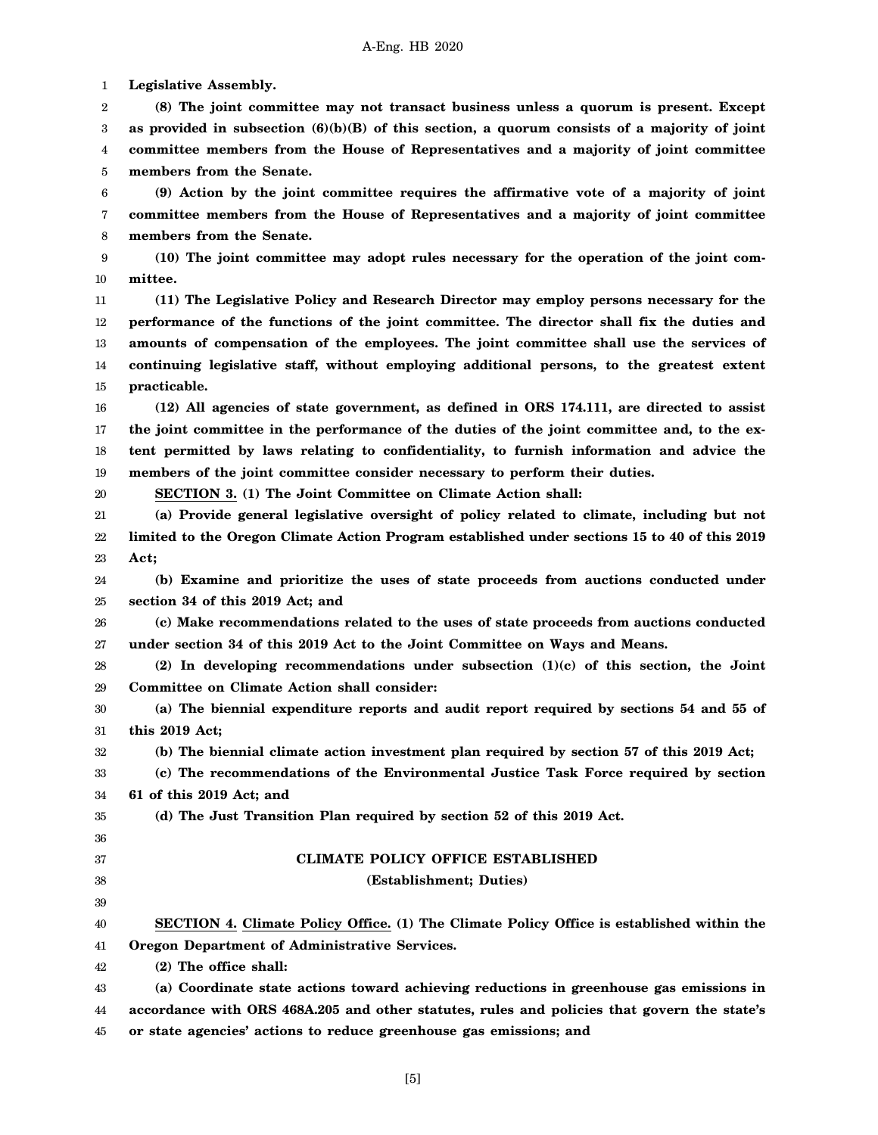1 **Legislative Assembly.**

2 3 4 5 **(8) The joint committee may not transact business unless a quorum is present. Except as provided in subsection (6)(b)(B) of this section, a quorum consists of a majority of joint committee members from the House of Representatives and a majority of joint committee members from the Senate.**

6 7 8 **(9) Action by the joint committee requires the affirmative vote of a majority of joint committee members from the House of Representatives and a majority of joint committee members from the Senate.**

9 10 **(10) The joint committee may adopt rules necessary for the operation of the joint committee.**

11 12 13 14 15 **(11) The Legislative Policy and Research Director may employ persons necessary for the performance of the functions of the joint committee. The director shall fix the duties and amounts of compensation of the employees. The joint committee shall use the services of continuing legislative staff, without employing additional persons, to the greatest extent practicable.**

16 17 18 19 **(12) All agencies of state government, as defined in ORS 174.111, are directed to assist the joint committee in the performance of the duties of the joint committee and, to the extent permitted by laws relating to confidentiality, to furnish information and advice the members of the joint committee consider necessary to perform their duties.**

20

**SECTION 3. (1) The Joint Committee on Climate Action shall:**

21 22 23 **(a) Provide general legislative oversight of policy related to climate, including but not limited to the Oregon Climate Action Program established under sections 15 to 40 of this 2019 Act;**

24 25 **(b) Examine and prioritize the uses of state proceeds from auctions conducted under section 34 of this 2019 Act; and**

26 27 **(c) Make recommendations related to the uses of state proceeds from auctions conducted under section 34 of this 2019 Act to the Joint Committee on Ways and Means.**

28 29 **(2) In developing recommendations under subsection (1)(c) of this section, the Joint Committee on Climate Action shall consider:**

30 31 **(a) The biennial expenditure reports and audit report required by sections 54 and 55 of this 2019 Act;**

32 **(b) The biennial climate action investment plan required by section 57 of this 2019 Act;**

33 34 **(c) The recommendations of the Environmental Justice Task Force required by section 61 of this 2019 Act; and**

**(d) The Just Transition Plan required by section 52 of this 2019 Act.**

## 35 36 37

38 39

## **CLIMATE POLICY OFFICE ESTABLISHED**

- **(Establishment; Duties)**
- 40 41 **SECTION 4. Climate Policy Office. (1) The Climate Policy Office is established within the Oregon Department of Administrative Services.**

42 **(2) The office shall:**

43 44 45 **(a) Coordinate state actions toward achieving reductions in greenhouse gas emissions in accordance with ORS 468A.205 and other statutes, rules and policies that govern the state's or state agencies' actions to reduce greenhouse gas emissions; and**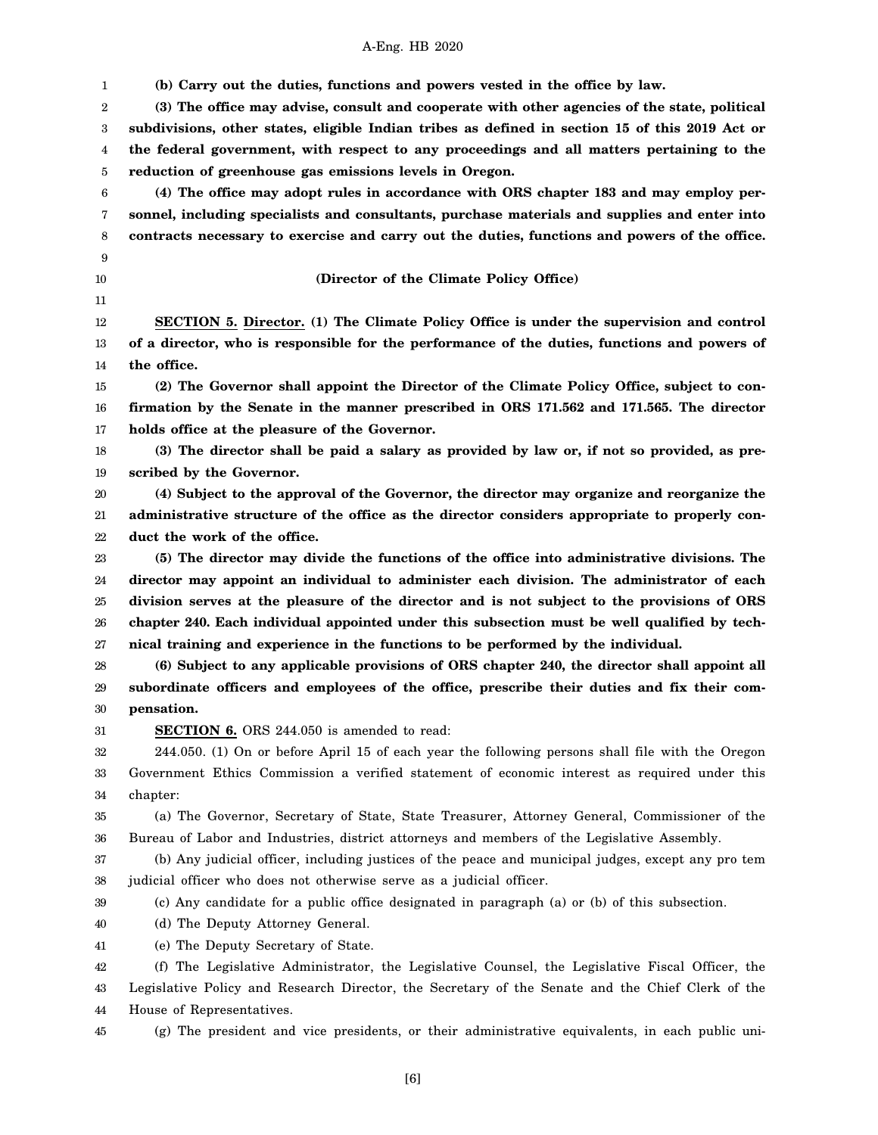| 1              | (b) Carry out the duties, functions and powers vested in the office by law.                        |
|----------------|----------------------------------------------------------------------------------------------------|
| $\overline{2}$ | (3) The office may advise, consult and cooperate with other agencies of the state, political       |
| 3              | subdivisions, other states, eligible Indian tribes as defined in section 15 of this 2019 Act or    |
| 4              | the federal government, with respect to any proceedings and all matters pertaining to the          |
| 5              | reduction of greenhouse gas emissions levels in Oregon.                                            |
| 6              | (4) The office may adopt rules in accordance with ORS chapter 183 and may employ per-              |
|                |                                                                                                    |
| 7              | sonnel, including specialists and consultants, purchase materials and supplies and enter into      |
| 8              | contracts necessary to exercise and carry out the duties, functions and powers of the office.      |
| 9<br>10        | (Director of the Climate Policy Office)                                                            |
| 11             |                                                                                                    |
| 12             | <b>SECTION</b> 5. Director. (1) The Climate Policy Office is under the supervision and control     |
| 13             | of a director, who is responsible for the performance of the duties, functions and powers of       |
| 14             | the office.                                                                                        |
| 15             | (2) The Governor shall appoint the Director of the Climate Policy Office, subject to con-          |
| 16             | firmation by the Senate in the manner prescribed in ORS 171.562 and 171.565. The director          |
| 17             | holds office at the pleasure of the Governor.                                                      |
| 18             | (3) The director shall be paid a salary as provided by law or, if not so provided, as pre-         |
| 19             | scribed by the Governor.                                                                           |
| 20             | (4) Subject to the approval of the Governor, the director may organize and reorganize the          |
| 21             | administrative structure of the office as the director considers appropriate to properly con-      |
| 22             | duct the work of the office.                                                                       |
| 23             | (5) The director may divide the functions of the office into administrative divisions. The         |
| 24             | director may appoint an individual to administer each division. The administrator of each          |
| 25             | division serves at the pleasure of the director and is not subject to the provisions of ORS        |
| 26             | chapter 240. Each individual appointed under this subsection must be well qualified by tech-       |
| 27             | nical training and experience in the functions to be performed by the individual.                  |
| 28             | (6) Subject to any applicable provisions of ORS chapter 240, the director shall appoint all        |
| 29             | subordinate officers and employees of the office, prescribe their duties and fix their com-        |
| 30             | pensation.                                                                                         |
| 31             | SECTION 6. ORS 244.050 is amended to read:                                                         |
| 32             | 244.050. (1) On or before April 15 of each year the following persons shall file with the Oregon   |
| 33             | Government Ethics Commission a verified statement of economic interest as required under this      |
| 34             | chapter:                                                                                           |
| 35             | (a) The Governor, Secretary of State, State Treasurer, Attorney General, Commissioner of the       |
| 36             | Bureau of Labor and Industries, district attorneys and members of the Legislative Assembly.        |
| 37             | (b) Any judicial officer, including justices of the peace and municipal judges, except any pro tem |
| 38             | judicial officer who does not otherwise serve as a judicial officer.                               |
| 39             | (c) Any candidate for a public office designated in paragraph (a) or (b) of this subsection.       |
| 40             | (d) The Deputy Attorney General.                                                                   |
| 41             | (e) The Deputy Secretary of State.                                                                 |
| 42             | (f) The Legislative Administrator, the Legislative Counsel, the Legislative Fiscal Officer, the    |
| 43             | Legislative Policy and Research Director, the Secretary of the Senate and the Chief Clerk of the   |
| 44             | House of Representatives.                                                                          |
| 45             | (g) The president and vice presidents, or their administrative equivalents, in each public uni-    |
|                |                                                                                                    |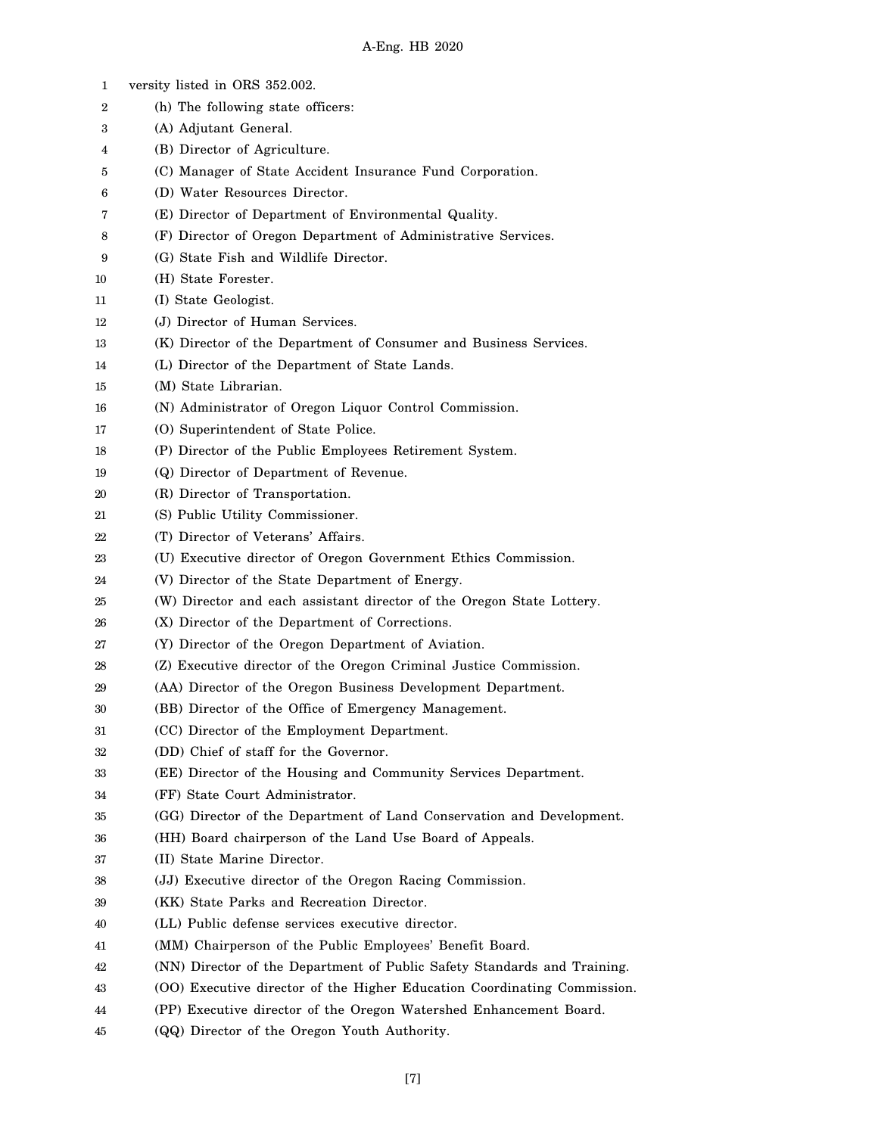| 1              | versity listed in ORS 352.002.                                           |
|----------------|--------------------------------------------------------------------------|
| $\overline{2}$ | (h) The following state officers:                                        |
| 3              | (A) Adjutant General.                                                    |
| 4              | (B) Director of Agriculture.                                             |
| 5              | (C) Manager of State Accident Insurance Fund Corporation.                |
| 6              | (D) Water Resources Director.                                            |
| 7              | (E) Director of Department of Environmental Quality.                     |
| 8              | (F) Director of Oregon Department of Administrative Services.            |
| 9              | (G) State Fish and Wildlife Director.                                    |
| 10             | (H) State Forester.                                                      |
| 11             | (I) State Geologist.                                                     |
| 12             | (J) Director of Human Services.                                          |
| 13             | (K) Director of the Department of Consumer and Business Services.        |
| 14             | (L) Director of the Department of State Lands.                           |
| 15             | (M) State Librarian.                                                     |
| 16             | (N) Administrator of Oregon Liquor Control Commission.                   |
| 17             | (O) Superintendent of State Police.                                      |
| 18             | (P) Director of the Public Employees Retirement System.                  |
| 19             | (Q) Director of Department of Revenue.                                   |
| 20             | (R) Director of Transportation.                                          |
| 21             | (S) Public Utility Commissioner.                                         |
| 22             | (T) Director of Veterans' Affairs.                                       |
| 23             | (U) Executive director of Oregon Government Ethics Commission.           |
| 24             | (V) Director of the State Department of Energy.                          |
| 25             | (W) Director and each assistant director of the Oregon State Lottery.    |
| 26             | (X) Director of the Department of Corrections.                           |
| 27             | (Y) Director of the Oregon Department of Aviation.                       |
| 28             | (Z) Executive director of the Oregon Criminal Justice Commission.        |
| 29             | (AA) Director of the Oregon Business Development Department.             |
| 30             | (BB) Director of the Office of Emergency Management.                     |
| 31             | (CC) Director of the Employment Department.                              |
| 32             | (DD) Chief of staff for the Governor.                                    |
| 33             | (EE) Director of the Housing and Community Services Department.          |
| 34             | (FF) State Court Administrator.                                          |
| 35             | (GG) Director of the Department of Land Conservation and Development.    |
| 36             | (HH) Board chairperson of the Land Use Board of Appeals.                 |
| 37             | (II) State Marine Director.                                              |
| 38             | (JJ) Executive director of the Oregon Racing Commission.                 |
| 39             | (KK) State Parks and Recreation Director.                                |
| 40             | (LL) Public defense services executive director.                         |
| 41             | (MM) Chairperson of the Public Employees' Benefit Board.                 |
| 42             | (NN) Director of the Department of Public Safety Standards and Training. |
| 43             | (OO) Executive director of the Higher Education Coordinating Commission. |
| 44             | (PP) Executive director of the Oregon Watershed Enhancement Board.       |
| 45             | (QQ) Director of the Oregon Youth Authority.                             |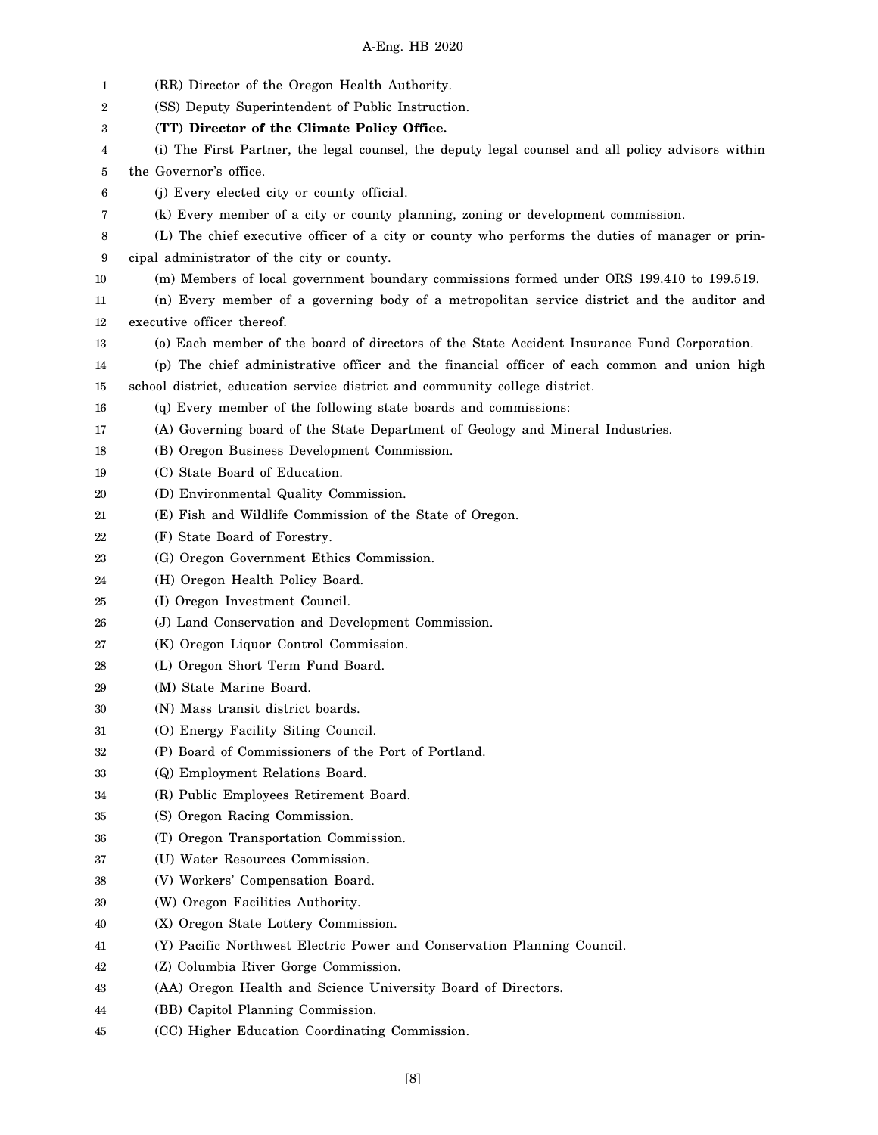| 1  | (RR) Director of the Oregon Health Authority.                                                     |
|----|---------------------------------------------------------------------------------------------------|
| 2  | (SS) Deputy Superintendent of Public Instruction.                                                 |
| 3  | (TT) Director of the Climate Policy Office.                                                       |
| 4  | (i) The First Partner, the legal counsel, the deputy legal counsel and all policy advisors within |
| 5  | the Governor's office.                                                                            |
| 6  | (j) Every elected city or county official.                                                        |
| 7  | (k) Every member of a city or county planning, zoning or development commission.                  |
| 8  | (L) The chief executive officer of a city or county who performs the duties of manager or prin-   |
| 9  | cipal administrator of the city or county.                                                        |
| 10 | (m) Members of local government boundary commissions formed under ORS 199.410 to 199.519.         |
| 11 | (n) Every member of a governing body of a metropolitan service district and the auditor and       |
| 12 | executive officer thereof.                                                                        |
| 13 | (o) Each member of the board of directors of the State Accident Insurance Fund Corporation.       |
| 14 | (p) The chief administrative officer and the financial officer of each common and union high      |
| 15 | school district, education service district and community college district.                       |
| 16 | (q) Every member of the following state boards and commissions:                                   |
| 17 | (A) Governing board of the State Department of Geology and Mineral Industries.                    |
| 18 | (B) Oregon Business Development Commission.                                                       |
| 19 | (C) State Board of Education.                                                                     |
| 20 | (D) Environmental Quality Commission.                                                             |
| 21 | (E) Fish and Wildlife Commission of the State of Oregon.                                          |
| 22 | (F) State Board of Forestry.                                                                      |
| 23 | (G) Oregon Government Ethics Commission.                                                          |
| 24 | (H) Oregon Health Policy Board.                                                                   |
| 25 | (I) Oregon Investment Council.                                                                    |
| 26 | (J) Land Conservation and Development Commission.                                                 |
| 27 | (K) Oregon Liquor Control Commission.                                                             |
| 28 | (L) Oregon Short Term Fund Board.                                                                 |
| 29 | (M) State Marine Board.                                                                           |
| 30 | (N) Mass transit district boards.                                                                 |
| 31 | (O) Energy Facility Siting Council.                                                               |
| 32 | (P) Board of Commissioners of the Port of Portland.                                               |
| 33 | (Q) Employment Relations Board.                                                                   |
| 34 | (R) Public Employees Retirement Board.                                                            |
| 35 | (S) Oregon Racing Commission.                                                                     |
| 36 | (T) Oregon Transportation Commission.                                                             |
| 37 | (U) Water Resources Commission.                                                                   |
| 38 | (V) Workers' Compensation Board.                                                                  |
| 39 | (W) Oregon Facilities Authority.                                                                  |
| 40 | (X) Oregon State Lottery Commission.                                                              |
| 41 | (Y) Pacific Northwest Electric Power and Conservation Planning Council.                           |
| 42 | (Z) Columbia River Gorge Commission.                                                              |
| 43 | (AA) Oregon Health and Science University Board of Directors.                                     |
| 44 | (BB) Capitol Planning Commission.                                                                 |
| 45 | (CC) Higher Education Coordinating Commission.                                                    |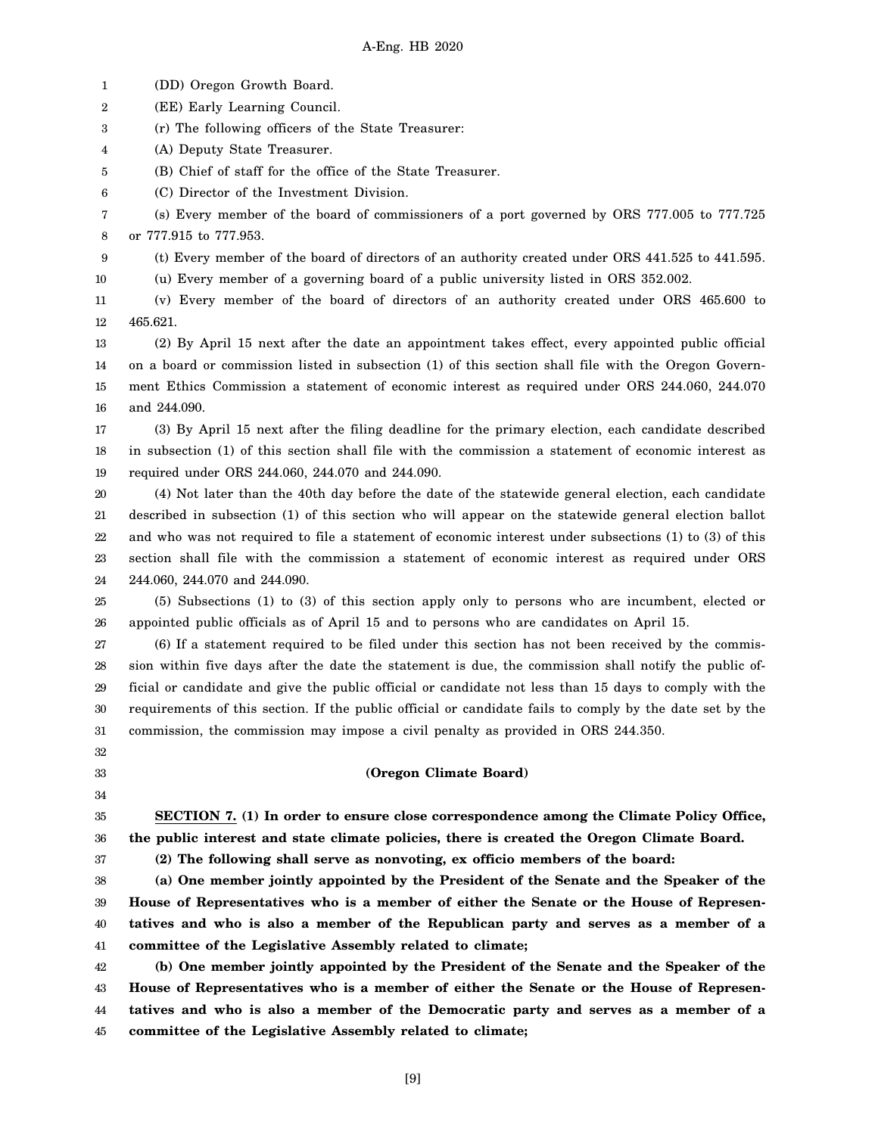1 (DD) Oregon Growth Board.

2 (EE) Early Learning Council.

3 (r) The following officers of the State Treasurer:

4 (A) Deputy State Treasurer.

32 33 34

37

5 (B) Chief of staff for the office of the State Treasurer.

6 (C) Director of the Investment Division.

7 8 (s) Every member of the board of commissioners of a port governed by ORS 777.005 to 777.725 or 777.915 to 777.953.

9 (t) Every member of the board of directors of an authority created under ORS 441.525 to 441.595.

10 (u) Every member of a governing board of a public university listed in ORS 352.002.

11 12 (v) Every member of the board of directors of an authority created under ORS 465.600 to 465.621.

13 14 15 16 (2) By April 15 next after the date an appointment takes effect, every appointed public official on a board or commission listed in subsection (1) of this section shall file with the Oregon Government Ethics Commission a statement of economic interest as required under ORS 244.060, 244.070 and 244.090.

17 18 19 (3) By April 15 next after the filing deadline for the primary election, each candidate described in subsection (1) of this section shall file with the commission a statement of economic interest as required under ORS 244.060, 244.070 and 244.090.

20 21 22 23 24 (4) Not later than the 40th day before the date of the statewide general election, each candidate described in subsection (1) of this section who will appear on the statewide general election ballot and who was not required to file a statement of economic interest under subsections (1) to (3) of this section shall file with the commission a statement of economic interest as required under ORS 244.060, 244.070 and 244.090.

25 26 (5) Subsections (1) to (3) of this section apply only to persons who are incumbent, elected or appointed public officials as of April 15 and to persons who are candidates on April 15.

27 28 29 30 31 (6) If a statement required to be filed under this section has not been received by the commission within five days after the date the statement is due, the commission shall notify the public official or candidate and give the public official or candidate not less than 15 days to comply with the requirements of this section. If the public official or candidate fails to comply by the date set by the commission, the commission may impose a civil penalty as provided in ORS 244.350.

**(Oregon Climate Board)**

35 36 **SECTION 7. (1) In order to ensure close correspondence among the Climate Policy Office, the public interest and state climate policies, there is created the Oregon Climate Board.**

**(2) The following shall serve as nonvoting, ex officio members of the board:**

38 39 40 41 **(a) One member jointly appointed by the President of the Senate and the Speaker of the House of Representatives who is a member of either the Senate or the House of Representatives and who is also a member of the Republican party and serves as a member of a committee of the Legislative Assembly related to climate;**

42 43 44 45 **(b) One member jointly appointed by the President of the Senate and the Speaker of the House of Representatives who is a member of either the Senate or the House of Representatives and who is also a member of the Democratic party and serves as a member of a committee of the Legislative Assembly related to climate;**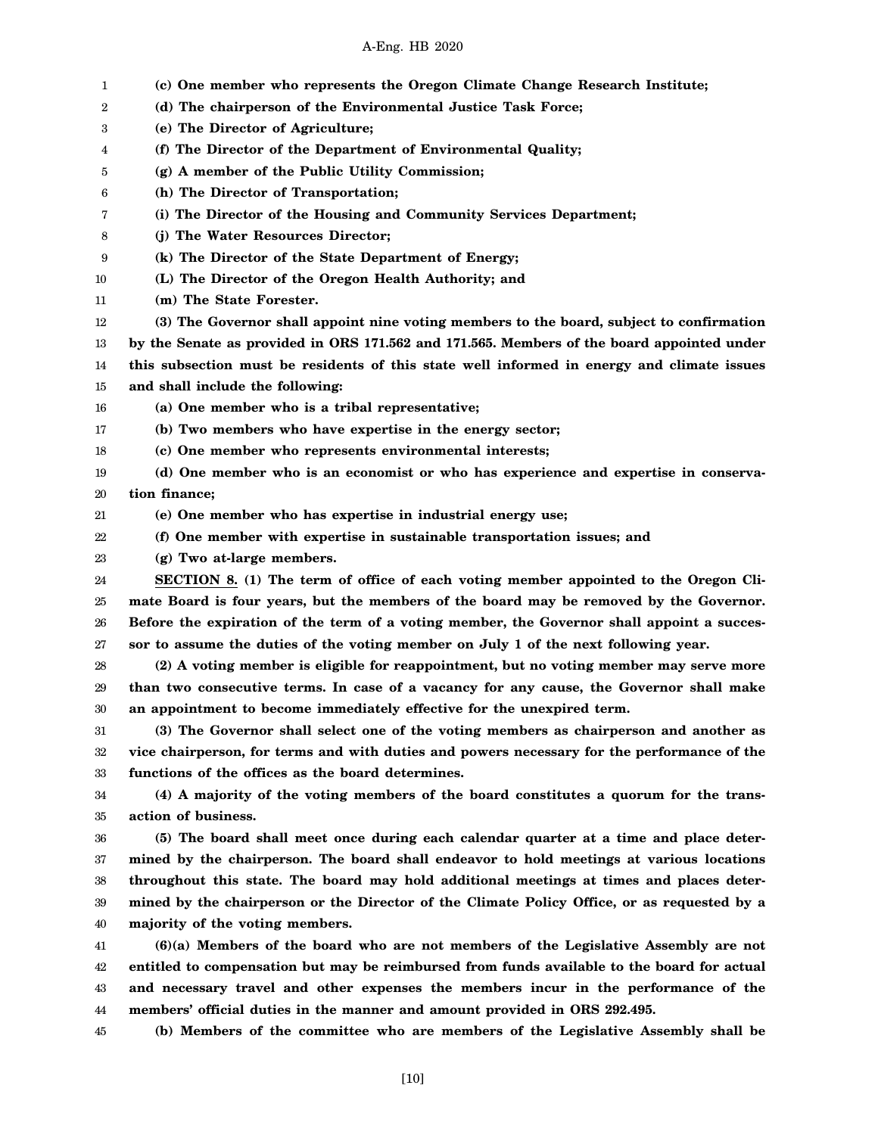| 1  | (c) One member who represents the Oregon Climate Change Research Institute;                 |
|----|---------------------------------------------------------------------------------------------|
| 2  | (d) The chairperson of the Environmental Justice Task Force;                                |
| 3  | (e) The Director of Agriculture;                                                            |
| 4  | (f) The Director of the Department of Environmental Quality;                                |
| 5  | (g) A member of the Public Utility Commission;                                              |
| 6  | (h) The Director of Transportation;                                                         |
| 7  | (i) The Director of the Housing and Community Services Department;                          |
| 8  | (j) The Water Resources Director;                                                           |
| 9  | (k) The Director of the State Department of Energy;                                         |
| 10 | (L) The Director of the Oregon Health Authority; and                                        |
| 11 | (m) The State Forester.                                                                     |
| 12 | (3) The Governor shall appoint nine voting members to the board, subject to confirmation    |
| 13 | by the Senate as provided in ORS 171.562 and 171.565. Members of the board appointed under  |
| 14 | this subsection must be residents of this state well informed in energy and climate issues  |
| 15 | and shall include the following:                                                            |
| 16 | (a) One member who is a tribal representative;                                              |
| 17 | (b) Two members who have expertise in the energy sector;                                    |
| 18 | (c) One member who represents environmental interests;                                      |
| 19 | (d) One member who is an economist or who has experience and expertise in conserva-         |
| 20 | tion finance;                                                                               |
| 21 | (e) One member who has expertise in industrial energy use;                                  |
| 22 | (f) One member with expertise in sustainable transportation issues; and                     |
| 23 | (g) Two at-large members.                                                                   |
| 24 | SECTION 8. (1) The term of office of each voting member appointed to the Oregon Cli-        |
| 25 | mate Board is four years, but the members of the board may be removed by the Governor.      |
| 26 | Before the expiration of the term of a voting member, the Governor shall appoint a succes-  |
| 27 | sor to assume the duties of the voting member on July 1 of the next following year.         |
| 28 | (2) A voting member is eligible for reappointment, but no voting member may serve more      |
| 29 | than two consecutive terms. In case of a vacancy for any cause, the Governor shall make     |
| 30 | an appointment to become immediately effective for the unexpired term.                      |
| 31 | (3) The Governor shall select one of the voting members as chairperson and another as       |
| 32 | vice chairperson, for terms and with duties and powers necessary for the performance of the |
| 33 | functions of the offices as the board determines.                                           |
| 34 | (4) A majority of the voting members of the board constitutes a quorum for the trans-       |
| 35 | action of business.                                                                         |
| 36 | (5) The board shall meet once during each calendar quarter at a time and place deter-       |
| 37 | mined by the chairperson. The board shall endeavor to hold meetings at various locations    |
| 38 | throughout this state. The board may hold additional meetings at times and places deter-    |
| 39 | mined by the chairperson or the Director of the Climate Policy Office, or as requested by a |
| 40 | majority of the voting members.                                                             |
| 41 | $(6)(a)$ Members of the board who are not members of the Legislative Assembly are not       |
| 42 | entitled to compensation but may be reimbursed from funds available to the board for actual |
| 43 | and necessary travel and other expenses the members incur in the performance of the         |
| 44 | members' official duties in the manner and amount provided in ORS 292.495.                  |
| 45 | (b) Members of the committee who are members of the Legislative Assembly shall be           |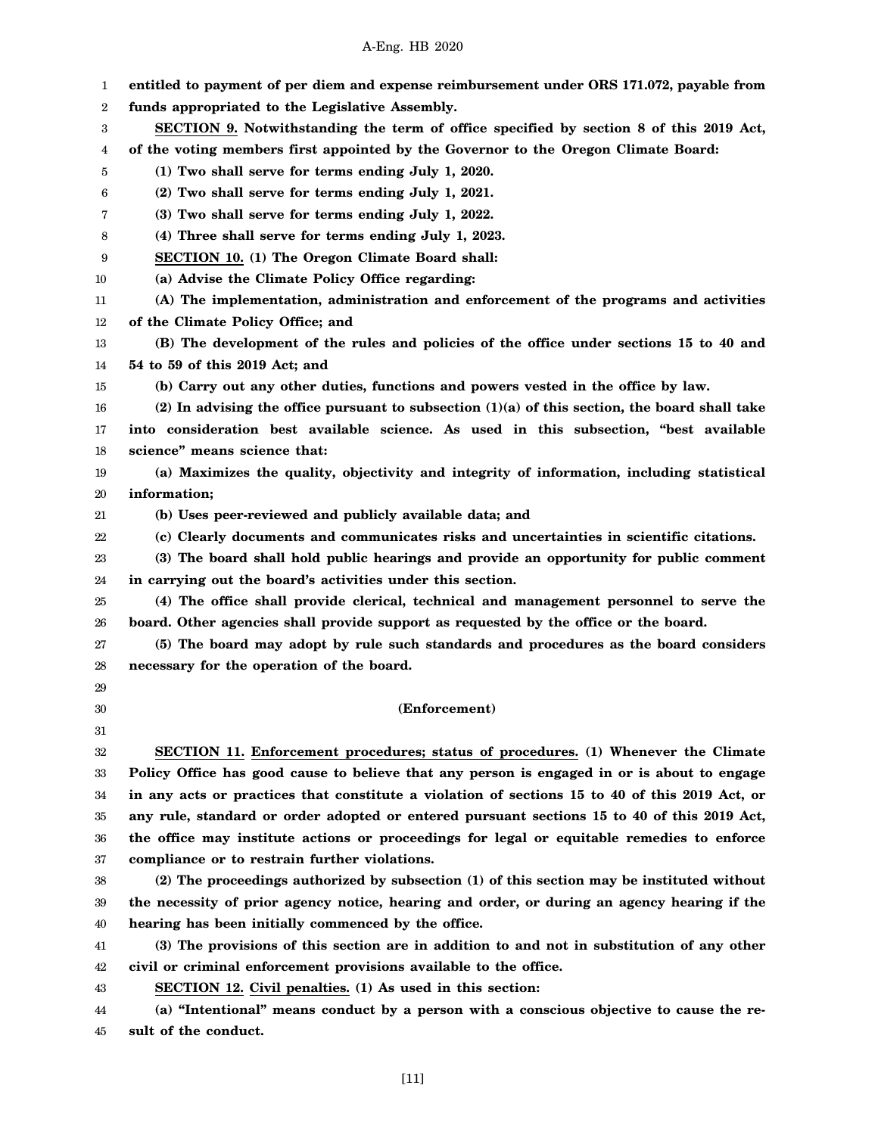| 1  | entitled to payment of per diem and expense reimbursement under ORS 171.072, payable from        |
|----|--------------------------------------------------------------------------------------------------|
| 2  | funds appropriated to the Legislative Assembly.                                                  |
| 3  | SECTION 9. Notwithstanding the term of office specified by section 8 of this 2019 Act,           |
| 4  | of the voting members first appointed by the Governor to the Oregon Climate Board:               |
| 5  | (1) Two shall serve for terms ending July 1, 2020.                                               |
| 6  | (2) Two shall serve for terms ending July 1, 2021.                                               |
| 7  | (3) Two shall serve for terms ending July 1, 2022.                                               |
| 8  | (4) Three shall serve for terms ending July 1, 2023.                                             |
| 9  | SECTION 10. (1) The Oregon Climate Board shall:                                                  |
| 10 | (a) Advise the Climate Policy Office regarding:                                                  |
| 11 | (A) The implementation, administration and enforcement of the programs and activities            |
| 12 | of the Climate Policy Office; and                                                                |
| 13 | (B) The development of the rules and policies of the office under sections 15 to 40 and          |
| 14 | 54 to 59 of this 2019 Act; and                                                                   |
| 15 | (b) Carry out any other duties, functions and powers vested in the office by law.                |
| 16 | (2) In advising the office pursuant to subsection $(1)(a)$ of this section, the board shall take |
| 17 | into consideration best available science. As used in this subsection, "best available           |
| 18 | science" means science that:                                                                     |
| 19 | (a) Maximizes the quality, objectivity and integrity of information, including statistical       |
| 20 | information;                                                                                     |
| 21 | (b) Uses peer-reviewed and publicly available data; and                                          |
| 22 | (c) Clearly documents and communicates risks and uncertainties in scientific citations.          |
| 23 | (3) The board shall hold public hearings and provide an opportunity for public comment           |
| 24 | in carrying out the board's activities under this section.                                       |
| 25 | (4) The office shall provide clerical, technical and management personnel to serve the           |
| 26 | board. Other agencies shall provide support as requested by the office or the board.             |
| 27 | (5) The board may adopt by rule such standards and procedures as the board considers             |
| 28 | necessary for the operation of the board.                                                        |
| 29 |                                                                                                  |
| 30 | (Enforcement)                                                                                    |
| 31 |                                                                                                  |
| 32 | SECTION 11. Enforcement procedures; status of procedures. (1) Whenever the Climate               |
| 33 | Policy Office has good cause to believe that any person is engaged in or is about to engage      |
| 34 | in any acts or practices that constitute a violation of sections 15 to 40 of this 2019 Act, or   |
| 35 | any rule, standard or order adopted or entered pursuant sections 15 to 40 of this 2019 Act,      |
| 36 | the office may institute actions or proceedings for legal or equitable remedies to enforce       |
| 37 | compliance or to restrain further violations.                                                    |
| 38 | (2) The proceedings authorized by subsection (1) of this section may be instituted without       |
| 39 | the necessity of prior agency notice, hearing and order, or during an agency hearing if the      |
| 40 | hearing has been initially commenced by the office.                                              |
| 41 | (3) The provisions of this section are in addition to and not in substitution of any other       |
| 42 | civil or criminal enforcement provisions available to the office.                                |
| 43 | SECTION 12. Civil penalties. (1) As used in this section:                                        |
| 44 | (a) "Intentional" means conduct by a person with a conscious objective to cause the re-          |
| 45 | sult of the conduct.                                                                             |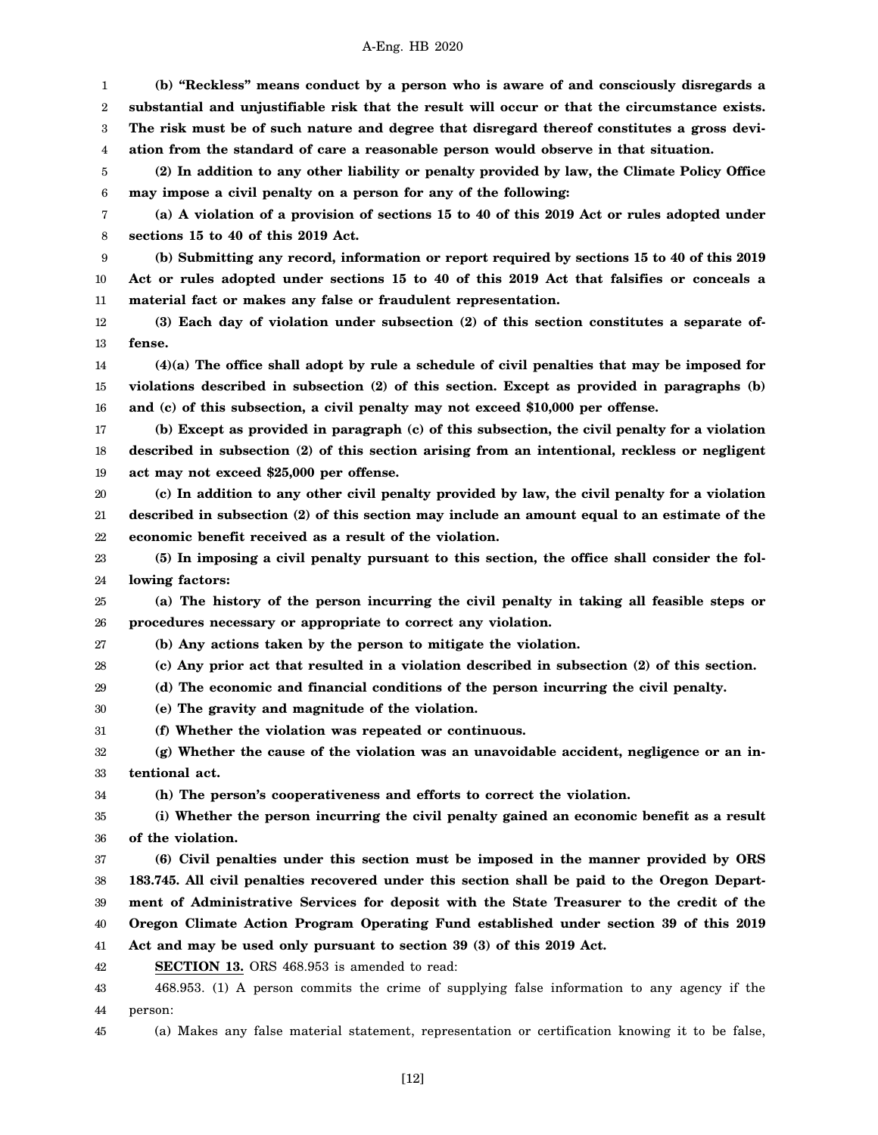1 2 3 4 5 6 7 8 9 10 11 12 13 14 15 16 17 18 19 20 21 22 23 24 25 26 27 28 29 30 31 32 33 34 35 36 37 38 39 40 41 42 43 44 **(b) "Reckless" means conduct by a person who is aware of and consciously disregards a substantial and unjustifiable risk that the result will occur or that the circumstance exists. The risk must be of such nature and degree that disregard thereof constitutes a gross deviation from the standard of care a reasonable person would observe in that situation. (2) In addition to any other liability or penalty provided by law, the Climate Policy Office may impose a civil penalty on a person for any of the following: (a) A violation of a provision of sections 15 to 40 of this 2019 Act or rules adopted under sections 15 to 40 of this 2019 Act. (b) Submitting any record, information or report required by sections 15 to 40 of this 2019 Act or rules adopted under sections 15 to 40 of this 2019 Act that falsifies or conceals a material fact or makes any false or fraudulent representation. (3) Each day of violation under subsection (2) of this section constitutes a separate offense. (4)(a) The office shall adopt by rule a schedule of civil penalties that may be imposed for violations described in subsection (2) of this section. Except as provided in paragraphs (b) and (c) of this subsection, a civil penalty may not exceed \$10,000 per offense. (b) Except as provided in paragraph (c) of this subsection, the civil penalty for a violation described in subsection (2) of this section arising from an intentional, reckless or negligent act may not exceed \$25,000 per offense. (c) In addition to any other civil penalty provided by law, the civil penalty for a violation described in subsection (2) of this section may include an amount equal to an estimate of the economic benefit received as a result of the violation. (5) In imposing a civil penalty pursuant to this section, the office shall consider the following factors: (a) The history of the person incurring the civil penalty in taking all feasible steps or procedures necessary or appropriate to correct any violation. (b) Any actions taken by the person to mitigate the violation. (c) Any prior act that resulted in a violation described in subsection (2) of this section. (d) The economic and financial conditions of the person incurring the civil penalty. (e) The gravity and magnitude of the violation. (f) Whether the violation was repeated or continuous. (g) Whether the cause of the violation was an unavoidable accident, negligence or an intentional act. (h) The person's cooperativeness and efforts to correct the violation. (i) Whether the person incurring the civil penalty gained an economic benefit as a result of the violation. (6) Civil penalties under this section must be imposed in the manner provided by ORS 183.745. All civil penalties recovered under this section shall be paid to the Oregon Department of Administrative Services for deposit with the State Treasurer to the credit of the Oregon Climate Action Program Operating Fund established under section 39 of this 2019 Act and may be used only pursuant to section 39 (3) of this 2019 Act. SECTION 13.** ORS 468.953 is amended to read: 468.953. (1) A person commits the crime of supplying false information to any agency if the person:

45 (a) Makes any false material statement, representation or certification knowing it to be false,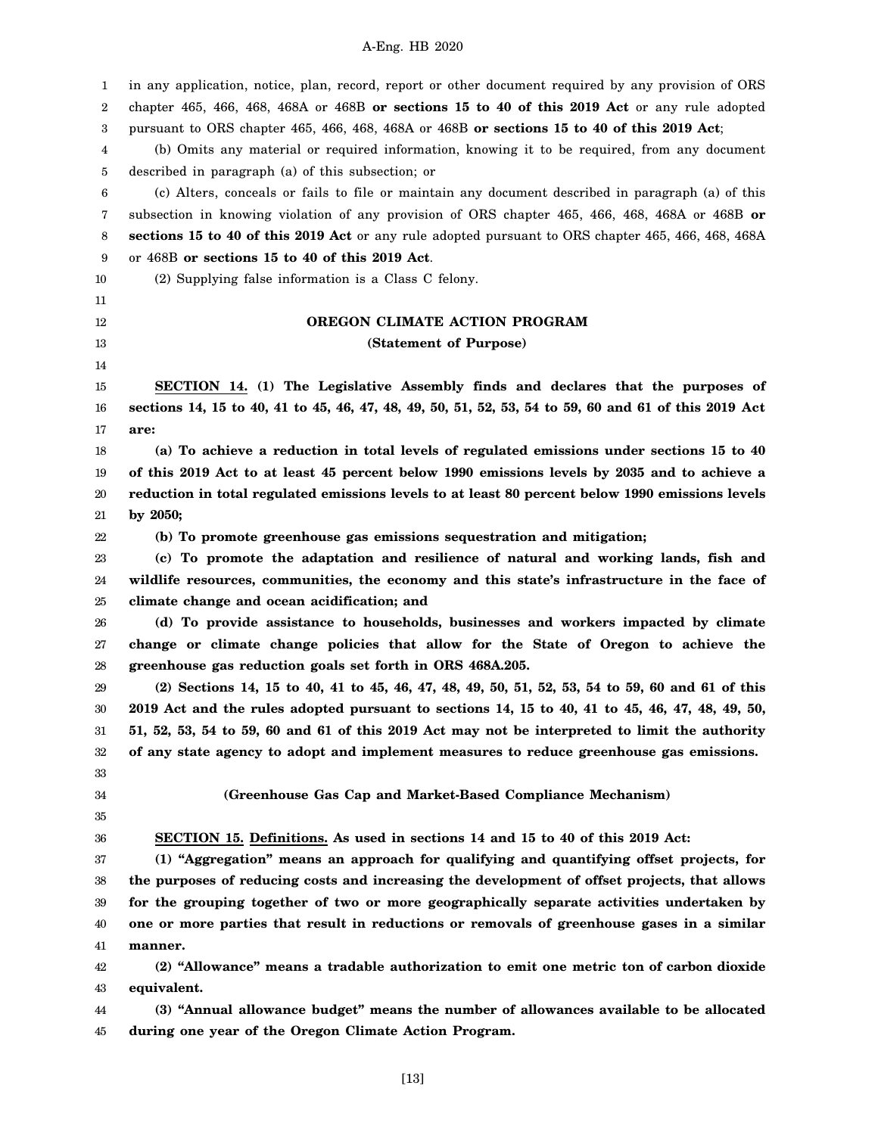1 2 3 4 5 6 7 8 9 10 11 12 13 14 15 16 17 18 19 20 21 22 23 24 25 26 27 28 29 30 31 32 33 34 35 36 37 38 39 40 41 42 43 44 45 in any application, notice, plan, record, report or other document required by any provision of ORS chapter 465, 466, 468, 468A or 468B **or sections 15 to 40 of this 2019 Act** or any rule adopted pursuant to ORS chapter 465, 466, 468, 468A or 468B **or sections 15 to 40 of this 2019 Act**; (b) Omits any material or required information, knowing it to be required, from any document described in paragraph (a) of this subsection; or (c) Alters, conceals or fails to file or maintain any document described in paragraph (a) of this subsection in knowing violation of any provision of ORS chapter 465, 466, 468, 468A or 468B **or sections 15 to 40 of this 2019 Act** or any rule adopted pursuant to ORS chapter 465, 466, 468, 468A or 468B **or sections 15 to 40 of this 2019 Act**. (2) Supplying false information is a Class C felony. **OREGON CLIMATE ACTION PROGRAM (Statement of Purpose) SECTION 14. (1) The Legislative Assembly finds and declares that the purposes of sections 14, 15 to 40, 41 to 45, 46, 47, 48, 49, 50, 51, 52, 53, 54 to 59, 60 and 61 of this 2019 Act are: (a) To achieve a reduction in total levels of regulated emissions under sections 15 to 40 of this 2019 Act to at least 45 percent below 1990 emissions levels by 2035 and to achieve a reduction in total regulated emissions levels to at least 80 percent below 1990 emissions levels by 2050; (b) To promote greenhouse gas emissions sequestration and mitigation; (c) To promote the adaptation and resilience of natural and working lands, fish and wildlife resources, communities, the economy and this state's infrastructure in the face of climate change and ocean acidification; and (d) To provide assistance to households, businesses and workers impacted by climate change or climate change policies that allow for the State of Oregon to achieve the greenhouse gas reduction goals set forth in ORS 468A.205. (2) Sections 14, 15 to 40, 41 to 45, 46, 47, 48, 49, 50, 51, 52, 53, 54 to 59, 60 and 61 of this 2019 Act and the rules adopted pursuant to sections 14, 15 to 40, 41 to 45, 46, 47, 48, 49, 50, 51, 52, 53, 54 to 59, 60 and 61 of this 2019 Act may not be interpreted to limit the authority of any state agency to adopt and implement measures to reduce greenhouse gas emissions. (Greenhouse Gas Cap and Market-Based Compliance Mechanism) SECTION 15. Definitions. As used in sections 14 and 15 to 40 of this 2019 Act: (1) "Aggregation" means an approach for qualifying and quantifying offset projects, for the purposes of reducing costs and increasing the development of offset projects, that allows for the grouping together of two or more geographically separate activities undertaken by one or more parties that result in reductions or removals of greenhouse gases in a similar manner. (2) "Allowance" means a tradable authorization to emit one metric ton of carbon dioxide equivalent. (3) "Annual allowance budget" means the number of allowances available to be allocated during one year of the Oregon Climate Action Program.**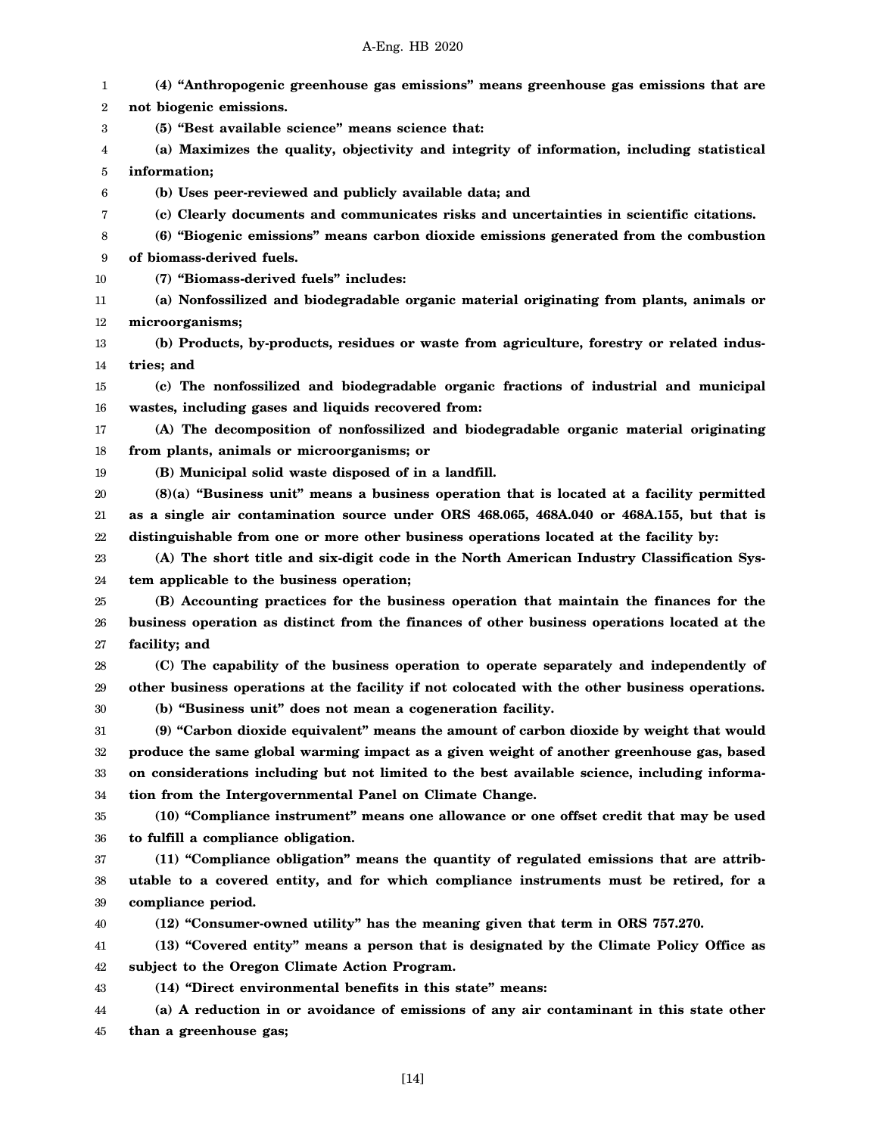1 2 3 4 5 6 7 8 9 10 11 12 13 14 15 16 17 18 19 20 21 22 23 24 25 26 27 28 29 30 31 32 33 34 35 36 37 38 39 40 41 42 43 44 45 **(4) "Anthropogenic greenhouse gas emissions" means greenhouse gas emissions that are not biogenic emissions. (5) "Best available science" means science that: (a) Maximizes the quality, objectivity and integrity of information, including statistical information; (b) Uses peer-reviewed and publicly available data; and (c) Clearly documents and communicates risks and uncertainties in scientific citations. (6) "Biogenic emissions" means carbon dioxide emissions generated from the combustion of biomass-derived fuels. (7) "Biomass-derived fuels" includes: (a) Nonfossilized and biodegradable organic material originating from plants, animals or microorganisms; (b) Products, by-products, residues or waste from agriculture, forestry or related industries; and (c) The nonfossilized and biodegradable organic fractions of industrial and municipal wastes, including gases and liquids recovered from: (A) The decomposition of nonfossilized and biodegradable organic material originating from plants, animals or microorganisms; or (B) Municipal solid waste disposed of in a landfill. (8)(a) "Business unit" means a business operation that is located at a facility permitted as a single air contamination source under ORS 468.065, 468A.040 or 468A.155, but that is distinguishable from one or more other business operations located at the facility by: (A) The short title and six-digit code in the North American Industry Classification System applicable to the business operation; (B) Accounting practices for the business operation that maintain the finances for the business operation as distinct from the finances of other business operations located at the facility; and (C) The capability of the business operation to operate separately and independently of other business operations at the facility if not colocated with the other business operations. (b) "Business unit" does not mean a cogeneration facility. (9) "Carbon dioxide equivalent" means the amount of carbon dioxide by weight that would produce the same global warming impact as a given weight of another greenhouse gas, based on considerations including but not limited to the best available science, including information from the Intergovernmental Panel on Climate Change. (10) "Compliance instrument" means one allowance or one offset credit that may be used to fulfill a compliance obligation. (11) "Compliance obligation" means the quantity of regulated emissions that are attributable to a covered entity, and for which compliance instruments must be retired, for a compliance period. (12) "Consumer-owned utility" has the meaning given that term in ORS 757.270. (13) "Covered entity" means a person that is designated by the Climate Policy Office as subject to the Oregon Climate Action Program. (14) "Direct environmental benefits in this state" means: (a) A reduction in or avoidance of emissions of any air contaminant in this state other than a greenhouse gas;**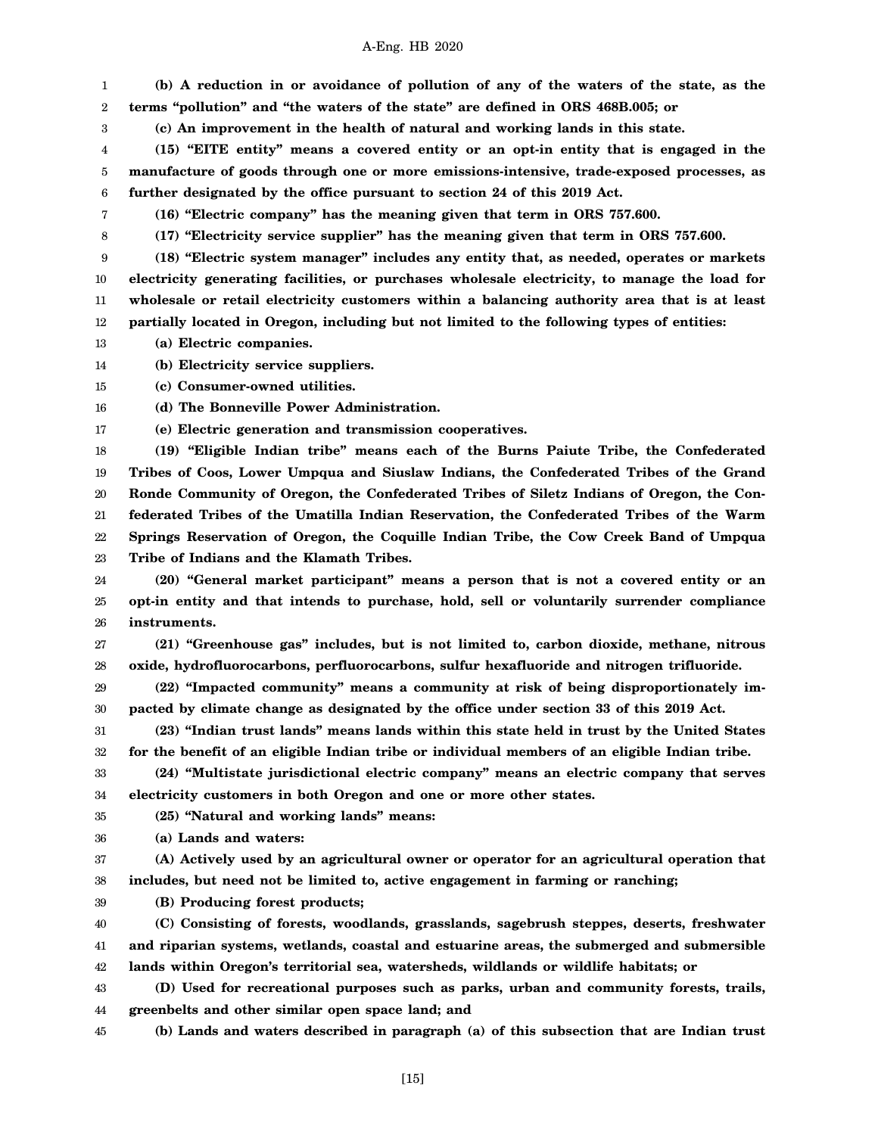1 2 **(b) A reduction in or avoidance of pollution of any of the waters of the state, as the terms "pollution" and "the waters of the state" are defined in ORS 468B.005; or**

3 **(c) An improvement in the health of natural and working lands in this state.**

4 5 6 **(15) "EITE entity" means a covered entity or an opt-in entity that is engaged in the manufacture of goods through one or more emissions-intensive, trade-exposed processes, as further designated by the office pursuant to section 24 of this 2019 Act.**

**(16) "Electric company" has the meaning given that term in ORS 757.600.**

7 8

**(17) "Electricity service supplier" has the meaning given that term in ORS 757.600.**

9 10 11 12 **(18) "Electric system manager" includes any entity that, as needed, operates or markets electricity generating facilities, or purchases wholesale electricity, to manage the load for wholesale or retail electricity customers within a balancing authority area that is at least partially located in Oregon, including but not limited to the following types of entities:**

13 **(a) Electric companies.**

14 **(b) Electricity service suppliers.**

15 **(c) Consumer-owned utilities.**

16 **(d) The Bonneville Power Administration.**

17 **(e) Electric generation and transmission cooperatives.**

18 19 20 21 22 23 **(19) "Eligible Indian tribe" means each of the Burns Paiute Tribe, the Confederated Tribes of Coos, Lower Umpqua and Siuslaw Indians, the Confederated Tribes of the Grand Ronde Community of Oregon, the Confederated Tribes of Siletz Indians of Oregon, the Confederated Tribes of the Umatilla Indian Reservation, the Confederated Tribes of the Warm Springs Reservation of Oregon, the Coquille Indian Tribe, the Cow Creek Band of Umpqua Tribe of Indians and the Klamath Tribes.**

24 25 26 **(20) "General market participant" means a person that is not a covered entity or an opt-in entity and that intends to purchase, hold, sell or voluntarily surrender compliance instruments.**

27 28 **(21) "Greenhouse gas" includes, but is not limited to, carbon dioxide, methane, nitrous oxide, hydrofluorocarbons, perfluorocarbons, sulfur hexafluoride and nitrogen trifluoride.**

29 30 **(22) "Impacted community" means a community at risk of being disproportionately impacted by climate change as designated by the office under section 33 of this 2019 Act.**

31 32 **(23) "Indian trust lands" means lands within this state held in trust by the United States for the benefit of an eligible Indian tribe or individual members of an eligible Indian tribe.**

33 34 **(24) "Multistate jurisdictional electric company" means an electric company that serves electricity customers in both Oregon and one or more other states.**

35 **(25) "Natural and working lands" means:**

36 **(a) Lands and waters:**

37 38 **(A) Actively used by an agricultural owner or operator for an agricultural operation that includes, but need not be limited to, active engagement in farming or ranching;**

39 **(B) Producing forest products;**

40 41 42 **(C) Consisting of forests, woodlands, grasslands, sagebrush steppes, deserts, freshwater and riparian systems, wetlands, coastal and estuarine areas, the submerged and submersible lands within Oregon's territorial sea, watersheds, wildlands or wildlife habitats; or**

43 44 **(D) Used for recreational purposes such as parks, urban and community forests, trails, greenbelts and other similar open space land; and**

45 **(b) Lands and waters described in paragraph (a) of this subsection that are Indian trust**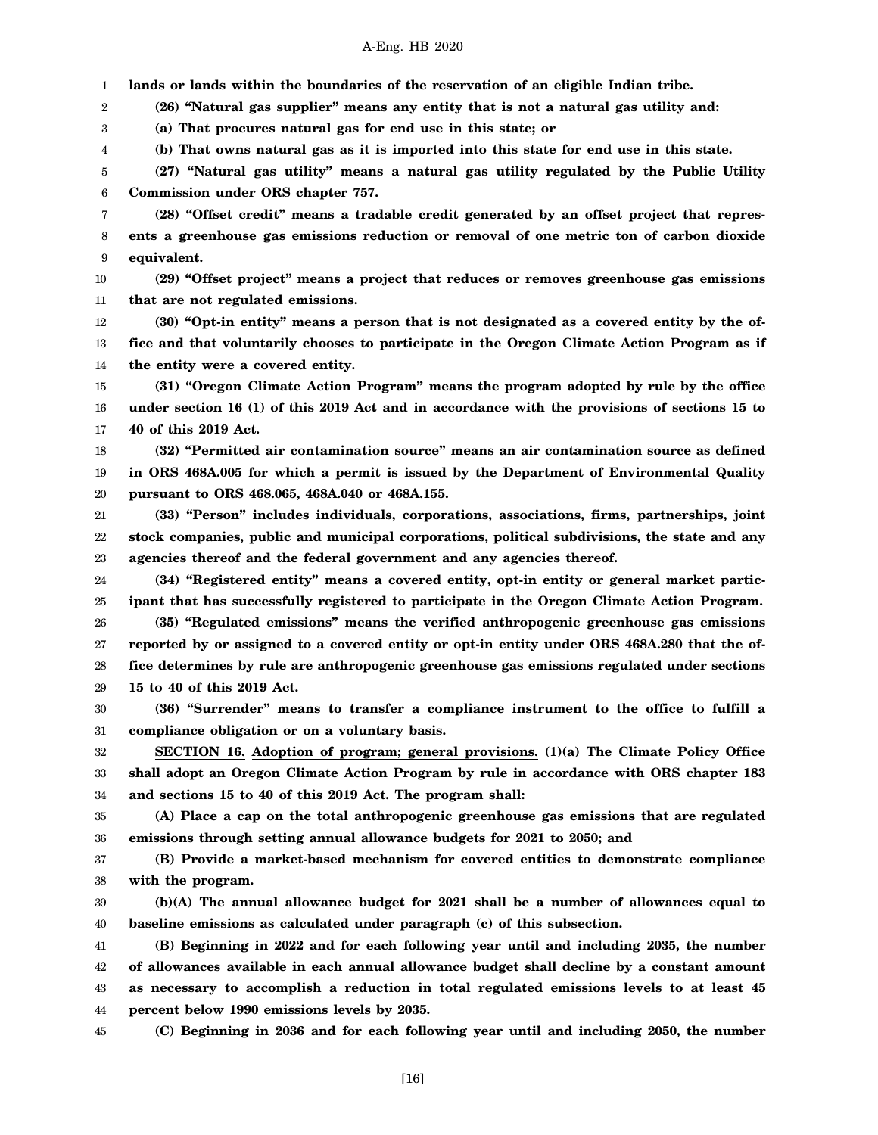1 **lands or lands within the boundaries of the reservation of an eligible Indian tribe.**

2 **(26) "Natural gas supplier" means any entity that is not a natural gas utility and:**

3 **(a) That procures natural gas for end use in this state; or**

4 **(b) That owns natural gas as it is imported into this state for end use in this state.**

5 6 **(27) "Natural gas utility" means a natural gas utility regulated by the Public Utility Commission under ORS chapter 757.**

7 8 9 **(28) "Offset credit" means a tradable credit generated by an offset project that represents a greenhouse gas emissions reduction or removal of one metric ton of carbon dioxide equivalent.**

10 11 **(29) "Offset project" means a project that reduces or removes greenhouse gas emissions that are not regulated emissions.**

12 13 14 **(30) "Opt-in entity" means a person that is not designated as a covered entity by the office and that voluntarily chooses to participate in the Oregon Climate Action Program as if the entity were a covered entity.**

15 16 17 **(31) "Oregon Climate Action Program" means the program adopted by rule by the office under section 16 (1) of this 2019 Act and in accordance with the provisions of sections 15 to 40 of this 2019 Act.**

18 19 20 **(32) "Permitted air contamination source" means an air contamination source as defined in ORS 468A.005 for which a permit is issued by the Department of Environmental Quality pursuant to ORS 468.065, 468A.040 or 468A.155.**

21 22 23 **(33) "Person" includes individuals, corporations, associations, firms, partnerships, joint stock companies, public and municipal corporations, political subdivisions, the state and any agencies thereof and the federal government and any agencies thereof.**

24 25 **(34) "Registered entity" means a covered entity, opt-in entity or general market participant that has successfully registered to participate in the Oregon Climate Action Program.**

26 27 28 29 **(35) "Regulated emissions" means the verified anthropogenic greenhouse gas emissions reported by or assigned to a covered entity or opt-in entity under ORS 468A.280 that the office determines by rule are anthropogenic greenhouse gas emissions regulated under sections 15 to 40 of this 2019 Act.**

30 31 **(36) "Surrender" means to transfer a compliance instrument to the office to fulfill a compliance obligation or on a voluntary basis.**

32 33 34 **SECTION 16. Adoption of program; general provisions. (1)(a) The Climate Policy Office shall adopt an Oregon Climate Action Program by rule in accordance with ORS chapter 183 and sections 15 to 40 of this 2019 Act. The program shall:**

35 36 **(A) Place a cap on the total anthropogenic greenhouse gas emissions that are regulated emissions through setting annual allowance budgets for 2021 to 2050; and**

37 38 **(B) Provide a market-based mechanism for covered entities to demonstrate compliance with the program.**

39 40 **(b)(A) The annual allowance budget for 2021 shall be a number of allowances equal to baseline emissions as calculated under paragraph (c) of this subsection.**

41 42 43 44 **(B) Beginning in 2022 and for each following year until and including 2035, the number of allowances available in each annual allowance budget shall decline by a constant amount as necessary to accomplish a reduction in total regulated emissions levels to at least 45 percent below 1990 emissions levels by 2035.**

**(C) Beginning in 2036 and for each following year until and including 2050, the number**

45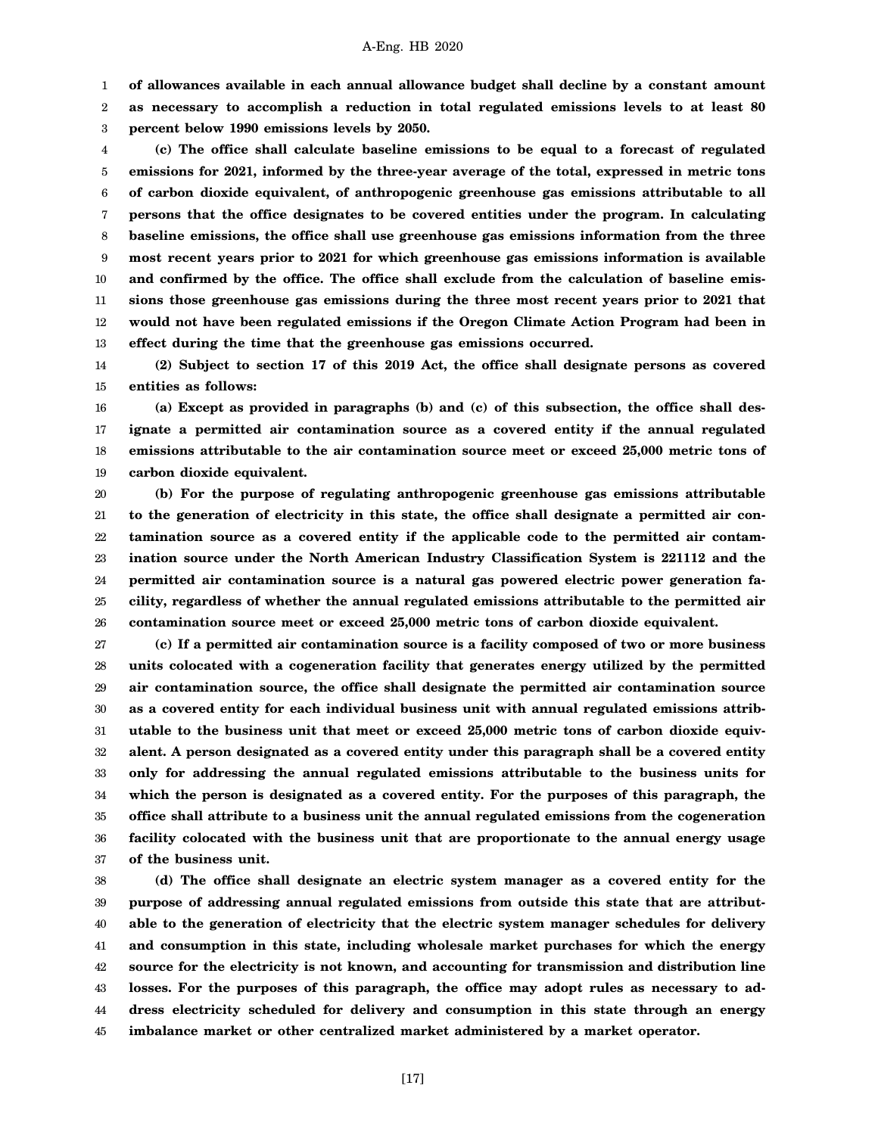1 **of allowances available in each annual allowance budget shall decline by a constant amount**

2 3 **as necessary to accomplish a reduction in total regulated emissions levels to at least 80 percent below 1990 emissions levels by 2050.**

4 5 6 7 8 9 10 11 12 13 **(c) The office shall calculate baseline emissions to be equal to a forecast of regulated emissions for 2021, informed by the three-year average of the total, expressed in metric tons of carbon dioxide equivalent, of anthropogenic greenhouse gas emissions attributable to all persons that the office designates to be covered entities under the program. In calculating baseline emissions, the office shall use greenhouse gas emissions information from the three most recent years prior to 2021 for which greenhouse gas emissions information is available and confirmed by the office. The office shall exclude from the calculation of baseline emissions those greenhouse gas emissions during the three most recent years prior to 2021 that would not have been regulated emissions if the Oregon Climate Action Program had been in effect during the time that the greenhouse gas emissions occurred.**

14 15 **(2) Subject to section 17 of this 2019 Act, the office shall designate persons as covered entities as follows:**

16 17 18 19 **(a) Except as provided in paragraphs (b) and (c) of this subsection, the office shall designate a permitted air contamination source as a covered entity if the annual regulated emissions attributable to the air contamination source meet or exceed 25,000 metric tons of carbon dioxide equivalent.**

20 21 22 23 24 25 26 **(b) For the purpose of regulating anthropogenic greenhouse gas emissions attributable to the generation of electricity in this state, the office shall designate a permitted air contamination source as a covered entity if the applicable code to the permitted air contamination source under the North American Industry Classification System is 221112 and the permitted air contamination source is a natural gas powered electric power generation facility, regardless of whether the annual regulated emissions attributable to the permitted air contamination source meet or exceed 25,000 metric tons of carbon dioxide equivalent.**

27 28 29 30 31 32 33 34 35 36 37 **(c) If a permitted air contamination source is a facility composed of two or more business units colocated with a cogeneration facility that generates energy utilized by the permitted air contamination source, the office shall designate the permitted air contamination source as a covered entity for each individual business unit with annual regulated emissions attributable to the business unit that meet or exceed 25,000 metric tons of carbon dioxide equivalent. A person designated as a covered entity under this paragraph shall be a covered entity only for addressing the annual regulated emissions attributable to the business units for which the person is designated as a covered entity. For the purposes of this paragraph, the office shall attribute to a business unit the annual regulated emissions from the cogeneration facility colocated with the business unit that are proportionate to the annual energy usage of the business unit.**

38 39 40 41 42 43 44 45 **(d) The office shall designate an electric system manager as a covered entity for the purpose of addressing annual regulated emissions from outside this state that are attributable to the generation of electricity that the electric system manager schedules for delivery and consumption in this state, including wholesale market purchases for which the energy source for the electricity is not known, and accounting for transmission and distribution line losses. For the purposes of this paragraph, the office may adopt rules as necessary to address electricity scheduled for delivery and consumption in this state through an energy imbalance market or other centralized market administered by a market operator.**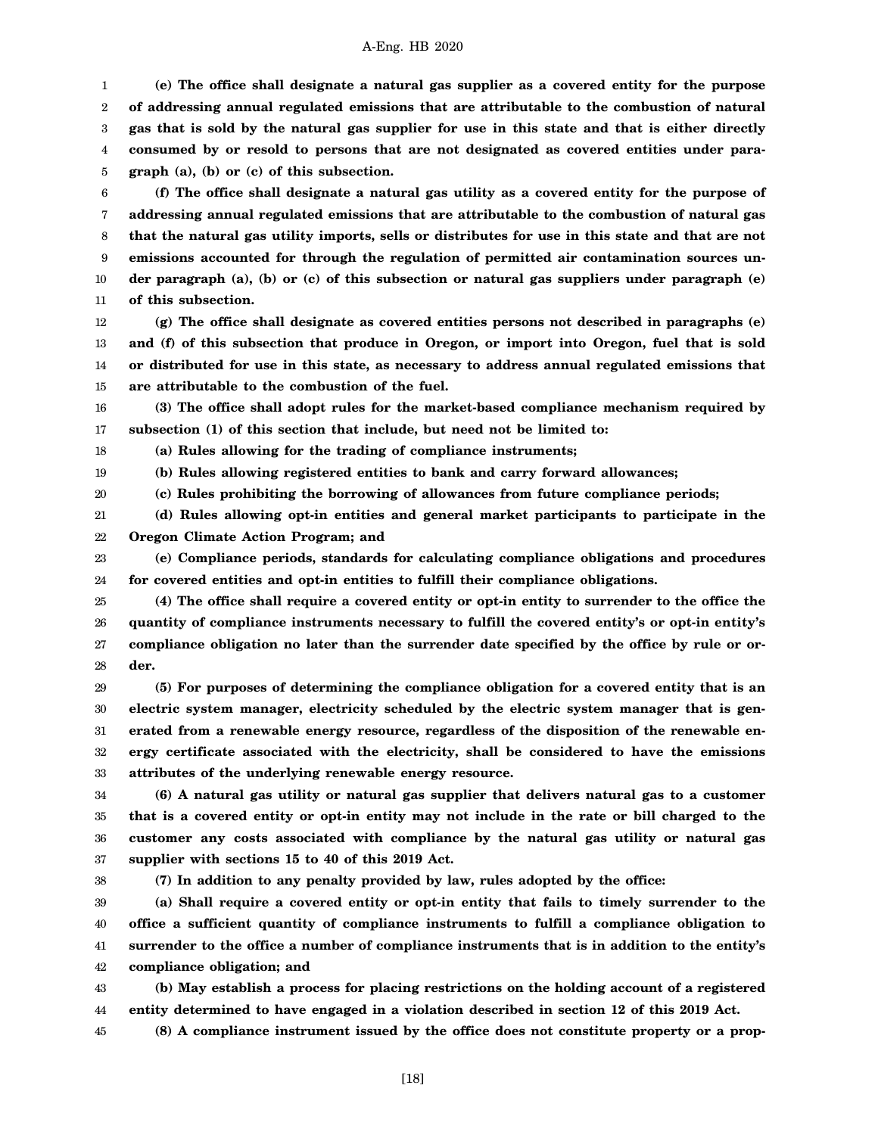1 2 3 4 5 **(e) The office shall designate a natural gas supplier as a covered entity for the purpose of addressing annual regulated emissions that are attributable to the combustion of natural gas that is sold by the natural gas supplier for use in this state and that is either directly consumed by or resold to persons that are not designated as covered entities under paragraph (a), (b) or (c) of this subsection.**

6 7 8 9 10 11 **(f) The office shall designate a natural gas utility as a covered entity for the purpose of addressing annual regulated emissions that are attributable to the combustion of natural gas that the natural gas utility imports, sells or distributes for use in this state and that are not emissions accounted for through the regulation of permitted air contamination sources under paragraph (a), (b) or (c) of this subsection or natural gas suppliers under paragraph (e) of this subsection.**

12 13 14 15 **(g) The office shall designate as covered entities persons not described in paragraphs (e) and (f) of this subsection that produce in Oregon, or import into Oregon, fuel that is sold or distributed for use in this state, as necessary to address annual regulated emissions that are attributable to the combustion of the fuel.**

16 17 **(3) The office shall adopt rules for the market-based compliance mechanism required by subsection (1) of this section that include, but need not be limited to:**

18 **(a) Rules allowing for the trading of compliance instruments;**

19 **(b) Rules allowing registered entities to bank and carry forward allowances;**

20 **(c) Rules prohibiting the borrowing of allowances from future compliance periods;**

21 22 **(d) Rules allowing opt-in entities and general market participants to participate in the Oregon Climate Action Program; and**

23 24 **(e) Compliance periods, standards for calculating compliance obligations and procedures for covered entities and opt-in entities to fulfill their compliance obligations.**

25 26 27 28 **(4) The office shall require a covered entity or opt-in entity to surrender to the office the quantity of compliance instruments necessary to fulfill the covered entity's or opt-in entity's compliance obligation no later than the surrender date specified by the office by rule or order.**

29 30 31 32 33 **(5) For purposes of determining the compliance obligation for a covered entity that is an electric system manager, electricity scheduled by the electric system manager that is generated from a renewable energy resource, regardless of the disposition of the renewable energy certificate associated with the electricity, shall be considered to have the emissions attributes of the underlying renewable energy resource.**

34 35 36 37 **(6) A natural gas utility or natural gas supplier that delivers natural gas to a customer that is a covered entity or opt-in entity may not include in the rate or bill charged to the customer any costs associated with compliance by the natural gas utility or natural gas supplier with sections 15 to 40 of this 2019 Act.**

38

**(7) In addition to any penalty provided by law, rules adopted by the office:**

39 40 41 42 **(a) Shall require a covered entity or opt-in entity that fails to timely surrender to the office a sufficient quantity of compliance instruments to fulfill a compliance obligation to surrender to the office a number of compliance instruments that is in addition to the entity's compliance obligation; and**

43 44 **(b) May establish a process for placing restrictions on the holding account of a registered entity determined to have engaged in a violation described in section 12 of this 2019 Act.**

45 **(8) A compliance instrument issued by the office does not constitute property or a prop-**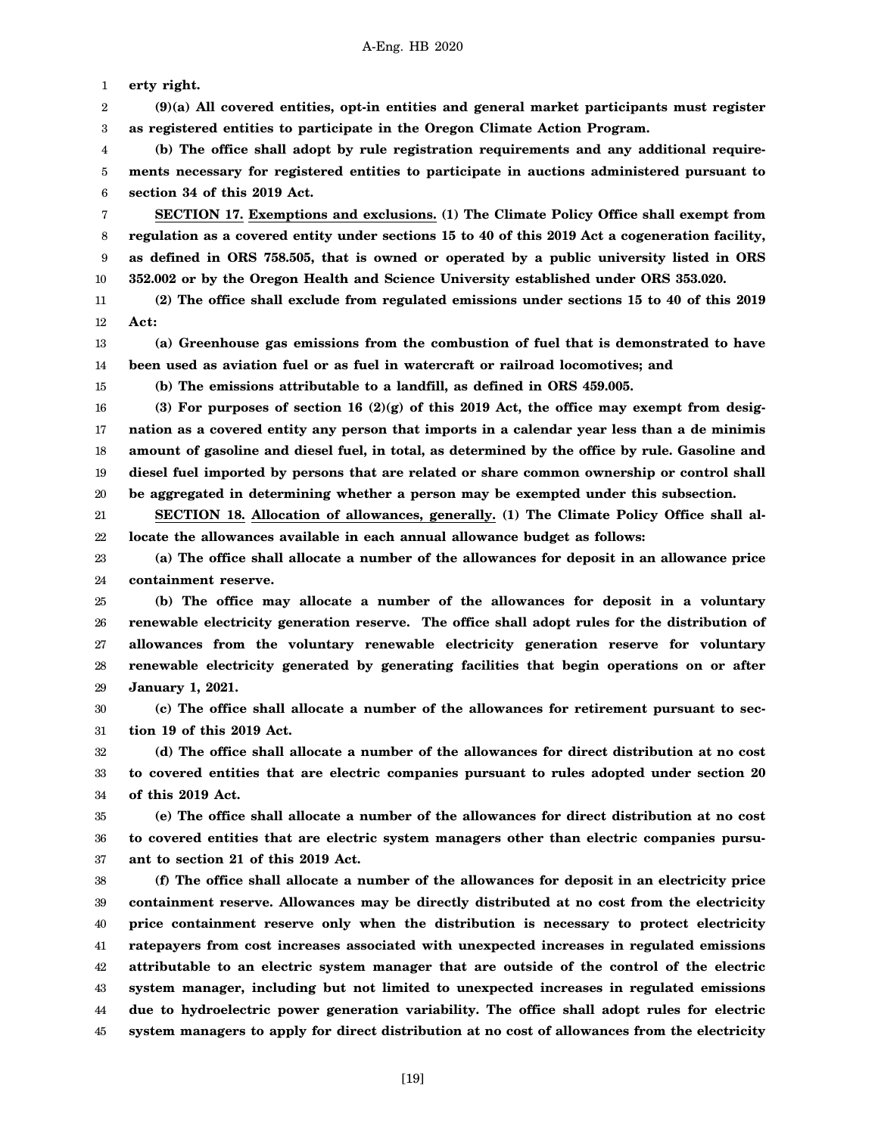1 **erty right.**

2 3 **(9)(a) All covered entities, opt-in entities and general market participants must register as registered entities to participate in the Oregon Climate Action Program.**

4 5 6 **(b) The office shall adopt by rule registration requirements and any additional requirements necessary for registered entities to participate in auctions administered pursuant to section 34 of this 2019 Act.**

7 8 9 10 **SECTION 17. Exemptions and exclusions. (1) The Climate Policy Office shall exempt from regulation as a covered entity under sections 15 to 40 of this 2019 Act a cogeneration facility, as defined in ORS 758.505, that is owned or operated by a public university listed in ORS 352.002 or by the Oregon Health and Science University established under ORS 353.020.**

11 12 **(2) The office shall exclude from regulated emissions under sections 15 to 40 of this 2019 Act:**

13 14 **(a) Greenhouse gas emissions from the combustion of fuel that is demonstrated to have been used as aviation fuel or as fuel in watercraft or railroad locomotives; and**

15

**(b) The emissions attributable to a landfill, as defined in ORS 459.005.**

16 17 18 19 20 (3) For purposes of section 16  $(2)(g)$  of this 2019 Act, the office may exempt from desig**nation as a covered entity any person that imports in a calendar year less than a de minimis amount of gasoline and diesel fuel, in total, as determined by the office by rule. Gasoline and diesel fuel imported by persons that are related or share common ownership or control shall be aggregated in determining whether a person may be exempted under this subsection.**

21 22 **SECTION 18. Allocation of allowances, generally. (1) The Climate Policy Office shall allocate the allowances available in each annual allowance budget as follows:**

23 24 **(a) The office shall allocate a number of the allowances for deposit in an allowance price containment reserve.**

25 26 27 28 29 **(b) The office may allocate a number of the allowances for deposit in a voluntary renewable electricity generation reserve. The office shall adopt rules for the distribution of allowances from the voluntary renewable electricity generation reserve for voluntary renewable electricity generated by generating facilities that begin operations on or after January 1, 2021.**

30 31 **(c) The office shall allocate a number of the allowances for retirement pursuant to section 19 of this 2019 Act.**

32 33 34 **(d) The office shall allocate a number of the allowances for direct distribution at no cost to covered entities that are electric companies pursuant to rules adopted under section 20 of this 2019 Act.**

35 36 37 **(e) The office shall allocate a number of the allowances for direct distribution at no cost to covered entities that are electric system managers other than electric companies pursuant to section 21 of this 2019 Act.**

38 39 40 41 42 43 44 45 **(f) The office shall allocate a number of the allowances for deposit in an electricity price containment reserve. Allowances may be directly distributed at no cost from the electricity price containment reserve only when the distribution is necessary to protect electricity ratepayers from cost increases associated with unexpected increases in regulated emissions attributable to an electric system manager that are outside of the control of the electric system manager, including but not limited to unexpected increases in regulated emissions due to hydroelectric power generation variability. The office shall adopt rules for electric system managers to apply for direct distribution at no cost of allowances from the electricity**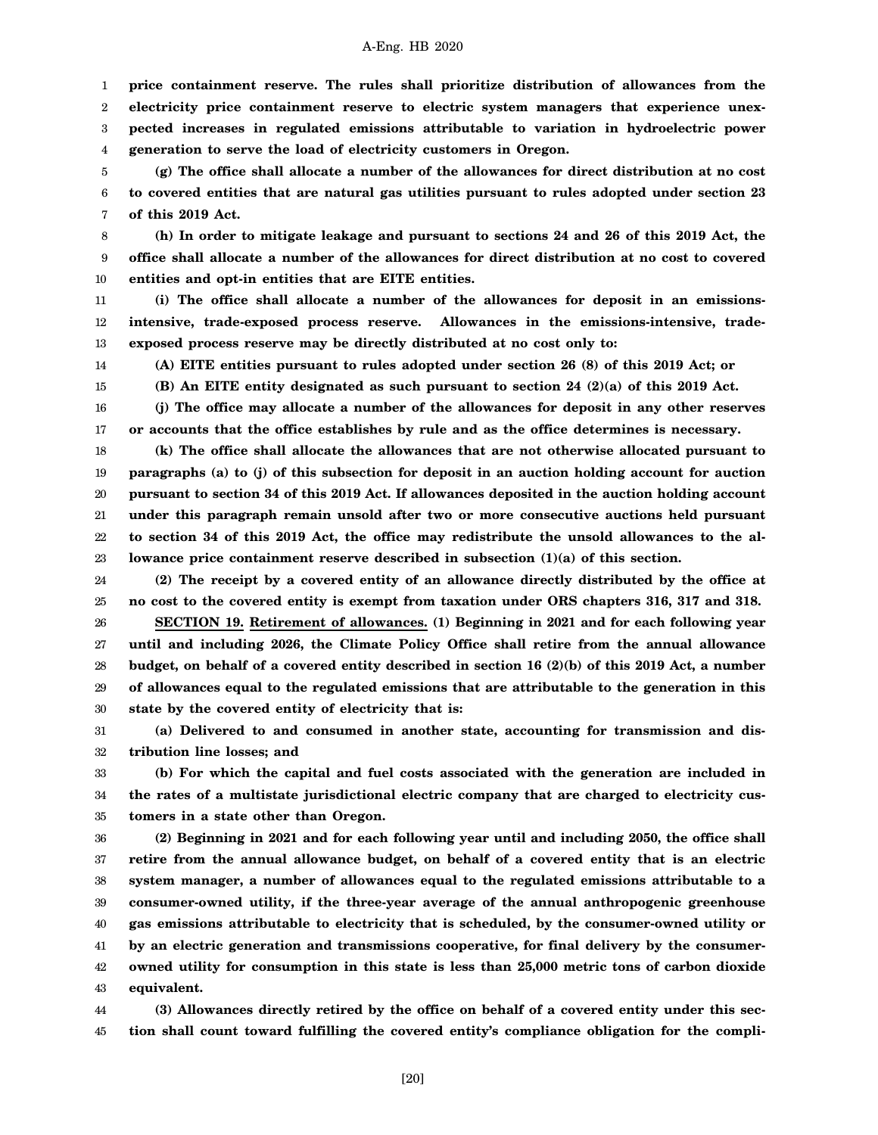1 2 3 4 **price containment reserve. The rules shall prioritize distribution of allowances from the electricity price containment reserve to electric system managers that experience unexpected increases in regulated emissions attributable to variation in hydroelectric power generation to serve the load of electricity customers in Oregon.**

5 6 7 **(g) The office shall allocate a number of the allowances for direct distribution at no cost to covered entities that are natural gas utilities pursuant to rules adopted under section 23 of this 2019 Act.**

8 9 10 **(h) In order to mitigate leakage and pursuant to sections 24 and 26 of this 2019 Act, the office shall allocate a number of the allowances for direct distribution at no cost to covered entities and opt-in entities that are EITE entities.**

11 12 13 **(i) The office shall allocate a number of the allowances for deposit in an emissionsintensive, trade-exposed process reserve. Allowances in the emissions-intensive, tradeexposed process reserve may be directly distributed at no cost only to:**

**(A) EITE entities pursuant to rules adopted under section 26 (8) of this 2019 Act; or**

14 15

**(B) An EITE entity designated as such pursuant to section 24 (2)(a) of this 2019 Act.**

16 17 **(j) The office may allocate a number of the allowances for deposit in any other reserves or accounts that the office establishes by rule and as the office determines is necessary.**

18 19 20 21 22 23 **(k) The office shall allocate the allowances that are not otherwise allocated pursuant to paragraphs (a) to (j) of this subsection for deposit in an auction holding account for auction pursuant to section 34 of this 2019 Act. If allowances deposited in the auction holding account under this paragraph remain unsold after two or more consecutive auctions held pursuant to section 34 of this 2019 Act, the office may redistribute the unsold allowances to the allowance price containment reserve described in subsection (1)(a) of this section.**

24 25 **(2) The receipt by a covered entity of an allowance directly distributed by the office at no cost to the covered entity is exempt from taxation under ORS chapters 316, 317 and 318.**

26 27 28 29 30 **SECTION 19. Retirement of allowances. (1) Beginning in 2021 and for each following year until and including 2026, the Climate Policy Office shall retire from the annual allowance budget, on behalf of a covered entity described in section 16 (2)(b) of this 2019 Act, a number of allowances equal to the regulated emissions that are attributable to the generation in this state by the covered entity of electricity that is:**

31 32 **(a) Delivered to and consumed in another state, accounting for transmission and distribution line losses; and**

33 34 35 **(b) For which the capital and fuel costs associated with the generation are included in the rates of a multistate jurisdictional electric company that are charged to electricity customers in a state other than Oregon.**

36 37 38 39 40 41 42 43 **(2) Beginning in 2021 and for each following year until and including 2050, the office shall retire from the annual allowance budget, on behalf of a covered entity that is an electric system manager, a number of allowances equal to the regulated emissions attributable to a consumer-owned utility, if the three-year average of the annual anthropogenic greenhouse gas emissions attributable to electricity that is scheduled, by the consumer-owned utility or by an electric generation and transmissions cooperative, for final delivery by the consumerowned utility for consumption in this state is less than 25,000 metric tons of carbon dioxide equivalent.**

44 45 **(3) Allowances directly retired by the office on behalf of a covered entity under this section shall count toward fulfilling the covered entity's compliance obligation for the compli-**

[20]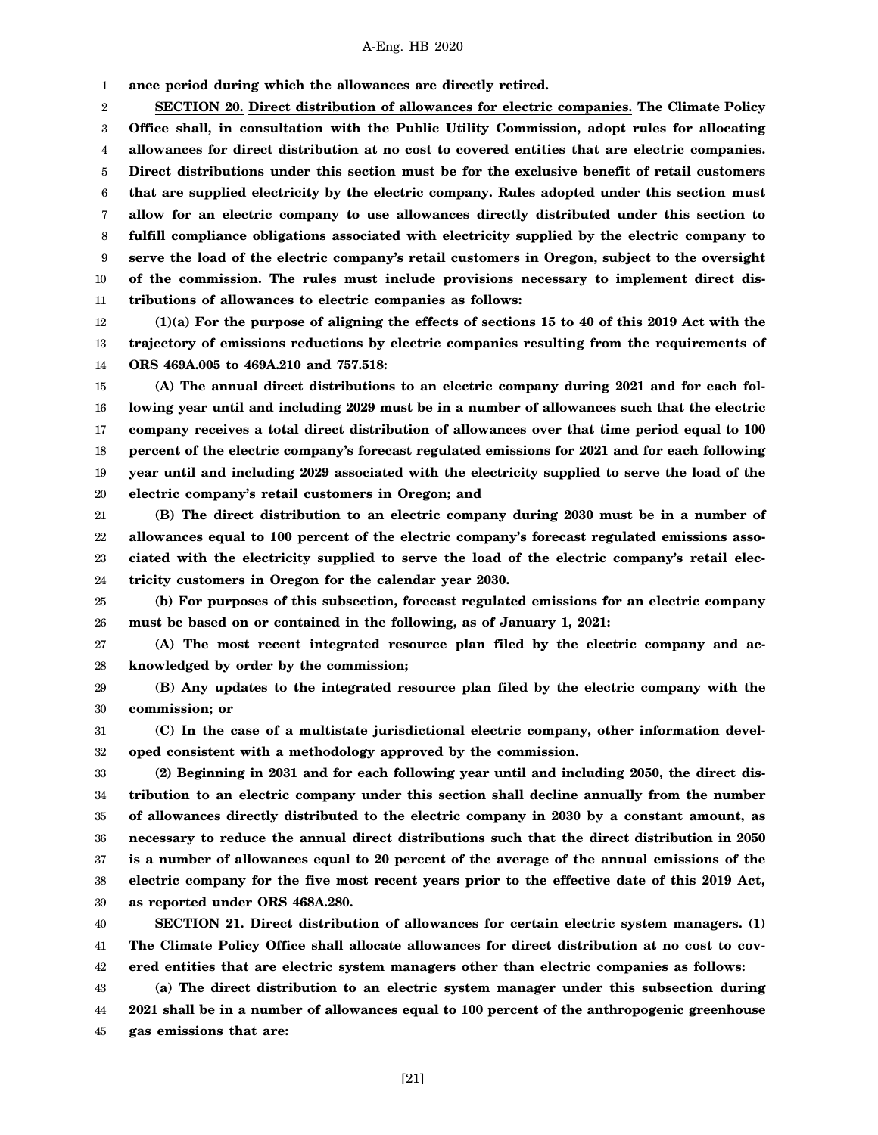1 **ance period during which the allowances are directly retired.**

2 3 4 5 6 7 8 9 10 11 **SECTION 20. Direct distribution of allowances for electric companies. The Climate Policy Office shall, in consultation with the Public Utility Commission, adopt rules for allocating allowances for direct distribution at no cost to covered entities that are electric companies. Direct distributions under this section must be for the exclusive benefit of retail customers that are supplied electricity by the electric company. Rules adopted under this section must allow for an electric company to use allowances directly distributed under this section to fulfill compliance obligations associated with electricity supplied by the electric company to serve the load of the electric company's retail customers in Oregon, subject to the oversight of the commission. The rules must include provisions necessary to implement direct distributions of allowances to electric companies as follows:**

12 13 14 **(1)(a) For the purpose of aligning the effects of sections 15 to 40 of this 2019 Act with the trajectory of emissions reductions by electric companies resulting from the requirements of ORS 469A.005 to 469A.210 and 757.518:**

15 16 17 18 19 20 **(A) The annual direct distributions to an electric company during 2021 and for each following year until and including 2029 must be in a number of allowances such that the electric company receives a total direct distribution of allowances over that time period equal to 100 percent of the electric company's forecast regulated emissions for 2021 and for each following year until and including 2029 associated with the electricity supplied to serve the load of the electric company's retail customers in Oregon; and**

21 22 23 24 **(B) The direct distribution to an electric company during 2030 must be in a number of allowances equal to 100 percent of the electric company's forecast regulated emissions associated with the electricity supplied to serve the load of the electric company's retail electricity customers in Oregon for the calendar year 2030.**

25 26 **(b) For purposes of this subsection, forecast regulated emissions for an electric company must be based on or contained in the following, as of January 1, 2021:**

27 28 **(A) The most recent integrated resource plan filed by the electric company and acknowledged by order by the commission;**

29 30 **(B) Any updates to the integrated resource plan filed by the electric company with the commission; or**

31 32 **(C) In the case of a multistate jurisdictional electric company, other information developed consistent with a methodology approved by the commission.**

33 34 35 36 37 38 39 **(2) Beginning in 2031 and for each following year until and including 2050, the direct distribution to an electric company under this section shall decline annually from the number of allowances directly distributed to the electric company in 2030 by a constant amount, as necessary to reduce the annual direct distributions such that the direct distribution in 2050 is a number of allowances equal to 20 percent of the average of the annual emissions of the electric company for the five most recent years prior to the effective date of this 2019 Act, as reported under ORS 468A.280.**

40 41 42 **SECTION 21. Direct distribution of allowances for certain electric system managers. (1) The Climate Policy Office shall allocate allowances for direct distribution at no cost to covered entities that are electric system managers other than electric companies as follows:**

43 44 45 **(a) The direct distribution to an electric system manager under this subsection during 2021 shall be in a number of allowances equal to 100 percent of the anthropogenic greenhouse gas emissions that are:**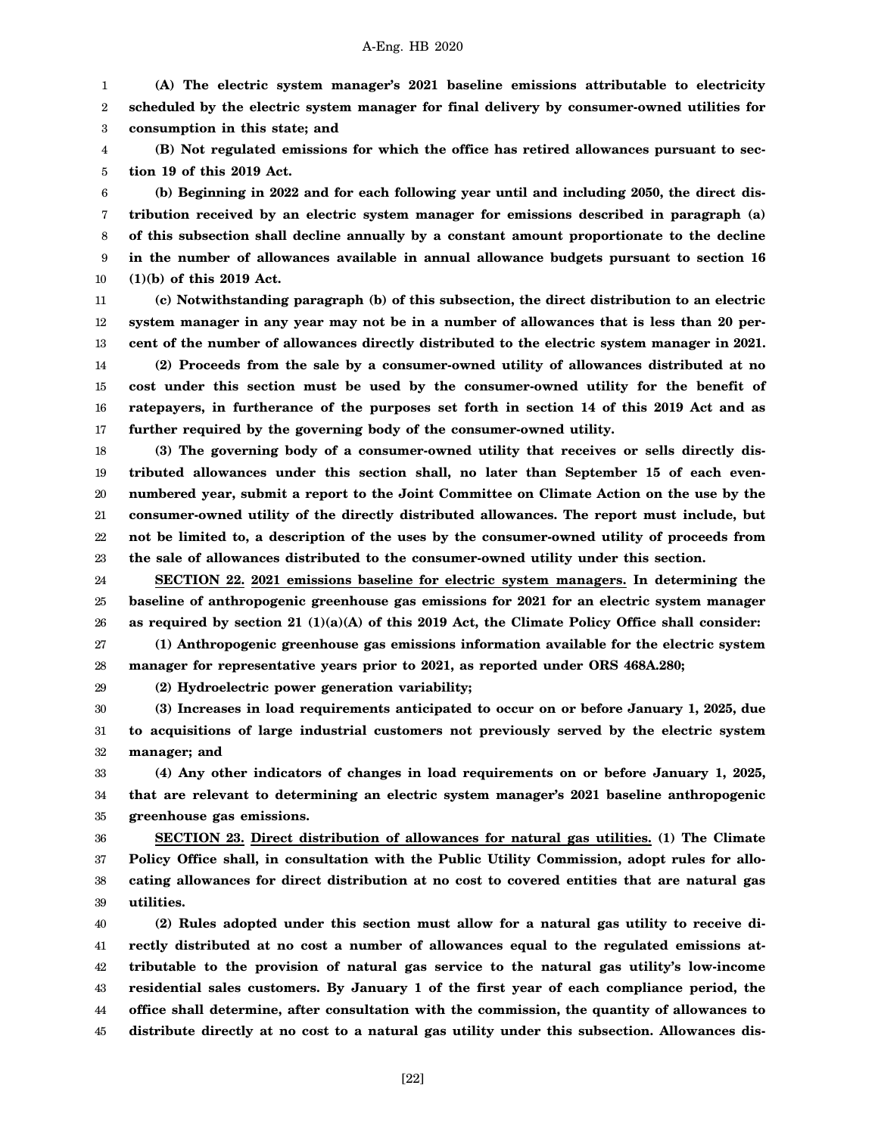1 2 3 **(A) The electric system manager's 2021 baseline emissions attributable to electricity scheduled by the electric system manager for final delivery by consumer-owned utilities for consumption in this state; and**

4 5 **(B) Not regulated emissions for which the office has retired allowances pursuant to section 19 of this 2019 Act.**

6 7 8 9 10 **(b) Beginning in 2022 and for each following year until and including 2050, the direct distribution received by an electric system manager for emissions described in paragraph (a) of this subsection shall decline annually by a constant amount proportionate to the decline in the number of allowances available in annual allowance budgets pursuant to section 16 (1)(b) of this 2019 Act.**

11 12 13 14 15 16 17 **(c) Notwithstanding paragraph (b) of this subsection, the direct distribution to an electric system manager in any year may not be in a number of allowances that is less than 20 percent of the number of allowances directly distributed to the electric system manager in 2021. (2) Proceeds from the sale by a consumer-owned utility of allowances distributed at no cost under this section must be used by the consumer-owned utility for the benefit of ratepayers, in furtherance of the purposes set forth in section 14 of this 2019 Act and as further required by the governing body of the consumer-owned utility.**

18 19 20 21 22 23 **(3) The governing body of a consumer-owned utility that receives or sells directly distributed allowances under this section shall, no later than September 15 of each evennumbered year, submit a report to the Joint Committee on Climate Action on the use by the consumer-owned utility of the directly distributed allowances. The report must include, but not be limited to, a description of the uses by the consumer-owned utility of proceeds from the sale of allowances distributed to the consumer-owned utility under this section.**

24 25 26 27 **SECTION 22. 2021 emissions baseline for electric system managers. In determining the baseline of anthropogenic greenhouse gas emissions for 2021 for an electric system manager as required by section 21 (1)(a)(A) of this 2019 Act, the Climate Policy Office shall consider: (1) Anthropogenic greenhouse gas emissions information available for the electric system**

28 **manager for representative years prior to 2021, as reported under ORS 468A.280;**

**(2) Hydroelectric power generation variability;**

29

30 31 32 **(3) Increases in load requirements anticipated to occur on or before January 1, 2025, due to acquisitions of large industrial customers not previously served by the electric system manager; and**

33 34 35 **(4) Any other indicators of changes in load requirements on or before January 1, 2025, that are relevant to determining an electric system manager's 2021 baseline anthropogenic greenhouse gas emissions.**

36 37 38 39 **SECTION 23. Direct distribution of allowances for natural gas utilities. (1) The Climate Policy Office shall, in consultation with the Public Utility Commission, adopt rules for allocating allowances for direct distribution at no cost to covered entities that are natural gas utilities.**

40 41 42 43 44 45 **(2) Rules adopted under this section must allow for a natural gas utility to receive directly distributed at no cost a number of allowances equal to the regulated emissions attributable to the provision of natural gas service to the natural gas utility's low-income residential sales customers. By January 1 of the first year of each compliance period, the office shall determine, after consultation with the commission, the quantity of allowances to distribute directly at no cost to a natural gas utility under this subsection. Allowances dis-**

[22]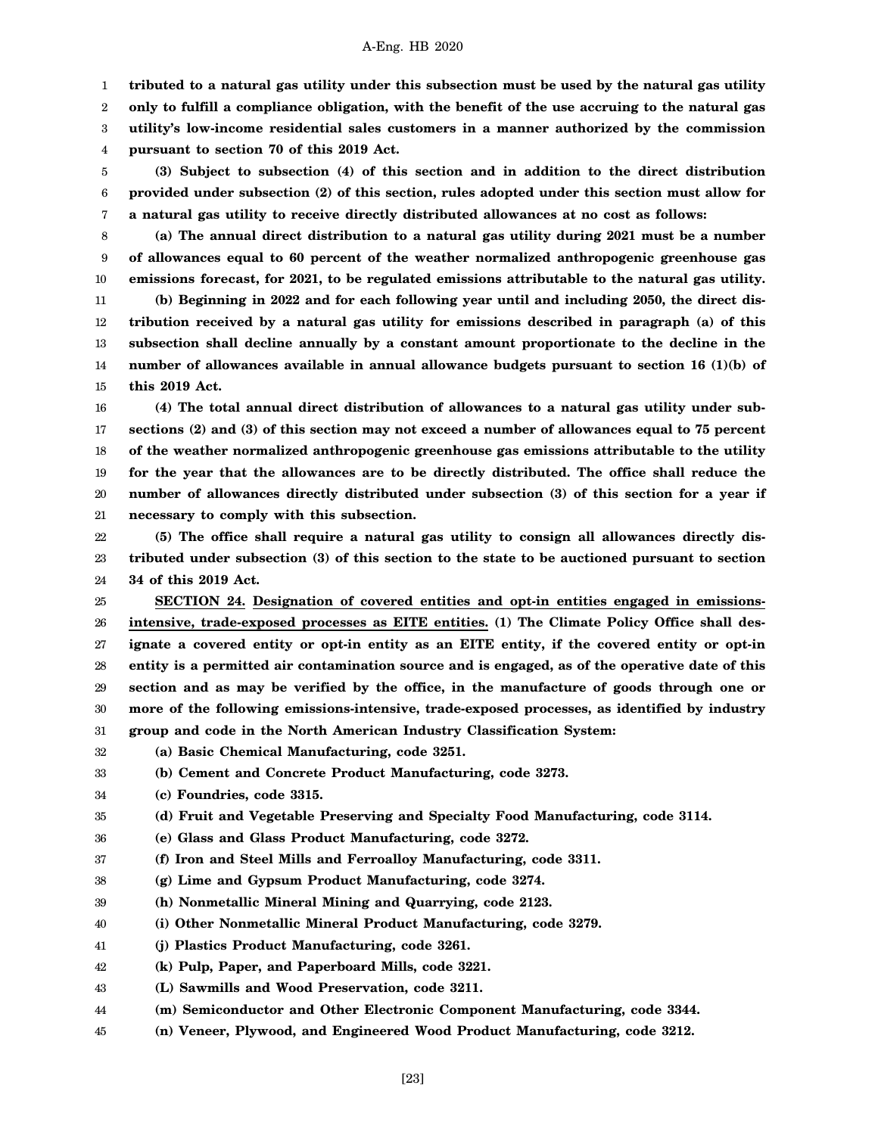1 **tributed to a natural gas utility under this subsection must be used by the natural gas utility**

2 **only to fulfill a compliance obligation, with the benefit of the use accruing to the natural gas**

3 **utility's low-income residential sales customers in a manner authorized by the commission**

4 **pursuant to section 70 of this 2019 Act.**

5 6 7 **(3) Subject to subsection (4) of this section and in addition to the direct distribution provided under subsection (2) of this section, rules adopted under this section must allow for a natural gas utility to receive directly distributed allowances at no cost as follows:**

8 9

10

**(a) The annual direct distribution to a natural gas utility during 2021 must be a number of allowances equal to 60 percent of the weather normalized anthropogenic greenhouse gas emissions forecast, for 2021, to be regulated emissions attributable to the natural gas utility.**

11 12 13 14 15 **(b) Beginning in 2022 and for each following year until and including 2050, the direct distribution received by a natural gas utility for emissions described in paragraph (a) of this subsection shall decline annually by a constant amount proportionate to the decline in the number of allowances available in annual allowance budgets pursuant to section 16 (1)(b) of this 2019 Act.**

16 17 18 19 20 21 **(4) The total annual direct distribution of allowances to a natural gas utility under subsections (2) and (3) of this section may not exceed a number of allowances equal to 75 percent of the weather normalized anthropogenic greenhouse gas emissions attributable to the utility for the year that the allowances are to be directly distributed. The office shall reduce the number of allowances directly distributed under subsection (3) of this section for a year if necessary to comply with this subsection.**

22 23 24 **(5) The office shall require a natural gas utility to consign all allowances directly distributed under subsection (3) of this section to the state to be auctioned pursuant to section 34 of this 2019 Act.**

25 26 27 28 29 30 31 **SECTION 24. Designation of covered entities and opt-in entities engaged in emissionsintensive, trade-exposed processes as EITE entities. (1) The Climate Policy Office shall designate a covered entity or opt-in entity as an EITE entity, if the covered entity or opt-in entity is a permitted air contamination source and is engaged, as of the operative date of this section and as may be verified by the office, in the manufacture of goods through one or more of the following emissions-intensive, trade-exposed processes, as identified by industry group and code in the North American Industry Classification System:**

32 **(a) Basic Chemical Manufacturing, code 3251.**

33 **(b) Cement and Concrete Product Manufacturing, code 3273.**

34 **(c) Foundries, code 3315.**

35 **(d) Fruit and Vegetable Preserving and Specialty Food Manufacturing, code 3114.**

36 **(e) Glass and Glass Product Manufacturing, code 3272.**

37 **(f) Iron and Steel Mills and Ferroalloy Manufacturing, code 3311.**

38 **(g) Lime and Gypsum Product Manufacturing, code 3274.**

39 **(h) Nonmetallic Mineral Mining and Quarrying, code 2123.**

40 **(i) Other Nonmetallic Mineral Product Manufacturing, code 3279.**

41 **(j) Plastics Product Manufacturing, code 3261.**

42 **(k) Pulp, Paper, and Paperboard Mills, code 3221.**

43 **(L) Sawmills and Wood Preservation, code 3211.**

44 **(m) Semiconductor and Other Electronic Component Manufacturing, code 3344.**

45 **(n) Veneer, Plywood, and Engineered Wood Product Manufacturing, code 3212.**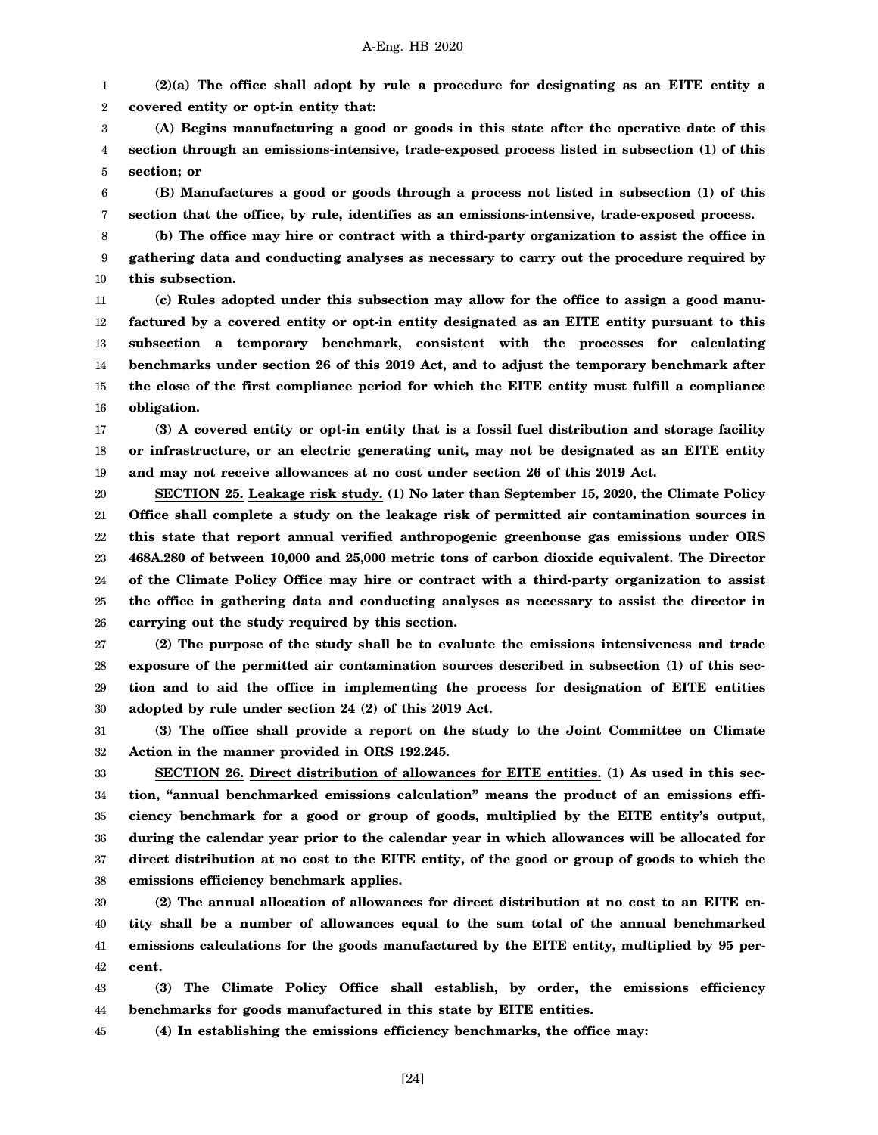1 2 **(2)(a) The office shall adopt by rule a procedure for designating as an EITE entity a covered entity or opt-in entity that:**

3 4 5 **(A) Begins manufacturing a good or goods in this state after the operative date of this section through an emissions-intensive, trade-exposed process listed in subsection (1) of this section; or**

6 7 **(B) Manufactures a good or goods through a process not listed in subsection (1) of this section that the office, by rule, identifies as an emissions-intensive, trade-exposed process.**

8 9 10 **(b) The office may hire or contract with a third-party organization to assist the office in gathering data and conducting analyses as necessary to carry out the procedure required by this subsection.**

11 12 13 14 15 16 **(c) Rules adopted under this subsection may allow for the office to assign a good manufactured by a covered entity or opt-in entity designated as an EITE entity pursuant to this subsection a temporary benchmark, consistent with the processes for calculating benchmarks under section 26 of this 2019 Act, and to adjust the temporary benchmark after the close of the first compliance period for which the EITE entity must fulfill a compliance obligation.**

17 18 19 **(3) A covered entity or opt-in entity that is a fossil fuel distribution and storage facility or infrastructure, or an electric generating unit, may not be designated as an EITE entity and may not receive allowances at no cost under section 26 of this 2019 Act.**

20 21 22 23 24 25 26 **SECTION 25. Leakage risk study. (1) No later than September 15, 2020, the Climate Policy Office shall complete a study on the leakage risk of permitted air contamination sources in this state that report annual verified anthropogenic greenhouse gas emissions under ORS 468A.280 of between 10,000 and 25,000 metric tons of carbon dioxide equivalent. The Director of the Climate Policy Office may hire or contract with a third-party organization to assist the office in gathering data and conducting analyses as necessary to assist the director in carrying out the study required by this section.**

27 28 29 30 **(2) The purpose of the study shall be to evaluate the emissions intensiveness and trade exposure of the permitted air contamination sources described in subsection (1) of this section and to aid the office in implementing the process for designation of EITE entities adopted by rule under section 24 (2) of this 2019 Act.**

31 32 **(3) The office shall provide a report on the study to the Joint Committee on Climate Action in the manner provided in ORS 192.245.**

33 34 35 36 37 38 **SECTION 26. Direct distribution of allowances for EITE entities. (1) As used in this section, "annual benchmarked emissions calculation" means the product of an emissions efficiency benchmark for a good or group of goods, multiplied by the EITE entity's output, during the calendar year prior to the calendar year in which allowances will be allocated for direct distribution at no cost to the EITE entity, of the good or group of goods to which the emissions efficiency benchmark applies.**

39 40 41 42 **(2) The annual allocation of allowances for direct distribution at no cost to an EITE entity shall be a number of allowances equal to the sum total of the annual benchmarked emissions calculations for the goods manufactured by the EITE entity, multiplied by 95 percent.**

43 44 **(3) The Climate Policy Office shall establish, by order, the emissions efficiency benchmarks for goods manufactured in this state by EITE entities.**

45 **(4) In establishing the emissions efficiency benchmarks, the office may:**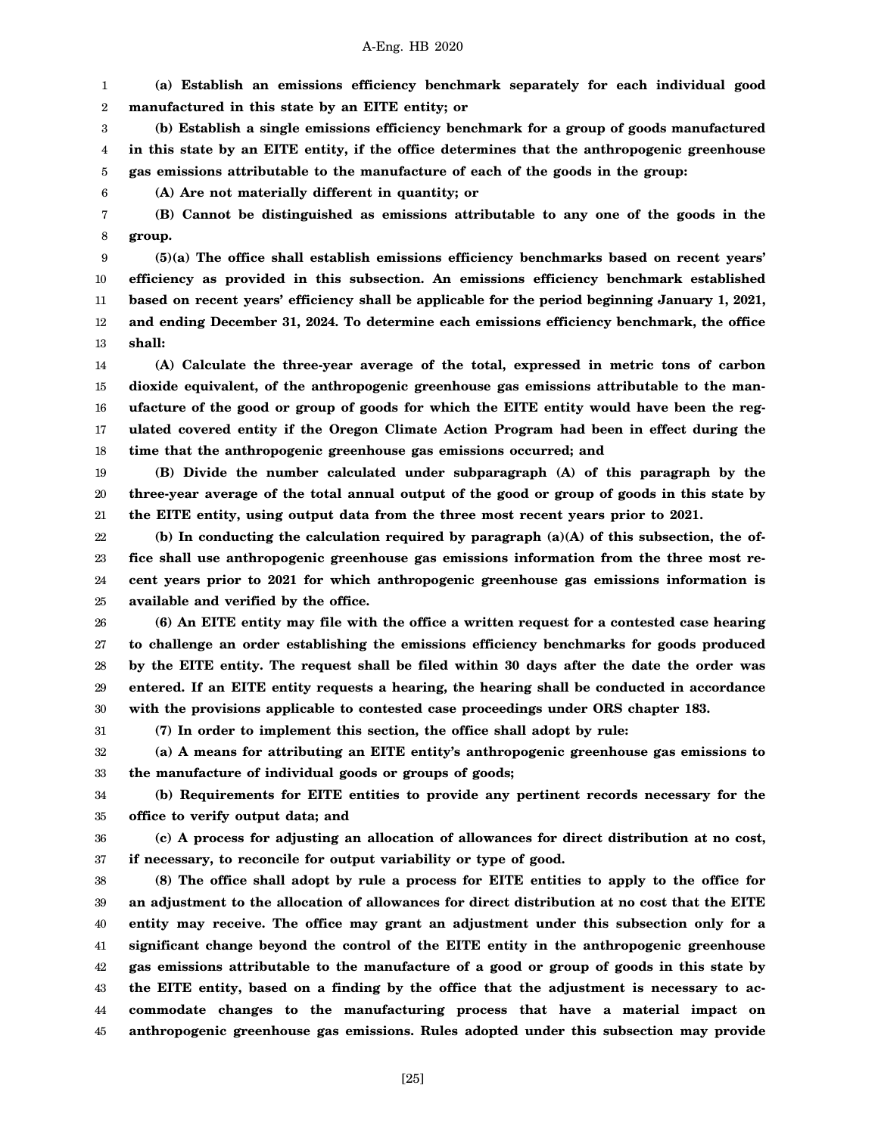1 2 **(a) Establish an emissions efficiency benchmark separately for each individual good manufactured in this state by an EITE entity; or**

3 4 5 **(b) Establish a single emissions efficiency benchmark for a group of goods manufactured in this state by an EITE entity, if the office determines that the anthropogenic greenhouse gas emissions attributable to the manufacture of each of the goods in the group:**

**(A) Are not materially different in quantity; or**

7 8 **(B) Cannot be distinguished as emissions attributable to any one of the goods in the group.**

9 10 11 12 13 **(5)(a) The office shall establish emissions efficiency benchmarks based on recent years' efficiency as provided in this subsection. An emissions efficiency benchmark established based on recent years' efficiency shall be applicable for the period beginning January 1, 2021, and ending December 31, 2024. To determine each emissions efficiency benchmark, the office shall:**

14 15 16 17 18 **(A) Calculate the three-year average of the total, expressed in metric tons of carbon dioxide equivalent, of the anthropogenic greenhouse gas emissions attributable to the manufacture of the good or group of goods for which the EITE entity would have been the regulated covered entity if the Oregon Climate Action Program had been in effect during the time that the anthropogenic greenhouse gas emissions occurred; and**

19 20 21 **(B) Divide the number calculated under subparagraph (A) of this paragraph by the three-year average of the total annual output of the good or group of goods in this state by the EITE entity, using output data from the three most recent years prior to 2021.**

22 23 24 25 **(b) In conducting the calculation required by paragraph (a)(A) of this subsection, the office shall use anthropogenic greenhouse gas emissions information from the three most recent years prior to 2021 for which anthropogenic greenhouse gas emissions information is available and verified by the office.**

26 27 28 29 30 **(6) An EITE entity may file with the office a written request for a contested case hearing to challenge an order establishing the emissions efficiency benchmarks for goods produced by the EITE entity. The request shall be filed within 30 days after the date the order was entered. If an EITE entity requests a hearing, the hearing shall be conducted in accordance with the provisions applicable to contested case proceedings under ORS chapter 183.**

31 **(7) In order to implement this section, the office shall adopt by rule:**

6

32 33 **(a) A means for attributing an EITE entity's anthropogenic greenhouse gas emissions to the manufacture of individual goods or groups of goods;**

34 35 **(b) Requirements for EITE entities to provide any pertinent records necessary for the office to verify output data; and**

36 37 **(c) A process for adjusting an allocation of allowances for direct distribution at no cost, if necessary, to reconcile for output variability or type of good.**

38 39 40 41 42 43 44 45 **(8) The office shall adopt by rule a process for EITE entities to apply to the office for an adjustment to the allocation of allowances for direct distribution at no cost that the EITE entity may receive. The office may grant an adjustment under this subsection only for a significant change beyond the control of the EITE entity in the anthropogenic greenhouse gas emissions attributable to the manufacture of a good or group of goods in this state by the EITE entity, based on a finding by the office that the adjustment is necessary to accommodate changes to the manufacturing process that have a material impact on anthropogenic greenhouse gas emissions. Rules adopted under this subsection may provide**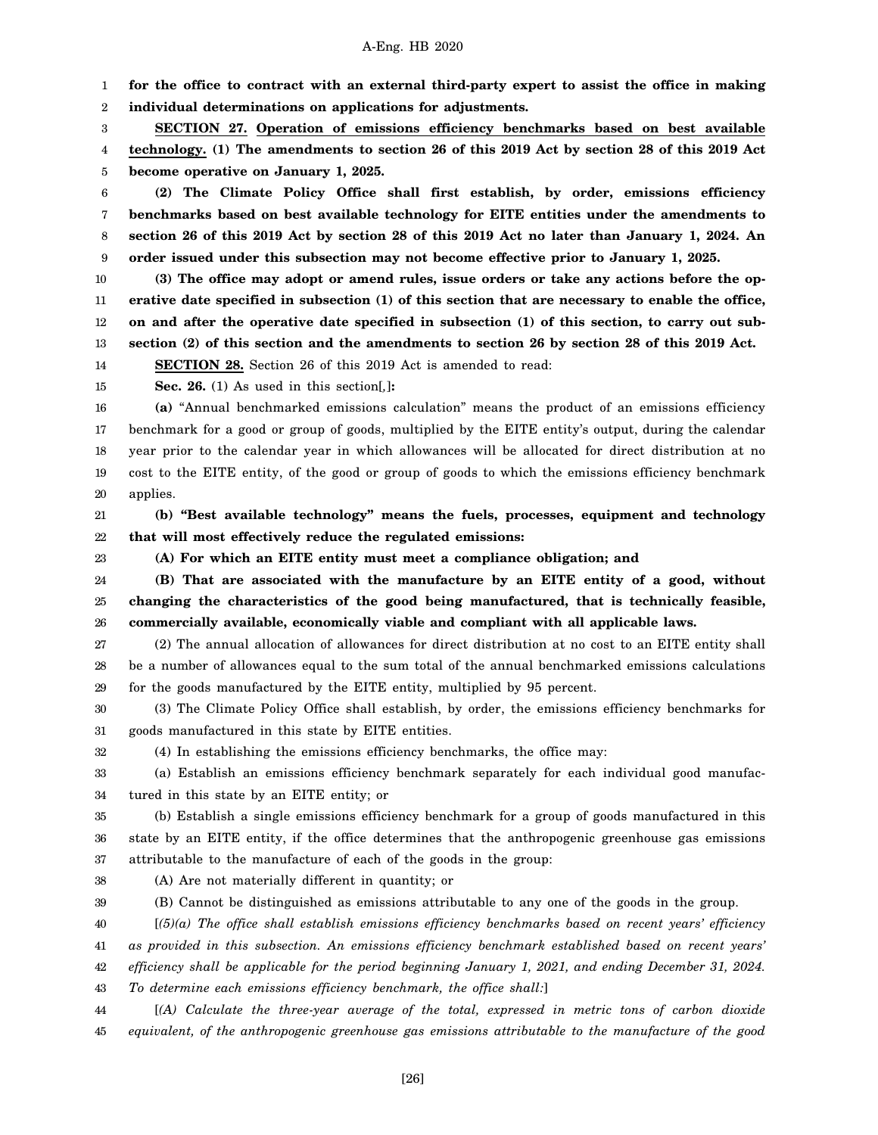1 2 **for the office to contract with an external third-party expert to assist the office in making individual determinations on applications for adjustments.**

3 4 5 **SECTION 27. Operation of emissions efficiency benchmarks based on best available technology. (1) The amendments to section 26 of this 2019 Act by section 28 of this 2019 Act become operative on January 1, 2025.**

6 7 8 9 **(2) The Climate Policy Office shall first establish, by order, emissions efficiency benchmarks based on best available technology for EITE entities under the amendments to section 26 of this 2019 Act by section 28 of this 2019 Act no later than January 1, 2024. An order issued under this subsection may not become effective prior to January 1, 2025.**

10 11 12 13 **(3) The office may adopt or amend rules, issue orders or take any actions before the operative date specified in subsection (1) of this section that are necessary to enable the office, on and after the operative date specified in subsection (1) of this section, to carry out subsection (2) of this section and the amendments to section 26 by section 28 of this 2019 Act.**

14 **SECTION 28.** Section 26 of this 2019 Act is amended to read:

15

**Sec. 26.** (1) As used in this section[*,*]**:**

16 17 18 19 20 **(a)** "Annual benchmarked emissions calculation" means the product of an emissions efficiency benchmark for a good or group of goods, multiplied by the EITE entity's output, during the calendar year prior to the calendar year in which allowances will be allocated for direct distribution at no cost to the EITE entity, of the good or group of goods to which the emissions efficiency benchmark applies.

21 22 **(b) "Best available technology" means the fuels, processes, equipment and technology that will most effectively reduce the regulated emissions:**

23

**(A) For which an EITE entity must meet a compliance obligation; and**

24 25 26 **(B) That are associated with the manufacture by an EITE entity of a good, without changing the characteristics of the good being manufactured, that is technically feasible, commercially available, economically viable and compliant with all applicable laws.**

27 28 29 (2) The annual allocation of allowances for direct distribution at no cost to an EITE entity shall be a number of allowances equal to the sum total of the annual benchmarked emissions calculations for the goods manufactured by the EITE entity, multiplied by 95 percent.

30 31 (3) The Climate Policy Office shall establish, by order, the emissions efficiency benchmarks for goods manufactured in this state by EITE entities.

32

(4) In establishing the emissions efficiency benchmarks, the office may:

33 34 (a) Establish an emissions efficiency benchmark separately for each individual good manufactured in this state by an EITE entity; or

35 36 37 (b) Establish a single emissions efficiency benchmark for a group of goods manufactured in this state by an EITE entity, if the office determines that the anthropogenic greenhouse gas emissions attributable to the manufacture of each of the goods in the group:

38

(A) Are not materially different in quantity; or

39 (B) Cannot be distinguished as emissions attributable to any one of the goods in the group.

40 [*(5)(a) The office shall establish emissions efficiency benchmarks based on recent years' efficiency*

41 *as provided in this subsection. An emissions efficiency benchmark established based on recent years'*

42 *efficiency shall be applicable for the period beginning January 1, 2021, and ending December 31, 2024.*

43 *To determine each emissions efficiency benchmark, the office shall:*]

44 45 [*(A) Calculate the three-year average of the total, expressed in metric tons of carbon dioxide equivalent, of the anthropogenic greenhouse gas emissions attributable to the manufacture of the good*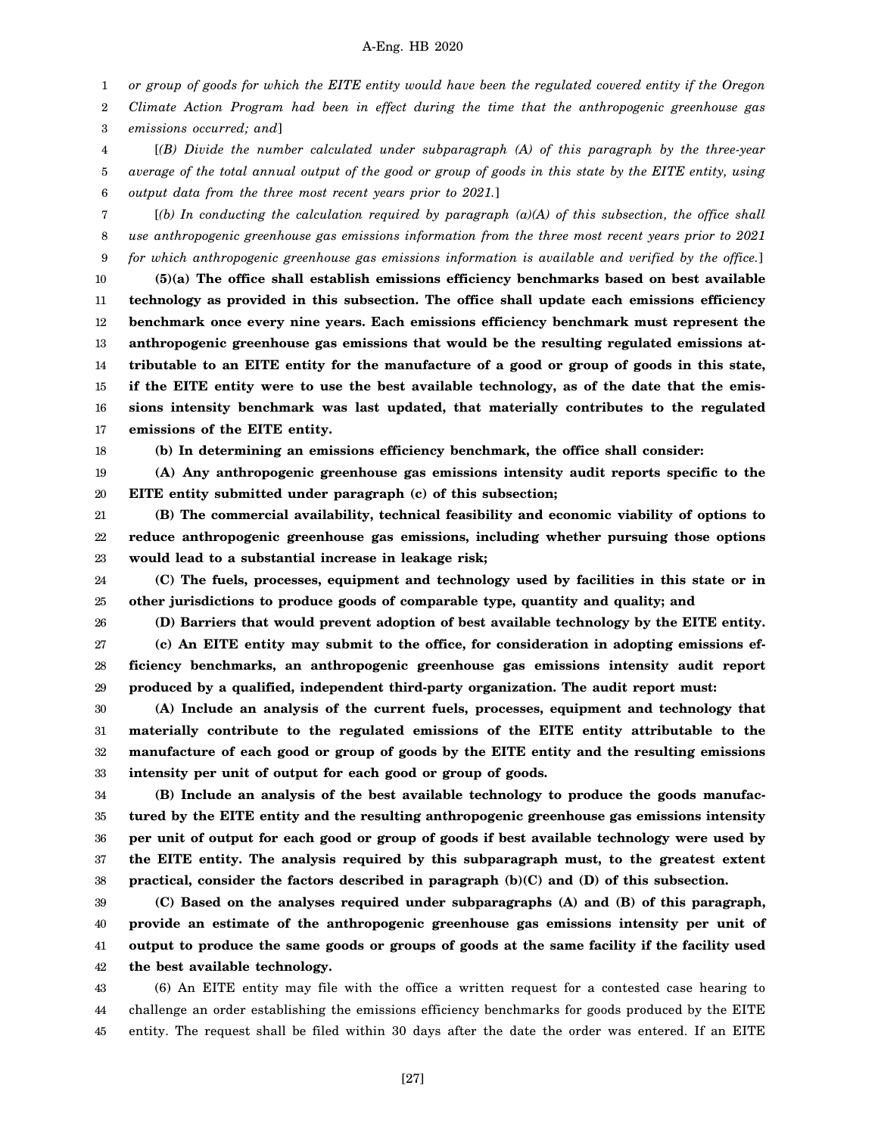1 *or group of goods for which the EITE entity would have been the regulated covered entity if the Oregon*

2 3 *Climate Action Program had been in effect during the time that the anthropogenic greenhouse gas emissions occurred; and*]

4 5 6 [*(B) Divide the number calculated under subparagraph (A) of this paragraph by the three-year average of the total annual output of the good or group of goods in this state by the EITE entity, using output data from the three most recent years prior to 2021.*]

7 8 9 [*(b) In conducting the calculation required by paragraph (a)(A) of this subsection, the office shall use anthropogenic greenhouse gas emissions information from the three most recent years prior to 2021 for which anthropogenic greenhouse gas emissions information is available and verified by the office.*]

10 11 12 13 14 15 16 17 **(5)(a) The office shall establish emissions efficiency benchmarks based on best available technology as provided in this subsection. The office shall update each emissions efficiency benchmark once every nine years. Each emissions efficiency benchmark must represent the anthropogenic greenhouse gas emissions that would be the resulting regulated emissions attributable to an EITE entity for the manufacture of a good or group of goods in this state, if the EITE entity were to use the best available technology, as of the date that the emissions intensity benchmark was last updated, that materially contributes to the regulated emissions of the EITE entity.**

18

**(b) In determining an emissions efficiency benchmark, the office shall consider:**

19 20 **(A) Any anthropogenic greenhouse gas emissions intensity audit reports specific to the EITE entity submitted under paragraph (c) of this subsection;**

21 22 23 **(B) The commercial availability, technical feasibility and economic viability of options to reduce anthropogenic greenhouse gas emissions, including whether pursuing those options would lead to a substantial increase in leakage risk;**

24 25 **(C) The fuels, processes, equipment and technology used by facilities in this state or in other jurisdictions to produce goods of comparable type, quantity and quality; and**

26

**(D) Barriers that would prevent adoption of best available technology by the EITE entity.**

27 28 29 **(c) An EITE entity may submit to the office, for consideration in adopting emissions efficiency benchmarks, an anthropogenic greenhouse gas emissions intensity audit report produced by a qualified, independent third-party organization. The audit report must:**

30 31 32 33 **(A) Include an analysis of the current fuels, processes, equipment and technology that materially contribute to the regulated emissions of the EITE entity attributable to the manufacture of each good or group of goods by the EITE entity and the resulting emissions intensity per unit of output for each good or group of goods.**

34 35 36 37 38 **(B) Include an analysis of the best available technology to produce the goods manufactured by the EITE entity and the resulting anthropogenic greenhouse gas emissions intensity per unit of output for each good or group of goods if best available technology were used by the EITE entity. The analysis required by this subparagraph must, to the greatest extent practical, consider the factors described in paragraph (b)(C) and (D) of this subsection.**

39 40 41 42 **(C) Based on the analyses required under subparagraphs (A) and (B) of this paragraph, provide an estimate of the anthropogenic greenhouse gas emissions intensity per unit of output to produce the same goods or groups of goods at the same facility if the facility used the best available technology.**

43 44 45 (6) An EITE entity may file with the office a written request for a contested case hearing to challenge an order establishing the emissions efficiency benchmarks for goods produced by the EITE entity. The request shall be filed within 30 days after the date the order was entered. If an EITE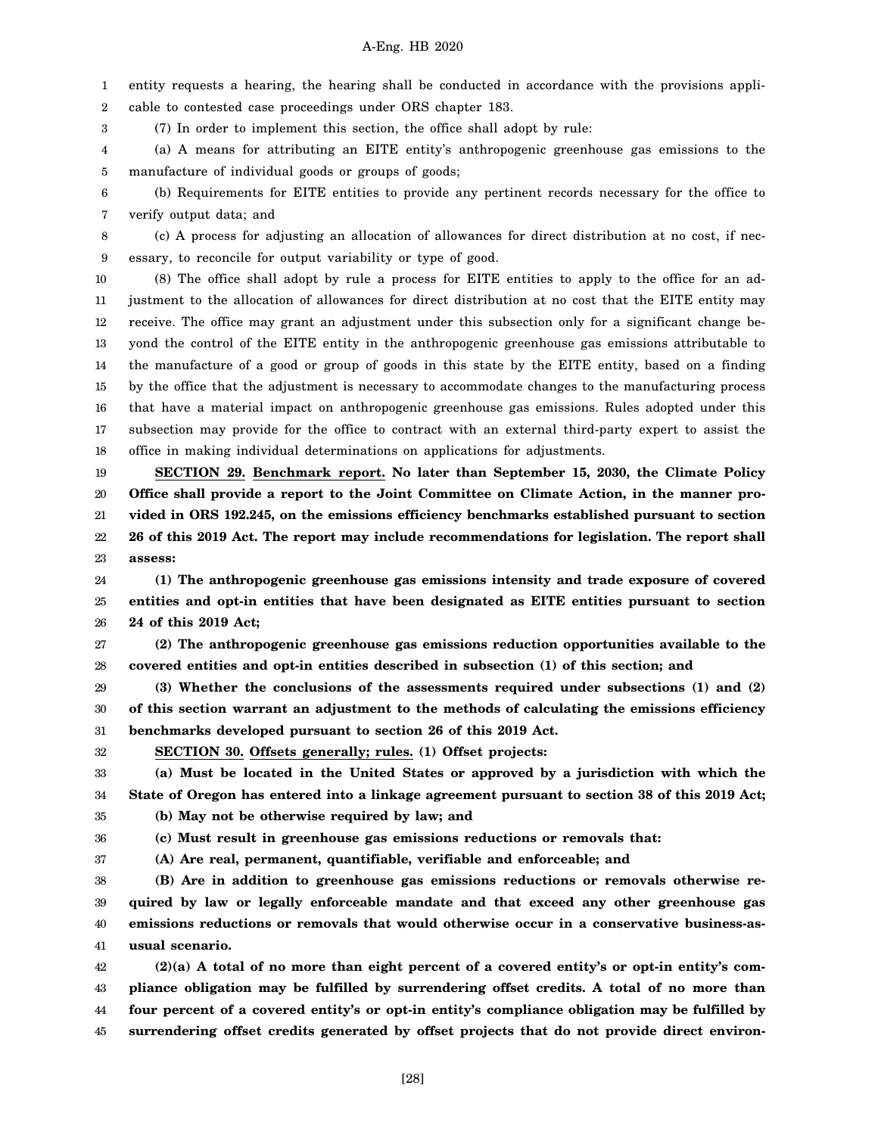1 2 entity requests a hearing, the hearing shall be conducted in accordance with the provisions applicable to contested case proceedings under ORS chapter 183.

3 (7) In order to implement this section, the office shall adopt by rule:

4 5 (a) A means for attributing an EITE entity's anthropogenic greenhouse gas emissions to the manufacture of individual goods or groups of goods;

6 7 (b) Requirements for EITE entities to provide any pertinent records necessary for the office to verify output data; and

8 9 (c) A process for adjusting an allocation of allowances for direct distribution at no cost, if necessary, to reconcile for output variability or type of good.

10 11 12 13 14 15 16 17 18 (8) The office shall adopt by rule a process for EITE entities to apply to the office for an adjustment to the allocation of allowances for direct distribution at no cost that the EITE entity may receive. The office may grant an adjustment under this subsection only for a significant change beyond the control of the EITE entity in the anthropogenic greenhouse gas emissions attributable to the manufacture of a good or group of goods in this state by the EITE entity, based on a finding by the office that the adjustment is necessary to accommodate changes to the manufacturing process that have a material impact on anthropogenic greenhouse gas emissions. Rules adopted under this subsection may provide for the office to contract with an external third-party expert to assist the office in making individual determinations on applications for adjustments.

19 20 21 22 23 **SECTION 29. Benchmark report. No later than September 15, 2030, the Climate Policy Office shall provide a report to the Joint Committee on Climate Action, in the manner provided in ORS 192.245, on the emissions efficiency benchmarks established pursuant to section 26 of this 2019 Act. The report may include recommendations for legislation. The report shall assess:**

24 25 26 **(1) The anthropogenic greenhouse gas emissions intensity and trade exposure of covered entities and opt-in entities that have been designated as EITE entities pursuant to section 24 of this 2019 Act;**

27 28 **(2) The anthropogenic greenhouse gas emissions reduction opportunities available to the covered entities and opt-in entities described in subsection (1) of this section; and**

29 30 31 **(3) Whether the conclusions of the assessments required under subsections (1) and (2) of this section warrant an adjustment to the methods of calculating the emissions efficiency benchmarks developed pursuant to section 26 of this 2019 Act.**

32

**SECTION 30. Offsets generally; rules. (1) Offset projects:**

33 34 **(a) Must be located in the United States or approved by a jurisdiction with which the State of Oregon has entered into a linkage agreement pursuant to section 38 of this 2019 Act;**

**(c) Must result in greenhouse gas emissions reductions or removals that:**

35 **(b) May not be otherwise required by law; and**

36

37 **(A) Are real, permanent, quantifiable, verifiable and enforceable; and**

38 39 40 41 **(B) Are in addition to greenhouse gas emissions reductions or removals otherwise required by law or legally enforceable mandate and that exceed any other greenhouse gas emissions reductions or removals that would otherwise occur in a conservative business-asusual scenario.**

42 43 44 45 **(2)(a) A total of no more than eight percent of a covered entity's or opt-in entity's compliance obligation may be fulfilled by surrendering offset credits. A total of no more than four percent of a covered entity's or opt-in entity's compliance obligation may be fulfilled by surrendering offset credits generated by offset projects that do not provide direct environ-**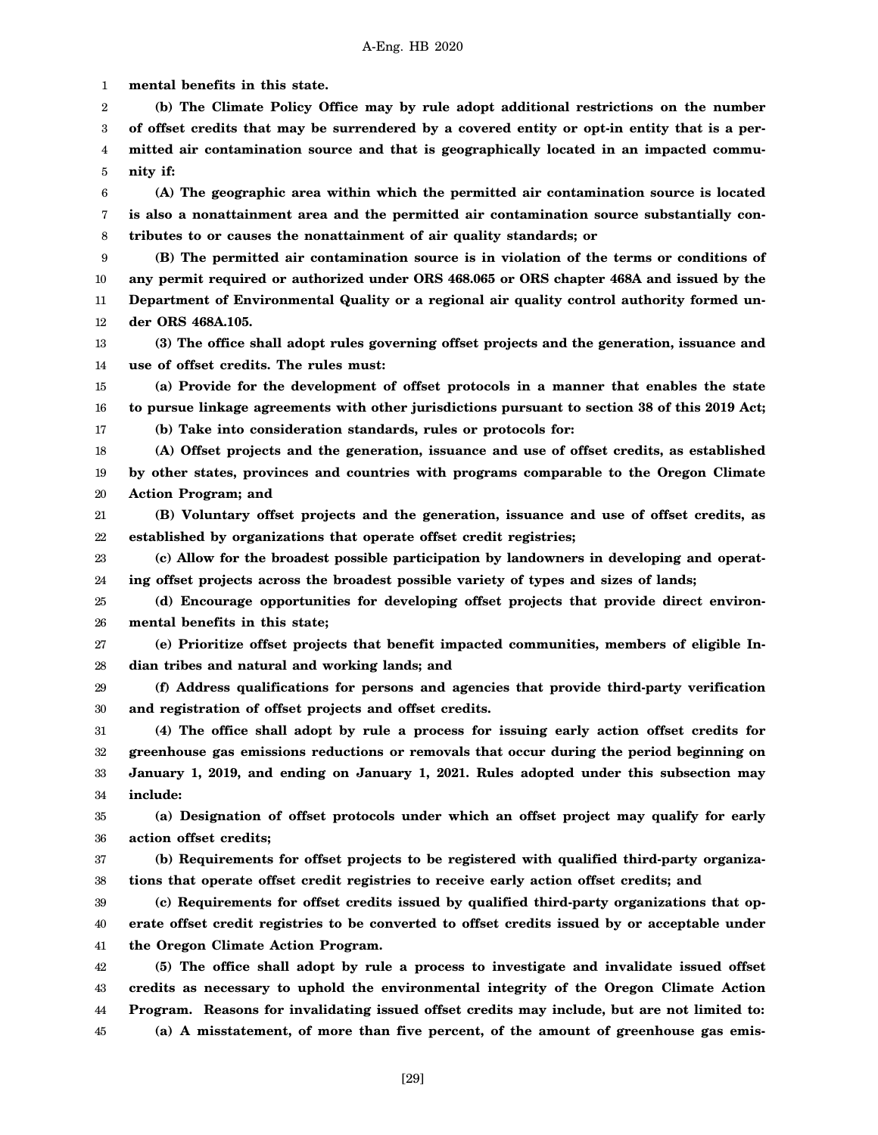1 2 3 4 5 6 7 8 9 10 11 12 13 14 15 16 17 18 19 20 21 22 23 24 25 26 27 28 29 30 31 32 33 34 35 36 37 38 39 40 41 42 43 44 45 **mental benefits in this state. (b) The Climate Policy Office may by rule adopt additional restrictions on the number of offset credits that may be surrendered by a covered entity or opt-in entity that is a permitted air contamination source and that is geographically located in an impacted community if: (A) The geographic area within which the permitted air contamination source is located is also a nonattainment area and the permitted air contamination source substantially contributes to or causes the nonattainment of air quality standards; or (B) The permitted air contamination source is in violation of the terms or conditions of any permit required or authorized under ORS 468.065 or ORS chapter 468A and issued by the Department of Environmental Quality or a regional air quality control authority formed under ORS 468A.105. (3) The office shall adopt rules governing offset projects and the generation, issuance and use of offset credits. The rules must: (a) Provide for the development of offset protocols in a manner that enables the state to pursue linkage agreements with other jurisdictions pursuant to section 38 of this 2019 Act; (b) Take into consideration standards, rules or protocols for: (A) Offset projects and the generation, issuance and use of offset credits, as established by other states, provinces and countries with programs comparable to the Oregon Climate Action Program; and (B) Voluntary offset projects and the generation, issuance and use of offset credits, as established by organizations that operate offset credit registries; (c) Allow for the broadest possible participation by landowners in developing and operating offset projects across the broadest possible variety of types and sizes of lands; (d) Encourage opportunities for developing offset projects that provide direct environmental benefits in this state; (e) Prioritize offset projects that benefit impacted communities, members of eligible Indian tribes and natural and working lands; and (f) Address qualifications for persons and agencies that provide third-party verification and registration of offset projects and offset credits. (4) The office shall adopt by rule a process for issuing early action offset credits for greenhouse gas emissions reductions or removals that occur during the period beginning on January 1, 2019, and ending on January 1, 2021. Rules adopted under this subsection may include: (a) Designation of offset protocols under which an offset project may qualify for early action offset credits; (b) Requirements for offset projects to be registered with qualified third-party organizations that operate offset credit registries to receive early action offset credits; and (c) Requirements for offset credits issued by qualified third-party organizations that operate offset credit registries to be converted to offset credits issued by or acceptable under the Oregon Climate Action Program. (5) The office shall adopt by rule a process to investigate and invalidate issued offset credits as necessary to uphold the environmental integrity of the Oregon Climate Action Program. Reasons for invalidating issued offset credits may include, but are not limited to: (a) A misstatement, of more than five percent, of the amount of greenhouse gas emis-**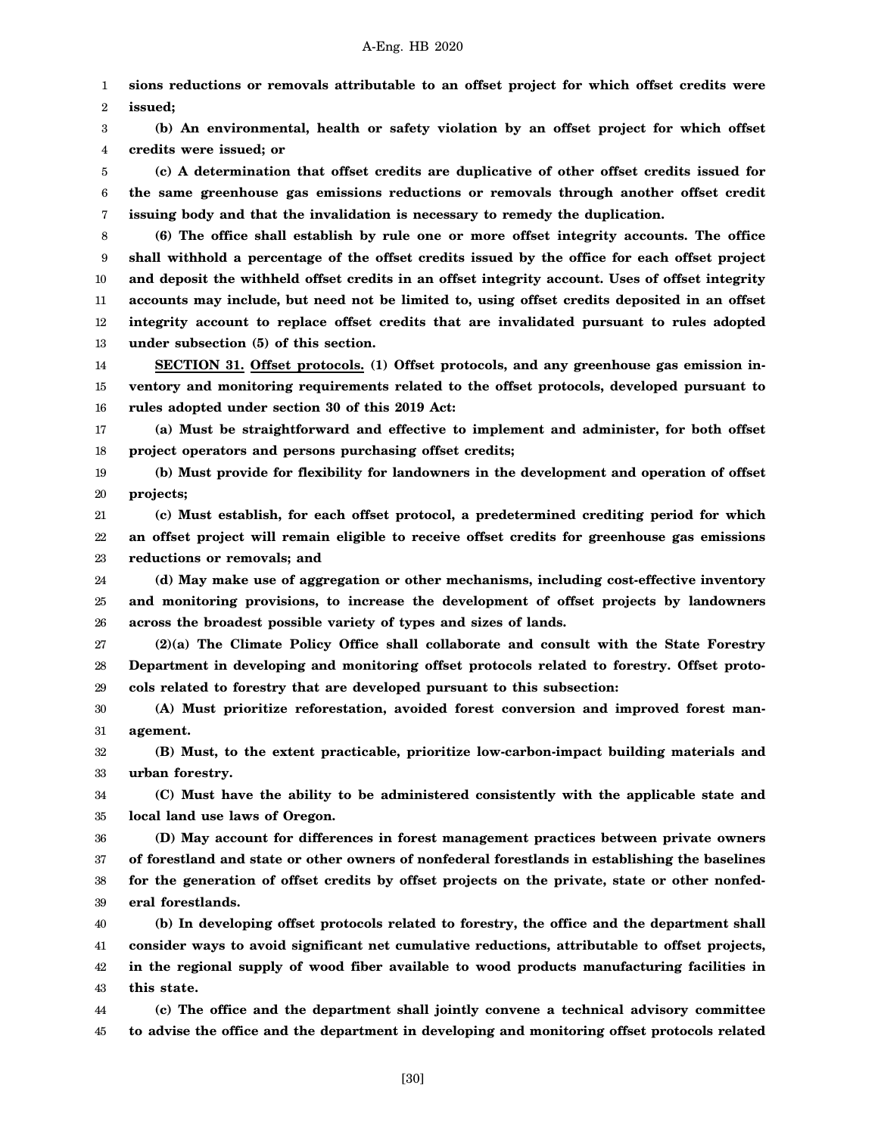1 2 **sions reductions or removals attributable to an offset project for which offset credits were issued;**

3 4 **(b) An environmental, health or safety violation by an offset project for which offset credits were issued; or**

5 6 7 **(c) A determination that offset credits are duplicative of other offset credits issued for the same greenhouse gas emissions reductions or removals through another offset credit issuing body and that the invalidation is necessary to remedy the duplication.**

8 9 10 11 12 13 **(6) The office shall establish by rule one or more offset integrity accounts. The office shall withhold a percentage of the offset credits issued by the office for each offset project and deposit the withheld offset credits in an offset integrity account. Uses of offset integrity accounts may include, but need not be limited to, using offset credits deposited in an offset integrity account to replace offset credits that are invalidated pursuant to rules adopted under subsection (5) of this section.**

14 15 16 **SECTION 31. Offset protocols. (1) Offset protocols, and any greenhouse gas emission inventory and monitoring requirements related to the offset protocols, developed pursuant to rules adopted under section 30 of this 2019 Act:**

17 18 **(a) Must be straightforward and effective to implement and administer, for both offset project operators and persons purchasing offset credits;**

19 20 **(b) Must provide for flexibility for landowners in the development and operation of offset projects;**

21 22 23 **(c) Must establish, for each offset protocol, a predetermined crediting period for which an offset project will remain eligible to receive offset credits for greenhouse gas emissions reductions or removals; and**

24 25 26 **(d) May make use of aggregation or other mechanisms, including cost-effective inventory and monitoring provisions, to increase the development of offset projects by landowners across the broadest possible variety of types and sizes of lands.**

27 28 29 **(2)(a) The Climate Policy Office shall collaborate and consult with the State Forestry Department in developing and monitoring offset protocols related to forestry. Offset protocols related to forestry that are developed pursuant to this subsection:**

30 31 **(A) Must prioritize reforestation, avoided forest conversion and improved forest management.**

32 33 **(B) Must, to the extent practicable, prioritize low-carbon-impact building materials and urban forestry.**

34 35 **(C) Must have the ability to be administered consistently with the applicable state and local land use laws of Oregon.**

36 37 38 39 **(D) May account for differences in forest management practices between private owners of forestland and state or other owners of nonfederal forestlands in establishing the baselines for the generation of offset credits by offset projects on the private, state or other nonfederal forestlands.**

40 41 42 43 **(b) In developing offset protocols related to forestry, the office and the department shall consider ways to avoid significant net cumulative reductions, attributable to offset projects, in the regional supply of wood fiber available to wood products manufacturing facilities in this state.**

44 45 **(c) The office and the department shall jointly convene a technical advisory committee to advise the office and the department in developing and monitoring offset protocols related**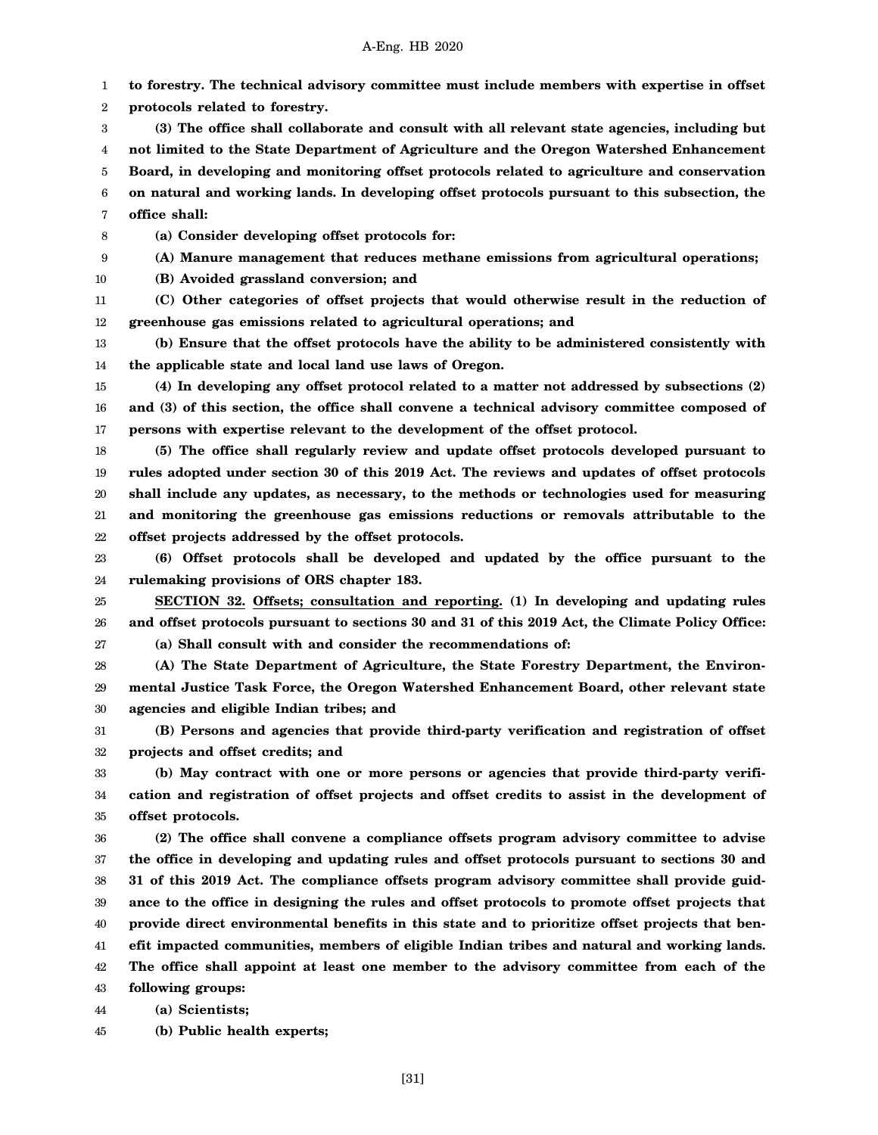1 2 **to forestry. The technical advisory committee must include members with expertise in offset protocols related to forestry.**

- 3 4 5 6 7 **(3) The office shall collaborate and consult with all relevant state agencies, including but not limited to the State Department of Agriculture and the Oregon Watershed Enhancement Board, in developing and monitoring offset protocols related to agriculture and conservation on natural and working lands. In developing offset protocols pursuant to this subsection, the office shall:**
- 8 **(a) Consider developing offset protocols for:**
- 9 **(A) Manure management that reduces methane emissions from agricultural operations;**
- 10 **(B) Avoided grassland conversion; and**
- 11 12 **(C) Other categories of offset projects that would otherwise result in the reduction of greenhouse gas emissions related to agricultural operations; and**
- 13 14 **(b) Ensure that the offset protocols have the ability to be administered consistently with the applicable state and local land use laws of Oregon.**
- 15 16 17 **(4) In developing any offset protocol related to a matter not addressed by subsections (2) and (3) of this section, the office shall convene a technical advisory committee composed of persons with expertise relevant to the development of the offset protocol.**
- 18 19 20 21 22 **(5) The office shall regularly review and update offset protocols developed pursuant to rules adopted under section 30 of this 2019 Act. The reviews and updates of offset protocols shall include any updates, as necessary, to the methods or technologies used for measuring and monitoring the greenhouse gas emissions reductions or removals attributable to the offset projects addressed by the offset protocols.**
- 23 24 **(6) Offset protocols shall be developed and updated by the office pursuant to the rulemaking provisions of ORS chapter 183.**
- 25 26 27 **SECTION 32. Offsets; consultation and reporting. (1) In developing and updating rules and offset protocols pursuant to sections 30 and 31 of this 2019 Act, the Climate Policy Office: (a) Shall consult with and consider the recommendations of:**
- 
- 28 29 30 **(A) The State Department of Agriculture, the State Forestry Department, the Environmental Justice Task Force, the Oregon Watershed Enhancement Board, other relevant state agencies and eligible Indian tribes; and**
- 31 32 **(B) Persons and agencies that provide third-party verification and registration of offset projects and offset credits; and**
- 33 34 35 **(b) May contract with one or more persons or agencies that provide third-party verification and registration of offset projects and offset credits to assist in the development of offset protocols.**
- 36 37 38 39 40 41 42 43 **(2) The office shall convene a compliance offsets program advisory committee to advise the office in developing and updating rules and offset protocols pursuant to sections 30 and 31 of this 2019 Act. The compliance offsets program advisory committee shall provide guidance to the office in designing the rules and offset protocols to promote offset projects that provide direct environmental benefits in this state and to prioritize offset projects that benefit impacted communities, members of eligible Indian tribes and natural and working lands. The office shall appoint at least one member to the advisory committee from each of the following groups:**
- 44 **(a) Scientists;**
- 45 **(b) Public health experts;**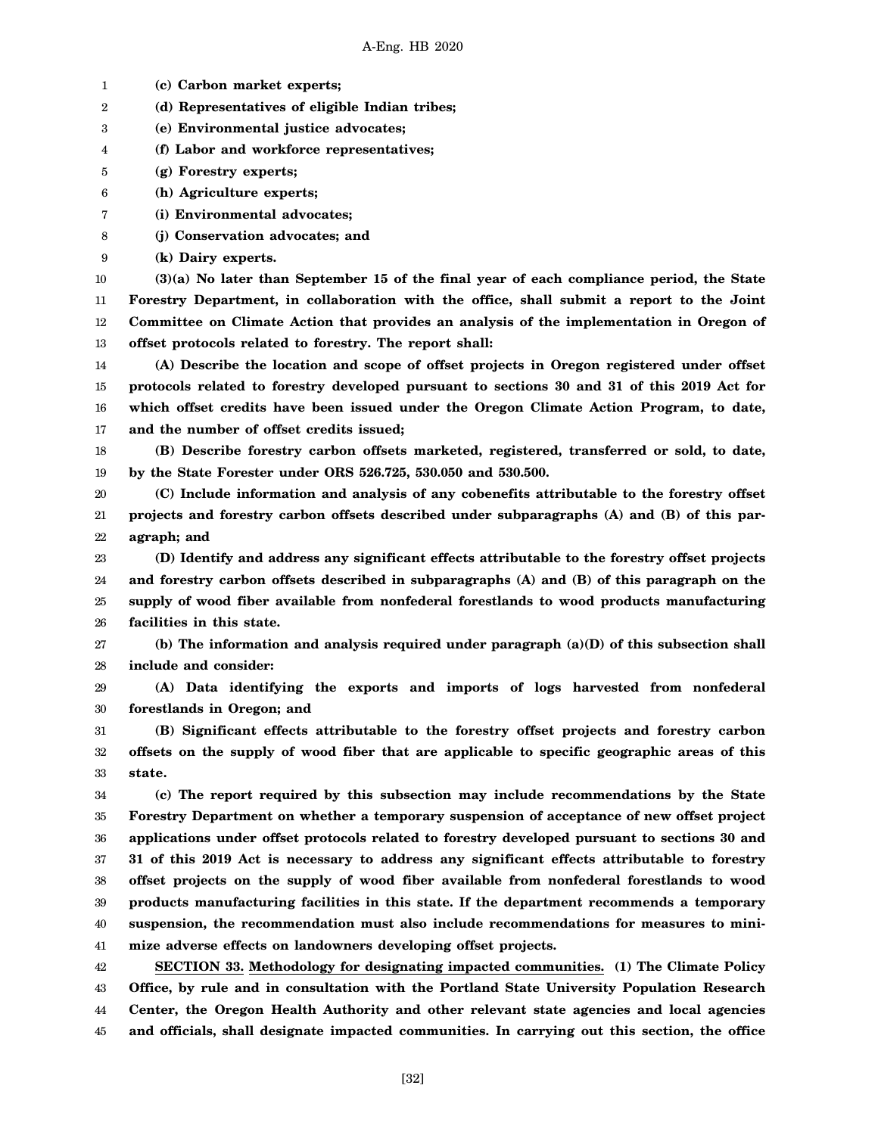1 **(c) Carbon market experts;**

2 **(d) Representatives of eligible Indian tribes;**

3 **(e) Environmental justice advocates;**

4 **(f) Labor and workforce representatives;**

5 **(g) Forestry experts;**

6 **(h) Agriculture experts;**

7 **(i) Environmental advocates;**

8 **(j) Conservation advocates; and**

9 **(k) Dairy experts.**

10 11 12 13 **(3)(a) No later than September 15 of the final year of each compliance period, the State Forestry Department, in collaboration with the office, shall submit a report to the Joint Committee on Climate Action that provides an analysis of the implementation in Oregon of offset protocols related to forestry. The report shall:**

14 15 16 17 **(A) Describe the location and scope of offset projects in Oregon registered under offset protocols related to forestry developed pursuant to sections 30 and 31 of this 2019 Act for which offset credits have been issued under the Oregon Climate Action Program, to date, and the number of offset credits issued;**

18 19 **(B) Describe forestry carbon offsets marketed, registered, transferred or sold, to date, by the State Forester under ORS 526.725, 530.050 and 530.500.**

20 21 22 **(C) Include information and analysis of any cobenefits attributable to the forestry offset projects and forestry carbon offsets described under subparagraphs (A) and (B) of this paragraph; and**

23 24 25 26 **(D) Identify and address any significant effects attributable to the forestry offset projects and forestry carbon offsets described in subparagraphs (A) and (B) of this paragraph on the supply of wood fiber available from nonfederal forestlands to wood products manufacturing facilities in this state.**

27 28 **(b) The information and analysis required under paragraph (a)(D) of this subsection shall include and consider:**

29 30 **(A) Data identifying the exports and imports of logs harvested from nonfederal forestlands in Oregon; and**

31 32 33 **(B) Significant effects attributable to the forestry offset projects and forestry carbon offsets on the supply of wood fiber that are applicable to specific geographic areas of this state.**

34 35 36 37 38 39 40 41 **(c) The report required by this subsection may include recommendations by the State Forestry Department on whether a temporary suspension of acceptance of new offset project applications under offset protocols related to forestry developed pursuant to sections 30 and 31 of this 2019 Act is necessary to address any significant effects attributable to forestry offset projects on the supply of wood fiber available from nonfederal forestlands to wood products manufacturing facilities in this state. If the department recommends a temporary suspension, the recommendation must also include recommendations for measures to minimize adverse effects on landowners developing offset projects.**

42 43 44 45 **SECTION 33. Methodology for designating impacted communities. (1) The Climate Policy Office, by rule and in consultation with the Portland State University Population Research Center, the Oregon Health Authority and other relevant state agencies and local agencies and officials, shall designate impacted communities. In carrying out this section, the office**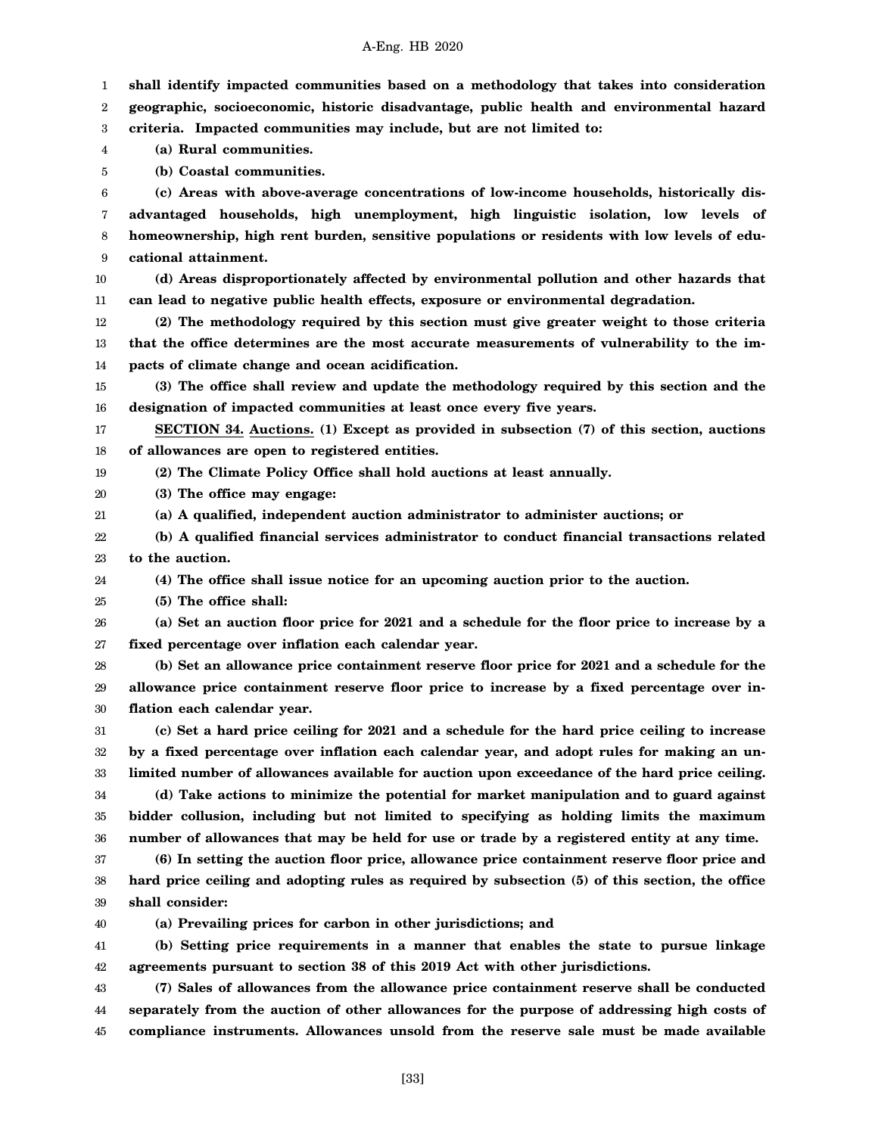| geographic, socioeconomic, historic disadvantage, public health and environmental hazard |  |  |  |  |
|------------------------------------------------------------------------------------------|--|--|--|--|

**shall identify impacted communities based on a methodology that takes into consideration**

A-Eng. HB 2020

3 **criteria. Impacted communities may include, but are not limited to:**

4 **(a) Rural communities.**

1 2

21

5 **(b) Coastal communities.**

6 7 8 9 **(c) Areas with above-average concentrations of low-income households, historically disadvantaged households, high unemployment, high linguistic isolation, low levels of homeownership, high rent burden, sensitive populations or residents with low levels of educational attainment.**

10 11 **(d) Areas disproportionately affected by environmental pollution and other hazards that can lead to negative public health effects, exposure or environmental degradation.**

12 13 14 **(2) The methodology required by this section must give greater weight to those criteria that the office determines are the most accurate measurements of vulnerability to the impacts of climate change and ocean acidification.**

15 16 **(3) The office shall review and update the methodology required by this section and the designation of impacted communities at least once every five years.**

17 18 **SECTION 34. Auctions. (1) Except as provided in subsection (7) of this section, auctions of allowances are open to registered entities.**

19 **(2) The Climate Policy Office shall hold auctions at least annually.**

20 **(3) The office may engage:**

**(a) A qualified, independent auction administrator to administer auctions; or**

22 23 **(b) A qualified financial services administrator to conduct financial transactions related to the auction.**

24 **(4) The office shall issue notice for an upcoming auction prior to the auction.**

25 **(5) The office shall:**

26 27 **(a) Set an auction floor price for 2021 and a schedule for the floor price to increase by a fixed percentage over inflation each calendar year.**

28 29 30 **(b) Set an allowance price containment reserve floor price for 2021 and a schedule for the allowance price containment reserve floor price to increase by a fixed percentage over inflation each calendar year.**

31 32 33 34 **(c) Set a hard price ceiling for 2021 and a schedule for the hard price ceiling to increase by a fixed percentage over inflation each calendar year, and adopt rules for making an unlimited number of allowances available for auction upon exceedance of the hard price ceiling. (d) Take actions to minimize the potential for market manipulation and to guard against**

35 36 **bidder collusion, including but not limited to specifying as holding limits the maximum number of allowances that may be held for use or trade by a registered entity at any time.**

37 38 39 **(6) In setting the auction floor price, allowance price containment reserve floor price and hard price ceiling and adopting rules as required by subsection (5) of this section, the office shall consider:**

40 **(a) Prevailing prices for carbon in other jurisdictions; and**

41 42 **(b) Setting price requirements in a manner that enables the state to pursue linkage agreements pursuant to section 38 of this 2019 Act with other jurisdictions.**

43 44 45 **(7) Sales of allowances from the allowance price containment reserve shall be conducted separately from the auction of other allowances for the purpose of addressing high costs of compliance instruments. Allowances unsold from the reserve sale must be made available**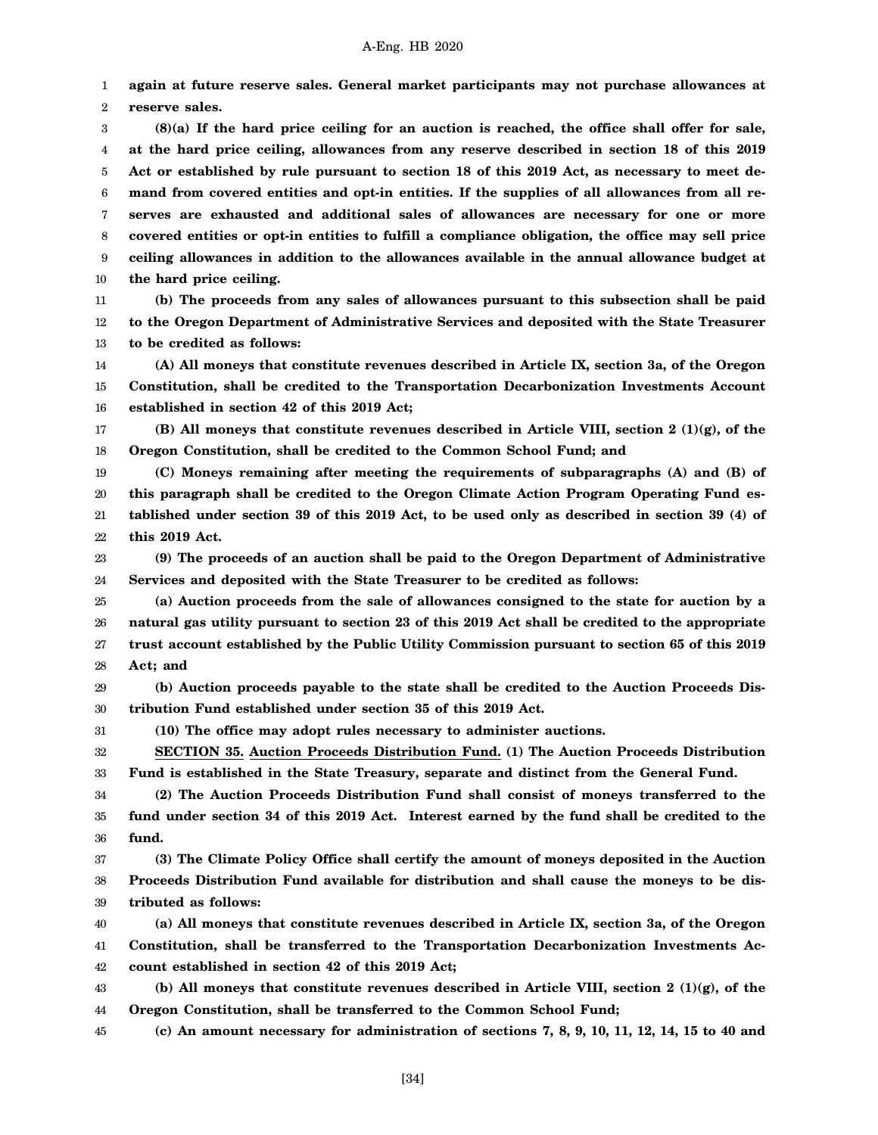1 2 **again at future reserve sales. General market participants may not purchase allowances at reserve sales.**

3 4 5 6 7 8 9 10 **(8)(a) If the hard price ceiling for an auction is reached, the office shall offer for sale, at the hard price ceiling, allowances from any reserve described in section 18 of this 2019 Act or established by rule pursuant to section 18 of this 2019 Act, as necessary to meet demand from covered entities and opt-in entities. If the supplies of all allowances from all reserves are exhausted and additional sales of allowances are necessary for one or more covered entities or opt-in entities to fulfill a compliance obligation, the office may sell price ceiling allowances in addition to the allowances available in the annual allowance budget at the hard price ceiling.**

11 12 13 **(b) The proceeds from any sales of allowances pursuant to this subsection shall be paid to the Oregon Department of Administrative Services and deposited with the State Treasurer to be credited as follows:**

14 15 16 **(A) All moneys that constitute revenues described in Article IX, section 3a, of the Oregon Constitution, shall be credited to the Transportation Decarbonization Investments Account established in section 42 of this 2019 Act;**

17 18 **(B) All moneys that constitute revenues described in Article VIII, section 2 (1)(g), of the Oregon Constitution, shall be credited to the Common School Fund; and**

19 20 21 22 **(C) Moneys remaining after meeting the requirements of subparagraphs (A) and (B) of this paragraph shall be credited to the Oregon Climate Action Program Operating Fund established under section 39 of this 2019 Act, to be used only as described in section 39 (4) of this 2019 Act.**

23 24 **(9) The proceeds of an auction shall be paid to the Oregon Department of Administrative Services and deposited with the State Treasurer to be credited as follows:**

25 26 27 28 **(a) Auction proceeds from the sale of allowances consigned to the state for auction by a natural gas utility pursuant to section 23 of this 2019 Act shall be credited to the appropriate trust account established by the Public Utility Commission pursuant to section 65 of this 2019 Act; and**

29 30 **(b) Auction proceeds payable to the state shall be credited to the Auction Proceeds Distribution Fund established under section 35 of this 2019 Act.**

31 **(10) The office may adopt rules necessary to administer auctions.**

32

33 **SECTION 35. Auction Proceeds Distribution Fund. (1) The Auction Proceeds Distribution Fund is established in the State Treasury, separate and distinct from the General Fund.**

34 35 36 **(2) The Auction Proceeds Distribution Fund shall consist of moneys transferred to the fund under section 34 of this 2019 Act. Interest earned by the fund shall be credited to the fund.**

37 38 39 **(3) The Climate Policy Office shall certify the amount of moneys deposited in the Auction Proceeds Distribution Fund available for distribution and shall cause the moneys to be distributed as follows:**

40 41 42 **(a) All moneys that constitute revenues described in Article IX, section 3a, of the Oregon Constitution, shall be transferred to the Transportation Decarbonization Investments Account established in section 42 of this 2019 Act;**

43 44 **(b) All moneys that constitute revenues described in Article VIII, section 2 (1)(g), of the Oregon Constitution, shall be transferred to the Common School Fund;**

45 **(c) An amount necessary for administration of sections 7, 8, 9, 10, 11, 12, 14, 15 to 40 and**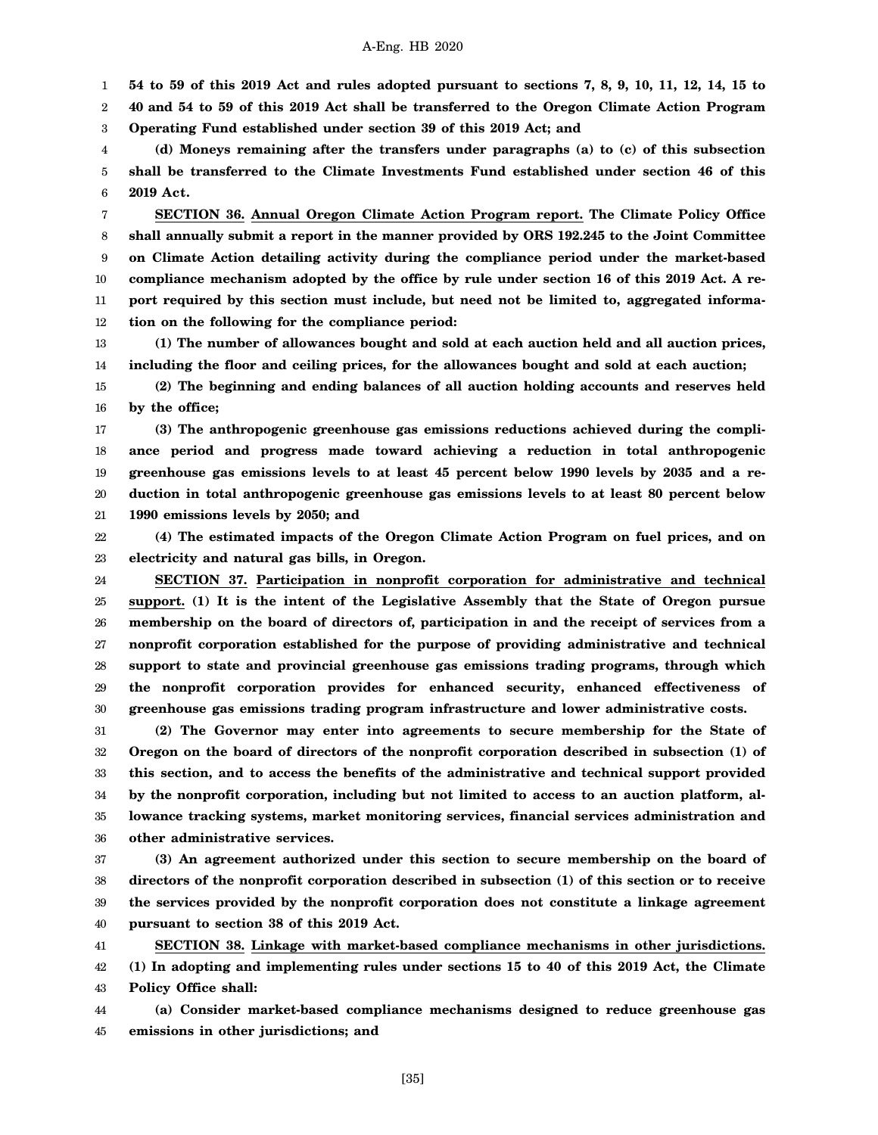1 **54 to 59 of this 2019 Act and rules adopted pursuant to sections 7, 8, 9, 10, 11, 12, 14, 15 to**

2 3 **40 and 54 to 59 of this 2019 Act shall be transferred to the Oregon Climate Action Program Operating Fund established under section 39 of this 2019 Act; and**

4 5 6 **(d) Moneys remaining after the transfers under paragraphs (a) to (c) of this subsection shall be transferred to the Climate Investments Fund established under section 46 of this 2019 Act.**

7 8 9 10 11 12 **SECTION 36. Annual Oregon Climate Action Program report. The Climate Policy Office shall annually submit a report in the manner provided by ORS 192.245 to the Joint Committee on Climate Action detailing activity during the compliance period under the market-based compliance mechanism adopted by the office by rule under section 16 of this 2019 Act. A report required by this section must include, but need not be limited to, aggregated information on the following for the compliance period:**

13 14 **(1) The number of allowances bought and sold at each auction held and all auction prices, including the floor and ceiling prices, for the allowances bought and sold at each auction;**

15 16 **(2) The beginning and ending balances of all auction holding accounts and reserves held by the office;**

17 18 19 20 21 **(3) The anthropogenic greenhouse gas emissions reductions achieved during the compliance period and progress made toward achieving a reduction in total anthropogenic greenhouse gas emissions levels to at least 45 percent below 1990 levels by 2035 and a reduction in total anthropogenic greenhouse gas emissions levels to at least 80 percent below 1990 emissions levels by 2050; and**

22 23 **(4) The estimated impacts of the Oregon Climate Action Program on fuel prices, and on electricity and natural gas bills, in Oregon.**

24 25 26 27 28 29 30 **SECTION 37. Participation in nonprofit corporation for administrative and technical support. (1) It is the intent of the Legislative Assembly that the State of Oregon pursue membership on the board of directors of, participation in and the receipt of services from a nonprofit corporation established for the purpose of providing administrative and technical support to state and provincial greenhouse gas emissions trading programs, through which the nonprofit corporation provides for enhanced security, enhanced effectiveness of greenhouse gas emissions trading program infrastructure and lower administrative costs.**

31 32 33 34 35 36 **(2) The Governor may enter into agreements to secure membership for the State of Oregon on the board of directors of the nonprofit corporation described in subsection (1) of this section, and to access the benefits of the administrative and technical support provided by the nonprofit corporation, including but not limited to access to an auction platform, allowance tracking systems, market monitoring services, financial services administration and other administrative services.**

37 38 39 40 **(3) An agreement authorized under this section to secure membership on the board of directors of the nonprofit corporation described in subsection (1) of this section or to receive the services provided by the nonprofit corporation does not constitute a linkage agreement pursuant to section 38 of this 2019 Act.**

41 42 43 **SECTION 38. Linkage with market-based compliance mechanisms in other jurisdictions. (1) In adopting and implementing rules under sections 15 to 40 of this 2019 Act, the Climate Policy Office shall:**

44 45 **(a) Consider market-based compliance mechanisms designed to reduce greenhouse gas emissions in other jurisdictions; and**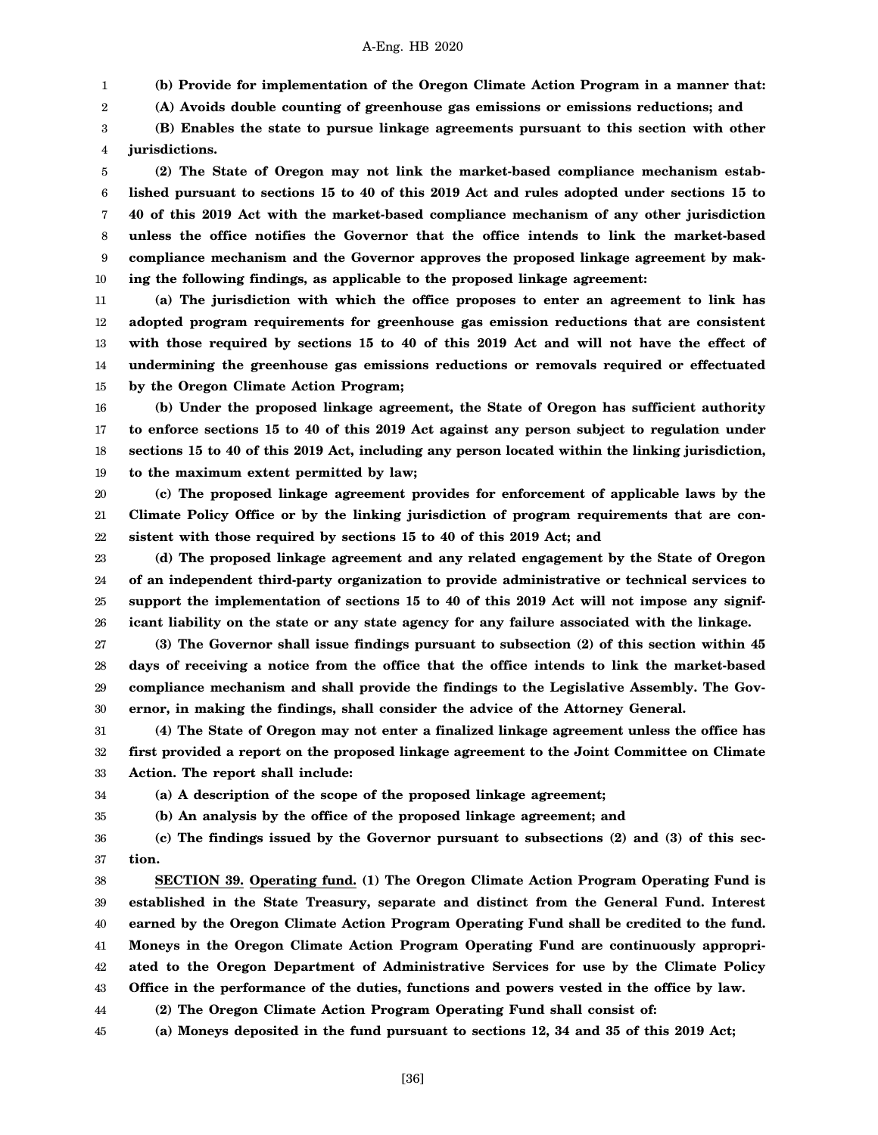**(b) Provide for implementation of the Oregon Climate Action Program in a manner that:**

2 **(A) Avoids double counting of greenhouse gas emissions or emissions reductions; and**

3 4 **(B) Enables the state to pursue linkage agreements pursuant to this section with other jurisdictions.**

5 6 7 8 9 10 **(2) The State of Oregon may not link the market-based compliance mechanism established pursuant to sections 15 to 40 of this 2019 Act and rules adopted under sections 15 to 40 of this 2019 Act with the market-based compliance mechanism of any other jurisdiction unless the office notifies the Governor that the office intends to link the market-based compliance mechanism and the Governor approves the proposed linkage agreement by making the following findings, as applicable to the proposed linkage agreement:**

11 12 13 14 15 **(a) The jurisdiction with which the office proposes to enter an agreement to link has adopted program requirements for greenhouse gas emission reductions that are consistent with those required by sections 15 to 40 of this 2019 Act and will not have the effect of undermining the greenhouse gas emissions reductions or removals required or effectuated by the Oregon Climate Action Program;**

16 17 18 19 **(b) Under the proposed linkage agreement, the State of Oregon has sufficient authority to enforce sections 15 to 40 of this 2019 Act against any person subject to regulation under sections 15 to 40 of this 2019 Act, including any person located within the linking jurisdiction, to the maximum extent permitted by law;**

20 21 22 **(c) The proposed linkage agreement provides for enforcement of applicable laws by the Climate Policy Office or by the linking jurisdiction of program requirements that are consistent with those required by sections 15 to 40 of this 2019 Act; and**

23 24 25 26 **(d) The proposed linkage agreement and any related engagement by the State of Oregon of an independent third-party organization to provide administrative or technical services to support the implementation of sections 15 to 40 of this 2019 Act will not impose any significant liability on the state or any state agency for any failure associated with the linkage.**

27 28 29 30 **(3) The Governor shall issue findings pursuant to subsection (2) of this section within 45 days of receiving a notice from the office that the office intends to link the market-based compliance mechanism and shall provide the findings to the Legislative Assembly. The Governor, in making the findings, shall consider the advice of the Attorney General.**

31 32 33 **(4) The State of Oregon may not enter a finalized linkage agreement unless the office has first provided a report on the proposed linkage agreement to the Joint Committee on Climate Action. The report shall include:**

34 35

1

**(a) A description of the scope of the proposed linkage agreement;**

**(b) An analysis by the office of the proposed linkage agreement; and**

36 37 **(c) The findings issued by the Governor pursuant to subsections (2) and (3) of this section.**

38 39 40 41 42 43 44 **SECTION 39. Operating fund. (1) The Oregon Climate Action Program Operating Fund is established in the State Treasury, separate and distinct from the General Fund. Interest earned by the Oregon Climate Action Program Operating Fund shall be credited to the fund. Moneys in the Oregon Climate Action Program Operating Fund are continuously appropriated to the Oregon Department of Administrative Services for use by the Climate Policy Office in the performance of the duties, functions and powers vested in the office by law. (2) The Oregon Climate Action Program Operating Fund shall consist of:**

45 **(a) Moneys deposited in the fund pursuant to sections 12, 34 and 35 of this 2019 Act;**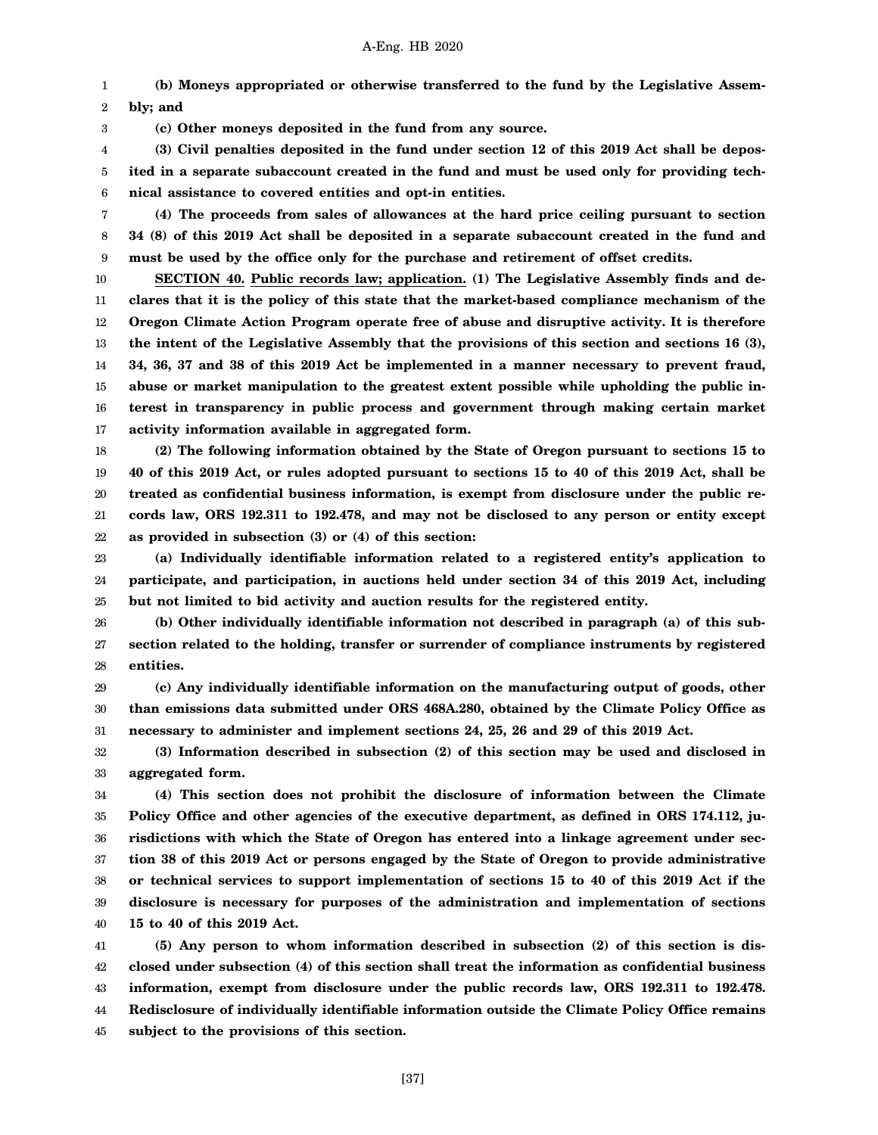1 2 **(b) Moneys appropriated or otherwise transferred to the fund by the Legislative Assembly; and**

**(c) Other moneys deposited in the fund from any source.**

3

4 5 6 **(3) Civil penalties deposited in the fund under section 12 of this 2019 Act shall be deposited in a separate subaccount created in the fund and must be used only for providing technical assistance to covered entities and opt-in entities.**

7 8 9 **(4) The proceeds from sales of allowances at the hard price ceiling pursuant to section 34 (8) of this 2019 Act shall be deposited in a separate subaccount created in the fund and must be used by the office only for the purchase and retirement of offset credits.**

10 11 12 13 14 15 16 17 **SECTION 40. Public records law; application. (1) The Legislative Assembly finds and declares that it is the policy of this state that the market-based compliance mechanism of the Oregon Climate Action Program operate free of abuse and disruptive activity. It is therefore the intent of the Legislative Assembly that the provisions of this section and sections 16 (3), 34, 36, 37 and 38 of this 2019 Act be implemented in a manner necessary to prevent fraud, abuse or market manipulation to the greatest extent possible while upholding the public interest in transparency in public process and government through making certain market activity information available in aggregated form.**

18 19 20 21 22 **(2) The following information obtained by the State of Oregon pursuant to sections 15 to 40 of this 2019 Act, or rules adopted pursuant to sections 15 to 40 of this 2019 Act, shall be treated as confidential business information, is exempt from disclosure under the public records law, ORS 192.311 to 192.478, and may not be disclosed to any person or entity except as provided in subsection (3) or (4) of this section:**

23 24 25 **(a) Individually identifiable information related to a registered entity's application to participate, and participation, in auctions held under section 34 of this 2019 Act, including but not limited to bid activity and auction results for the registered entity.**

26 27 28 **(b) Other individually identifiable information not described in paragraph (a) of this subsection related to the holding, transfer or surrender of compliance instruments by registered entities.**

29 30 31 **(c) Any individually identifiable information on the manufacturing output of goods, other than emissions data submitted under ORS 468A.280, obtained by the Climate Policy Office as necessary to administer and implement sections 24, 25, 26 and 29 of this 2019 Act.**

32 33 **(3) Information described in subsection (2) of this section may be used and disclosed in aggregated form.**

34 35 36 37 38 39 40 **(4) This section does not prohibit the disclosure of information between the Climate Policy Office and other agencies of the executive department, as defined in ORS 174.112, jurisdictions with which the State of Oregon has entered into a linkage agreement under section 38 of this 2019 Act or persons engaged by the State of Oregon to provide administrative or technical services to support implementation of sections 15 to 40 of this 2019 Act if the disclosure is necessary for purposes of the administration and implementation of sections 15 to 40 of this 2019 Act.**

41 42 43 44 45 **(5) Any person to whom information described in subsection (2) of this section is disclosed under subsection (4) of this section shall treat the information as confidential business information, exempt from disclosure under the public records law, ORS 192.311 to 192.478. Redisclosure of individually identifiable information outside the Climate Policy Office remains subject to the provisions of this section.**

[37]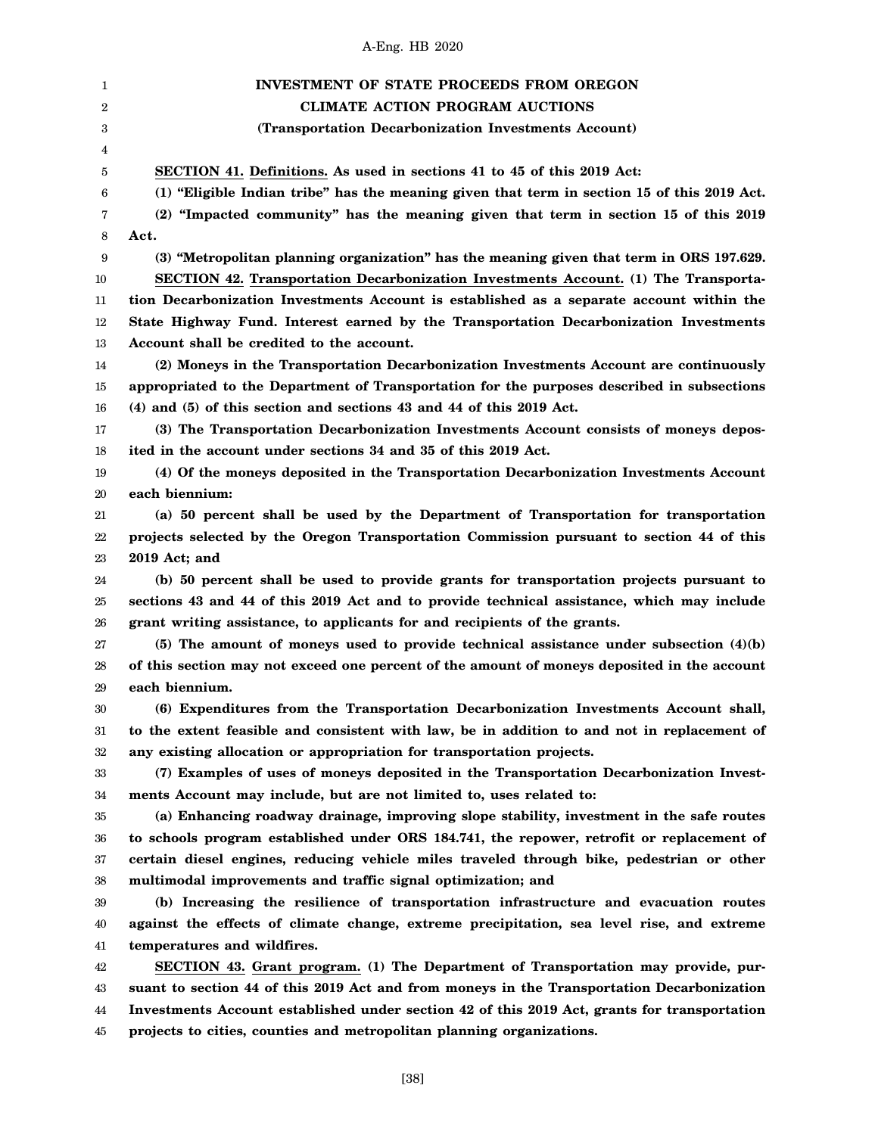| 1              | <b>INVESTMENT OF STATE PROCEEDS FROM OREGON</b>                                              |
|----------------|----------------------------------------------------------------------------------------------|
| $\overline{2}$ | <b>CLIMATE ACTION PROGRAM AUCTIONS</b>                                                       |
| 3              | (Transportation Decarbonization Investments Account)                                         |
| 4              |                                                                                              |
| 5              | SECTION 41. Definitions. As used in sections 41 to 45 of this 2019 Act:                      |
| 6              | (1) "Eligible Indian tribe" has the meaning given that term in section 15 of this 2019 Act.  |
| 7              | (2) "Impacted community" has the meaning given that term in section 15 of this 2019          |
| 8              | Act.                                                                                         |
| 9              | (3) "Metropolitan planning organization" has the meaning given that term in ORS 197.629.     |
| 10             | SECTION 42. Transportation Decarbonization Investments Account. (1) The Transporta-          |
| 11             | tion Decarbonization Investments Account is established as a separate account within the     |
| 12             | State Highway Fund. Interest earned by the Transportation Decarbonization Investments        |
| 13             | Account shall be credited to the account.                                                    |
| 14             | (2) Moneys in the Transportation Decarbonization Investments Account are continuously        |
| 15             | appropriated to the Department of Transportation for the purposes described in subsections   |
| 16             | (4) and (5) of this section and sections 43 and 44 of this 2019 Act.                         |
| 17             | (3) The Transportation Decarbonization Investments Account consists of moneys depos-         |
| 18             | ited in the account under sections 34 and 35 of this 2019 Act.                               |
| 19             | (4) Of the moneys deposited in the Transportation Decarbonization Investments Account        |
| 20             | each biennium:                                                                               |
| 21             | (a) 50 percent shall be used by the Department of Transportation for transportation          |
| 22             | projects selected by the Oregon Transportation Commission pursuant to section 44 of this     |
| 23             | 2019 Act; and                                                                                |
| 24             | (b) 50 percent shall be used to provide grants for transportation projects pursuant to       |
| 25             | sections 43 and 44 of this 2019 Act and to provide technical assistance, which may include   |
| 26             | grant writing assistance, to applicants for and recipients of the grants.                    |
| 27             | (5) The amount of moneys used to provide technical assistance under subsection $(4)(b)$      |
| 28             | of this section may not exceed one percent of the amount of moneys deposited in the account  |
| 29             | each biennium.                                                                               |
| $30\,$         | (6) Expenditures from the Transportation Decarbonization Investments Account shall,          |
| 31             | to the extent feasible and consistent with law, be in addition to and not in replacement of  |
| $32\,$         | any existing allocation or appropriation for transportation projects.                        |
| 33             | (7) Examples of uses of moneys deposited in the Transportation Decarbonization Invest-       |
| 34             | ments Account may include, but are not limited to, uses related to:                          |
| 35             | (a) Enhancing roadway drainage, improving slope stability, investment in the safe routes     |
| 36             | to schools program established under ORS 184.741, the repower, retrofit or replacement of    |
| 37             | certain diesel engines, reducing vehicle miles traveled through bike, pedestrian or other    |
| 38             | multimodal improvements and traffic signal optimization; and                                 |
| 39             | (b) Increasing the resilience of transportation infrastructure and evacuation routes         |
| 40             | against the effects of climate change, extreme precipitation, sea level rise, and extreme    |
| 41             | temperatures and wildfires.                                                                  |
| 42             | SECTION 43. Grant program. (1) The Department of Transportation may provide, pur-            |
| 43             | suant to section 44 of this 2019 Act and from moneys in the Transportation Decarbonization   |
| 44             | Investments Account established under section 42 of this 2019 Act, grants for transportation |
| 45             | projects to cities, counties and metropolitan planning organizations.                        |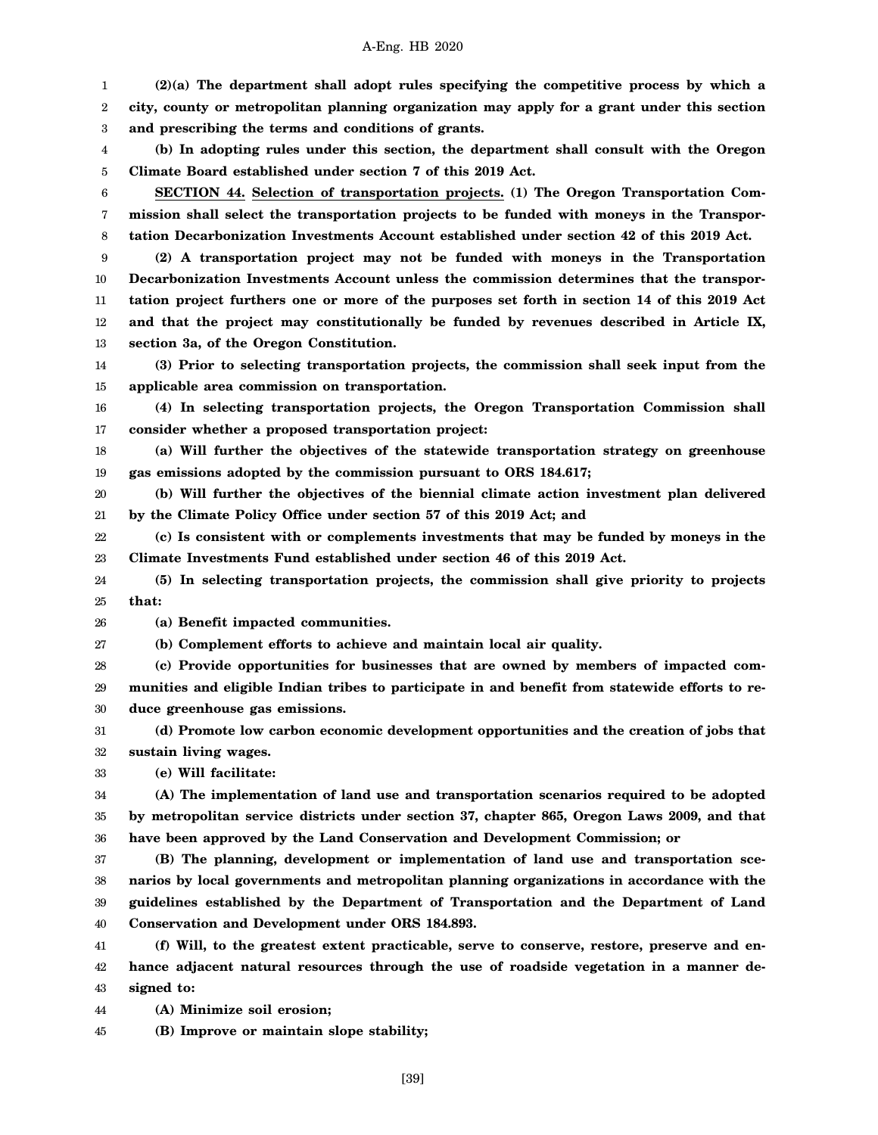1 2 3 4 5 6 7 8 9 10 11 12 13 14 15 16 17 18 19 20 21 22 23 24 25 26 27 28 29 30 31 32 33 34 35 36 37 38 39 40 41 42 43 44 **(2)(a) The department shall adopt rules specifying the competitive process by which a city, county or metropolitan planning organization may apply for a grant under this section and prescribing the terms and conditions of grants. (b) In adopting rules under this section, the department shall consult with the Oregon Climate Board established under section 7 of this 2019 Act. SECTION 44. Selection of transportation projects. (1) The Oregon Transportation Commission shall select the transportation projects to be funded with moneys in the Transportation Decarbonization Investments Account established under section 42 of this 2019 Act. (2) A transportation project may not be funded with moneys in the Transportation Decarbonization Investments Account unless the commission determines that the transportation project furthers one or more of the purposes set forth in section 14 of this 2019 Act and that the project may constitutionally be funded by revenues described in Article IX, section 3a, of the Oregon Constitution. (3) Prior to selecting transportation projects, the commission shall seek input from the applicable area commission on transportation. (4) In selecting transportation projects, the Oregon Transportation Commission shall consider whether a proposed transportation project: (a) Will further the objectives of the statewide transportation strategy on greenhouse gas emissions adopted by the commission pursuant to ORS 184.617; (b) Will further the objectives of the biennial climate action investment plan delivered by the Climate Policy Office under section 57 of this 2019 Act; and (c) Is consistent with or complements investments that may be funded by moneys in the Climate Investments Fund established under section 46 of this 2019 Act. (5) In selecting transportation projects, the commission shall give priority to projects that: (a) Benefit impacted communities. (b) Complement efforts to achieve and maintain local air quality. (c) Provide opportunities for businesses that are owned by members of impacted communities and eligible Indian tribes to participate in and benefit from statewide efforts to reduce greenhouse gas emissions. (d) Promote low carbon economic development opportunities and the creation of jobs that sustain living wages. (e) Will facilitate: (A) The implementation of land use and transportation scenarios required to be adopted by metropolitan service districts under section 37, chapter 865, Oregon Laws 2009, and that have been approved by the Land Conservation and Development Commission; or (B) The planning, development or implementation of land use and transportation scenarios by local governments and metropolitan planning organizations in accordance with the guidelines established by the Department of Transportation and the Department of Land Conservation and Development under ORS 184.893. (f) Will, to the greatest extent practicable, serve to conserve, restore, preserve and enhance adjacent natural resources through the use of roadside vegetation in a manner designed to: (A) Minimize soil erosion;**

45 **(B) Improve or maintain slope stability;**

[39]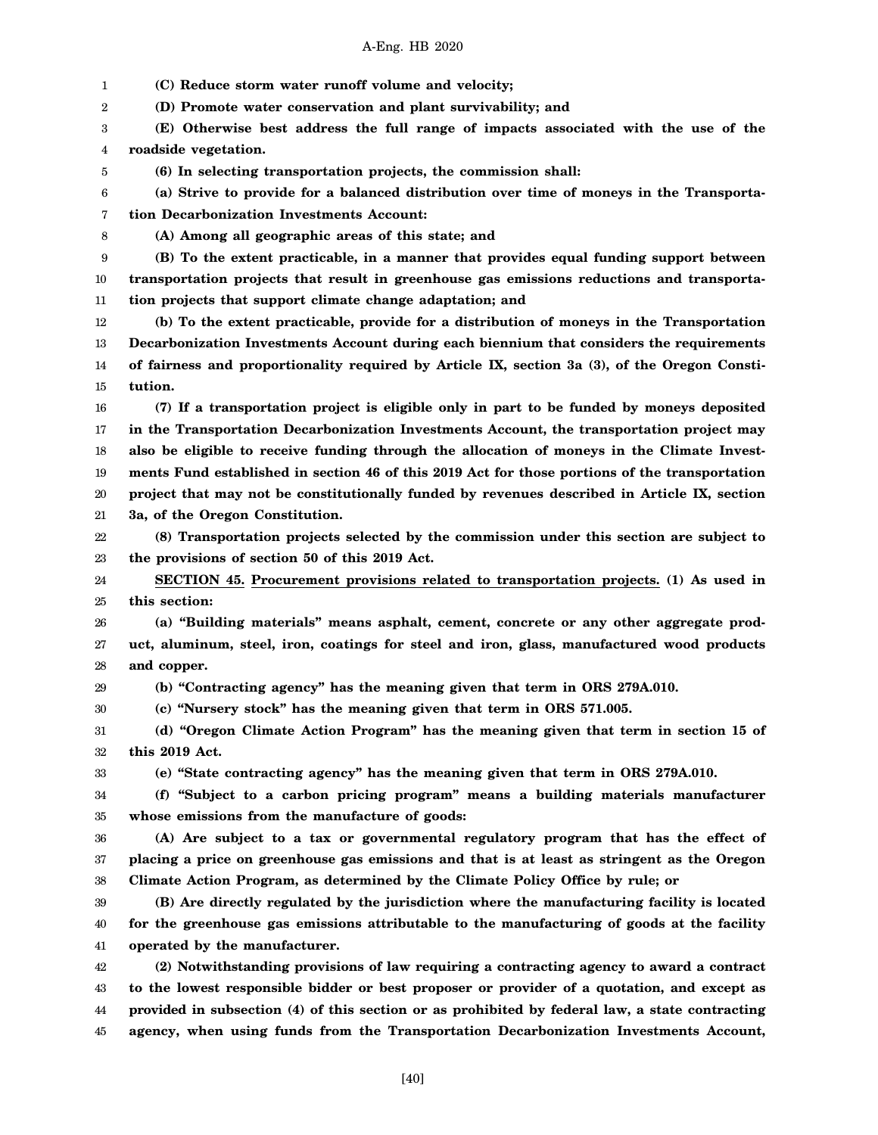1 2 3 4 5 6 7 8 9 10 11 12 13 14 15 16 17 18 19 20 21 22 23 24 25 26 27 28 29 30 31 32 33 34 35 36 37 38 39 40 41 42 43 44 45 **(C) Reduce storm water runoff volume and velocity; (D) Promote water conservation and plant survivability; and (E) Otherwise best address the full range of impacts associated with the use of the roadside vegetation. (6) In selecting transportation projects, the commission shall: (a) Strive to provide for a balanced distribution over time of moneys in the Transportation Decarbonization Investments Account: (A) Among all geographic areas of this state; and (B) To the extent practicable, in a manner that provides equal funding support between transportation projects that result in greenhouse gas emissions reductions and transportation projects that support climate change adaptation; and (b) To the extent practicable, provide for a distribution of moneys in the Transportation Decarbonization Investments Account during each biennium that considers the requirements of fairness and proportionality required by Article IX, section 3a (3), of the Oregon Constitution. (7) If a transportation project is eligible only in part to be funded by moneys deposited in the Transportation Decarbonization Investments Account, the transportation project may also be eligible to receive funding through the allocation of moneys in the Climate Investments Fund established in section 46 of this 2019 Act for those portions of the transportation project that may not be constitutionally funded by revenues described in Article IX, section 3a, of the Oregon Constitution. (8) Transportation projects selected by the commission under this section are subject to the provisions of section 50 of this 2019 Act. SECTION 45. Procurement provisions related to transportation projects. (1) As used in this section: (a) "Building materials" means asphalt, cement, concrete or any other aggregate product, aluminum, steel, iron, coatings for steel and iron, glass, manufactured wood products and copper. (b) "Contracting agency" has the meaning given that term in ORS 279A.010. (c) "Nursery stock" has the meaning given that term in ORS 571.005. (d) "Oregon Climate Action Program" has the meaning given that term in section 15 of this 2019 Act. (e) "State contracting agency" has the meaning given that term in ORS 279A.010. (f) "Subject to a carbon pricing program" means a building materials manufacturer whose emissions from the manufacture of goods: (A) Are subject to a tax or governmental regulatory program that has the effect of placing a price on greenhouse gas emissions and that is at least as stringent as the Oregon Climate Action Program, as determined by the Climate Policy Office by rule; or (B) Are directly regulated by the jurisdiction where the manufacturing facility is located for the greenhouse gas emissions attributable to the manufacturing of goods at the facility operated by the manufacturer. (2) Notwithstanding provisions of law requiring a contracting agency to award a contract to the lowest responsible bidder or best proposer or provider of a quotation, and except as provided in subsection (4) of this section or as prohibited by federal law, a state contracting agency, when using funds from the Transportation Decarbonization Investments Account,**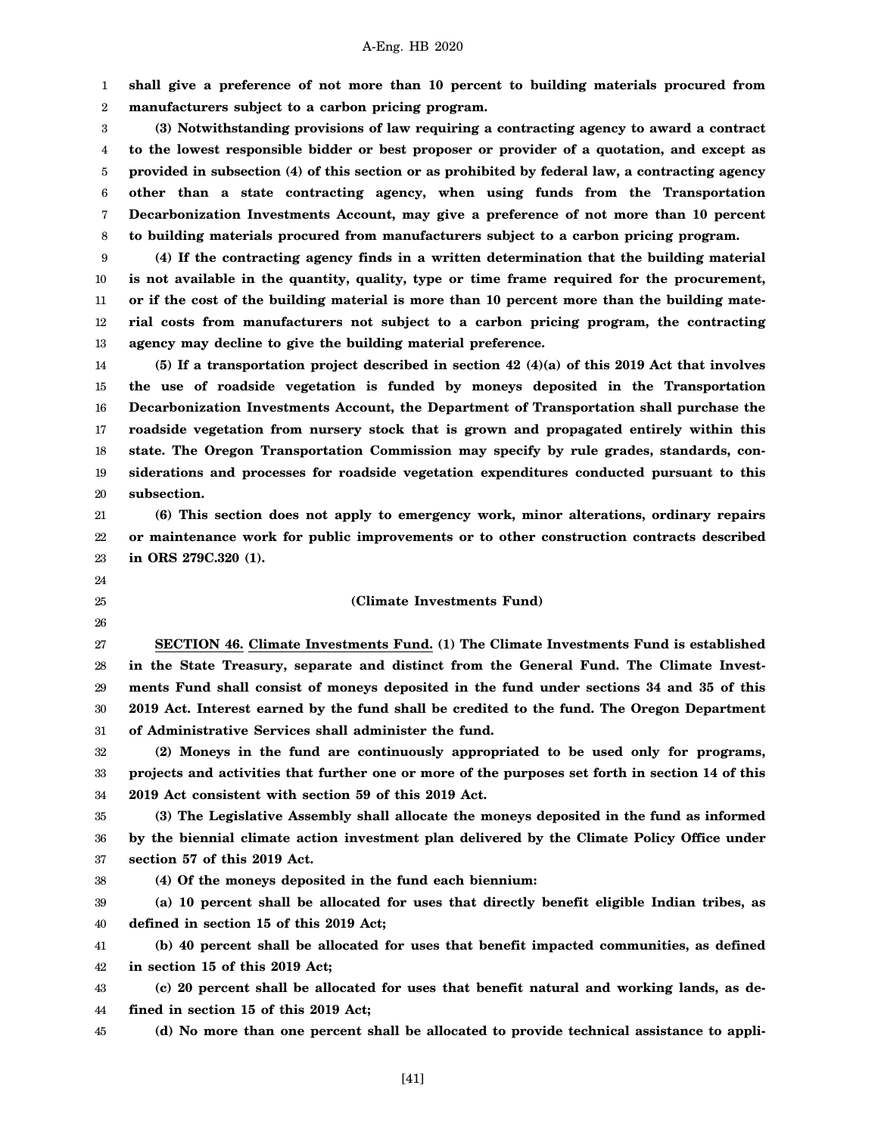1 2 **shall give a preference of not more than 10 percent to building materials procured from manufacturers subject to a carbon pricing program.**

3 4 5 6 7 8 **(3) Notwithstanding provisions of law requiring a contracting agency to award a contract to the lowest responsible bidder or best proposer or provider of a quotation, and except as provided in subsection (4) of this section or as prohibited by federal law, a contracting agency other than a state contracting agency, when using funds from the Transportation Decarbonization Investments Account, may give a preference of not more than 10 percent to building materials procured from manufacturers subject to a carbon pricing program.**

9 10 11 12 13 **(4) If the contracting agency finds in a written determination that the building material is not available in the quantity, quality, type or time frame required for the procurement, or if the cost of the building material is more than 10 percent more than the building material costs from manufacturers not subject to a carbon pricing program, the contracting agency may decline to give the building material preference.**

14 15 16 17 18 19 20 **(5) If a transportation project described in section 42 (4)(a) of this 2019 Act that involves the use of roadside vegetation is funded by moneys deposited in the Transportation Decarbonization Investments Account, the Department of Transportation shall purchase the roadside vegetation from nursery stock that is grown and propagated entirely within this state. The Oregon Transportation Commission may specify by rule grades, standards, considerations and processes for roadside vegetation expenditures conducted pursuant to this subsection.**

21 22 23 **(6) This section does not apply to emergency work, minor alterations, ordinary repairs or maintenance work for public improvements or to other construction contracts described in ORS 279C.320 (1).**

- 24
- 25
- 26

# **(Climate Investments Fund)**

27 28 29 30 31 **SECTION 46. Climate Investments Fund. (1) The Climate Investments Fund is established in the State Treasury, separate and distinct from the General Fund. The Climate Investments Fund shall consist of moneys deposited in the fund under sections 34 and 35 of this 2019 Act. Interest earned by the fund shall be credited to the fund. The Oregon Department of Administrative Services shall administer the fund.**

32 33 34 **(2) Moneys in the fund are continuously appropriated to be used only for programs, projects and activities that further one or more of the purposes set forth in section 14 of this 2019 Act consistent with section 59 of this 2019 Act.**

35 36 37 **(3) The Legislative Assembly shall allocate the moneys deposited in the fund as informed by the biennial climate action investment plan delivered by the Climate Policy Office under section 57 of this 2019 Act.**

38 **(4) Of the moneys deposited in the fund each biennium:**

39 40 **(a) 10 percent shall be allocated for uses that directly benefit eligible Indian tribes, as defined in section 15 of this 2019 Act;**

41 42 **(b) 40 percent shall be allocated for uses that benefit impacted communities, as defined in section 15 of this 2019 Act;**

43 44 **(c) 20 percent shall be allocated for uses that benefit natural and working lands, as defined in section 15 of this 2019 Act;**

45 **(d) No more than one percent shall be allocated to provide technical assistance to appli-**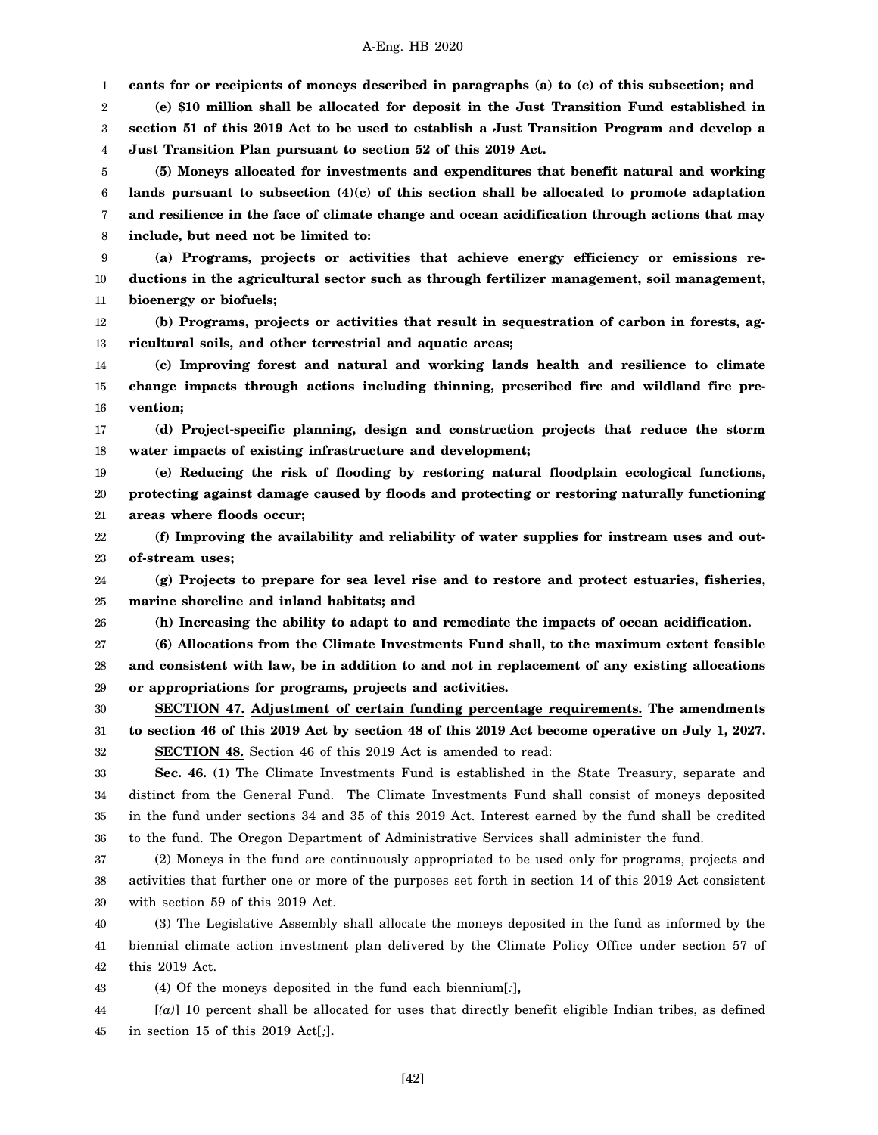1 2 3 4 5 6 7 8 9 10 11 12 13 14 15 16 17 18 19 20 21 22 23 24 25 26 27 28 29 30 31 32 33 34 35 36 37 38 39 40 41 42 43 44 **cants for or recipients of moneys described in paragraphs (a) to (c) of this subsection; and (e) \$10 million shall be allocated for deposit in the Just Transition Fund established in section 51 of this 2019 Act to be used to establish a Just Transition Program and develop a Just Transition Plan pursuant to section 52 of this 2019 Act. (5) Moneys allocated for investments and expenditures that benefit natural and working lands pursuant to subsection (4)(c) of this section shall be allocated to promote adaptation and resilience in the face of climate change and ocean acidification through actions that may include, but need not be limited to: (a) Programs, projects or activities that achieve energy efficiency or emissions reductions in the agricultural sector such as through fertilizer management, soil management, bioenergy or biofuels; (b) Programs, projects or activities that result in sequestration of carbon in forests, agricultural soils, and other terrestrial and aquatic areas; (c) Improving forest and natural and working lands health and resilience to climate change impacts through actions including thinning, prescribed fire and wildland fire prevention; (d) Project-specific planning, design and construction projects that reduce the storm water impacts of existing infrastructure and development; (e) Reducing the risk of flooding by restoring natural floodplain ecological functions, protecting against damage caused by floods and protecting or restoring naturally functioning areas where floods occur; (f) Improving the availability and reliability of water supplies for instream uses and outof-stream uses; (g) Projects to prepare for sea level rise and to restore and protect estuaries, fisheries, marine shoreline and inland habitats; and (h) Increasing the ability to adapt to and remediate the impacts of ocean acidification. (6) Allocations from the Climate Investments Fund shall, to the maximum extent feasible and consistent with law, be in addition to and not in replacement of any existing allocations or appropriations for programs, projects and activities. SECTION 47. Adjustment of certain funding percentage requirements. The amendments to section 46 of this 2019 Act by section 48 of this 2019 Act become operative on July 1, 2027. SECTION 48.** Section 46 of this 2019 Act is amended to read: **Sec. 46.** (1) The Climate Investments Fund is established in the State Treasury, separate and distinct from the General Fund. The Climate Investments Fund shall consist of moneys deposited in the fund under sections 34 and 35 of this 2019 Act. Interest earned by the fund shall be credited to the fund. The Oregon Department of Administrative Services shall administer the fund. (2) Moneys in the fund are continuously appropriated to be used only for programs, projects and activities that further one or more of the purposes set forth in section 14 of this 2019 Act consistent with section 59 of this 2019 Act. (3) The Legislative Assembly shall allocate the moneys deposited in the fund as informed by the biennial climate action investment plan delivered by the Climate Policy Office under section 57 of this 2019 Act. (4) Of the moneys deposited in the fund each biennium[*:*]**,** [*(a)*] 10 percent shall be allocated for uses that directly benefit eligible Indian tribes, as defined

45 in section 15 of this 2019 Act[*;*]**.**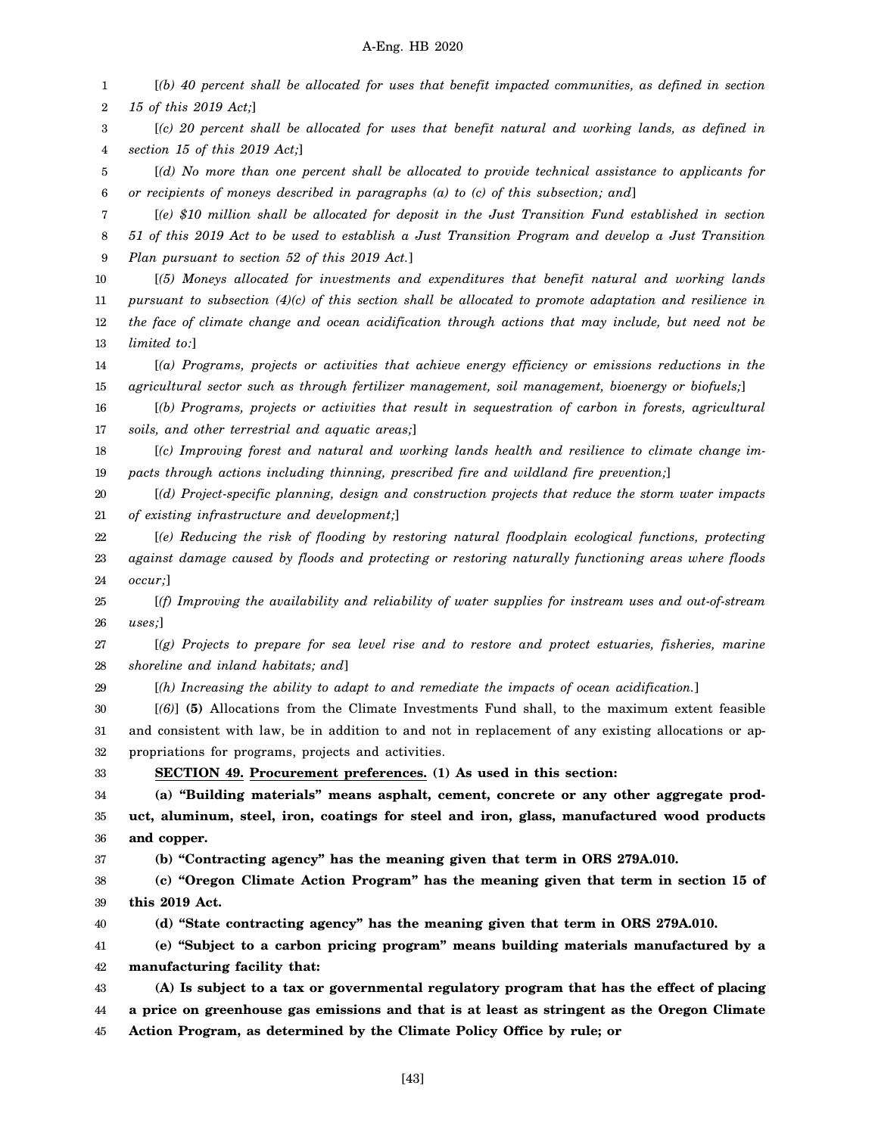1 2 3 4 5 6 7 8 9 10 11 12 13 14 15 16 17 18 19 20 21 22 23 24 25 26 27 28 29 30 31 32 33 34 35 36 37 38 39 40 41 42 43 44 45 [*(b) 40 percent shall be allocated for uses that benefit impacted communities, as defined in section 15 of this 2019 Act;*] [*(c) 20 percent shall be allocated for uses that benefit natural and working lands, as defined in section 15 of this 2019 Act;*] [*(d) No more than one percent shall be allocated to provide technical assistance to applicants for or recipients of moneys described in paragraphs (a) to (c) of this subsection; and*] [*(e) \$10 million shall be allocated for deposit in the Just Transition Fund established in section 51 of this 2019 Act to be used to establish a Just Transition Program and develop a Just Transition Plan pursuant to section 52 of this 2019 Act.*] [*(5) Moneys allocated for investments and expenditures that benefit natural and working lands pursuant to subsection (4)(c) of this section shall be allocated to promote adaptation and resilience in the face of climate change and ocean acidification through actions that may include, but need not be limited to:*] [*(a) Programs, projects or activities that achieve energy efficiency or emissions reductions in the agricultural sector such as through fertilizer management, soil management, bioenergy or biofuels;*] [*(b) Programs, projects or activities that result in sequestration of carbon in forests, agricultural soils, and other terrestrial and aquatic areas;*] [*(c) Improving forest and natural and working lands health and resilience to climate change impacts through actions including thinning, prescribed fire and wildland fire prevention;*] [*(d) Project-specific planning, design and construction projects that reduce the storm water impacts of existing infrastructure and development;*] [*(e) Reducing the risk of flooding by restoring natural floodplain ecological functions, protecting against damage caused by floods and protecting or restoring naturally functioning areas where floods occur;*] [*(f) Improving the availability and reliability of water supplies for instream uses and out-of-stream uses;*] [*(g) Projects to prepare for sea level rise and to restore and protect estuaries, fisheries, marine shoreline and inland habitats; and*] [*(h) Increasing the ability to adapt to and remediate the impacts of ocean acidification.*] [*(6)*] **(5)** Allocations from the Climate Investments Fund shall, to the maximum extent feasible and consistent with law, be in addition to and not in replacement of any existing allocations or appropriations for programs, projects and activities. **SECTION 49. Procurement preferences. (1) As used in this section: (a) "Building materials" means asphalt, cement, concrete or any other aggregate product, aluminum, steel, iron, coatings for steel and iron, glass, manufactured wood products and copper. (b) "Contracting agency" has the meaning given that term in ORS 279A.010. (c) "Oregon Climate Action Program" has the meaning given that term in section 15 of this 2019 Act. (d) "State contracting agency" has the meaning given that term in ORS 279A.010. (e) "Subject to a carbon pricing program" means building materials manufactured by a manufacturing facility that: (A) Is subject to a tax or governmental regulatory program that has the effect of placing a price on greenhouse gas emissions and that is at least as stringent as the Oregon Climate Action Program, as determined by the Climate Policy Office by rule; or**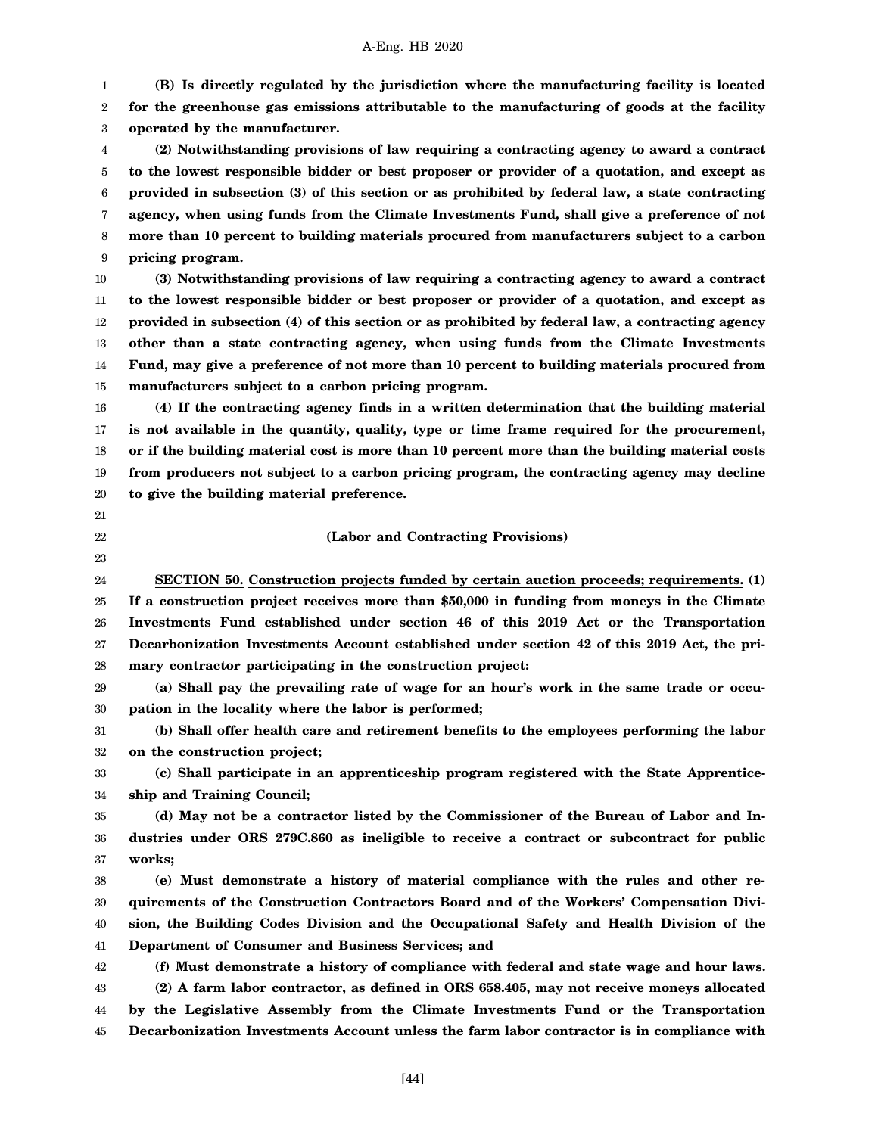1 2 3 **(B) Is directly regulated by the jurisdiction where the manufacturing facility is located for the greenhouse gas emissions attributable to the manufacturing of goods at the facility operated by the manufacturer.**

4 5 6 7 8 9 **(2) Notwithstanding provisions of law requiring a contracting agency to award a contract to the lowest responsible bidder or best proposer or provider of a quotation, and except as provided in subsection (3) of this section or as prohibited by federal law, a state contracting agency, when using funds from the Climate Investments Fund, shall give a preference of not more than 10 percent to building materials procured from manufacturers subject to a carbon pricing program.**

10 11 12 13 14 15 **(3) Notwithstanding provisions of law requiring a contracting agency to award a contract to the lowest responsible bidder or best proposer or provider of a quotation, and except as provided in subsection (4) of this section or as prohibited by federal law, a contracting agency other than a state contracting agency, when using funds from the Climate Investments Fund, may give a preference of not more than 10 percent to building materials procured from manufacturers subject to a carbon pricing program.**

16 17 18 19 20 **(4) If the contracting agency finds in a written determination that the building material is not available in the quantity, quality, type or time frame required for the procurement, or if the building material cost is more than 10 percent more than the building material costs from producers not subject to a carbon pricing program, the contracting agency may decline to give the building material preference.**

- 21
- 22
- 23

# **(Labor and Contracting Provisions)**

24 25 26 27 28 **SECTION 50. Construction projects funded by certain auction proceeds; requirements. (1) If a construction project receives more than \$50,000 in funding from moneys in the Climate Investments Fund established under section 46 of this 2019 Act or the Transportation Decarbonization Investments Account established under section 42 of this 2019 Act, the primary contractor participating in the construction project:**

29 30 **(a) Shall pay the prevailing rate of wage for an hour's work in the same trade or occupation in the locality where the labor is performed;**

31 32 **(b) Shall offer health care and retirement benefits to the employees performing the labor on the construction project;**

33 34 **(c) Shall participate in an apprenticeship program registered with the State Apprenticeship and Training Council;**

35 36 37 **(d) May not be a contractor listed by the Commissioner of the Bureau of Labor and Industries under ORS 279C.860 as ineligible to receive a contract or subcontract for public works;**

38 39 40 41 **(e) Must demonstrate a history of material compliance with the rules and other requirements of the Construction Contractors Board and of the Workers' Compensation Division, the Building Codes Division and the Occupational Safety and Health Division of the Department of Consumer and Business Services; and**

42 43 44 45 **(f) Must demonstrate a history of compliance with federal and state wage and hour laws. (2) A farm labor contractor, as defined in ORS 658.405, may not receive moneys allocated by the Legislative Assembly from the Climate Investments Fund or the Transportation Decarbonization Investments Account unless the farm labor contractor is in compliance with**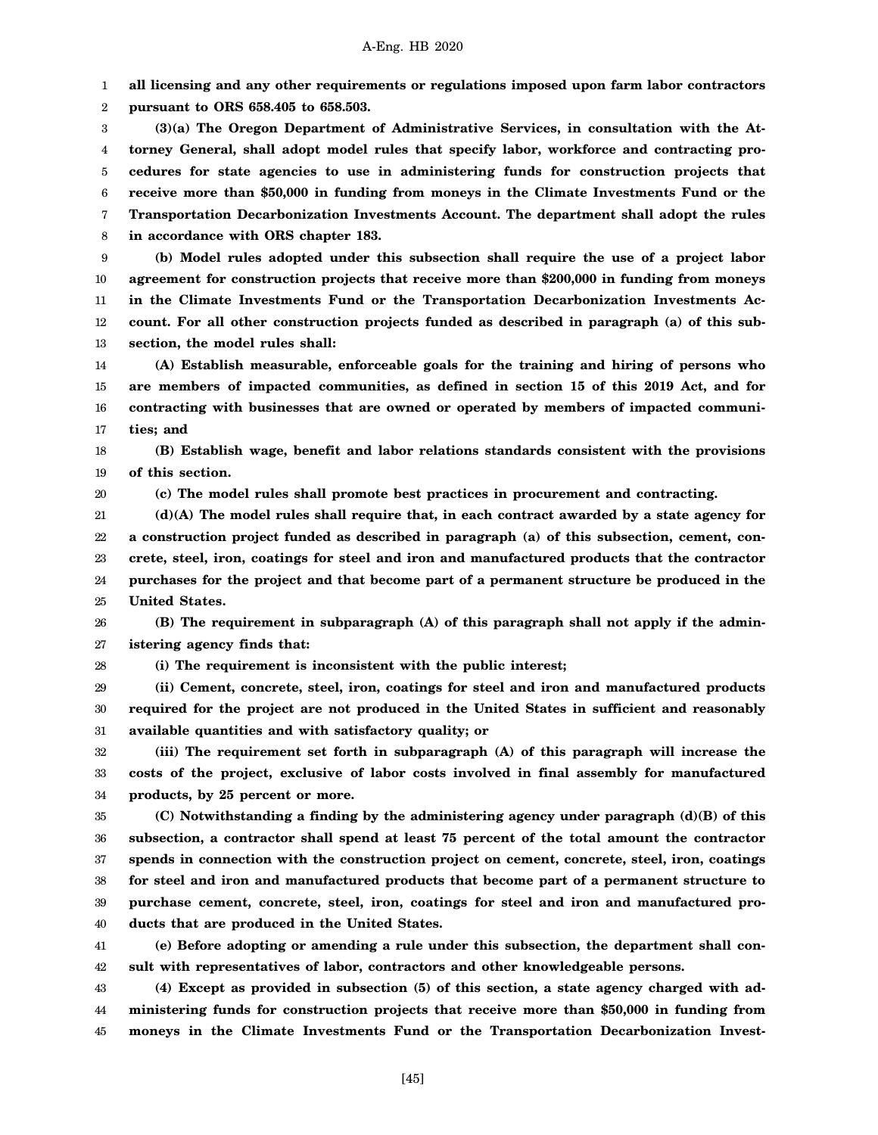1 **all licensing and any other requirements or regulations imposed upon farm labor contractors**

2 **pursuant to ORS 658.405 to 658.503.**

3 4 5 6 7 8 **(3)(a) The Oregon Department of Administrative Services, in consultation with the Attorney General, shall adopt model rules that specify labor, workforce and contracting procedures for state agencies to use in administering funds for construction projects that receive more than \$50,000 in funding from moneys in the Climate Investments Fund or the Transportation Decarbonization Investments Account. The department shall adopt the rules in accordance with ORS chapter 183.**

9 10 11 12 13 **(b) Model rules adopted under this subsection shall require the use of a project labor agreement for construction projects that receive more than \$200,000 in funding from moneys in the Climate Investments Fund or the Transportation Decarbonization Investments Account. For all other construction projects funded as described in paragraph (a) of this subsection, the model rules shall:**

14 15 16 17 **(A) Establish measurable, enforceable goals for the training and hiring of persons who are members of impacted communities, as defined in section 15 of this 2019 Act, and for contracting with businesses that are owned or operated by members of impacted communities; and**

18 19 **(B) Establish wage, benefit and labor relations standards consistent with the provisions of this section.**

20 **(c) The model rules shall promote best practices in procurement and contracting.**

21 22 23 24 25 **(d)(A) The model rules shall require that, in each contract awarded by a state agency for a construction project funded as described in paragraph (a) of this subsection, cement, concrete, steel, iron, coatings for steel and iron and manufactured products that the contractor purchases for the project and that become part of a permanent structure be produced in the United States.**

26 27 **(B) The requirement in subparagraph (A) of this paragraph shall not apply if the administering agency finds that:**

28

**(i) The requirement is inconsistent with the public interest;**

29 30 31 **(ii) Cement, concrete, steel, iron, coatings for steel and iron and manufactured products required for the project are not produced in the United States in sufficient and reasonably available quantities and with satisfactory quality; or**

32 33 34 **(iii) The requirement set forth in subparagraph (A) of this paragraph will increase the costs of the project, exclusive of labor costs involved in final assembly for manufactured products, by 25 percent or more.**

35 36 37 38 39 40 **(C) Notwithstanding a finding by the administering agency under paragraph (d)(B) of this subsection, a contractor shall spend at least 75 percent of the total amount the contractor spends in connection with the construction project on cement, concrete, steel, iron, coatings for steel and iron and manufactured products that become part of a permanent structure to purchase cement, concrete, steel, iron, coatings for steel and iron and manufactured products that are produced in the United States.**

41 42 **(e) Before adopting or amending a rule under this subsection, the department shall consult with representatives of labor, contractors and other knowledgeable persons.**

43 44 45 **(4) Except as provided in subsection (5) of this section, a state agency charged with administering funds for construction projects that receive more than \$50,000 in funding from moneys in the Climate Investments Fund or the Transportation Decarbonization Invest-**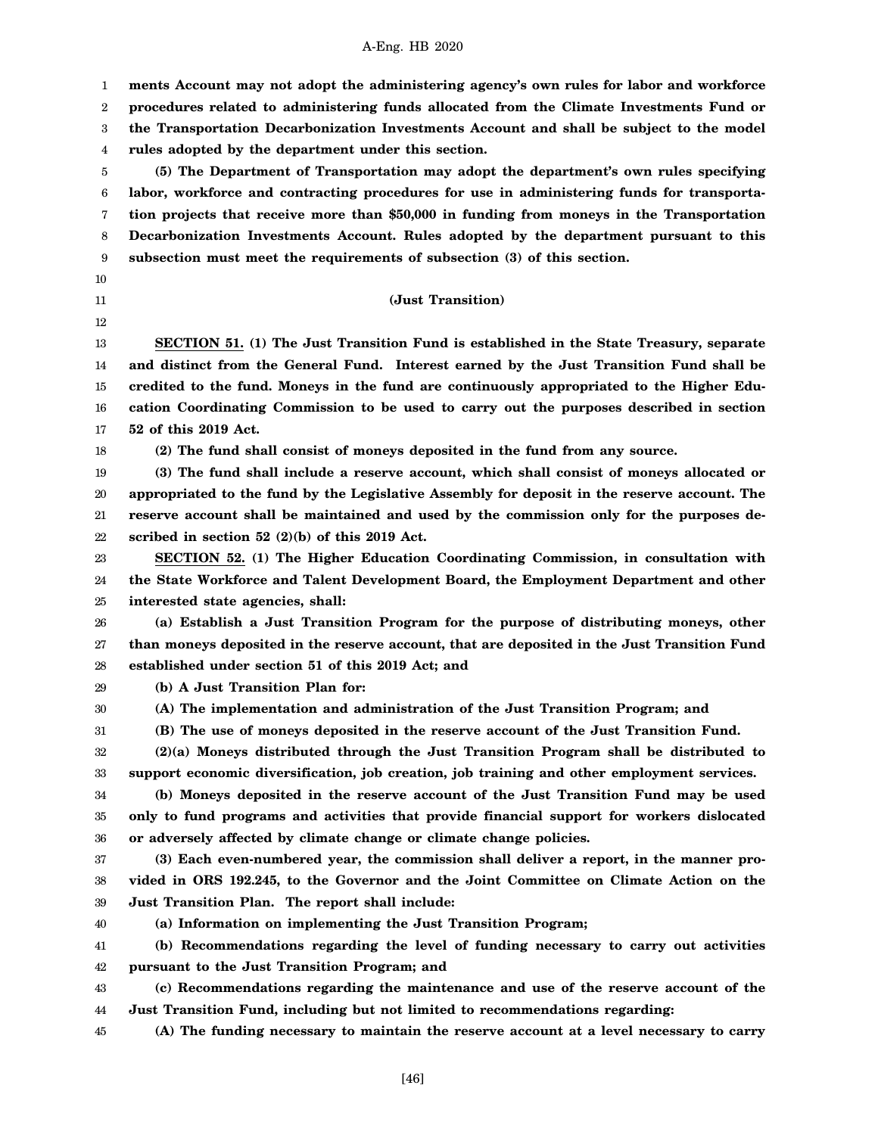1 2 3 4 5 6 7 8 9 10 11 12 13 14 15 16 17 18 19 20 21 22 23 24 25 26 27 28 29 30 31 32 33 34 35 36 37 38 39 40 41 42 43 44 45 **ments Account may not adopt the administering agency's own rules for labor and workforce procedures related to administering funds allocated from the Climate Investments Fund or the Transportation Decarbonization Investments Account and shall be subject to the model rules adopted by the department under this section. (5) The Department of Transportation may adopt the department's own rules specifying labor, workforce and contracting procedures for use in administering funds for transportation projects that receive more than \$50,000 in funding from moneys in the Transportation Decarbonization Investments Account. Rules adopted by the department pursuant to this subsection must meet the requirements of subsection (3) of this section. (Just Transition) SECTION 51. (1) The Just Transition Fund is established in the State Treasury, separate and distinct from the General Fund. Interest earned by the Just Transition Fund shall be credited to the fund. Moneys in the fund are continuously appropriated to the Higher Education Coordinating Commission to be used to carry out the purposes described in section 52 of this 2019 Act. (2) The fund shall consist of moneys deposited in the fund from any source. (3) The fund shall include a reserve account, which shall consist of moneys allocated or appropriated to the fund by the Legislative Assembly for deposit in the reserve account. The reserve account shall be maintained and used by the commission only for the purposes described in section 52 (2)(b) of this 2019 Act. SECTION 52. (1) The Higher Education Coordinating Commission, in consultation with the State Workforce and Talent Development Board, the Employment Department and other interested state agencies, shall: (a) Establish a Just Transition Program for the purpose of distributing moneys, other than moneys deposited in the reserve account, that are deposited in the Just Transition Fund established under section 51 of this 2019 Act; and (b) A Just Transition Plan for: (A) The implementation and administration of the Just Transition Program; and (B) The use of moneys deposited in the reserve account of the Just Transition Fund. (2)(a) Moneys distributed through the Just Transition Program shall be distributed to support economic diversification, job creation, job training and other employment services. (b) Moneys deposited in the reserve account of the Just Transition Fund may be used only to fund programs and activities that provide financial support for workers dislocated or adversely affected by climate change or climate change policies. (3) Each even-numbered year, the commission shall deliver a report, in the manner provided in ORS 192.245, to the Governor and the Joint Committee on Climate Action on the Just Transition Plan. The report shall include: (a) Information on implementing the Just Transition Program; (b) Recommendations regarding the level of funding necessary to carry out activities pursuant to the Just Transition Program; and (c) Recommendations regarding the maintenance and use of the reserve account of the Just Transition Fund, including but not limited to recommendations regarding: (A) The funding necessary to maintain the reserve account at a level necessary to carry**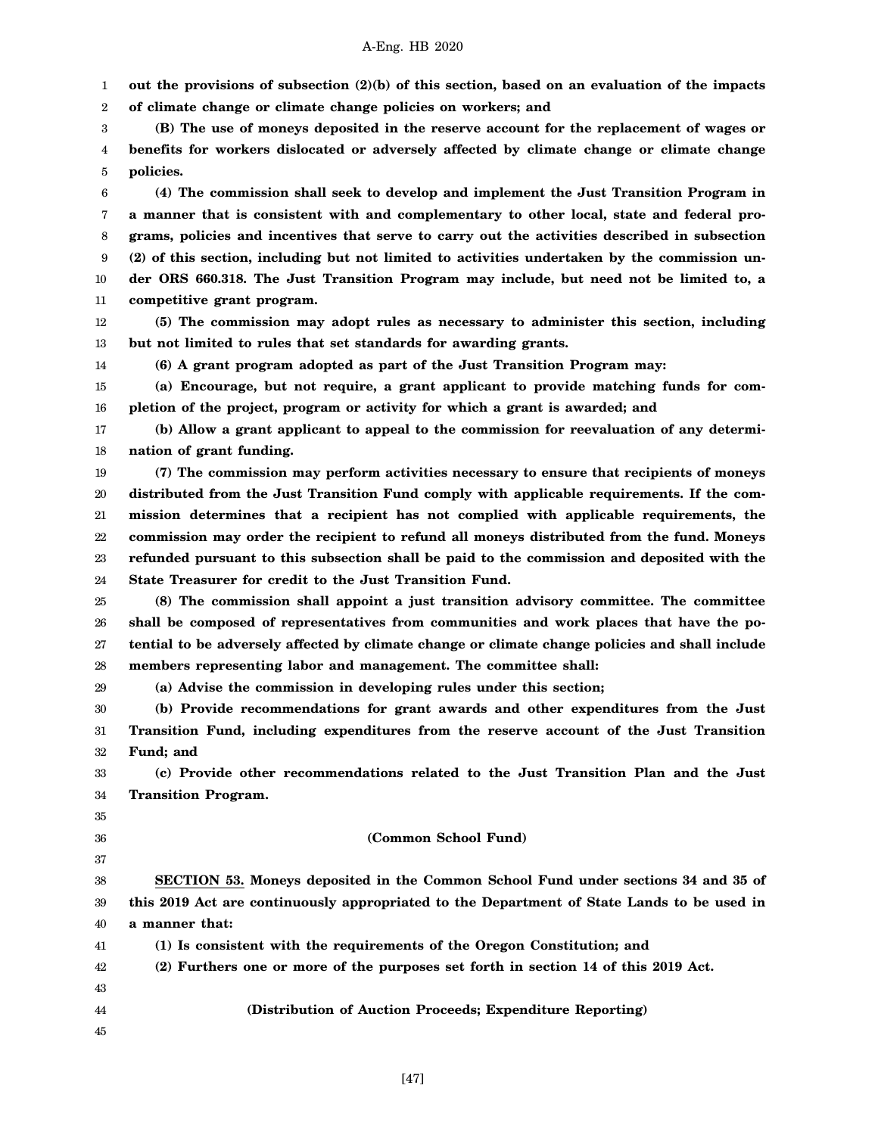1 **out the provisions of subsection (2)(b) of this section, based on an evaluation of the impacts**

2 **of climate change or climate change policies on workers; and**

3 4 5 **(B) The use of moneys deposited in the reserve account for the replacement of wages or benefits for workers dislocated or adversely affected by climate change or climate change policies.**

6 7 8 9 10 11 **(4) The commission shall seek to develop and implement the Just Transition Program in a manner that is consistent with and complementary to other local, state and federal programs, policies and incentives that serve to carry out the activities described in subsection (2) of this section, including but not limited to activities undertaken by the commission under ORS 660.318. The Just Transition Program may include, but need not be limited to, a competitive grant program.**

- 12 13 **(5) The commission may adopt rules as necessary to administer this section, including but not limited to rules that set standards for awarding grants.**
	- **(6) A grant program adopted as part of the Just Transition Program may:**

15 16 **(a) Encourage, but not require, a grant applicant to provide matching funds for completion of the project, program or activity for which a grant is awarded; and**

17 18 **(b) Allow a grant applicant to appeal to the commission for reevaluation of any determination of grant funding.**

19 20 21 22 23 24 **(7) The commission may perform activities necessary to ensure that recipients of moneys distributed from the Just Transition Fund comply with applicable requirements. If the commission determines that a recipient has not complied with applicable requirements, the commission may order the recipient to refund all moneys distributed from the fund. Moneys refunded pursuant to this subsection shall be paid to the commission and deposited with the State Treasurer for credit to the Just Transition Fund.**

25 26 27 28 **(8) The commission shall appoint a just transition advisory committee. The committee shall be composed of representatives from communities and work places that have the potential to be adversely affected by climate change or climate change policies and shall include members representing labor and management. The committee shall:**

**(a) Advise the commission in developing rules under this section;**

30 31 32 **(b) Provide recommendations for grant awards and other expenditures from the Just Transition Fund, including expenditures from the reserve account of the Just Transition Fund; and**

33 34 **(c) Provide other recommendations related to the Just Transition Plan and the Just Transition Program.**

35

29

14

- 36
- 37

# **(Common School Fund)**

38 39 40 **SECTION 53. Moneys deposited in the Common School Fund under sections 34 and 35 of this 2019 Act are continuously appropriated to the Department of State Lands to be used in a manner that:**

41 **(1) Is consistent with the requirements of the Oregon Constitution; and**

- 42 **(2) Furthers one or more of the purposes set forth in section 14 of this 2019 Act.**
- 43 44
- **(Distribution of Auction Proceeds; Expenditure Reporting)**
- 45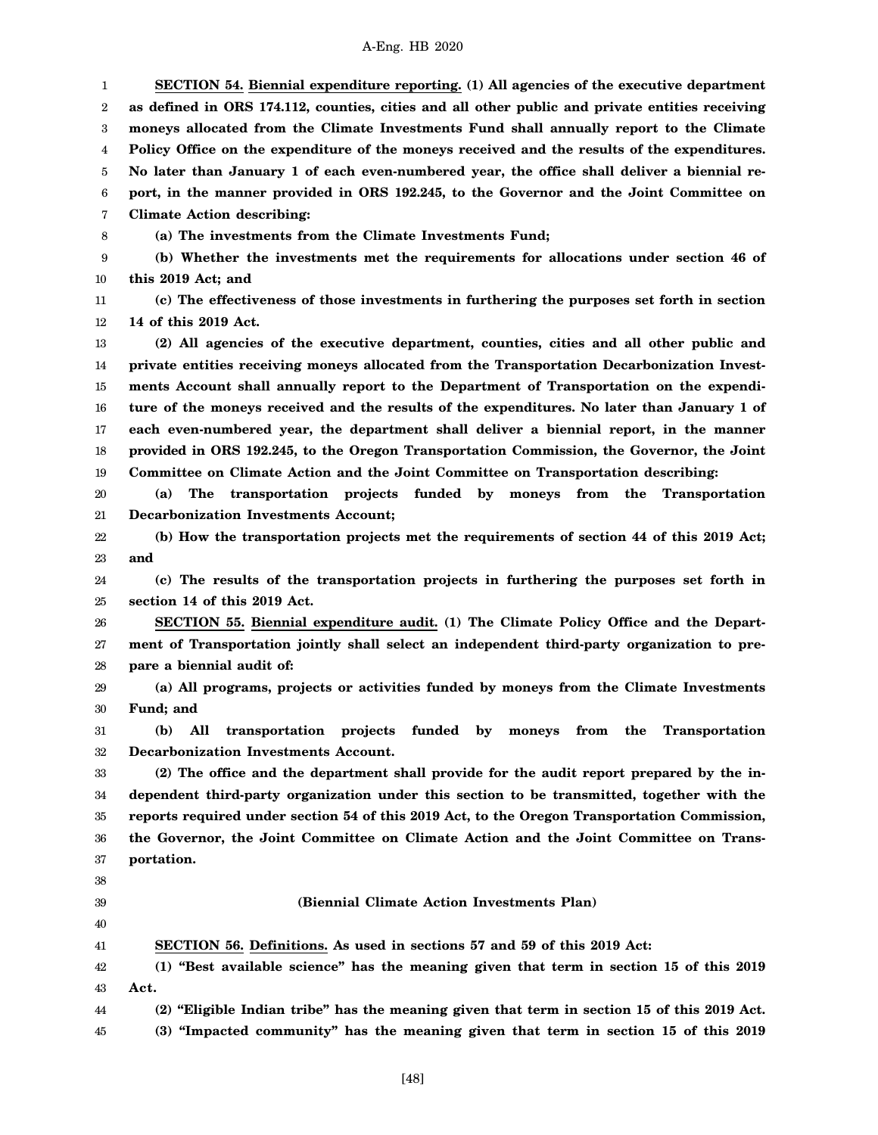1 2 3 4 5 6 7 8 9 10 11 12 13 14 15 16 17 18 19 20 21 22 23 24 25 26 27 28 29 30 31 32 33 34 35 36 37 38 39 40 41 42 43 44 45 **SECTION 54. Biennial expenditure reporting. (1) All agencies of the executive department as defined in ORS 174.112, counties, cities and all other public and private entities receiving moneys allocated from the Climate Investments Fund shall annually report to the Climate Policy Office on the expenditure of the moneys received and the results of the expenditures. No later than January 1 of each even-numbered year, the office shall deliver a biennial report, in the manner provided in ORS 192.245, to the Governor and the Joint Committee on Climate Action describing: (a) The investments from the Climate Investments Fund; (b) Whether the investments met the requirements for allocations under section 46 of this 2019 Act; and (c) The effectiveness of those investments in furthering the purposes set forth in section 14 of this 2019 Act. (2) All agencies of the executive department, counties, cities and all other public and private entities receiving moneys allocated from the Transportation Decarbonization Investments Account shall annually report to the Department of Transportation on the expenditure of the moneys received and the results of the expenditures. No later than January 1 of each even-numbered year, the department shall deliver a biennial report, in the manner provided in ORS 192.245, to the Oregon Transportation Commission, the Governor, the Joint Committee on Climate Action and the Joint Committee on Transportation describing: (a) The transportation projects funded by moneys from the Transportation Decarbonization Investments Account; (b) How the transportation projects met the requirements of section 44 of this 2019 Act; and (c) The results of the transportation projects in furthering the purposes set forth in section 14 of this 2019 Act. SECTION 55. Biennial expenditure audit. (1) The Climate Policy Office and the Department of Transportation jointly shall select an independent third-party organization to prepare a biennial audit of: (a) All programs, projects or activities funded by moneys from the Climate Investments Fund; and (b) All transportation projects funded by moneys from the Transportation Decarbonization Investments Account. (2) The office and the department shall provide for the audit report prepared by the independent third-party organization under this section to be transmitted, together with the reports required under section 54 of this 2019 Act, to the Oregon Transportation Commission, the Governor, the Joint Committee on Climate Action and the Joint Committee on Transportation. (Biennial Climate Action Investments Plan) SECTION 56. Definitions. As used in sections 57 and 59 of this 2019 Act: (1) "Best available science" has the meaning given that term in section 15 of this 2019 Act. (2) "Eligible Indian tribe" has the meaning given that term in section 15 of this 2019 Act. (3) "Impacted community" has the meaning given that term in section 15 of this 2019**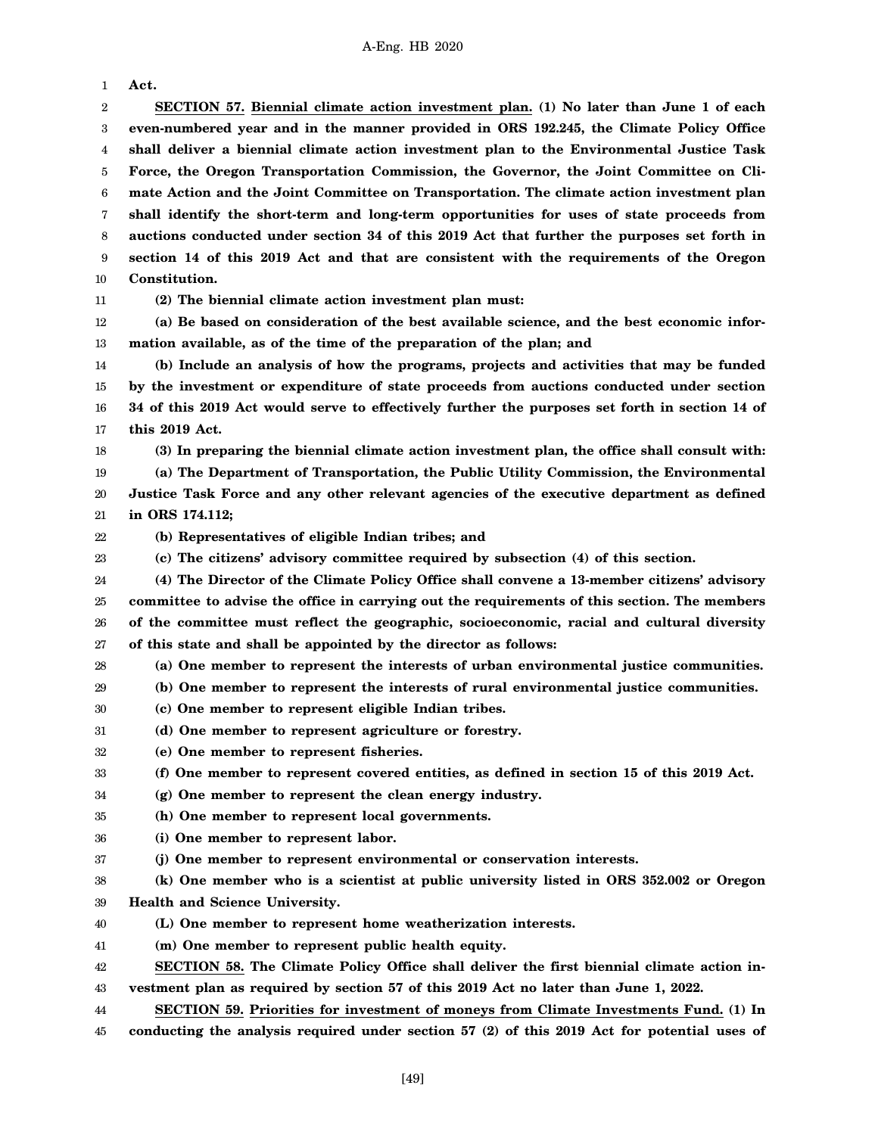1 2 3 4 5 6 7 8 9 10 11 12 13 14 15 16 17 18 19 20 21 22 23 24 **Act. SECTION 57. Biennial climate action investment plan. (1) No later than June 1 of each even-numbered year and in the manner provided in ORS 192.245, the Climate Policy Office shall deliver a biennial climate action investment plan to the Environmental Justice Task Force, the Oregon Transportation Commission, the Governor, the Joint Committee on Climate Action and the Joint Committee on Transportation. The climate action investment plan shall identify the short-term and long-term opportunities for uses of state proceeds from auctions conducted under section 34 of this 2019 Act that further the purposes set forth in section 14 of this 2019 Act and that are consistent with the requirements of the Oregon Constitution. (2) The biennial climate action investment plan must: (a) Be based on consideration of the best available science, and the best economic information available, as of the time of the preparation of the plan; and (b) Include an analysis of how the programs, projects and activities that may be funded by the investment or expenditure of state proceeds from auctions conducted under section 34 of this 2019 Act would serve to effectively further the purposes set forth in section 14 of this 2019 Act. (3) In preparing the biennial climate action investment plan, the office shall consult with: (a) The Department of Transportation, the Public Utility Commission, the Environmental Justice Task Force and any other relevant agencies of the executive department as defined in ORS 174.112; (b) Representatives of eligible Indian tribes; and (c) The citizens' advisory committee required by subsection (4) of this section. (4) The Director of the Climate Policy Office shall convene a 13-member citizens' advisory**

25 26 27 **committee to advise the office in carrying out the requirements of this section. The members of the committee must reflect the geographic, socioeconomic, racial and cultural diversity of this state and shall be appointed by the director as follows:**

28 **(a) One member to represent the interests of urban environmental justice communities.**

- 29 **(b) One member to represent the interests of rural environmental justice communities.**
- 30 **(c) One member to represent eligible Indian tribes.**
- 31 **(d) One member to represent agriculture or forestry.**
- 32 **(e) One member to represent fisheries.**

#### 33 **(f) One member to represent covered entities, as defined in section 15 of this 2019 Act.**

- 34 **(g) One member to represent the clean energy industry.**
- 35 **(h) One member to represent local governments.**
- 36 **(i) One member to represent labor.**
- 37 **(j) One member to represent environmental or conservation interests.**
- 38 39 **(k) One member who is a scientist at public university listed in ORS 352.002 or Oregon Health and Science University.**
- 40 **(L) One member to represent home weatherization interests.**
- 41 **(m) One member to represent public health equity.**
- 42 43 **SECTION 58. The Climate Policy Office shall deliver the first biennial climate action investment plan as required by section 57 of this 2019 Act no later than June 1, 2022.**
- 44 **SECTION 59. Priorities for investment of moneys from Climate Investments Fund. (1) In**
- 45 **conducting the analysis required under section 57 (2) of this 2019 Act for potential uses of**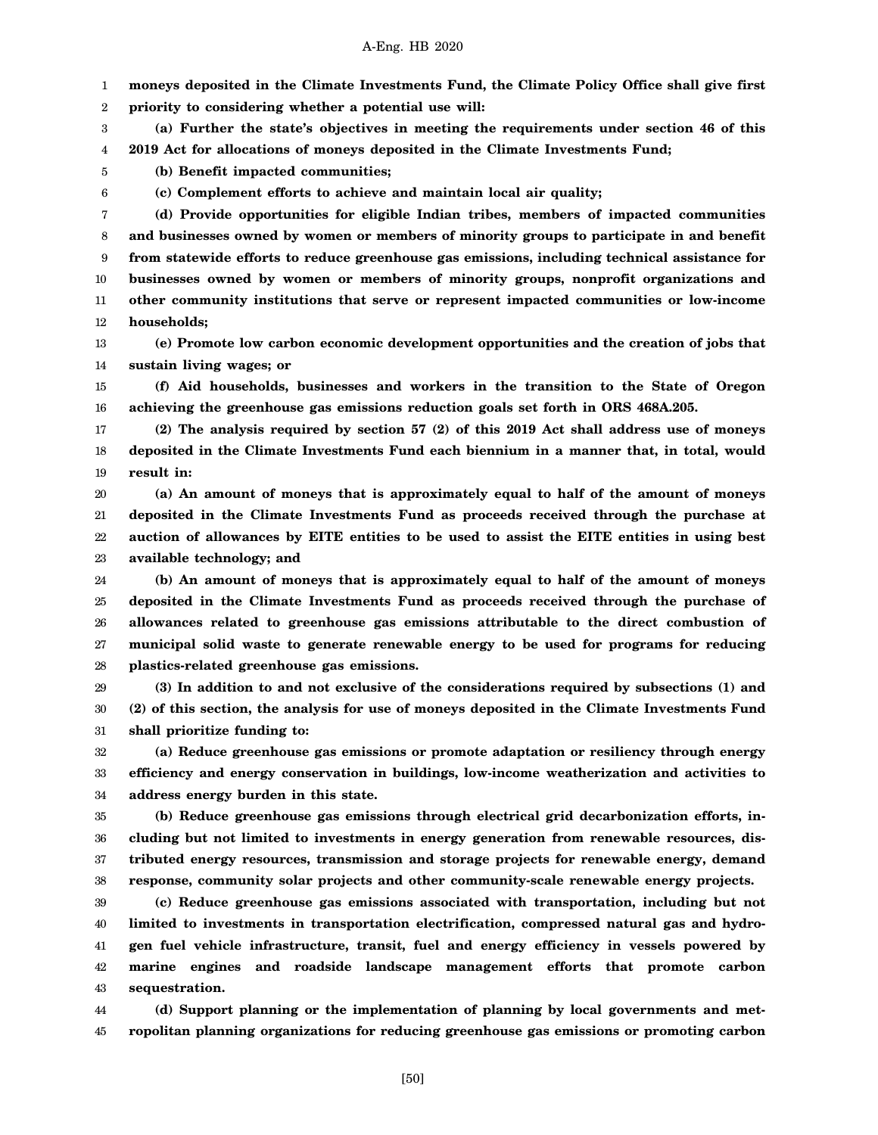1 2 **moneys deposited in the Climate Investments Fund, the Climate Policy Office shall give first priority to considering whether a potential use will:**

3 4 **(a) Further the state's objectives in meeting the requirements under section 46 of this 2019 Act for allocations of moneys deposited in the Climate Investments Fund;**

**(b) Benefit impacted communities;**

5 6

**(c) Complement efforts to achieve and maintain local air quality;**

7 8 9 10 11 12 **(d) Provide opportunities for eligible Indian tribes, members of impacted communities and businesses owned by women or members of minority groups to participate in and benefit from statewide efforts to reduce greenhouse gas emissions, including technical assistance for businesses owned by women or members of minority groups, nonprofit organizations and other community institutions that serve or represent impacted communities or low-income households;**

13 14 **(e) Promote low carbon economic development opportunities and the creation of jobs that sustain living wages; or**

15 16 **(f) Aid households, businesses and workers in the transition to the State of Oregon achieving the greenhouse gas emissions reduction goals set forth in ORS 468A.205.**

17 18 19 **(2) The analysis required by section 57 (2) of this 2019 Act shall address use of moneys deposited in the Climate Investments Fund each biennium in a manner that, in total, would result in:**

20 21 22 23 **(a) An amount of moneys that is approximately equal to half of the amount of moneys deposited in the Climate Investments Fund as proceeds received through the purchase at auction of allowances by EITE entities to be used to assist the EITE entities in using best available technology; and**

24 25 26 27 28 **(b) An amount of moneys that is approximately equal to half of the amount of moneys deposited in the Climate Investments Fund as proceeds received through the purchase of allowances related to greenhouse gas emissions attributable to the direct combustion of municipal solid waste to generate renewable energy to be used for programs for reducing plastics-related greenhouse gas emissions.**

29 30 31 **(3) In addition to and not exclusive of the considerations required by subsections (1) and (2) of this section, the analysis for use of moneys deposited in the Climate Investments Fund shall prioritize funding to:**

32 33 34 **(a) Reduce greenhouse gas emissions or promote adaptation or resiliency through energy efficiency and energy conservation in buildings, low-income weatherization and activities to address energy burden in this state.**

35 36 37 38 **(b) Reduce greenhouse gas emissions through electrical grid decarbonization efforts, including but not limited to investments in energy generation from renewable resources, distributed energy resources, transmission and storage projects for renewable energy, demand response, community solar projects and other community-scale renewable energy projects.**

39 40 41 42 43 **(c) Reduce greenhouse gas emissions associated with transportation, including but not limited to investments in transportation electrification, compressed natural gas and hydrogen fuel vehicle infrastructure, transit, fuel and energy efficiency in vessels powered by marine engines and roadside landscape management efforts that promote carbon sequestration.**

44 45 **(d) Support planning or the implementation of planning by local governments and metropolitan planning organizations for reducing greenhouse gas emissions or promoting carbon**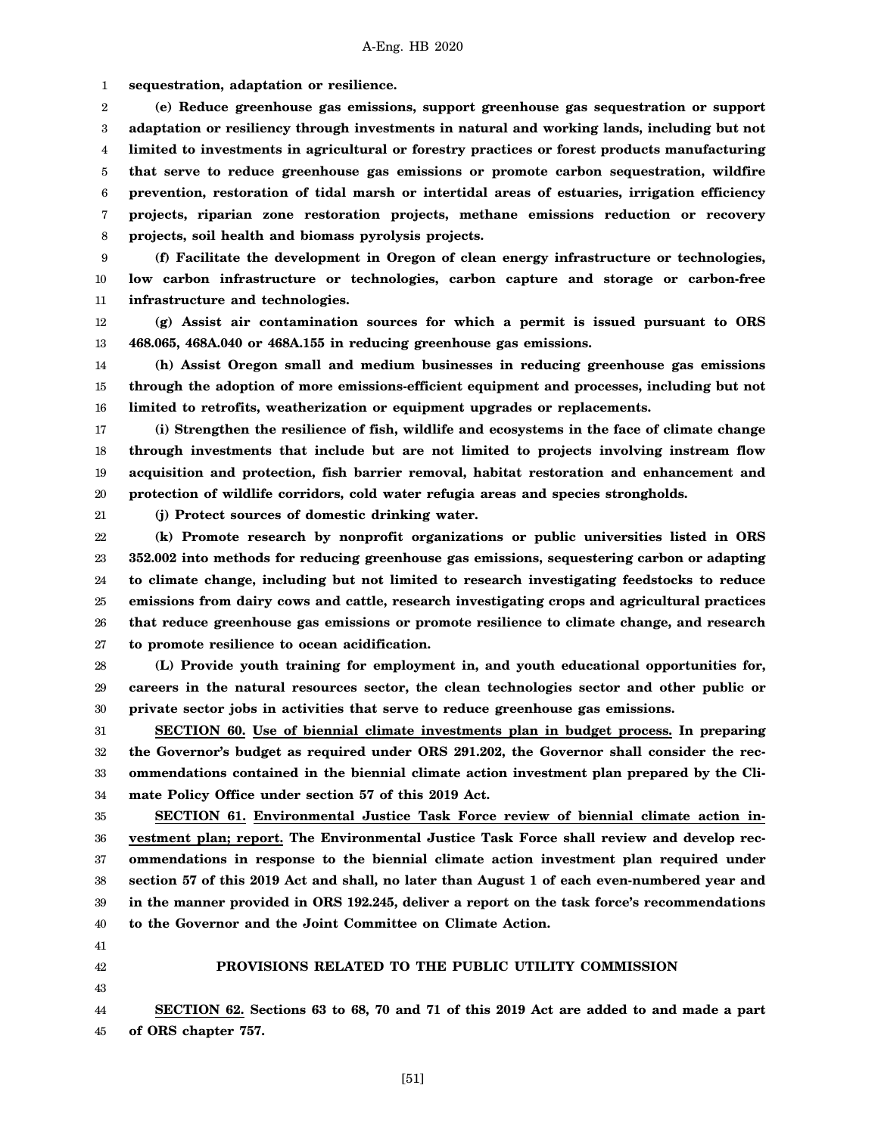1 **sequestration, adaptation or resilience.**

2 3 4 5 6 7 8 **(e) Reduce greenhouse gas emissions, support greenhouse gas sequestration or support adaptation or resiliency through investments in natural and working lands, including but not limited to investments in agricultural or forestry practices or forest products manufacturing that serve to reduce greenhouse gas emissions or promote carbon sequestration, wildfire prevention, restoration of tidal marsh or intertidal areas of estuaries, irrigation efficiency projects, riparian zone restoration projects, methane emissions reduction or recovery projects, soil health and biomass pyrolysis projects.**

9 10 11 **(f) Facilitate the development in Oregon of clean energy infrastructure or technologies, low carbon infrastructure or technologies, carbon capture and storage or carbon-free infrastructure and technologies.**

12 13 **(g) Assist air contamination sources for which a permit is issued pursuant to ORS 468.065, 468A.040 or 468A.155 in reducing greenhouse gas emissions.**

14 15 16 **(h) Assist Oregon small and medium businesses in reducing greenhouse gas emissions through the adoption of more emissions-efficient equipment and processes, including but not limited to retrofits, weatherization or equipment upgrades or replacements.**

17 18 19 20 **(i) Strengthen the resilience of fish, wildlife and ecosystems in the face of climate change through investments that include but are not limited to projects involving instream flow acquisition and protection, fish barrier removal, habitat restoration and enhancement and protection of wildlife corridors, cold water refugia areas and species strongholds.**

21

**(j) Protect sources of domestic drinking water.**

22 23 24 25 26 27 **(k) Promote research by nonprofit organizations or public universities listed in ORS 352.002 into methods for reducing greenhouse gas emissions, sequestering carbon or adapting to climate change, including but not limited to research investigating feedstocks to reduce emissions from dairy cows and cattle, research investigating crops and agricultural practices that reduce greenhouse gas emissions or promote resilience to climate change, and research to promote resilience to ocean acidification.**

28 29 30 **(L) Provide youth training for employment in, and youth educational opportunities for, careers in the natural resources sector, the clean technologies sector and other public or private sector jobs in activities that serve to reduce greenhouse gas emissions.**

31 32 33 34 **SECTION 60. Use of biennial climate investments plan in budget process. In preparing the Governor's budget as required under ORS 291.202, the Governor shall consider the recommendations contained in the biennial climate action investment plan prepared by the Climate Policy Office under section 57 of this 2019 Act.**

35 36 37 38 39 40 **SECTION 61. Environmental Justice Task Force review of biennial climate action investment plan; report. The Environmental Justice Task Force shall review and develop recommendations in response to the biennial climate action investment plan required under section 57 of this 2019 Act and shall, no later than August 1 of each even-numbered year and in the manner provided in ORS 192.245, deliver a report on the task force's recommendations to the Governor and the Joint Committee on Climate Action.**

- 41
- 42 43

# **PROVISIONS RELATED TO THE PUBLIC UTILITY COMMISSION**

44 45 **SECTION 62. Sections 63 to 68, 70 and 71 of this 2019 Act are added to and made a part of ORS chapter 757.**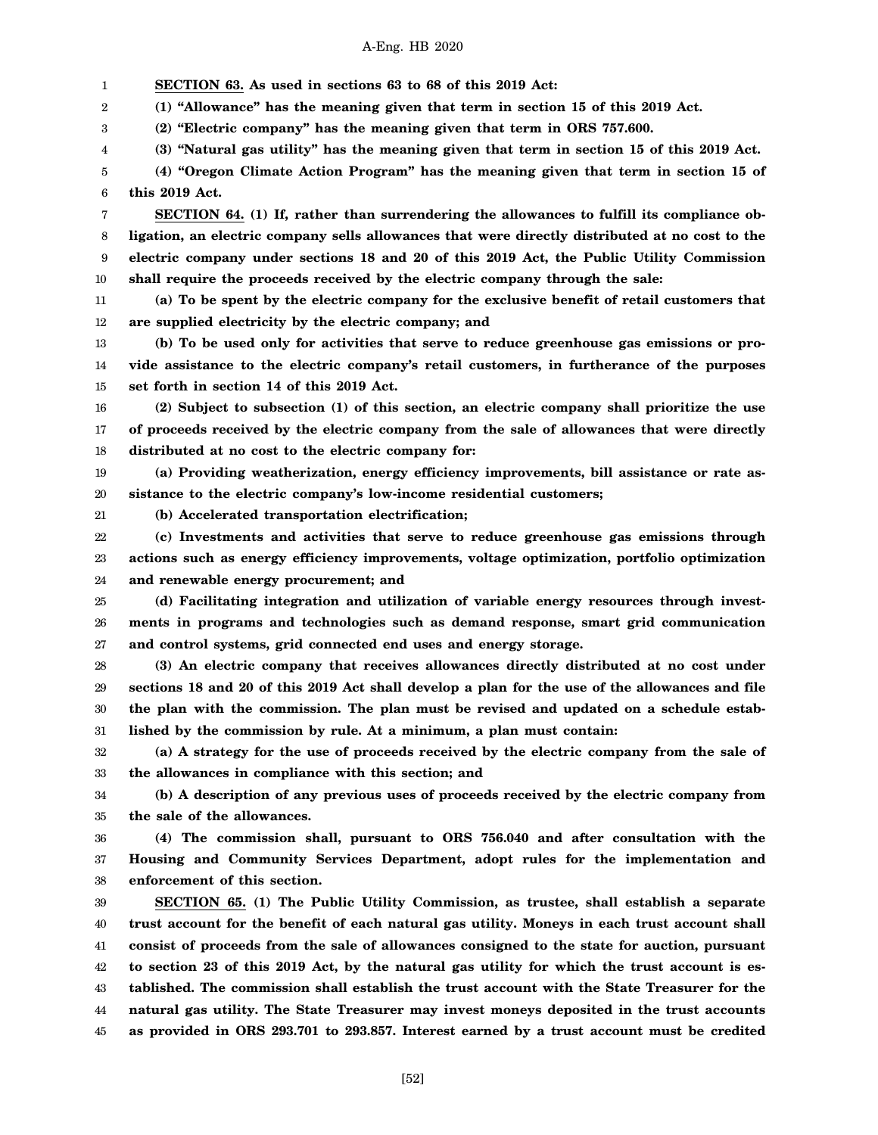1 2 3 4 5 6 7 8 9 10 11 12 13 14 15 16 17 18 19 20 21 22 23 24 25 26 27 28 29 30 31 32 33 34 35 36 37 38 39 40 41 42 **SECTION 63. As used in sections 63 to 68 of this 2019 Act: (1) "Allowance" has the meaning given that term in section 15 of this 2019 Act. (2) "Electric company" has the meaning given that term in ORS 757.600. (3) "Natural gas utility" has the meaning given that term in section 15 of this 2019 Act. (4) "Oregon Climate Action Program" has the meaning given that term in section 15 of this 2019 Act. SECTION 64. (1) If, rather than surrendering the allowances to fulfill its compliance obligation, an electric company sells allowances that were directly distributed at no cost to the electric company under sections 18 and 20 of this 2019 Act, the Public Utility Commission shall require the proceeds received by the electric company through the sale: (a) To be spent by the electric company for the exclusive benefit of retail customers that are supplied electricity by the electric company; and (b) To be used only for activities that serve to reduce greenhouse gas emissions or provide assistance to the electric company's retail customers, in furtherance of the purposes set forth in section 14 of this 2019 Act. (2) Subject to subsection (1) of this section, an electric company shall prioritize the use of proceeds received by the electric company from the sale of allowances that were directly distributed at no cost to the electric company for: (a) Providing weatherization, energy efficiency improvements, bill assistance or rate assistance to the electric company's low-income residential customers; (b) Accelerated transportation electrification; (c) Investments and activities that serve to reduce greenhouse gas emissions through actions such as energy efficiency improvements, voltage optimization, portfolio optimization and renewable energy procurement; and (d) Facilitating integration and utilization of variable energy resources through investments in programs and technologies such as demand response, smart grid communication and control systems, grid connected end uses and energy storage. (3) An electric company that receives allowances directly distributed at no cost under sections 18 and 20 of this 2019 Act shall develop a plan for the use of the allowances and file the plan with the commission. The plan must be revised and updated on a schedule established by the commission by rule. At a minimum, a plan must contain: (a) A strategy for the use of proceeds received by the electric company from the sale of the allowances in compliance with this section; and (b) A description of any previous uses of proceeds received by the electric company from the sale of the allowances. (4) The commission shall, pursuant to ORS 756.040 and after consultation with the Housing and Community Services Department, adopt rules for the implementation and enforcement of this section. SECTION 65. (1) The Public Utility Commission, as trustee, shall establish a separate trust account for the benefit of each natural gas utility. Moneys in each trust account shall consist of proceeds from the sale of allowances consigned to the state for auction, pursuant to section 23 of this 2019 Act, by the natural gas utility for which the trust account is es-**

44 45 **natural gas utility. The State Treasurer may invest moneys deposited in the trust accounts as provided in ORS 293.701 to 293.857. Interest earned by a trust account must be credited**

**tablished. The commission shall establish the trust account with the State Treasurer for the**

[52]

43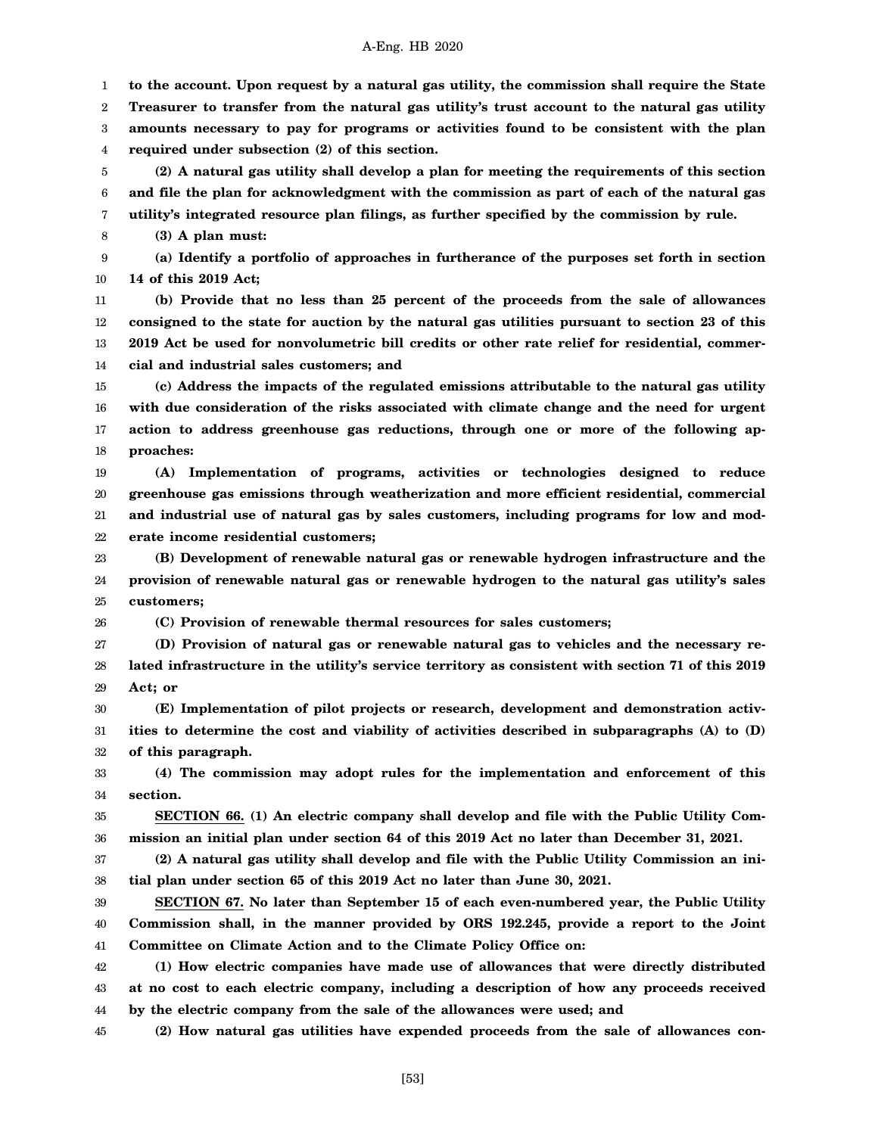1 2 3 4 5 6 7 8 **to the account. Upon request by a natural gas utility, the commission shall require the State Treasurer to transfer from the natural gas utility's trust account to the natural gas utility amounts necessary to pay for programs or activities found to be consistent with the plan required under subsection (2) of this section. (2) A natural gas utility shall develop a plan for meeting the requirements of this section and file the plan for acknowledgment with the commission as part of each of the natural gas utility's integrated resource plan filings, as further specified by the commission by rule. (3) A plan must:**

9 10 **(a) Identify a portfolio of approaches in furtherance of the purposes set forth in section 14 of this 2019 Act;**

11 12 13 14 **(b) Provide that no less than 25 percent of the proceeds from the sale of allowances consigned to the state for auction by the natural gas utilities pursuant to section 23 of this 2019 Act be used for nonvolumetric bill credits or other rate relief for residential, commercial and industrial sales customers; and**

15 16 17 18 **(c) Address the impacts of the regulated emissions attributable to the natural gas utility with due consideration of the risks associated with climate change and the need for urgent action to address greenhouse gas reductions, through one or more of the following approaches:**

19 20 21 22 **(A) Implementation of programs, activities or technologies designed to reduce greenhouse gas emissions through weatherization and more efficient residential, commercial and industrial use of natural gas by sales customers, including programs for low and moderate income residential customers;**

23 24 25 **(B) Development of renewable natural gas or renewable hydrogen infrastructure and the provision of renewable natural gas or renewable hydrogen to the natural gas utility's sales customers;**

26 **(C) Provision of renewable thermal resources for sales customers;**

27 28 29 **(D) Provision of natural gas or renewable natural gas to vehicles and the necessary related infrastructure in the utility's service territory as consistent with section 71 of this 2019 Act; or**

30 31 32 **(E) Implementation of pilot projects or research, development and demonstration activities to determine the cost and viability of activities described in subparagraphs (A) to (D) of this paragraph.**

33 34 **(4) The commission may adopt rules for the implementation and enforcement of this section.**

35 36 **SECTION 66. (1) An electric company shall develop and file with the Public Utility Commission an initial plan under section 64 of this 2019 Act no later than December 31, 2021.**

37 38 **(2) A natural gas utility shall develop and file with the Public Utility Commission an initial plan under section 65 of this 2019 Act no later than June 30, 2021.**

39 40 41 **SECTION 67. No later than September 15 of each even-numbered year, the Public Utility Commission shall, in the manner provided by ORS 192.245, provide a report to the Joint Committee on Climate Action and to the Climate Policy Office on:**

42 43 44 **(1) How electric companies have made use of allowances that were directly distributed at no cost to each electric company, including a description of how any proceeds received by the electric company from the sale of the allowances were used; and**

45 **(2) How natural gas utilities have expended proceeds from the sale of allowances con-**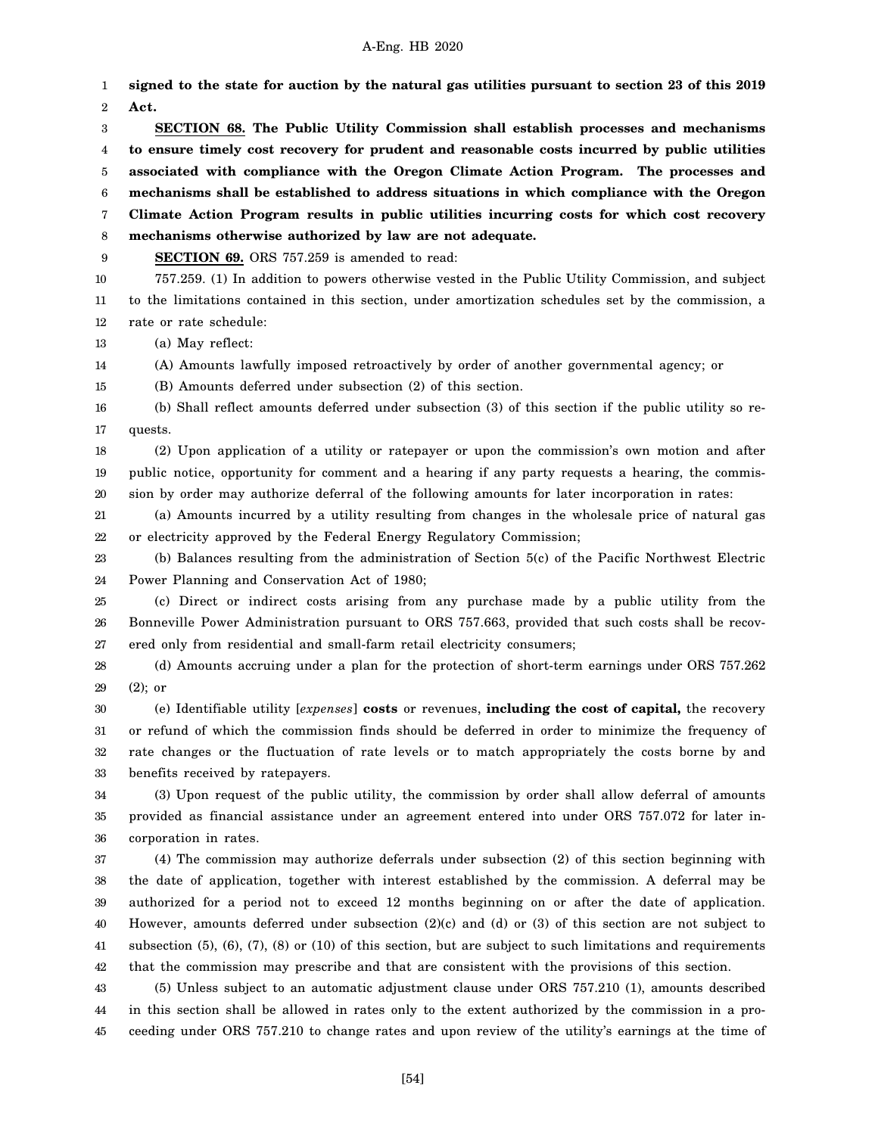1 2 3 4 5 6 7 8 9 10 11 12 13 14 15 16 17 18 19 20 21 22 23 24 25 26 27 28 29 30 31 32 33 34 35 36 37 38 39 40 **signed to the state for auction by the natural gas utilities pursuant to section 23 of this 2019 Act. SECTION 68. The Public Utility Commission shall establish processes and mechanisms to ensure timely cost recovery for prudent and reasonable costs incurred by public utilities associated with compliance with the Oregon Climate Action Program. The processes and mechanisms shall be established to address situations in which compliance with the Oregon Climate Action Program results in public utilities incurring costs for which cost recovery mechanisms otherwise authorized by law are not adequate. SECTION 69.** ORS 757.259 is amended to read: 757.259. (1) In addition to powers otherwise vested in the Public Utility Commission, and subject to the limitations contained in this section, under amortization schedules set by the commission, a rate or rate schedule: (a) May reflect: (A) Amounts lawfully imposed retroactively by order of another governmental agency; or (B) Amounts deferred under subsection (2) of this section. (b) Shall reflect amounts deferred under subsection (3) of this section if the public utility so requests. (2) Upon application of a utility or ratepayer or upon the commission's own motion and after public notice, opportunity for comment and a hearing if any party requests a hearing, the commission by order may authorize deferral of the following amounts for later incorporation in rates: (a) Amounts incurred by a utility resulting from changes in the wholesale price of natural gas or electricity approved by the Federal Energy Regulatory Commission; (b) Balances resulting from the administration of Section 5(c) of the Pacific Northwest Electric Power Planning and Conservation Act of 1980; (c) Direct or indirect costs arising from any purchase made by a public utility from the Bonneville Power Administration pursuant to ORS 757.663, provided that such costs shall be recovered only from residential and small-farm retail electricity consumers; (d) Amounts accruing under a plan for the protection of short-term earnings under ORS 757.262 (2); or (e) Identifiable utility [*expenses*] **costs** or revenues, **including the cost of capital,** the recovery or refund of which the commission finds should be deferred in order to minimize the frequency of rate changes or the fluctuation of rate levels or to match appropriately the costs borne by and benefits received by ratepayers. (3) Upon request of the public utility, the commission by order shall allow deferral of amounts provided as financial assistance under an agreement entered into under ORS 757.072 for later incorporation in rates. (4) The commission may authorize deferrals under subsection (2) of this section beginning with the date of application, together with interest established by the commission. A deferral may be authorized for a period not to exceed 12 months beginning on or after the date of application. However, amounts deferred under subsection (2)(c) and (d) or (3) of this section are not subject to

42 that the commission may prescribe and that are consistent with the provisions of this section.

41

43 44 45 (5) Unless subject to an automatic adjustment clause under ORS 757.210 (1), amounts described in this section shall be allowed in rates only to the extent authorized by the commission in a proceeding under ORS 757.210 to change rates and upon review of the utility's earnings at the time of

subsection (5), (6), (7), (8) or (10) of this section, but are subject to such limitations and requirements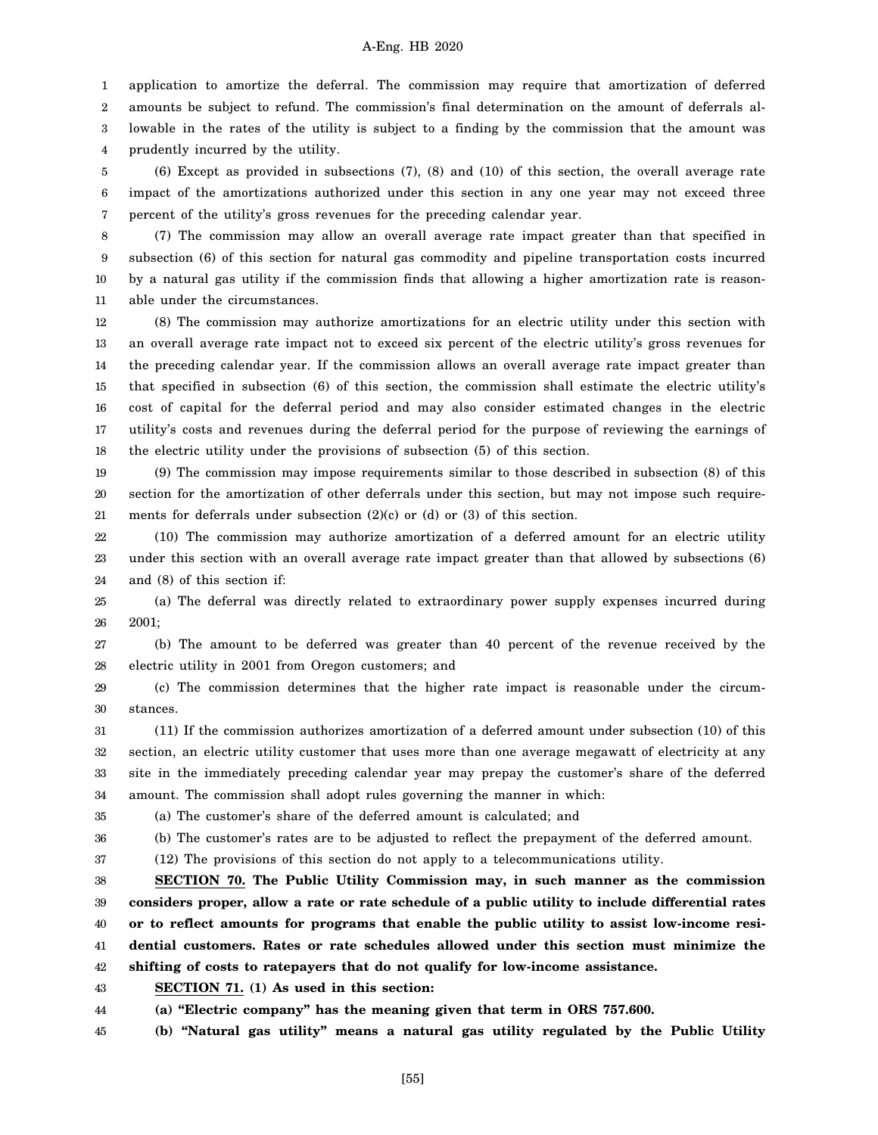1 application to amortize the deferral. The commission may require that amortization of deferred amounts be subject to refund. The commission's final determination on the amount of deferrals al-

2 3 4 lowable in the rates of the utility is subject to a finding by the commission that the amount was prudently incurred by the utility.

5 6 7 (6) Except as provided in subsections (7), (8) and (10) of this section, the overall average rate impact of the amortizations authorized under this section in any one year may not exceed three percent of the utility's gross revenues for the preceding calendar year.

8 9 10 11 (7) The commission may allow an overall average rate impact greater than that specified in subsection (6) of this section for natural gas commodity and pipeline transportation costs incurred by a natural gas utility if the commission finds that allowing a higher amortization rate is reasonable under the circumstances.

12 13 14 15 16 17 18 (8) The commission may authorize amortizations for an electric utility under this section with an overall average rate impact not to exceed six percent of the electric utility's gross revenues for the preceding calendar year. If the commission allows an overall average rate impact greater than that specified in subsection (6) of this section, the commission shall estimate the electric utility's cost of capital for the deferral period and may also consider estimated changes in the electric utility's costs and revenues during the deferral period for the purpose of reviewing the earnings of the electric utility under the provisions of subsection (5) of this section.

19 20 21 (9) The commission may impose requirements similar to those described in subsection (8) of this section for the amortization of other deferrals under this section, but may not impose such requirements for deferrals under subsection  $(2)(c)$  or  $(d)$  or  $(3)$  of this section.

22 23 24 (10) The commission may authorize amortization of a deferred amount for an electric utility under this section with an overall average rate impact greater than that allowed by subsections (6) and (8) of this section if:

25 26 (a) The deferral was directly related to extraordinary power supply expenses incurred during 2001;

27 28 (b) The amount to be deferred was greater than 40 percent of the revenue received by the electric utility in 2001 from Oregon customers; and

29 30 (c) The commission determines that the higher rate impact is reasonable under the circumstances.

31 32 33 34 (11) If the commission authorizes amortization of a deferred amount under subsection (10) of this section, an electric utility customer that uses more than one average megawatt of electricity at any site in the immediately preceding calendar year may prepay the customer's share of the deferred amount. The commission shall adopt rules governing the manner in which:

35 (a) The customer's share of the deferred amount is calculated; and

36

37

(b) The customer's rates are to be adjusted to reflect the prepayment of the deferred amount.

(12) The provisions of this section do not apply to a telecommunications utility.

38 39 40 41 42 **SECTION 70. The Public Utility Commission may, in such manner as the commission considers proper, allow a rate or rate schedule of a public utility to include differential rates or to reflect amounts for programs that enable the public utility to assist low-income residential customers. Rates or rate schedules allowed under this section must minimize the shifting of costs to ratepayers that do not qualify for low-income assistance.**

43 **SECTION 71. (1) As used in this section:**

44 **(a) "Electric company" has the meaning given that term in ORS 757.600.**

45 **(b) "Natural gas utility" means a natural gas utility regulated by the Public Utility**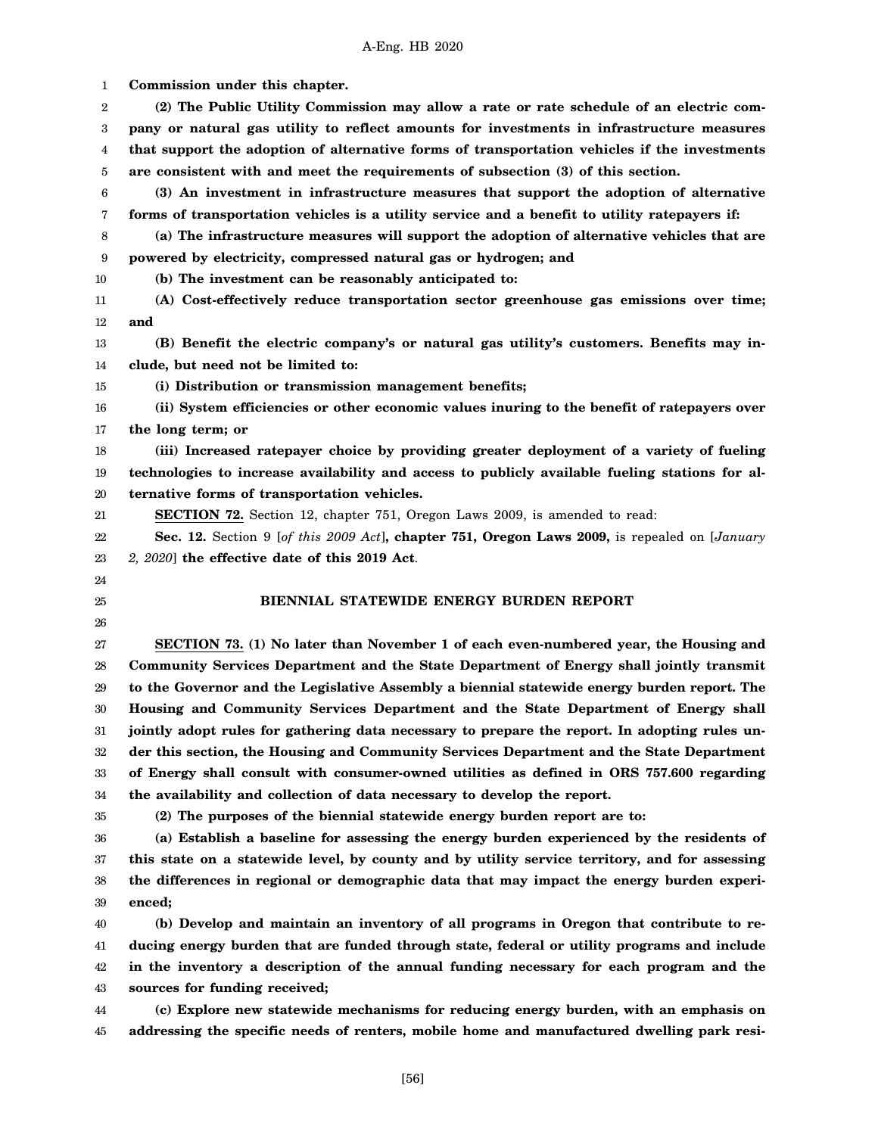1 2 3 4 5 6 7 8 9 10 11 12 13 14 15 16 17 18 19 20 21 22 23 24 25 26 27 28 29 30 31 32 33 34 35 36 37 38 39 40 41 42 43 44 **Commission under this chapter. (2) The Public Utility Commission may allow a rate or rate schedule of an electric company or natural gas utility to reflect amounts for investments in infrastructure measures that support the adoption of alternative forms of transportation vehicles if the investments are consistent with and meet the requirements of subsection (3) of this section. (3) An investment in infrastructure measures that support the adoption of alternative forms of transportation vehicles is a utility service and a benefit to utility ratepayers if: (a) The infrastructure measures will support the adoption of alternative vehicles that are powered by electricity, compressed natural gas or hydrogen; and (b) The investment can be reasonably anticipated to: (A) Cost-effectively reduce transportation sector greenhouse gas emissions over time; and (B) Benefit the electric company's or natural gas utility's customers. Benefits may include, but need not be limited to: (i) Distribution or transmission management benefits; (ii) System efficiencies or other economic values inuring to the benefit of ratepayers over the long term; or (iii) Increased ratepayer choice by providing greater deployment of a variety of fueling technologies to increase availability and access to publicly available fueling stations for alternative forms of transportation vehicles. SECTION 72.** Section 12, chapter 751, Oregon Laws 2009, is amended to read: **Sec. 12.** Section 9 [*of this 2009 Act*]**, chapter 751, Oregon Laws 2009,** is repealed on [*January 2, 2020*] **the effective date of this 2019 Act**. **BIENNIAL STATEWIDE ENERGY BURDEN REPORT SECTION 73. (1) No later than November 1 of each even-numbered year, the Housing and Community Services Department and the State Department of Energy shall jointly transmit to the Governor and the Legislative Assembly a biennial statewide energy burden report. The Housing and Community Services Department and the State Department of Energy shall jointly adopt rules for gathering data necessary to prepare the report. In adopting rules under this section, the Housing and Community Services Department and the State Department of Energy shall consult with consumer-owned utilities as defined in ORS 757.600 regarding the availability and collection of data necessary to develop the report. (2) The purposes of the biennial statewide energy burden report are to: (a) Establish a baseline for assessing the energy burden experienced by the residents of this state on a statewide level, by county and by utility service territory, and for assessing the differences in regional or demographic data that may impact the energy burden experienced; (b) Develop and maintain an inventory of all programs in Oregon that contribute to reducing energy burden that are funded through state, federal or utility programs and include in the inventory a description of the annual funding necessary for each program and the sources for funding received; (c) Explore new statewide mechanisms for reducing energy burden, with an emphasis on**

45 **addressing the specific needs of renters, mobile home and manufactured dwelling park resi-**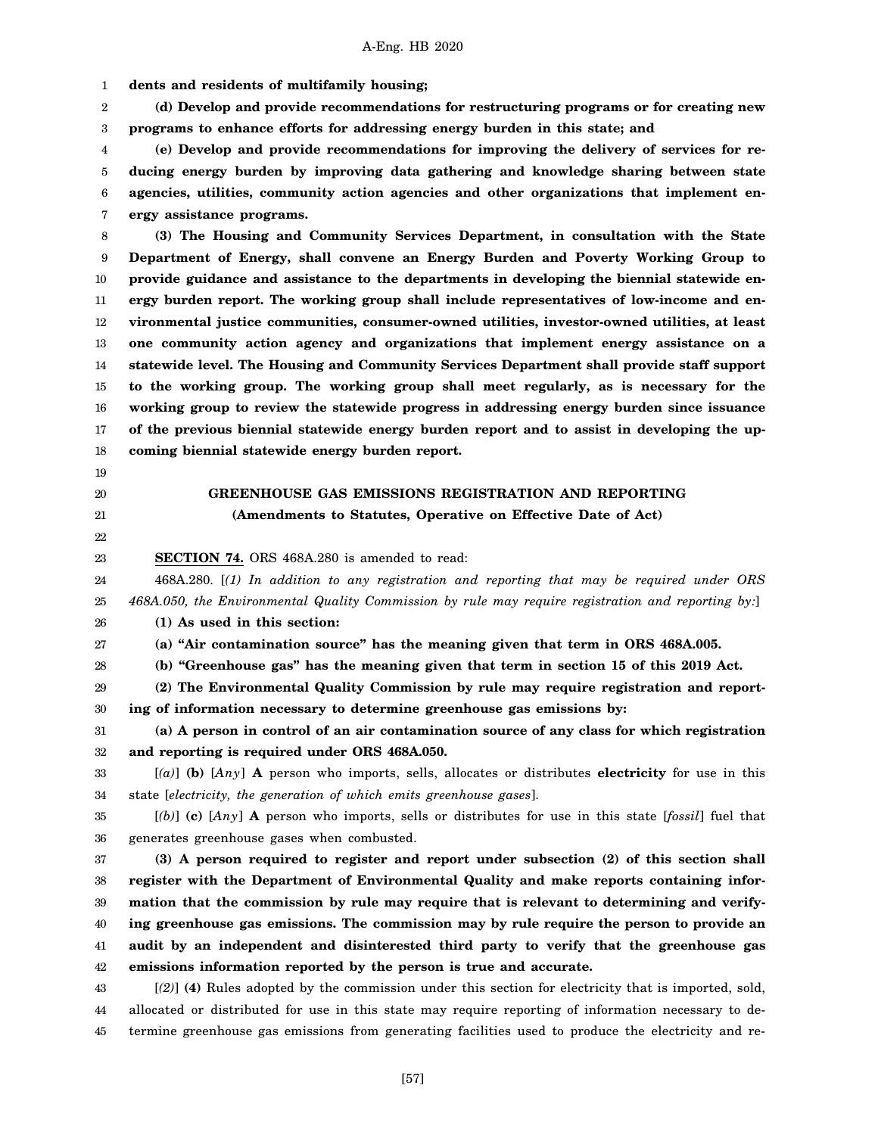1 **dents and residents of multifamily housing;**

2 3 **(d) Develop and provide recommendations for restructuring programs or for creating new programs to enhance efforts for addressing energy burden in this state; and**

4 5 6 7 **(e) Develop and provide recommendations for improving the delivery of services for reducing energy burden by improving data gathering and knowledge sharing between state agencies, utilities, community action agencies and other organizations that implement energy assistance programs.**

8 9 10 11 12 13 14 15 16 17 18 **(3) The Housing and Community Services Department, in consultation with the State Department of Energy, shall convene an Energy Burden and Poverty Working Group to provide guidance and assistance to the departments in developing the biennial statewide energy burden report. The working group shall include representatives of low-income and environmental justice communities, consumer-owned utilities, investor-owned utilities, at least one community action agency and organizations that implement energy assistance on a statewide level. The Housing and Community Services Department shall provide staff support to the working group. The working group shall meet regularly, as is necessary for the working group to review the statewide progress in addressing energy burden since issuance of the previous biennial statewide energy burden report and to assist in developing the upcoming biennial statewide energy burden report.**

- 19
- 20 21

# **GREENHOUSE GAS EMISSIONS REGISTRATION AND REPORTING (Amendments to Statutes, Operative on Effective Date of Act)**

22 23

**SECTION 74.** ORS 468A.280 is amended to read:

24 25 468A.280. [*(1) In addition to any registration and reporting that may be required under ORS 468A.050, the Environmental Quality Commission by rule may require registration and reporting by:*]

26 **(1) As used in this section:**

27 **(a) "Air contamination source" has the meaning given that term in ORS 468A.005.**

28 **(b) "Greenhouse gas" has the meaning given that term in section 15 of this 2019 Act.**

29 30 **(2) The Environmental Quality Commission by rule may require registration and reporting of information necessary to determine greenhouse gas emissions by:**

31 32 **(a) A person in control of an air contamination source of any class for which registration and reporting is required under ORS 468A.050.**

33 34 [*(a)*] **(b)** [*Any*] **A** person who imports, sells, allocates or distributes **electricity** for use in this state [*electricity, the generation of which emits greenhouse gases*].

35 36 [*(b)*] **(c)** [*Any*] **A** person who imports, sells or distributes for use in this state [*fossil*] fuel that generates greenhouse gases when combusted.

37 38 39 40 41 42 **(3) A person required to register and report under subsection (2) of this section shall register with the Department of Environmental Quality and make reports containing information that the commission by rule may require that is relevant to determining and verifying greenhouse gas emissions. The commission may by rule require the person to provide an audit by an independent and disinterested third party to verify that the greenhouse gas emissions information reported by the person is true and accurate.**

43 44 45 [*(2)*] **(4)** Rules adopted by the commission under this section for electricity that is imported, sold, allocated or distributed for use in this state may require reporting of information necessary to determine greenhouse gas emissions from generating facilities used to produce the electricity and re-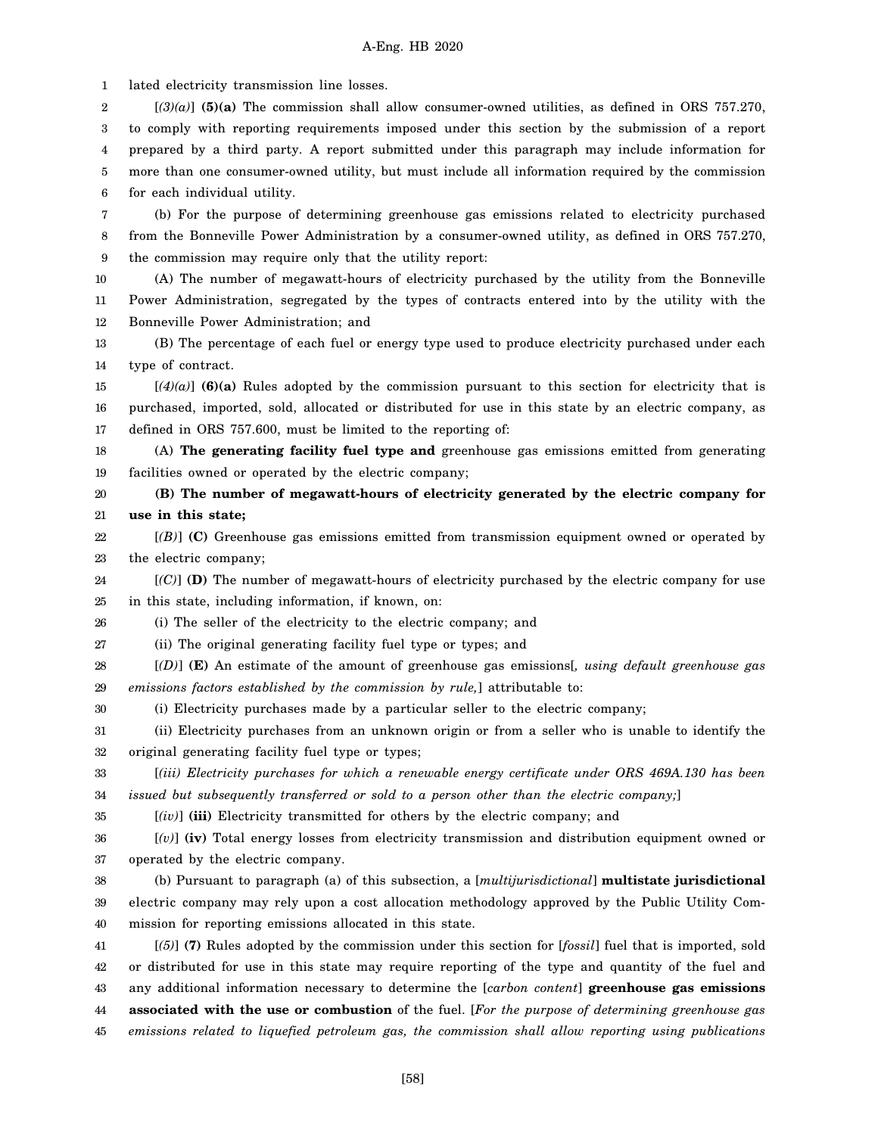1 2 3 4 5 6 7 8 9 10 11 12 13 14 15 16 17 18 19 20 21 22 23 24 25 26 27 28 29 30 31 32 33 34 35 36 37 38 39 40 41 42 43 44 45 lated electricity transmission line losses. [*(3)(a)*] **(5)(a)** The commission shall allow consumer-owned utilities, as defined in ORS 757.270, to comply with reporting requirements imposed under this section by the submission of a report prepared by a third party. A report submitted under this paragraph may include information for more than one consumer-owned utility, but must include all information required by the commission for each individual utility. (b) For the purpose of determining greenhouse gas emissions related to electricity purchased from the Bonneville Power Administration by a consumer-owned utility, as defined in ORS 757.270, the commission may require only that the utility report: (A) The number of megawatt-hours of electricity purchased by the utility from the Bonneville Power Administration, segregated by the types of contracts entered into by the utility with the Bonneville Power Administration; and (B) The percentage of each fuel or energy type used to produce electricity purchased under each type of contract.  $[(4)(a)]$  (6)(a) Rules adopted by the commission pursuant to this section for electricity that is purchased, imported, sold, allocated or distributed for use in this state by an electric company, as defined in ORS 757.600, must be limited to the reporting of: (A) **The generating facility fuel type and** greenhouse gas emissions emitted from generating facilities owned or operated by the electric company; **(B) The number of megawatt-hours of electricity generated by the electric company for use in this state;** [*(B)*] **(C)** Greenhouse gas emissions emitted from transmission equipment owned or operated by the electric company; [*(C)*] **(D)** The number of megawatt-hours of electricity purchased by the electric company for use in this state, including information, if known, on: (i) The seller of the electricity to the electric company; and (ii) The original generating facility fuel type or types; and [*(D)*] **(E)** An estimate of the amount of greenhouse gas emissions[*, using default greenhouse gas emissions factors established by the commission by rule,*] attributable to: (i) Electricity purchases made by a particular seller to the electric company; (ii) Electricity purchases from an unknown origin or from a seller who is unable to identify the original generating facility fuel type or types; [*(iii) Electricity purchases for which a renewable energy certificate under ORS 469A.130 has been issued but subsequently transferred or sold to a person other than the electric company;*] [*(iv)*] **(iii)** Electricity transmitted for others by the electric company; and [*(v)*] **(iv)** Total energy losses from electricity transmission and distribution equipment owned or operated by the electric company. (b) Pursuant to paragraph (a) of this subsection, a [*multijurisdictional*] **multistate jurisdictional** electric company may rely upon a cost allocation methodology approved by the Public Utility Commission for reporting emissions allocated in this state. [*(5)*] **(7)** Rules adopted by the commission under this section for [*fossil*] fuel that is imported, sold or distributed for use in this state may require reporting of the type and quantity of the fuel and any additional information necessary to determine the [*carbon content*] **greenhouse gas emissions associated with the use or combustion** of the fuel. [*For the purpose of determining greenhouse gas emissions related to liquefied petroleum gas, the commission shall allow reporting using publications*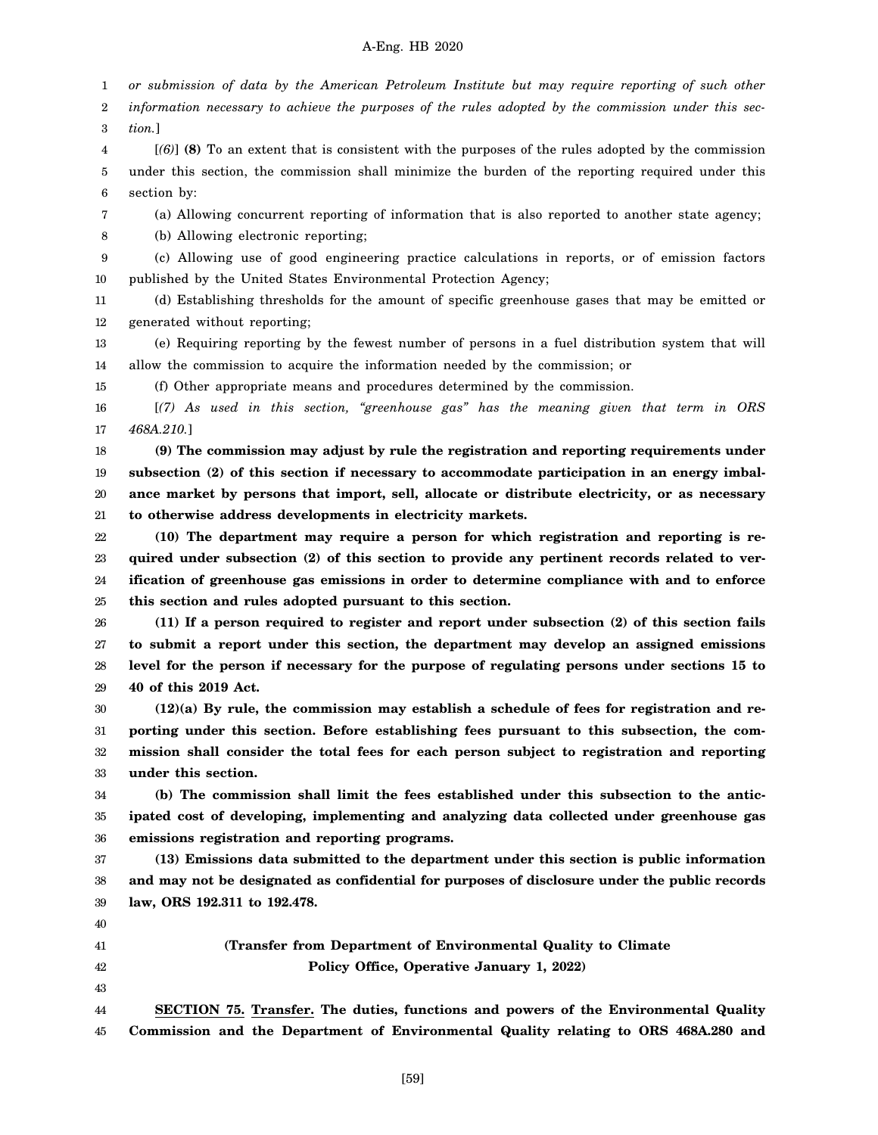1 *or submission of data by the American Petroleum Institute but may require reporting of such other*

2 3 *information necessary to achieve the purposes of the rules adopted by the commission under this section.*]

4 5 6 [*(6)*] **(8)** To an extent that is consistent with the purposes of the rules adopted by the commission under this section, the commission shall minimize the burden of the reporting required under this section by:

7 (a) Allowing concurrent reporting of information that is also reported to another state agency;

8 (b) Allowing electronic reporting;

9 10 (c) Allowing use of good engineering practice calculations in reports, or of emission factors published by the United States Environmental Protection Agency;

11 12 (d) Establishing thresholds for the amount of specific greenhouse gases that may be emitted or generated without reporting;

13 14 (e) Requiring reporting by the fewest number of persons in a fuel distribution system that will allow the commission to acquire the information needed by the commission; or

15 (f) Other appropriate means and procedures determined by the commission.

16 17 [*(7) As used in this section, "greenhouse gas" has the meaning given that term in ORS 468A.210.*]

18 19 20 21 **(9) The commission may adjust by rule the registration and reporting requirements under subsection (2) of this section if necessary to accommodate participation in an energy imbalance market by persons that import, sell, allocate or distribute electricity, or as necessary to otherwise address developments in electricity markets.**

22 23 24 25 **(10) The department may require a person for which registration and reporting is required under subsection (2) of this section to provide any pertinent records related to verification of greenhouse gas emissions in order to determine compliance with and to enforce this section and rules adopted pursuant to this section.**

26 27 28 29 **(11) If a person required to register and report under subsection (2) of this section fails to submit a report under this section, the department may develop an assigned emissions level for the person if necessary for the purpose of regulating persons under sections 15 to 40 of this 2019 Act.**

30 31 32 33 **(12)(a) By rule, the commission may establish a schedule of fees for registration and reporting under this section. Before establishing fees pursuant to this subsection, the commission shall consider the total fees for each person subject to registration and reporting under this section.**

34 35 36 **(b) The commission shall limit the fees established under this subsection to the anticipated cost of developing, implementing and analyzing data collected under greenhouse gas emissions registration and reporting programs.**

37 38 39 **(13) Emissions data submitted to the department under this section is public information and may not be designated as confidential for purposes of disclosure under the public records law, ORS 192.311 to 192.478.**

40 41

42 43

**(Transfer from Department of Environmental Quality to Climate Policy Office, Operative January 1, 2022)**

44 45 **SECTION 75. Transfer. The duties, functions and powers of the Environmental Quality Commission and the Department of Environmental Quality relating to ORS 468A.280 and**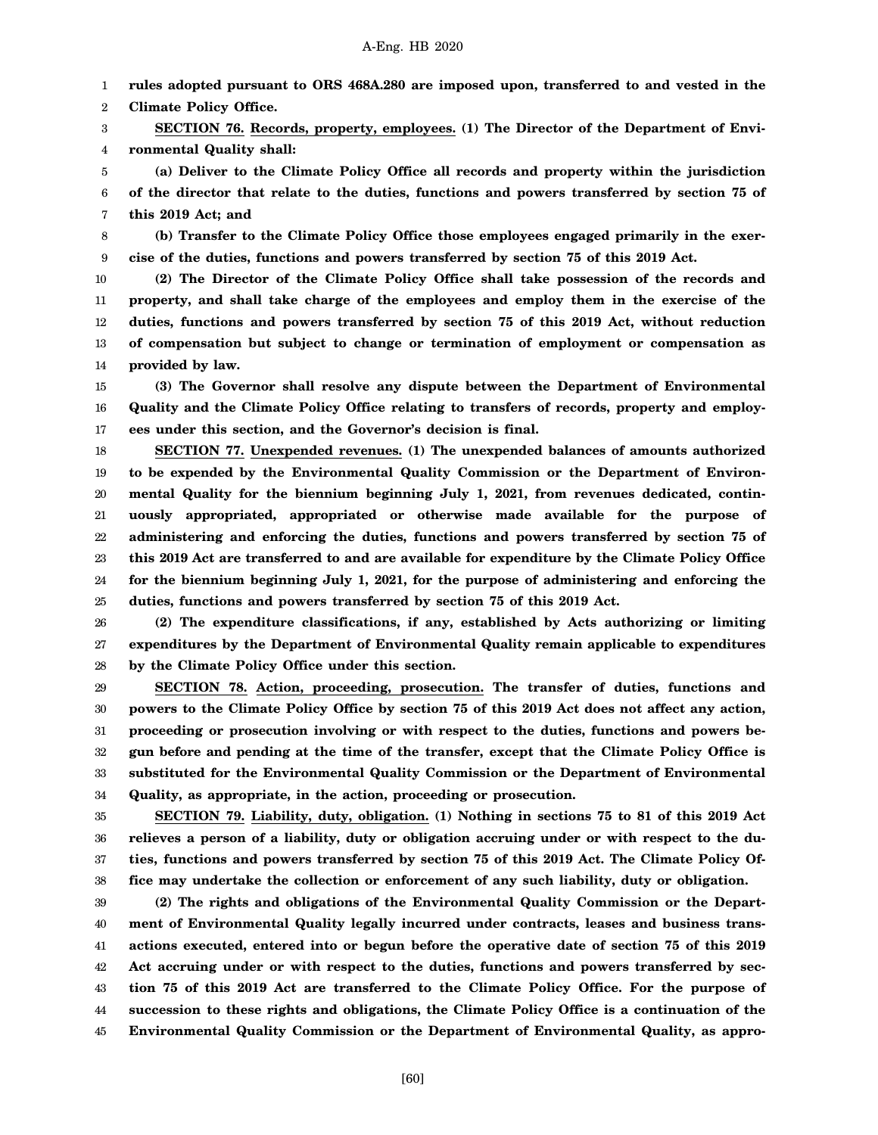1 **rules adopted pursuant to ORS 468A.280 are imposed upon, transferred to and vested in the**

2 **Climate Policy Office.**

3 4 **SECTION 76. Records, property, employees. (1) The Director of the Department of Environmental Quality shall:**

5 6 7 **(a) Deliver to the Climate Policy Office all records and property within the jurisdiction of the director that relate to the duties, functions and powers transferred by section 75 of this 2019 Act; and**

8 9 **(b) Transfer to the Climate Policy Office those employees engaged primarily in the exercise of the duties, functions and powers transferred by section 75 of this 2019 Act.**

10 11 12 13 14 **(2) The Director of the Climate Policy Office shall take possession of the records and property, and shall take charge of the employees and employ them in the exercise of the duties, functions and powers transferred by section 75 of this 2019 Act, without reduction of compensation but subject to change or termination of employment or compensation as provided by law.**

15 16 17 **(3) The Governor shall resolve any dispute between the Department of Environmental Quality and the Climate Policy Office relating to transfers of records, property and employees under this section, and the Governor's decision is final.**

18 19 20 21 22 23 24 25 **SECTION 77. Unexpended revenues. (1) The unexpended balances of amounts authorized to be expended by the Environmental Quality Commission or the Department of Environmental Quality for the biennium beginning July 1, 2021, from revenues dedicated, continuously appropriated, appropriated or otherwise made available for the purpose of administering and enforcing the duties, functions and powers transferred by section 75 of this 2019 Act are transferred to and are available for expenditure by the Climate Policy Office for the biennium beginning July 1, 2021, for the purpose of administering and enforcing the duties, functions and powers transferred by section 75 of this 2019 Act.**

26 27 28 **(2) The expenditure classifications, if any, established by Acts authorizing or limiting expenditures by the Department of Environmental Quality remain applicable to expenditures by the Climate Policy Office under this section.**

29 30 31 32 33 34 **SECTION 78. Action, proceeding, prosecution. The transfer of duties, functions and powers to the Climate Policy Office by section 75 of this 2019 Act does not affect any action, proceeding or prosecution involving or with respect to the duties, functions and powers begun before and pending at the time of the transfer, except that the Climate Policy Office is substituted for the Environmental Quality Commission or the Department of Environmental Quality, as appropriate, in the action, proceeding or prosecution.**

35 36 37 38 **SECTION 79. Liability, duty, obligation. (1) Nothing in sections 75 to 81 of this 2019 Act relieves a person of a liability, duty or obligation accruing under or with respect to the duties, functions and powers transferred by section 75 of this 2019 Act. The Climate Policy Office may undertake the collection or enforcement of any such liability, duty or obligation.**

39 40 41 42 43 44 45 **(2) The rights and obligations of the Environmental Quality Commission or the Department of Environmental Quality legally incurred under contracts, leases and business transactions executed, entered into or begun before the operative date of section 75 of this 2019 Act accruing under or with respect to the duties, functions and powers transferred by section 75 of this 2019 Act are transferred to the Climate Policy Office. For the purpose of succession to these rights and obligations, the Climate Policy Office is a continuation of the Environmental Quality Commission or the Department of Environmental Quality, as appro-**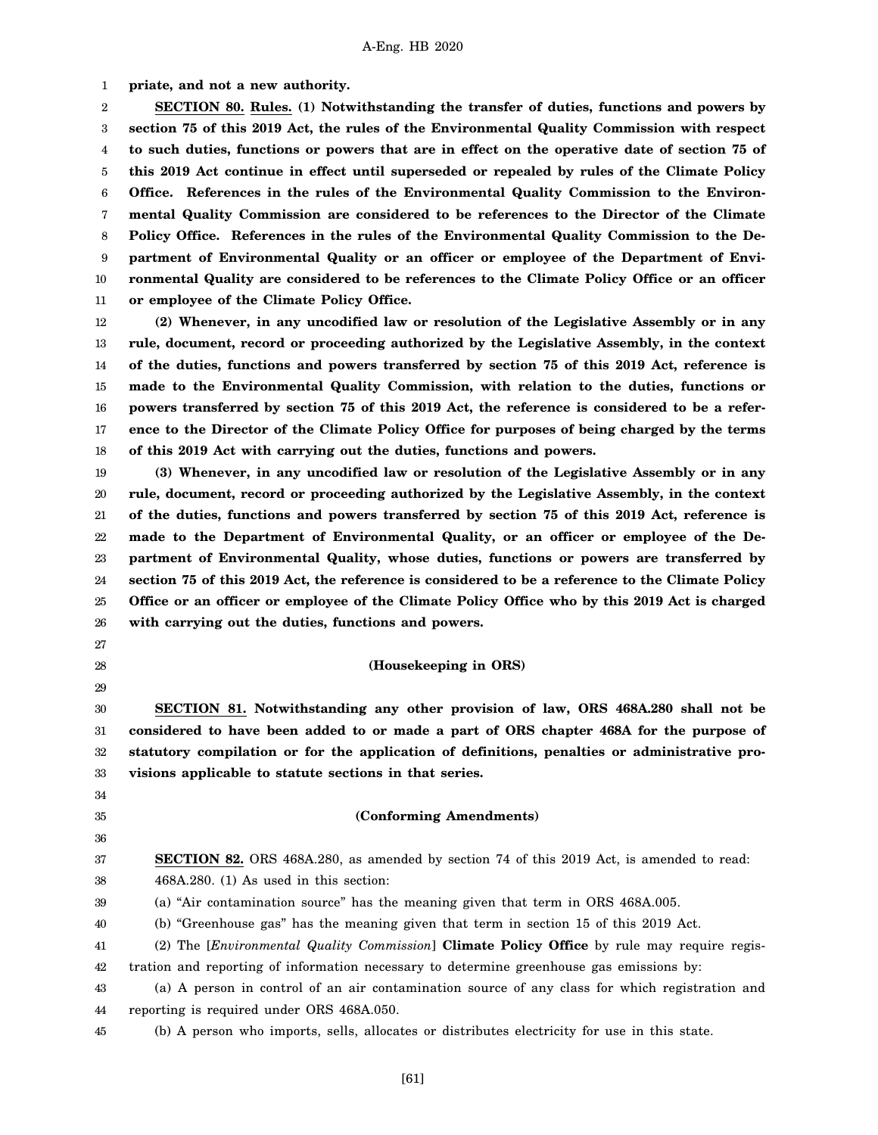1 **priate, and not a new authority.**

2 3 4 5 6 7 8 9 10 11 **SECTION 80. Rules. (1) Notwithstanding the transfer of duties, functions and powers by section 75 of this 2019 Act, the rules of the Environmental Quality Commission with respect to such duties, functions or powers that are in effect on the operative date of section 75 of this 2019 Act continue in effect until superseded or repealed by rules of the Climate Policy Office. References in the rules of the Environmental Quality Commission to the Environmental Quality Commission are considered to be references to the Director of the Climate Policy Office. References in the rules of the Environmental Quality Commission to the Department of Environmental Quality or an officer or employee of the Department of Environmental Quality are considered to be references to the Climate Policy Office or an officer or employee of the Climate Policy Office.**

12 13 14 15 16 17 18 **(2) Whenever, in any uncodified law or resolution of the Legislative Assembly or in any rule, document, record or proceeding authorized by the Legislative Assembly, in the context of the duties, functions and powers transferred by section 75 of this 2019 Act, reference is made to the Environmental Quality Commission, with relation to the duties, functions or powers transferred by section 75 of this 2019 Act, the reference is considered to be a reference to the Director of the Climate Policy Office for purposes of being charged by the terms of this 2019 Act with carrying out the duties, functions and powers.**

19 20 21 22 23 24 25 26 **(3) Whenever, in any uncodified law or resolution of the Legislative Assembly or in any rule, document, record or proceeding authorized by the Legislative Assembly, in the context of the duties, functions and powers transferred by section 75 of this 2019 Act, reference is made to the Department of Environmental Quality, or an officer or employee of the Department of Environmental Quality, whose duties, functions or powers are transferred by section 75 of this 2019 Act, the reference is considered to be a reference to the Climate Policy Office or an officer or employee of the Climate Policy Office who by this 2019 Act is charged with carrying out the duties, functions and powers.**

- 27
- 28 29

### **(Housekeeping in ORS)**

30 31 32 33 **SECTION 81. Notwithstanding any other provision of law, ORS 468A.280 shall not be considered to have been added to or made a part of ORS chapter 468A for the purpose of statutory compilation or for the application of definitions, penalties or administrative provisions applicable to statute sections in that series.**

- 34
- 35 36

# **(Conforming Amendments)**

#### 37 38 **SECTION 82.** ORS 468A.280, as amended by section 74 of this 2019 Act, is amended to read: 468A.280. (1) As used in this section:

39 (a) "Air contamination source" has the meaning given that term in ORS 468A.005.

40 (b) "Greenhouse gas" has the meaning given that term in section 15 of this 2019 Act.

41 (2) The [*Environmental Quality Commission*] **Climate Policy Office** by rule may require regis-

42 tration and reporting of information necessary to determine greenhouse gas emissions by:

- 43 44 (a) A person in control of an air contamination source of any class for which registration and reporting is required under ORS 468A.050.
- 45 (b) A person who imports, sells, allocates or distributes electricity for use in this state.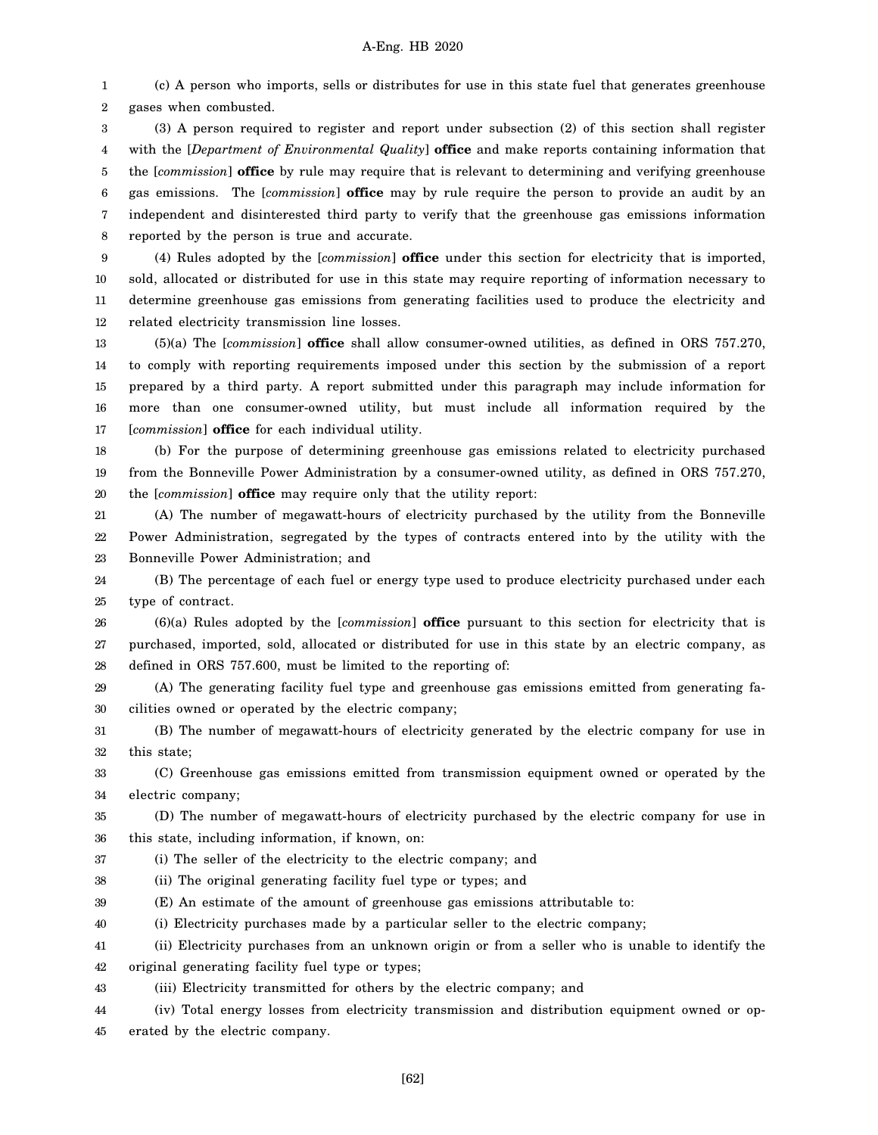1 2 (c) A person who imports, sells or distributes for use in this state fuel that generates greenhouse gases when combusted.

3 4 5 6 7 8 (3) A person required to register and report under subsection (2) of this section shall register with the [*Department of Environmental Quality*] **office** and make reports containing information that the [*commission*] **office** by rule may require that is relevant to determining and verifying greenhouse gas emissions. The [*commission*] **office** may by rule require the person to provide an audit by an independent and disinterested third party to verify that the greenhouse gas emissions information reported by the person is true and accurate.

9 10 11 12 (4) Rules adopted by the [*commission*] **office** under this section for electricity that is imported, sold, allocated or distributed for use in this state may require reporting of information necessary to determine greenhouse gas emissions from generating facilities used to produce the electricity and related electricity transmission line losses.

13 14 15 16 17 (5)(a) The [*commission*] **office** shall allow consumer-owned utilities, as defined in ORS 757.270, to comply with reporting requirements imposed under this section by the submission of a report prepared by a third party. A report submitted under this paragraph may include information for more than one consumer-owned utility, but must include all information required by the [*commission*] **office** for each individual utility.

18 19 20 (b) For the purpose of determining greenhouse gas emissions related to electricity purchased from the Bonneville Power Administration by a consumer-owned utility, as defined in ORS 757.270, the [*commission*] **office** may require only that the utility report:

21 22 23 (A) The number of megawatt-hours of electricity purchased by the utility from the Bonneville Power Administration, segregated by the types of contracts entered into by the utility with the Bonneville Power Administration; and

24 25 (B) The percentage of each fuel or energy type used to produce electricity purchased under each type of contract.

26 27 28 (6)(a) Rules adopted by the [*commission*] **office** pursuant to this section for electricity that is purchased, imported, sold, allocated or distributed for use in this state by an electric company, as defined in ORS 757.600, must be limited to the reporting of:

29 30 (A) The generating facility fuel type and greenhouse gas emissions emitted from generating facilities owned or operated by the electric company;

31 32 (B) The number of megawatt-hours of electricity generated by the electric company for use in this state;

33 34 (C) Greenhouse gas emissions emitted from transmission equipment owned or operated by the electric company;

35 36 (D) The number of megawatt-hours of electricity purchased by the electric company for use in this state, including information, if known, on:

37 (i) The seller of the electricity to the electric company; and

38 (ii) The original generating facility fuel type or types; and

39 (E) An estimate of the amount of greenhouse gas emissions attributable to:

40 (i) Electricity purchases made by a particular seller to the electric company;

41 42 (ii) Electricity purchases from an unknown origin or from a seller who is unable to identify the original generating facility fuel type or types;

43 (iii) Electricity transmitted for others by the electric company; and

44 45 (iv) Total energy losses from electricity transmission and distribution equipment owned or operated by the electric company.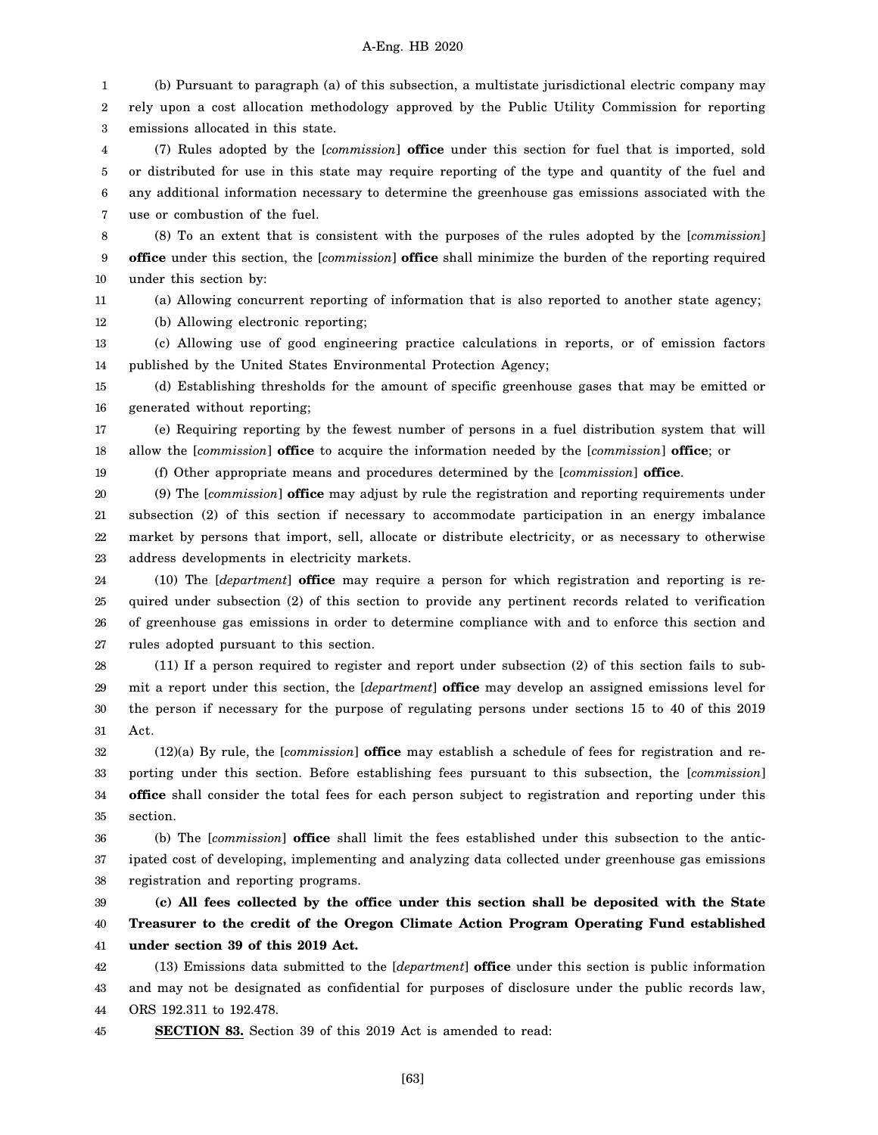1 2 3 (b) Pursuant to paragraph (a) of this subsection, a multistate jurisdictional electric company may rely upon a cost allocation methodology approved by the Public Utility Commission for reporting emissions allocated in this state.

4 5 6 7 (7) Rules adopted by the [*commission*] **office** under this section for fuel that is imported, sold or distributed for use in this state may require reporting of the type and quantity of the fuel and any additional information necessary to determine the greenhouse gas emissions associated with the use or combustion of the fuel.

8 9 10 (8) To an extent that is consistent with the purposes of the rules adopted by the [*commission*] **office** under this section, the [*commission*] **office** shall minimize the burden of the reporting required under this section by:

11

19

(a) Allowing concurrent reporting of information that is also reported to another state agency;

12 (b) Allowing electronic reporting;

13 14 (c) Allowing use of good engineering practice calculations in reports, or of emission factors published by the United States Environmental Protection Agency;

15 16 (d) Establishing thresholds for the amount of specific greenhouse gases that may be emitted or generated without reporting;

17 18 (e) Requiring reporting by the fewest number of persons in a fuel distribution system that will allow the [*commission*] **office** to acquire the information needed by the [*commission*] **office**; or

(f) Other appropriate means and procedures determined by the [*commission*] **office**.

20 21 22 23 (9) The [*commission*] **office** may adjust by rule the registration and reporting requirements under subsection (2) of this section if necessary to accommodate participation in an energy imbalance market by persons that import, sell, allocate or distribute electricity, or as necessary to otherwise address developments in electricity markets.

24 25 26 27 (10) The [*department*] **office** may require a person for which registration and reporting is required under subsection (2) of this section to provide any pertinent records related to verification of greenhouse gas emissions in order to determine compliance with and to enforce this section and rules adopted pursuant to this section.

28 29 30 31 (11) If a person required to register and report under subsection (2) of this section fails to submit a report under this section, the [*department*] **office** may develop an assigned emissions level for the person if necessary for the purpose of regulating persons under sections 15 to 40 of this 2019 Act.

32 33 34 35 (12)(a) By rule, the [*commission*] **office** may establish a schedule of fees for registration and reporting under this section. Before establishing fees pursuant to this subsection, the [*commission*] **office** shall consider the total fees for each person subject to registration and reporting under this section.

36 37 38 (b) The [*commission*] **office** shall limit the fees established under this subsection to the anticipated cost of developing, implementing and analyzing data collected under greenhouse gas emissions registration and reporting programs.

39 40 41 **(c) All fees collected by the office under this section shall be deposited with the State Treasurer to the credit of the Oregon Climate Action Program Operating Fund established under section 39 of this 2019 Act.**

42 43 44 (13) Emissions data submitted to the [*department*] **office** under this section is public information and may not be designated as confidential for purposes of disclosure under the public records law, ORS 192.311 to 192.478.

45 **SECTION 83.** Section 39 of this 2019 Act is amended to read: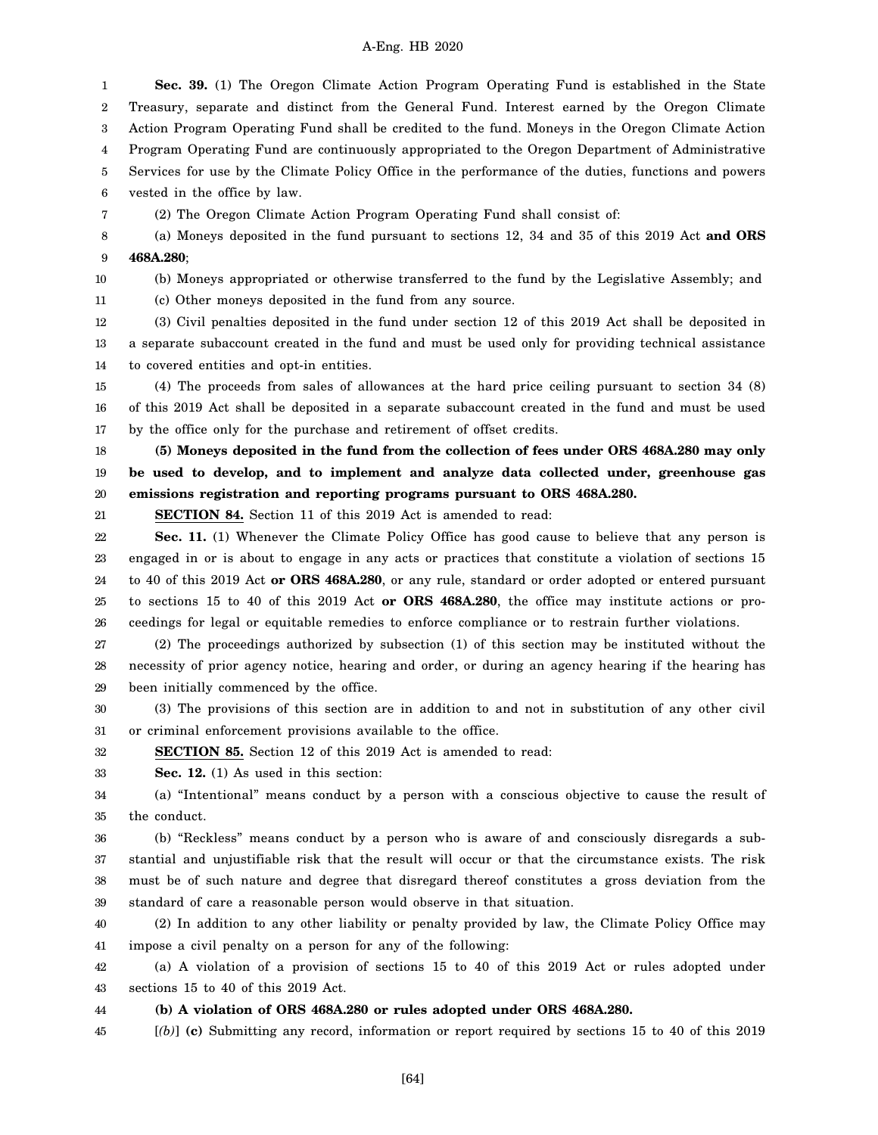1 2 3 4 5 6 7 **Sec. 39.** (1) The Oregon Climate Action Program Operating Fund is established in the State Treasury, separate and distinct from the General Fund. Interest earned by the Oregon Climate Action Program Operating Fund shall be credited to the fund. Moneys in the Oregon Climate Action Program Operating Fund are continuously appropriated to the Oregon Department of Administrative Services for use by the Climate Policy Office in the performance of the duties, functions and powers vested in the office by law. (2) The Oregon Climate Action Program Operating Fund shall consist of:

8 9 (a) Moneys deposited in the fund pursuant to sections 12, 34 and 35 of this 2019 Act **and ORS 468A.280**;

10

11

(b) Moneys appropriated or otherwise transferred to the fund by the Legislative Assembly; and

(c) Other moneys deposited in the fund from any source.

12 13 14 (3) Civil penalties deposited in the fund under section 12 of this 2019 Act shall be deposited in a separate subaccount created in the fund and must be used only for providing technical assistance to covered entities and opt-in entities.

15 16 17 (4) The proceeds from sales of allowances at the hard price ceiling pursuant to section 34 (8) of this 2019 Act shall be deposited in a separate subaccount created in the fund and must be used by the office only for the purchase and retirement of offset credits.

18 19 20 **(5) Moneys deposited in the fund from the collection of fees under ORS 468A.280 may only be used to develop, and to implement and analyze data collected under, greenhouse gas emissions registration and reporting programs pursuant to ORS 468A.280.**

21

**SECTION 84.** Section 11 of this 2019 Act is amended to read:

22 23 24 25 26 **Sec. 11.** (1) Whenever the Climate Policy Office has good cause to believe that any person is engaged in or is about to engage in any acts or practices that constitute a violation of sections 15 to 40 of this 2019 Act **or ORS 468A.280**, or any rule, standard or order adopted or entered pursuant to sections 15 to 40 of this 2019 Act **or ORS 468A.280**, the office may institute actions or proceedings for legal or equitable remedies to enforce compliance or to restrain further violations.

27 28 29 (2) The proceedings authorized by subsection (1) of this section may be instituted without the necessity of prior agency notice, hearing and order, or during an agency hearing if the hearing has been initially commenced by the office.

30 31 (3) The provisions of this section are in addition to and not in substitution of any other civil or criminal enforcement provisions available to the office.

32 **SECTION 85.** Section 12 of this 2019 Act is amended to read:

33 **Sec. 12.** (1) As used in this section:

34 35 (a) "Intentional" means conduct by a person with a conscious objective to cause the result of the conduct.

36 37 38 39 (b) "Reckless" means conduct by a person who is aware of and consciously disregards a substantial and unjustifiable risk that the result will occur or that the circumstance exists. The risk must be of such nature and degree that disregard thereof constitutes a gross deviation from the standard of care a reasonable person would observe in that situation.

40 41 (2) In addition to any other liability or penalty provided by law, the Climate Policy Office may impose a civil penalty on a person for any of the following:

42 43 (a) A violation of a provision of sections 15 to 40 of this 2019 Act or rules adopted under sections 15 to 40 of this 2019 Act.

44 **(b) A violation of ORS 468A.280 or rules adopted under ORS 468A.280.**

45 [*(b)*] **(c)** Submitting any record, information or report required by sections 15 to 40 of this 2019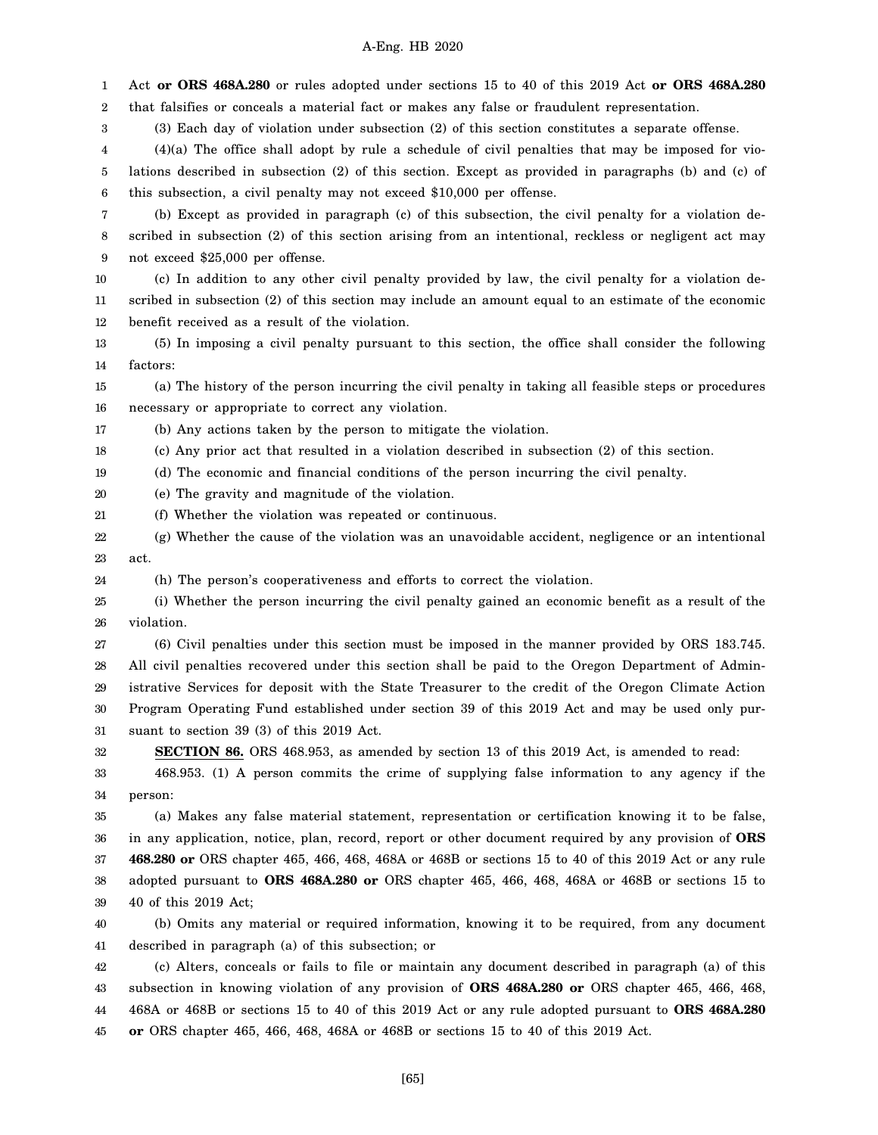1 2 Act **or ORS 468A.280** or rules adopted under sections 15 to 40 of this 2019 Act **or ORS 468A.280** that falsifies or conceals a material fact or makes any false or fraudulent representation.

3 (3) Each day of violation under subsection (2) of this section constitutes a separate offense.

4 5 6 (4)(a) The office shall adopt by rule a schedule of civil penalties that may be imposed for violations described in subsection (2) of this section. Except as provided in paragraphs (b) and (c) of this subsection, a civil penalty may not exceed \$10,000 per offense.

7 8 9 (b) Except as provided in paragraph (c) of this subsection, the civil penalty for a violation described in subsection (2) of this section arising from an intentional, reckless or negligent act may not exceed \$25,000 per offense.

10 11 12 (c) In addition to any other civil penalty provided by law, the civil penalty for a violation described in subsection (2) of this section may include an amount equal to an estimate of the economic benefit received as a result of the violation.

13 14 (5) In imposing a civil penalty pursuant to this section, the office shall consider the following factors:

15 16 (a) The history of the person incurring the civil penalty in taking all feasible steps or procedures necessary or appropriate to correct any violation.

17 (b) Any actions taken by the person to mitigate the violation.

18 (c) Any prior act that resulted in a violation described in subsection (2) of this section.

19 (d) The economic and financial conditions of the person incurring the civil penalty.

20 (e) The gravity and magnitude of the violation.

21 (f) Whether the violation was repeated or continuous.

22 23 (g) Whether the cause of the violation was an unavoidable accident, negligence or an intentional act.

24 (h) The person's cooperativeness and efforts to correct the violation.

25 26 (i) Whether the person incurring the civil penalty gained an economic benefit as a result of the violation.

27 28 29 30 31 (6) Civil penalties under this section must be imposed in the manner provided by ORS 183.745. All civil penalties recovered under this section shall be paid to the Oregon Department of Administrative Services for deposit with the State Treasurer to the credit of the Oregon Climate Action Program Operating Fund established under section 39 of this 2019 Act and may be used only pursuant to section 39 (3) of this 2019 Act.

32 **SECTION 86.** ORS 468.953, as amended by section 13 of this 2019 Act, is amended to read:

33 34 468.953. (1) A person commits the crime of supplying false information to any agency if the person:

35 36 37 38 39 (a) Makes any false material statement, representation or certification knowing it to be false, in any application, notice, plan, record, report or other document required by any provision of **ORS 468.280 or** ORS chapter 465, 466, 468, 468A or 468B or sections 15 to 40 of this 2019 Act or any rule adopted pursuant to **ORS 468A.280 or** ORS chapter 465, 466, 468, 468A or 468B or sections 15 to 40 of this 2019 Act;

40 41 (b) Omits any material or required information, knowing it to be required, from any document described in paragraph (a) of this subsection; or

42 43 44 45 (c) Alters, conceals or fails to file or maintain any document described in paragraph (a) of this subsection in knowing violation of any provision of **ORS 468A.280 or** ORS chapter 465, 466, 468, 468A or 468B or sections 15 to 40 of this 2019 Act or any rule adopted pursuant to **ORS 468A.280 or** ORS chapter 465, 466, 468, 468A or 468B or sections 15 to 40 of this 2019 Act.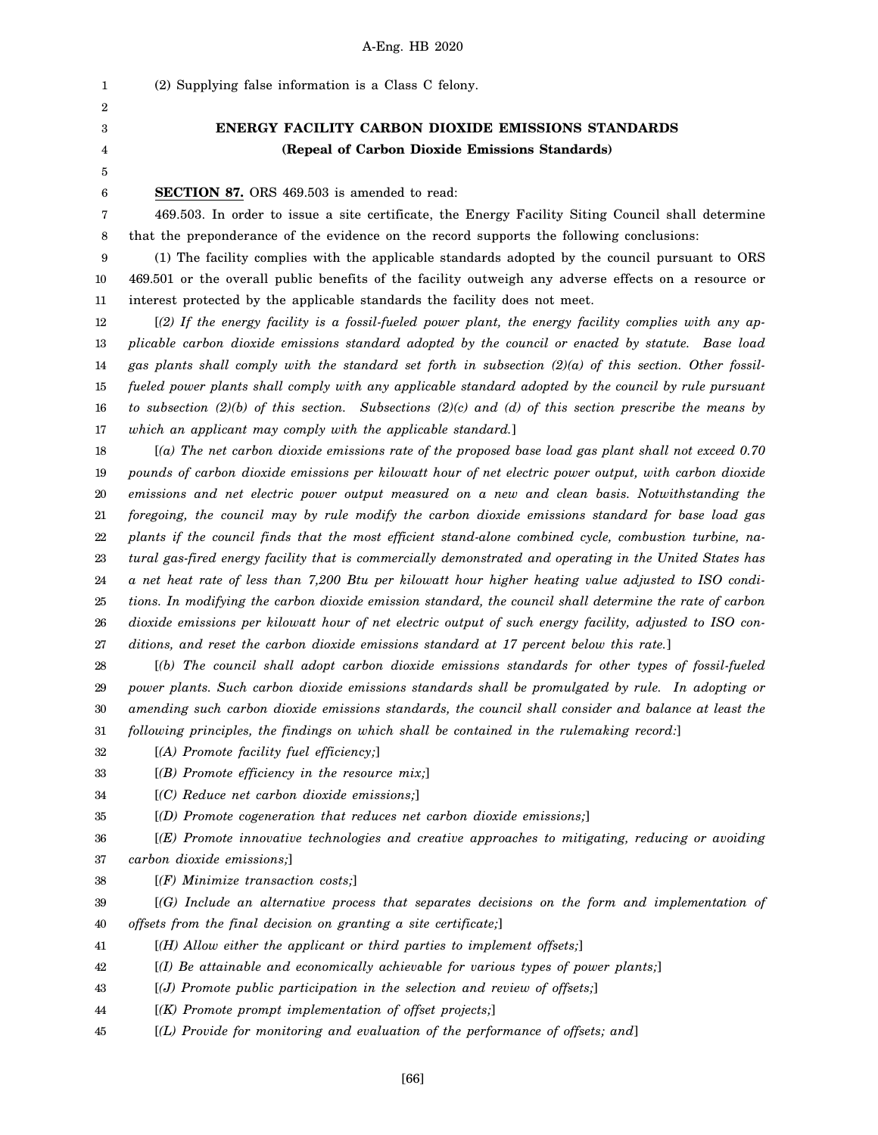(2) Supplying false information is a Class C felony. **ENERGY FACILITY CARBON DIOXIDE EMISSIONS STANDARDS (Repeal of Carbon Dioxide Emissions Standards) SECTION 87.** ORS 469.503 is amended to read:

7 8 469.503. In order to issue a site certificate, the Energy Facility Siting Council shall determine that the preponderance of the evidence on the record supports the following conclusions:

9 10 11 (1) The facility complies with the applicable standards adopted by the council pursuant to ORS 469.501 or the overall public benefits of the facility outweigh any adverse effects on a resource or interest protected by the applicable standards the facility does not meet.

12 13 14 15 16 17 [*(2) If the energy facility is a fossil-fueled power plant, the energy facility complies with any applicable carbon dioxide emissions standard adopted by the council or enacted by statute. Base load gas plants shall comply with the standard set forth in subsection (2)(a) of this section. Other fossilfueled power plants shall comply with any applicable standard adopted by the council by rule pursuant to subsection (2)(b) of this section. Subsections (2)(c) and (d) of this section prescribe the means by which an applicant may comply with the applicable standard.*]

18 19 20 21 22 23 24 25 26 27 [*(a) The net carbon dioxide emissions rate of the proposed base load gas plant shall not exceed 0.70 pounds of carbon dioxide emissions per kilowatt hour of net electric power output, with carbon dioxide emissions and net electric power output measured on a new and clean basis. Notwithstanding the foregoing, the council may by rule modify the carbon dioxide emissions standard for base load gas plants if the council finds that the most efficient stand-alone combined cycle, combustion turbine, natural gas-fired energy facility that is commercially demonstrated and operating in the United States has a net heat rate of less than 7,200 Btu per kilowatt hour higher heating value adjusted to ISO conditions. In modifying the carbon dioxide emission standard, the council shall determine the rate of carbon dioxide emissions per kilowatt hour of net electric output of such energy facility, adjusted to ISO conditions, and reset the carbon dioxide emissions standard at 17 percent below this rate.*]

28 29 30 31 [*(b) The council shall adopt carbon dioxide emissions standards for other types of fossil-fueled power plants. Such carbon dioxide emissions standards shall be promulgated by rule. In adopting or amending such carbon dioxide emissions standards, the council shall consider and balance at least the following principles, the findings on which shall be contained in the rulemaking record:*]

32 [*(A) Promote facility fuel efficiency;*]

33 [*(B) Promote efficiency in the resource mix;*]

34 [*(C) Reduce net carbon dioxide emissions;*]

35 [*(D) Promote cogeneration that reduces net carbon dioxide emissions;*]

36 37 [*(E) Promote innovative technologies and creative approaches to mitigating, reducing or avoiding carbon dioxide emissions;*]

38 [*(F) Minimize transaction costs;*]

39 40 [*(G) Include an alternative process that separates decisions on the form and implementation of offsets from the final decision on granting a site certificate;*]

- 41 [*(H) Allow either the applicant or third parties to implement offsets;*]
- 42 [*(I) Be attainable and economically achievable for various types of power plants;*]
- 43 [*(J) Promote public participation in the selection and review of offsets;*]
- 44 [*(K) Promote prompt implementation of offset projects;*]
- 45 [*(L) Provide for monitoring and evaluation of the performance of offsets; and*]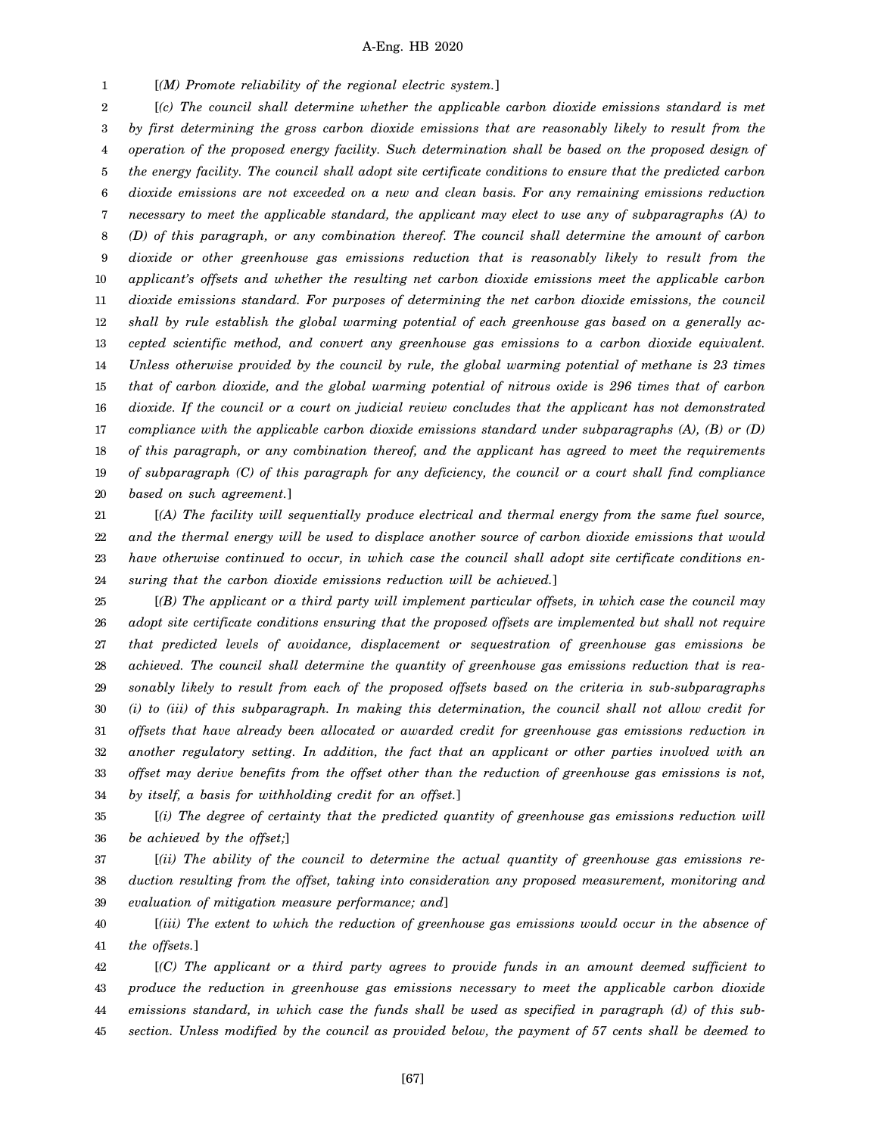1 [*(M) Promote reliability of the regional electric system.*]

2 3 4 5 6 7 8 9 10 11 12 13 14 15 16 17 18 19 20 [*(c) The council shall determine whether the applicable carbon dioxide emissions standard is met by first determining the gross carbon dioxide emissions that are reasonably likely to result from the operation of the proposed energy facility. Such determination shall be based on the proposed design of the energy facility. The council shall adopt site certificate conditions to ensure that the predicted carbon dioxide emissions are not exceeded on a new and clean basis. For any remaining emissions reduction necessary to meet the applicable standard, the applicant may elect to use any of subparagraphs (A) to (D) of this paragraph, or any combination thereof. The council shall determine the amount of carbon dioxide or other greenhouse gas emissions reduction that is reasonably likely to result from the applicant's offsets and whether the resulting net carbon dioxide emissions meet the applicable carbon dioxide emissions standard. For purposes of determining the net carbon dioxide emissions, the council shall by rule establish the global warming potential of each greenhouse gas based on a generally accepted scientific method, and convert any greenhouse gas emissions to a carbon dioxide equivalent. Unless otherwise provided by the council by rule, the global warming potential of methane is 23 times that of carbon dioxide, and the global warming potential of nitrous oxide is 296 times that of carbon dioxide. If the council or a court on judicial review concludes that the applicant has not demonstrated compliance with the applicable carbon dioxide emissions standard under subparagraphs (A), (B) or (D) of this paragraph, or any combination thereof, and the applicant has agreed to meet the requirements of subparagraph (C) of this paragraph for any deficiency, the council or a court shall find compliance based on such agreement.*]

21 22 23 24 [*(A) The facility will sequentially produce electrical and thermal energy from the same fuel source, and the thermal energy will be used to displace another source of carbon dioxide emissions that would have otherwise continued to occur, in which case the council shall adopt site certificate conditions ensuring that the carbon dioxide emissions reduction will be achieved.*]

25 26 27 28 29 30 31 32 33 34 [*(B) The applicant or a third party will implement particular offsets, in which case the council may adopt site certificate conditions ensuring that the proposed offsets are implemented but shall not require that predicted levels of avoidance, displacement or sequestration of greenhouse gas emissions be achieved. The council shall determine the quantity of greenhouse gas emissions reduction that is reasonably likely to result from each of the proposed offsets based on the criteria in sub-subparagraphs (i) to (iii) of this subparagraph. In making this determination, the council shall not allow credit for offsets that have already been allocated or awarded credit for greenhouse gas emissions reduction in another regulatory setting. In addition, the fact that an applicant or other parties involved with an offset may derive benefits from the offset other than the reduction of greenhouse gas emissions is not, by itself, a basis for withholding credit for an offset.*]

35 36 [*(i) The degree of certainty that the predicted quantity of greenhouse gas emissions reduction will be achieved by the offset;*]

37 38 39 [*(ii) The ability of the council to determine the actual quantity of greenhouse gas emissions reduction resulting from the offset, taking into consideration any proposed measurement, monitoring and evaluation of mitigation measure performance; and*]

40 41 [*(iii) The extent to which the reduction of greenhouse gas emissions would occur in the absence of the offsets.*]

42 43 44 45 [*(C) The applicant or a third party agrees to provide funds in an amount deemed sufficient to produce the reduction in greenhouse gas emissions necessary to meet the applicable carbon dioxide emissions standard, in which case the funds shall be used as specified in paragraph (d) of this subsection. Unless modified by the council as provided below, the payment of 57 cents shall be deemed to*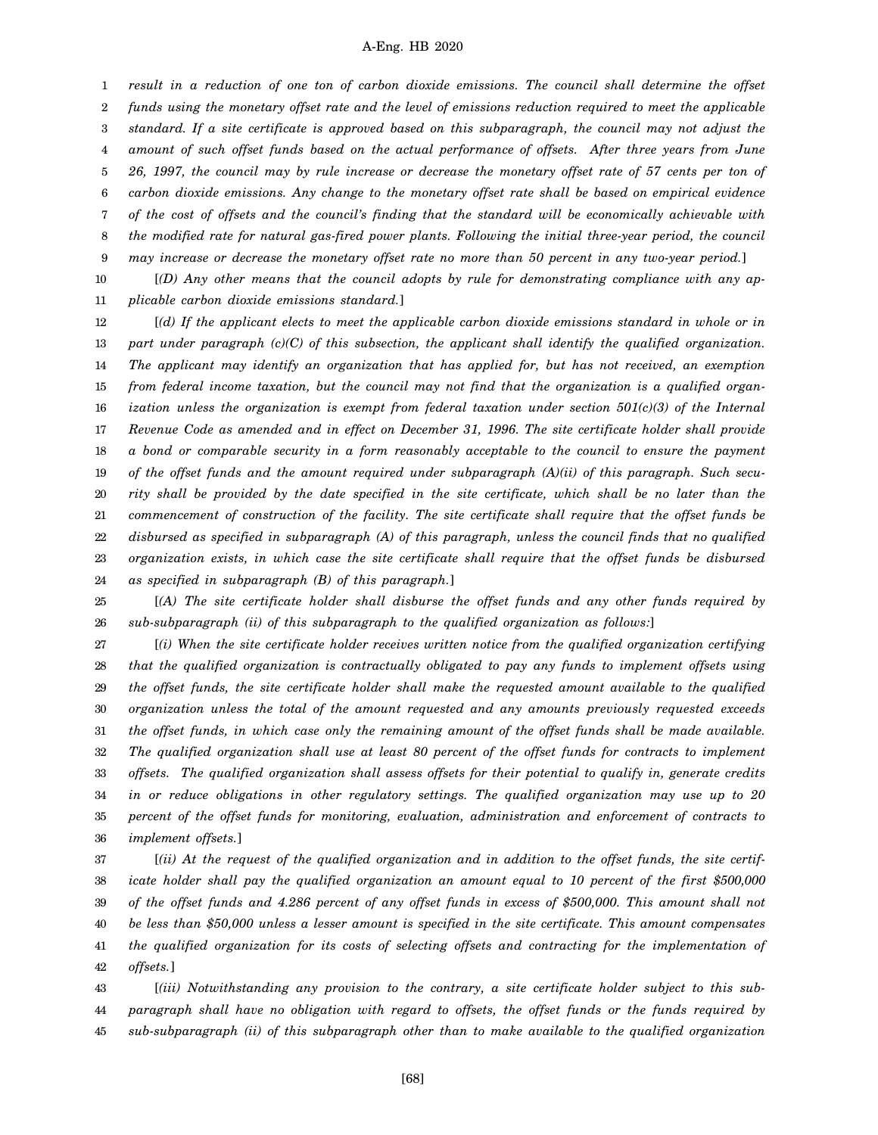1 2 3 4 5 6 7 8 9 *result in a reduction of one ton of carbon dioxide emissions. The council shall determine the offset funds using the monetary offset rate and the level of emissions reduction required to meet the applicable standard. If a site certificate is approved based on this subparagraph, the council may not adjust the amount of such offset funds based on the actual performance of offsets. After three years from June 26, 1997, the council may by rule increase or decrease the monetary offset rate of 57 cents per ton of carbon dioxide emissions. Any change to the monetary offset rate shall be based on empirical evidence of the cost of offsets and the council's finding that the standard will be economically achievable with the modified rate for natural gas-fired power plants. Following the initial three-year period, the council may increase or decrease the monetary offset rate no more than 50 percent in any two-year period.*]

10 11 [*(D) Any other means that the council adopts by rule for demonstrating compliance with any applicable carbon dioxide emissions standard.*]

12 13 14 15 16 17 18 19 20 21 22 23 24 [*(d) If the applicant elects to meet the applicable carbon dioxide emissions standard in whole or in part under paragraph (c)(C) of this subsection, the applicant shall identify the qualified organization. The applicant may identify an organization that has applied for, but has not received, an exemption from federal income taxation, but the council may not find that the organization is a qualified organization unless the organization is exempt from federal taxation under section 501(c)(3) of the Internal Revenue Code as amended and in effect on December 31, 1996. The site certificate holder shall provide a bond or comparable security in a form reasonably acceptable to the council to ensure the payment of the offset funds and the amount required under subparagraph (A)(ii) of this paragraph. Such security shall be provided by the date specified in the site certificate, which shall be no later than the commencement of construction of the facility. The site certificate shall require that the offset funds be disbursed as specified in subparagraph (A) of this paragraph, unless the council finds that no qualified organization exists, in which case the site certificate shall require that the offset funds be disbursed as specified in subparagraph (B) of this paragraph.*]

25 26 [*(A) The site certificate holder shall disburse the offset funds and any other funds required by sub-subparagraph (ii) of this subparagraph to the qualified organization as follows:*]

27 28 29 30 31 32 33 34 35 36 [*(i) When the site certificate holder receives written notice from the qualified organization certifying that the qualified organization is contractually obligated to pay any funds to implement offsets using the offset funds, the site certificate holder shall make the requested amount available to the qualified organization unless the total of the amount requested and any amounts previously requested exceeds the offset funds, in which case only the remaining amount of the offset funds shall be made available. The qualified organization shall use at least 80 percent of the offset funds for contracts to implement offsets. The qualified organization shall assess offsets for their potential to qualify in, generate credits in or reduce obligations in other regulatory settings. The qualified organization may use up to 20 percent of the offset funds for monitoring, evaluation, administration and enforcement of contracts to implement offsets.*]

37 38 39 40 41 42 [*(ii) At the request of the qualified organization and in addition to the offset funds, the site certificate holder shall pay the qualified organization an amount equal to 10 percent of the first \$500,000 of the offset funds and 4.286 percent of any offset funds in excess of \$500,000. This amount shall not be less than \$50,000 unless a lesser amount is specified in the site certificate. This amount compensates the qualified organization for its costs of selecting offsets and contracting for the implementation of offsets.*]

43 44 45 [*(iii) Notwithstanding any provision to the contrary, a site certificate holder subject to this subparagraph shall have no obligation with regard to offsets, the offset funds or the funds required by sub-subparagraph (ii) of this subparagraph other than to make available to the qualified organization*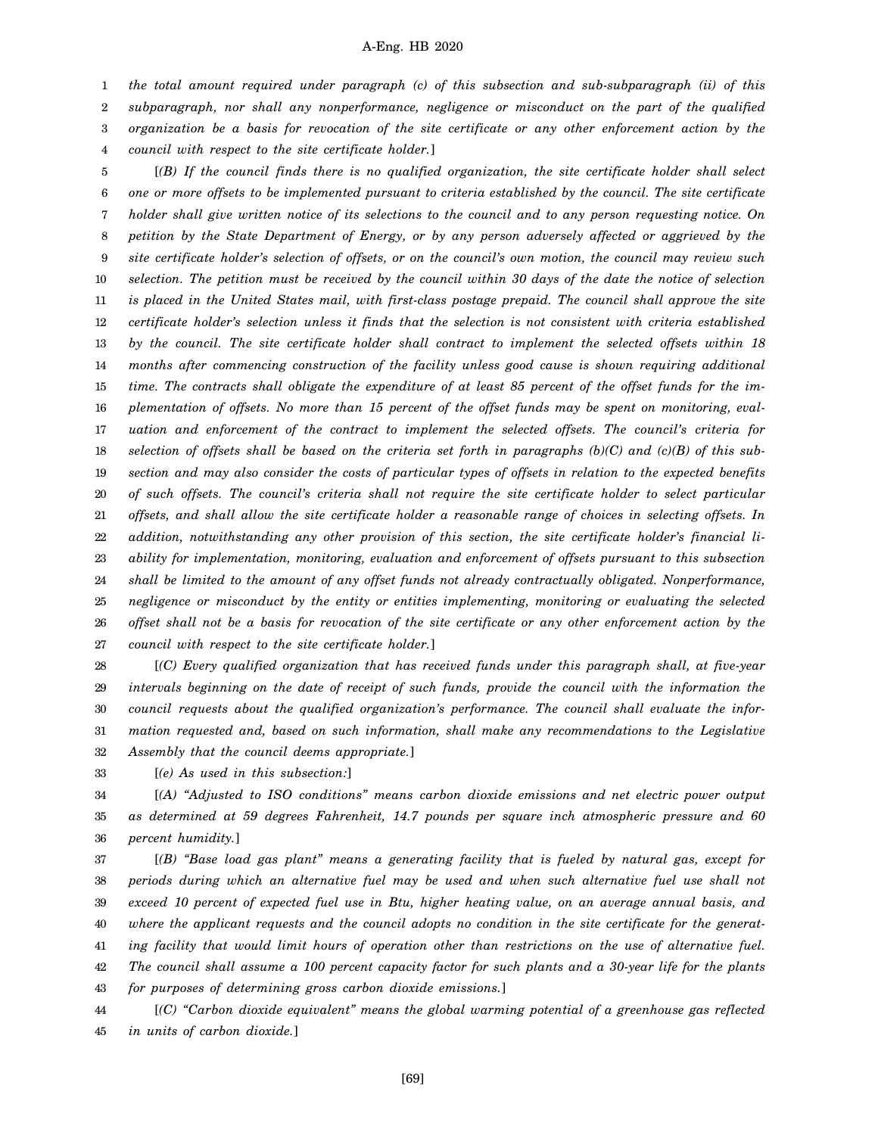1 2 3 4 *the total amount required under paragraph (c) of this subsection and sub-subparagraph (ii) of this subparagraph, nor shall any nonperformance, negligence or misconduct on the part of the qualified organization be a basis for revocation of the site certificate or any other enforcement action by the council with respect to the site certificate holder.*]

5 6 7 8 9 10 11 12 13 14 15 16 17 18 19 20 21 22 23 24 25 26 27 [*(B) If the council finds there is no qualified organization, the site certificate holder shall select one or more offsets to be implemented pursuant to criteria established by the council. The site certificate holder shall give written notice of its selections to the council and to any person requesting notice. On petition by the State Department of Energy, or by any person adversely affected or aggrieved by the site certificate holder's selection of offsets, or on the council's own motion, the council may review such selection. The petition must be received by the council within 30 days of the date the notice of selection is placed in the United States mail, with first-class postage prepaid. The council shall approve the site certificate holder's selection unless it finds that the selection is not consistent with criteria established by the council. The site certificate holder shall contract to implement the selected offsets within 18 months after commencing construction of the facility unless good cause is shown requiring additional time. The contracts shall obligate the expenditure of at least 85 percent of the offset funds for the implementation of offsets. No more than 15 percent of the offset funds may be spent on monitoring, evaluation and enforcement of the contract to implement the selected offsets. The council's criteria for selection of offsets shall be based on the criteria set forth in paragraphs (b)(C) and (c)(B) of this subsection and may also consider the costs of particular types of offsets in relation to the expected benefits of such offsets. The council's criteria shall not require the site certificate holder to select particular offsets, and shall allow the site certificate holder a reasonable range of choices in selecting offsets. In addition, notwithstanding any other provision of this section, the site certificate holder's financial liability for implementation, monitoring, evaluation and enforcement of offsets pursuant to this subsection shall be limited to the amount of any offset funds not already contractually obligated. Nonperformance, negligence or misconduct by the entity or entities implementing, monitoring or evaluating the selected offset shall not be a basis for revocation of the site certificate or any other enforcement action by the council with respect to the site certificate holder.*]

28 29 30 31 32 [*(C) Every qualified organization that has received funds under this paragraph shall, at five-year intervals beginning on the date of receipt of such funds, provide the council with the information the council requests about the qualified organization's performance. The council shall evaluate the information requested and, based on such information, shall make any recommendations to the Legislative Assembly that the council deems appropriate.*]

33 [*(e) As used in this subsection:*]

34 35 36 [*(A) "Adjusted to ISO conditions" means carbon dioxide emissions and net electric power output as determined at 59 degrees Fahrenheit, 14.7 pounds per square inch atmospheric pressure and 60 percent humidity.*]

37 38 39 40 41 42 43 [*(B) "Base load gas plant" means a generating facility that is fueled by natural gas, except for periods during which an alternative fuel may be used and when such alternative fuel use shall not exceed 10 percent of expected fuel use in Btu, higher heating value, on an average annual basis, and where the applicant requests and the council adopts no condition in the site certificate for the generating facility that would limit hours of operation other than restrictions on the use of alternative fuel. The council shall assume a 100 percent capacity factor for such plants and a 30-year life for the plants for purposes of determining gross carbon dioxide emissions.*]

44 45 [*(C) "Carbon dioxide equivalent" means the global warming potential of a greenhouse gas reflected in units of carbon dioxide.*]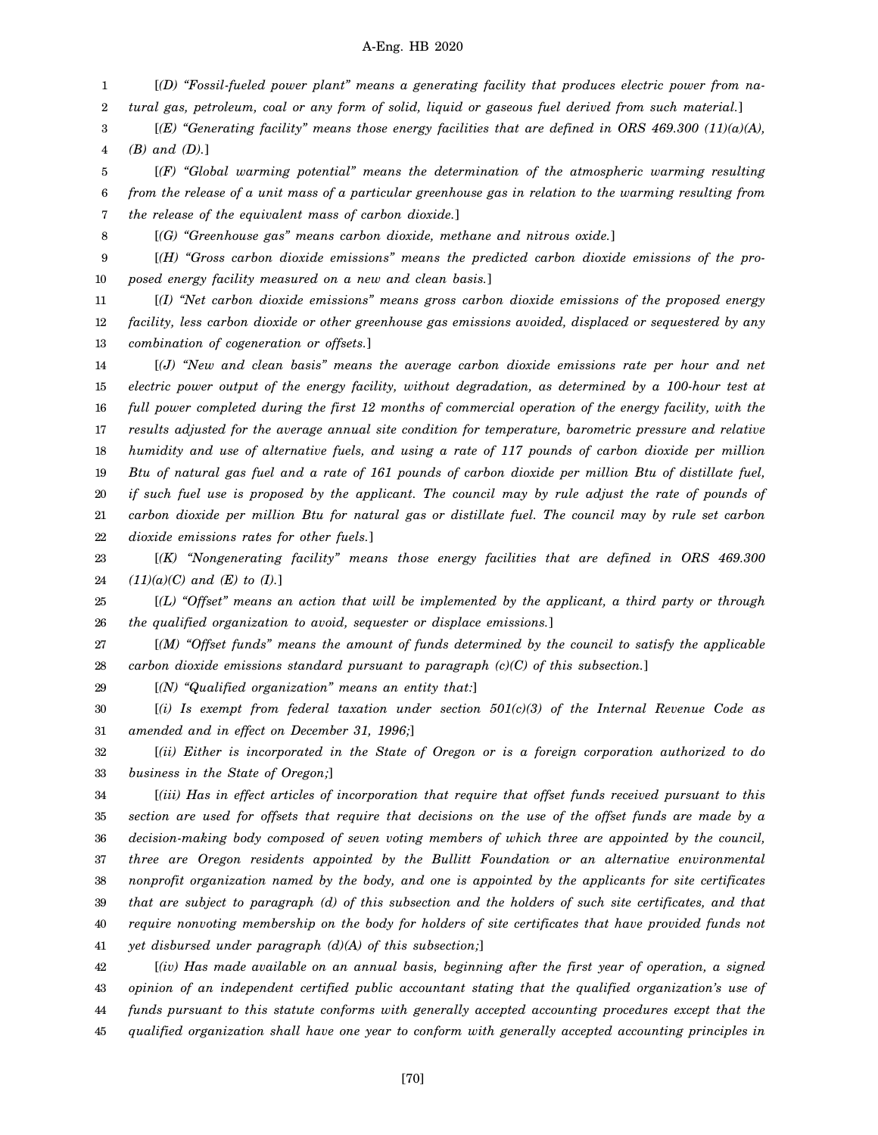1 2 [*(D) "Fossil-fueled power plant" means a generating facility that produces electric power from natural gas, petroleum, coal or any form of solid, liquid or gaseous fuel derived from such material.*]

3 4 [*(E) "Generating facility" means those energy facilities that are defined in ORS 469.300 (11)(a)(A), (B) and (D).*]

5 6 7 [*(F) "Global warming potential" means the determination of the atmospheric warming resulting from the release of a unit mass of a particular greenhouse gas in relation to the warming resulting from the release of the equivalent mass of carbon dioxide.*]

8

[*(G) "Greenhouse gas" means carbon dioxide, methane and nitrous oxide.*]

9 10 [*(H) "Gross carbon dioxide emissions" means the predicted carbon dioxide emissions of the proposed energy facility measured on a new and clean basis.*]

11 12 13 [*(I) "Net carbon dioxide emissions" means gross carbon dioxide emissions of the proposed energy facility, less carbon dioxide or other greenhouse gas emissions avoided, displaced or sequestered by any combination of cogeneration or offsets.*]

14 15 16 17 18 19 20 21 22 [*(J) "New and clean basis" means the average carbon dioxide emissions rate per hour and net electric power output of the energy facility, without degradation, as determined by a 100-hour test at full power completed during the first 12 months of commercial operation of the energy facility, with the results adjusted for the average annual site condition for temperature, barometric pressure and relative humidity and use of alternative fuels, and using a rate of 117 pounds of carbon dioxide per million Btu of natural gas fuel and a rate of 161 pounds of carbon dioxide per million Btu of distillate fuel, if such fuel use is proposed by the applicant. The council may by rule adjust the rate of pounds of carbon dioxide per million Btu for natural gas or distillate fuel. The council may by rule set carbon dioxide emissions rates for other fuels.*]

23 24 [*(K) "Nongenerating facility" means those energy facilities that are defined in ORS 469.300 (11)(a)(C) and (E) to (I).*]

25 26 [*(L) "Offset" means an action that will be implemented by the applicant, a third party or through the qualified organization to avoid, sequester or displace emissions.*]

27 28 [*(M) "Offset funds" means the amount of funds determined by the council to satisfy the applicable carbon dioxide emissions standard pursuant to paragraph (c)(C) of this subsection.*]

29 [*(N) "Qualified organization" means an entity that:*]

30 31 [*(i) Is exempt from federal taxation under section 501(c)(3) of the Internal Revenue Code as amended and in effect on December 31, 1996;*]

32 33 [*(ii) Either is incorporated in the State of Oregon or is a foreign corporation authorized to do business in the State of Oregon;*]

34 35 36 37 38 39 40 41 [*(iii) Has in effect articles of incorporation that require that offset funds received pursuant to this section are used for offsets that require that decisions on the use of the offset funds are made by a decision-making body composed of seven voting members of which three are appointed by the council, three are Oregon residents appointed by the Bullitt Foundation or an alternative environmental nonprofit organization named by the body, and one is appointed by the applicants for site certificates that are subject to paragraph (d) of this subsection and the holders of such site certificates, and that require nonvoting membership on the body for holders of site certificates that have provided funds not yet disbursed under paragraph (d)(A) of this subsection;*]

42 43 44 45 [*(iv) Has made available on an annual basis, beginning after the first year of operation, a signed opinion of an independent certified public accountant stating that the qualified organization's use of funds pursuant to this statute conforms with generally accepted accounting procedures except that the qualified organization shall have one year to conform with generally accepted accounting principles in*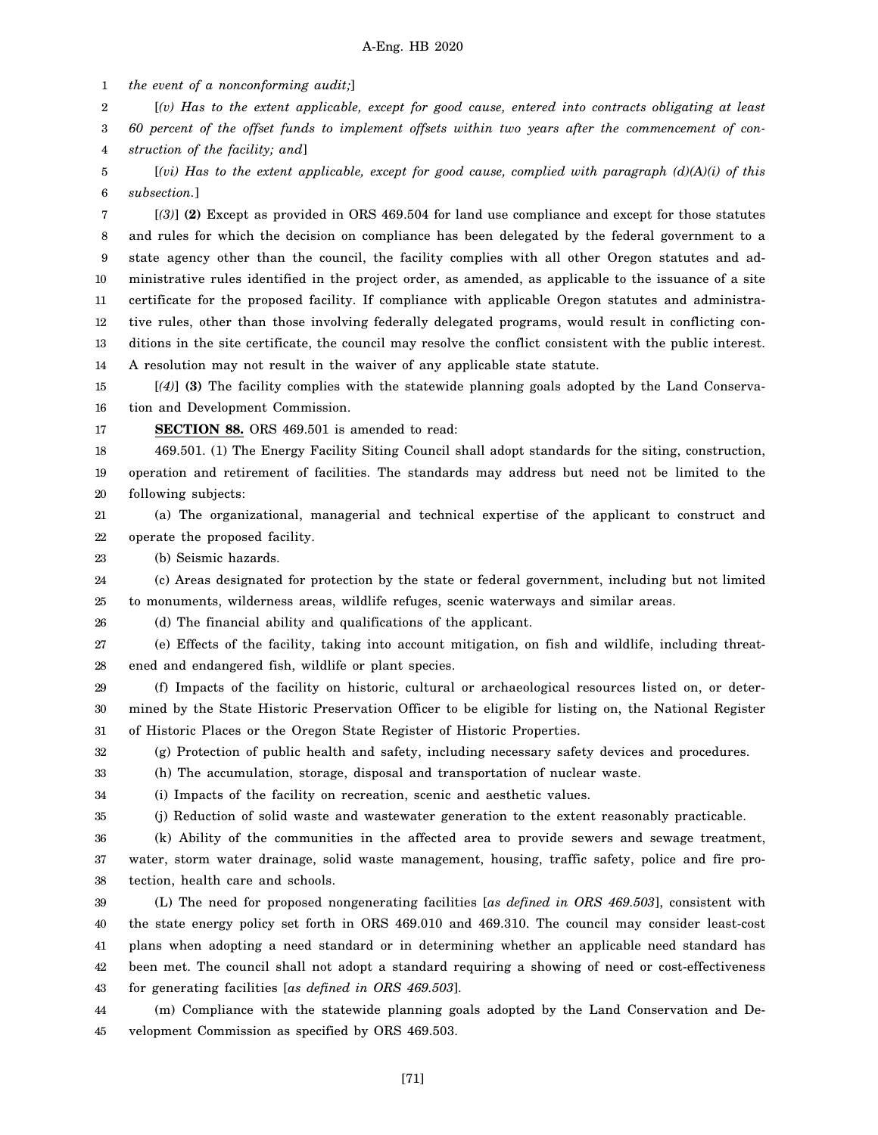1 *the event of a nonconforming audit;*]

2 [*(v) Has to the extent applicable, except for good cause, entered into contracts obligating at least*

3 4 *60 percent of the offset funds to implement offsets within two years after the commencement of construction of the facility; and*]

5 6 [*(vi) Has to the extent applicable, except for good cause, complied with paragraph (d)(A)(i) of this subsection.*]

7 8 9 10 11 12 13 14 [*(3)*] **(2)** Except as provided in ORS 469.504 for land use compliance and except for those statutes and rules for which the decision on compliance has been delegated by the federal government to a state agency other than the council, the facility complies with all other Oregon statutes and administrative rules identified in the project order, as amended, as applicable to the issuance of a site certificate for the proposed facility. If compliance with applicable Oregon statutes and administrative rules, other than those involving federally delegated programs, would result in conflicting conditions in the site certificate, the council may resolve the conflict consistent with the public interest. A resolution may not result in the waiver of any applicable state statute.

15 16 [*(4)*] **(3)** The facility complies with the statewide planning goals adopted by the Land Conservation and Development Commission.

17

**SECTION 88.** ORS 469.501 is amended to read:

18 19 20 469.501. (1) The Energy Facility Siting Council shall adopt standards for the siting, construction, operation and retirement of facilities. The standards may address but need not be limited to the following subjects:

21 22 (a) The organizational, managerial and technical expertise of the applicant to construct and operate the proposed facility.

23 (b) Seismic hazards.

24 25 (c) Areas designated for protection by the state or federal government, including but not limited to monuments, wilderness areas, wildlife refuges, scenic waterways and similar areas.

26 (d) The financial ability and qualifications of the applicant.

27 28 (e) Effects of the facility, taking into account mitigation, on fish and wildlife, including threatened and endangered fish, wildlife or plant species.

29 30 31 (f) Impacts of the facility on historic, cultural or archaeological resources listed on, or determined by the State Historic Preservation Officer to be eligible for listing on, the National Register of Historic Places or the Oregon State Register of Historic Properties.

32 (g) Protection of public health and safety, including necessary safety devices and procedures.

33 (h) The accumulation, storage, disposal and transportation of nuclear waste.

34 (i) Impacts of the facility on recreation, scenic and aesthetic values.

36

35 (j) Reduction of solid waste and wastewater generation to the extent reasonably practicable.

(k) Ability of the communities in the affected area to provide sewers and sewage treatment,

37 38 water, storm water drainage, solid waste management, housing, traffic safety, police and fire protection, health care and schools.

39 40 41 42 43 (L) The need for proposed nongenerating facilities [*as defined in ORS 469.503*], consistent with the state energy policy set forth in ORS 469.010 and 469.310. The council may consider least-cost plans when adopting a need standard or in determining whether an applicable need standard has been met. The council shall not adopt a standard requiring a showing of need or cost-effectiveness for generating facilities [*as defined in ORS 469.503*].

44 45 (m) Compliance with the statewide planning goals adopted by the Land Conservation and Development Commission as specified by ORS 469.503.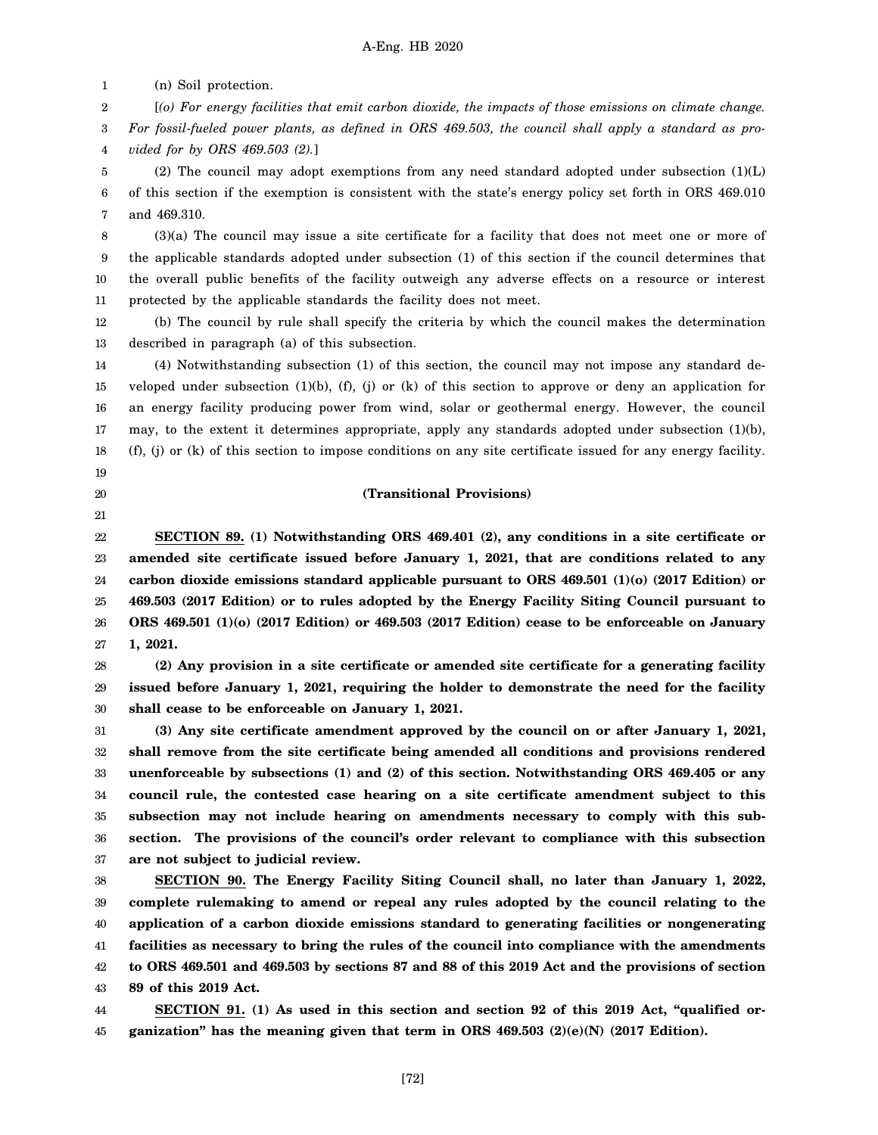1 (n) Soil protection.

19 20 21

2 3 [*(o) For energy facilities that emit carbon dioxide, the impacts of those emissions on climate change. For fossil-fueled power plants, as defined in ORS 469.503, the council shall apply a standard as pro-*

4 *vided for by ORS 469.503 (2).*]

5 6 7 (2) The council may adopt exemptions from any need standard adopted under subsection (1)(L) of this section if the exemption is consistent with the state's energy policy set forth in ORS 469.010 and 469.310.

8 9 10 11 (3)(a) The council may issue a site certificate for a facility that does not meet one or more of the applicable standards adopted under subsection (1) of this section if the council determines that the overall public benefits of the facility outweigh any adverse effects on a resource or interest protected by the applicable standards the facility does not meet.

12 13 (b) The council by rule shall specify the criteria by which the council makes the determination described in paragraph (a) of this subsection.

14 15 16 17 18 (4) Notwithstanding subsection (1) of this section, the council may not impose any standard developed under subsection (1)(b), (f), (j) or (k) of this section to approve or deny an application for an energy facility producing power from wind, solar or geothermal energy. However, the council may, to the extent it determines appropriate, apply any standards adopted under subsection (1)(b), (f), (j) or (k) of this section to impose conditions on any site certificate issued for any energy facility.

# **(Transitional Provisions)**

22 23 24 25 26 27 **SECTION 89. (1) Notwithstanding ORS 469.401 (2), any conditions in a site certificate or amended site certificate issued before January 1, 2021, that are conditions related to any carbon dioxide emissions standard applicable pursuant to ORS 469.501 (1)(o) (2017 Edition) or 469.503 (2017 Edition) or to rules adopted by the Energy Facility Siting Council pursuant to ORS 469.501 (1)(o) (2017 Edition) or 469.503 (2017 Edition) cease to be enforceable on January 1, 2021.**

28 29 30 **(2) Any provision in a site certificate or amended site certificate for a generating facility issued before January 1, 2021, requiring the holder to demonstrate the need for the facility shall cease to be enforceable on January 1, 2021.**

31 32 33 34 35 36 37 **(3) Any site certificate amendment approved by the council on or after January 1, 2021, shall remove from the site certificate being amended all conditions and provisions rendered unenforceable by subsections (1) and (2) of this section. Notwithstanding ORS 469.405 or any council rule, the contested case hearing on a site certificate amendment subject to this subsection may not include hearing on amendments necessary to comply with this subsection. The provisions of the council's order relevant to compliance with this subsection are not subject to judicial review.**

38 39 40 41 42 43 **SECTION 90. The Energy Facility Siting Council shall, no later than January 1, 2022, complete rulemaking to amend or repeal any rules adopted by the council relating to the application of a carbon dioxide emissions standard to generating facilities or nongenerating facilities as necessary to bring the rules of the council into compliance with the amendments to ORS 469.501 and 469.503 by sections 87 and 88 of this 2019 Act and the provisions of section 89 of this 2019 Act.**

44 45 **SECTION 91. (1) As used in this section and section 92 of this 2019 Act, "qualified organization" has the meaning given that term in ORS 469.503 (2)(e)(N) (2017 Edition).**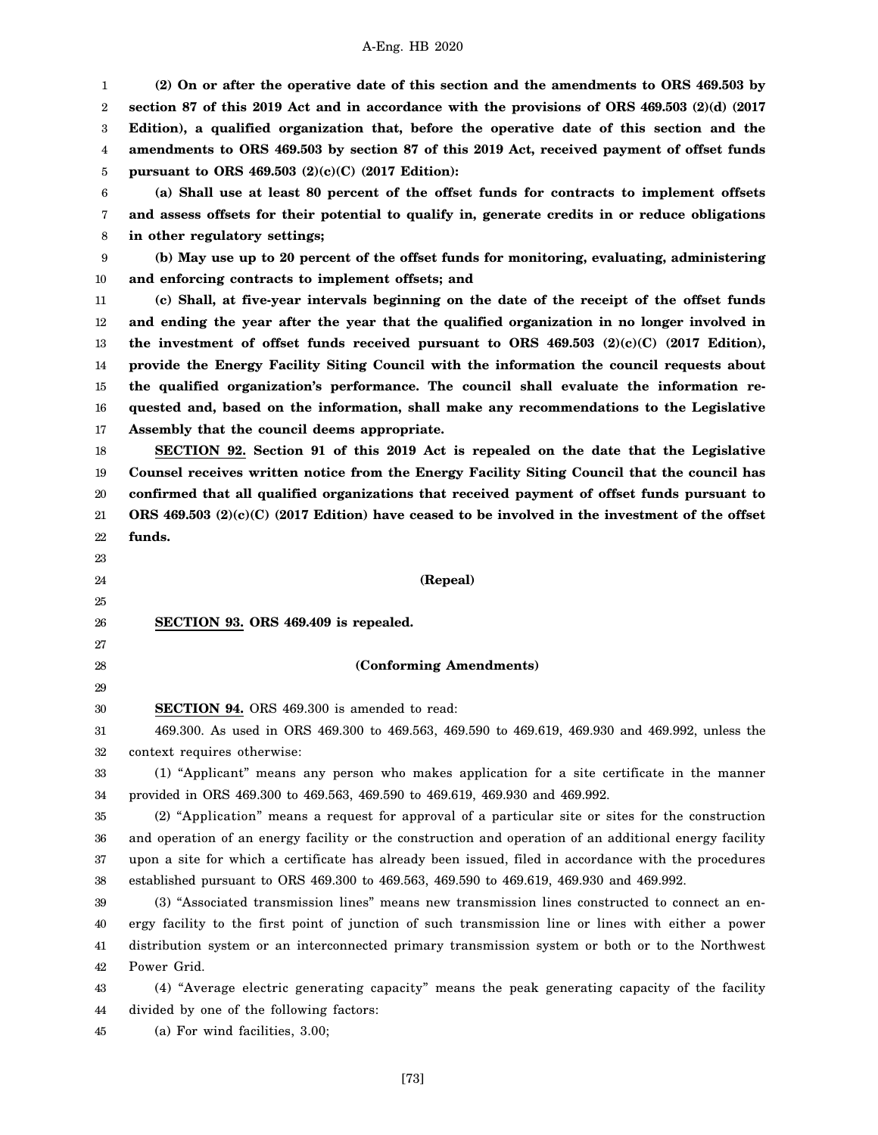1 2 3 4 5 6 7 8 9 10 11 12 13 14 15 16 **(2) On or after the operative date of this section and the amendments to ORS 469.503 by section 87 of this 2019 Act and in accordance with the provisions of ORS 469.503 (2)(d) (2017 Edition), a qualified organization that, before the operative date of this section and the amendments to ORS 469.503 by section 87 of this 2019 Act, received payment of offset funds pursuant to ORS 469.503 (2)(c)(C) (2017 Edition): (a) Shall use at least 80 percent of the offset funds for contracts to implement offsets and assess offsets for their potential to qualify in, generate credits in or reduce obligations in other regulatory settings; (b) May use up to 20 percent of the offset funds for monitoring, evaluating, administering and enforcing contracts to implement offsets; and (c) Shall, at five-year intervals beginning on the date of the receipt of the offset funds and ending the year after the year that the qualified organization in no longer involved in the investment of offset funds received pursuant to ORS 469.503 (2)(c)(C) (2017 Edition), provide the Energy Facility Siting Council with the information the council requests about the qualified organization's performance. The council shall evaluate the information requested and, based on the information, shall make any recommendations to the Legislative**

17 **Assembly that the council deems appropriate.**

23

18 19 20 21 22 **SECTION 92. Section 91 of this 2019 Act is repealed on the date that the Legislative Counsel receives written notice from the Energy Facility Siting Council that the council has confirmed that all qualified organizations that received payment of offset funds pursuant to ORS 469.503 (2)(c)(C) (2017 Edition) have ceased to be involved in the investment of the offset funds.**

24 25 26 27 28 29 30 31 32 33 34 35 36 37 38 39 40 41 42 43 44 **(Repeal) SECTION 93. ORS 469.409 is repealed. (Conforming Amendments) SECTION 94.** ORS 469.300 is amended to read: 469.300. As used in ORS 469.300 to 469.563, 469.590 to 469.619, 469.930 and 469.992, unless the context requires otherwise: (1) "Applicant" means any person who makes application for a site certificate in the manner provided in ORS 469.300 to 469.563, 469.590 to 469.619, 469.930 and 469.992. (2) "Application" means a request for approval of a particular site or sites for the construction and operation of an energy facility or the construction and operation of an additional energy facility upon a site for which a certificate has already been issued, filed in accordance with the procedures established pursuant to ORS 469.300 to 469.563, 469.590 to 469.619, 469.930 and 469.992. (3) "Associated transmission lines" means new transmission lines constructed to connect an energy facility to the first point of junction of such transmission line or lines with either a power distribution system or an interconnected primary transmission system or both or to the Northwest Power Grid. (4) "Average electric generating capacity" means the peak generating capacity of the facility divided by one of the following factors:

45 (a) For wind facilities, 3.00;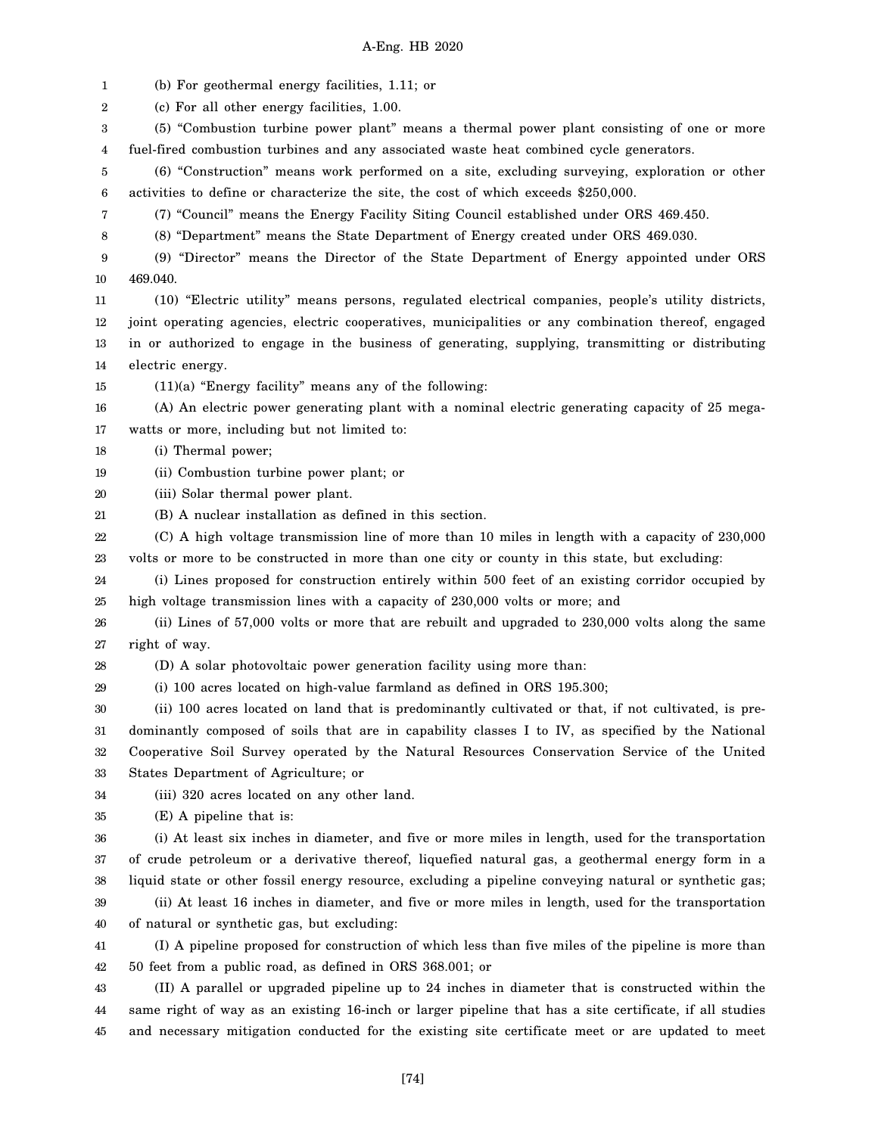1 2 3 4 5 6 7 8 9 10 11 12 13 14 15 16 17 18 19 20 21 22 23 24 25 26 27 28 29 30 31 32 33 34 35 36 37 38 39 40 41 42 43 44 45 (b) For geothermal energy facilities, 1.11; or (c) For all other energy facilities, 1.00. (5) "Combustion turbine power plant" means a thermal power plant consisting of one or more fuel-fired combustion turbines and any associated waste heat combined cycle generators. (6) "Construction" means work performed on a site, excluding surveying, exploration or other activities to define or characterize the site, the cost of which exceeds \$250,000. (7) "Council" means the Energy Facility Siting Council established under ORS 469.450. (8) "Department" means the State Department of Energy created under ORS 469.030. (9) "Director" means the Director of the State Department of Energy appointed under ORS 469.040. (10) "Electric utility" means persons, regulated electrical companies, people's utility districts, joint operating agencies, electric cooperatives, municipalities or any combination thereof, engaged in or authorized to engage in the business of generating, supplying, transmitting or distributing electric energy. (11)(a) "Energy facility" means any of the following: (A) An electric power generating plant with a nominal electric generating capacity of 25 megawatts or more, including but not limited to: (i) Thermal power; (ii) Combustion turbine power plant; or (iii) Solar thermal power plant. (B) A nuclear installation as defined in this section. (C) A high voltage transmission line of more than 10 miles in length with a capacity of 230,000 volts or more to be constructed in more than one city or county in this state, but excluding: (i) Lines proposed for construction entirely within 500 feet of an existing corridor occupied by high voltage transmission lines with a capacity of 230,000 volts or more; and (ii) Lines of 57,000 volts or more that are rebuilt and upgraded to 230,000 volts along the same right of way. (D) A solar photovoltaic power generation facility using more than: (i) 100 acres located on high-value farmland as defined in ORS 195.300; (ii) 100 acres located on land that is predominantly cultivated or that, if not cultivated, is predominantly composed of soils that are in capability classes I to IV, as specified by the National Cooperative Soil Survey operated by the Natural Resources Conservation Service of the United States Department of Agriculture; or (iii) 320 acres located on any other land. (E) A pipeline that is: (i) At least six inches in diameter, and five or more miles in length, used for the transportation of crude petroleum or a derivative thereof, liquefied natural gas, a geothermal energy form in a liquid state or other fossil energy resource, excluding a pipeline conveying natural or synthetic gas; (ii) At least 16 inches in diameter, and five or more miles in length, used for the transportation of natural or synthetic gas, but excluding: (I) A pipeline proposed for construction of which less than five miles of the pipeline is more than 50 feet from a public road, as defined in ORS 368.001; or (II) A parallel or upgraded pipeline up to 24 inches in diameter that is constructed within the same right of way as an existing 16-inch or larger pipeline that has a site certificate, if all studies and necessary mitigation conducted for the existing site certificate meet or are updated to meet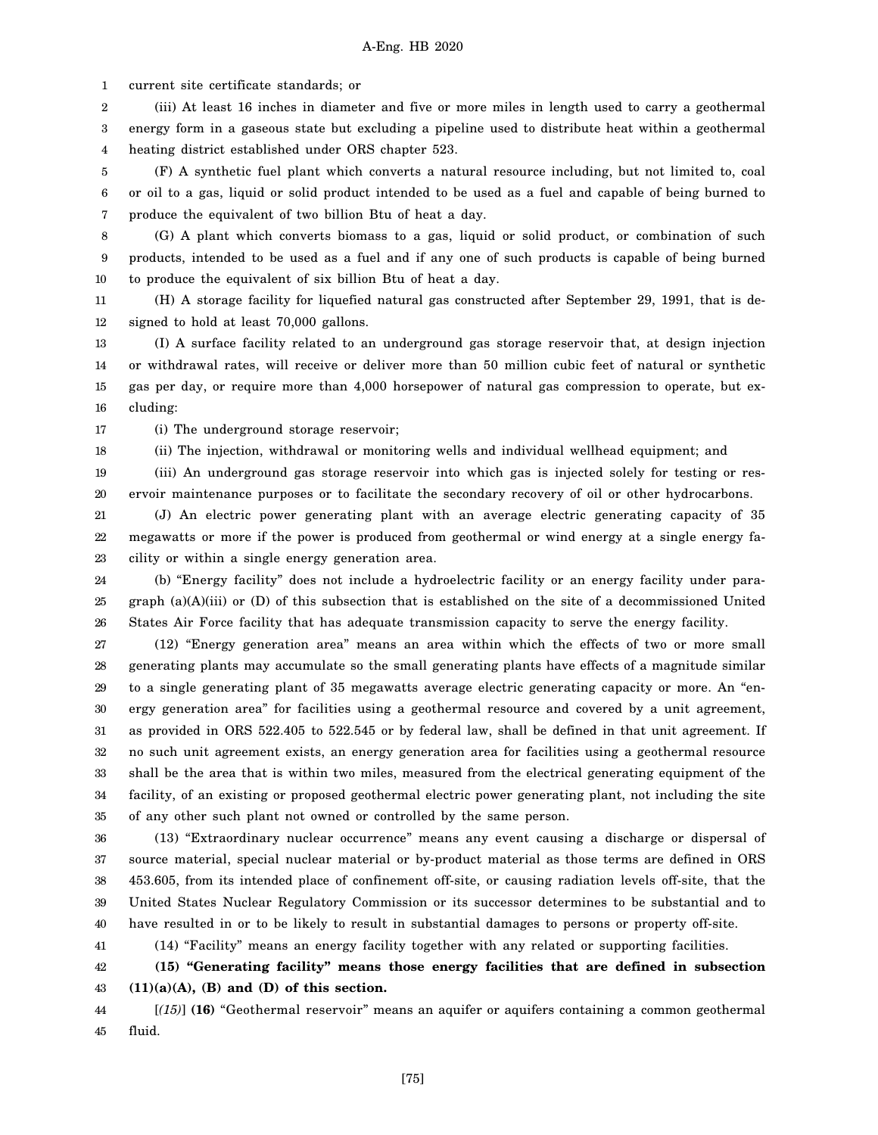1 current site certificate standards; or

2 3 4 (iii) At least 16 inches in diameter and five or more miles in length used to carry a geothermal energy form in a gaseous state but excluding a pipeline used to distribute heat within a geothermal heating district established under ORS chapter 523.

5 6 7 (F) A synthetic fuel plant which converts a natural resource including, but not limited to, coal or oil to a gas, liquid or solid product intended to be used as a fuel and capable of being burned to produce the equivalent of two billion Btu of heat a day.

8 9 10 (G) A plant which converts biomass to a gas, liquid or solid product, or combination of such products, intended to be used as a fuel and if any one of such products is capable of being burned to produce the equivalent of six billion Btu of heat a day.

11 12 (H) A storage facility for liquefied natural gas constructed after September 29, 1991, that is designed to hold at least 70,000 gallons.

13 14 15 16 (I) A surface facility related to an underground gas storage reservoir that, at design injection or withdrawal rates, will receive or deliver more than 50 million cubic feet of natural or synthetic gas per day, or require more than 4,000 horsepower of natural gas compression to operate, but excluding:

17 (i) The underground storage reservoir;

18 (ii) The injection, withdrawal or monitoring wells and individual wellhead equipment; and

19 20 (iii) An underground gas storage reservoir into which gas is injected solely for testing or reservoir maintenance purposes or to facilitate the secondary recovery of oil or other hydrocarbons.

21 22 23 (J) An electric power generating plant with an average electric generating capacity of 35 megawatts or more if the power is produced from geothermal or wind energy at a single energy facility or within a single energy generation area.

24 25 26 (b) "Energy facility" does not include a hydroelectric facility or an energy facility under paragraph (a)(A)(iii) or (D) of this subsection that is established on the site of a decommissioned United States Air Force facility that has adequate transmission capacity to serve the energy facility.

27 28 29 30 31 32 33 34 35 (12) "Energy generation area" means an area within which the effects of two or more small generating plants may accumulate so the small generating plants have effects of a magnitude similar to a single generating plant of 35 megawatts average electric generating capacity or more. An "energy generation area" for facilities using a geothermal resource and covered by a unit agreement, as provided in ORS 522.405 to 522.545 or by federal law, shall be defined in that unit agreement. If no such unit agreement exists, an energy generation area for facilities using a geothermal resource shall be the area that is within two miles, measured from the electrical generating equipment of the facility, of an existing or proposed geothermal electric power generating plant, not including the site of any other such plant not owned or controlled by the same person.

36 37 38 39 40 (13) "Extraordinary nuclear occurrence" means any event causing a discharge or dispersal of source material, special nuclear material or by-product material as those terms are defined in ORS 453.605, from its intended place of confinement off-site, or causing radiation levels off-site, that the United States Nuclear Regulatory Commission or its successor determines to be substantial and to have resulted in or to be likely to result in substantial damages to persons or property off-site.

41 (14) "Facility" means an energy facility together with any related or supporting facilities.

#### 42 43 **(15) "Generating facility" means those energy facilities that are defined in subsection (11)(a)(A), (B) and (D) of this section.**

44 45 [*(15)*] **(16)** "Geothermal reservoir" means an aquifer or aquifers containing a common geothermal fluid.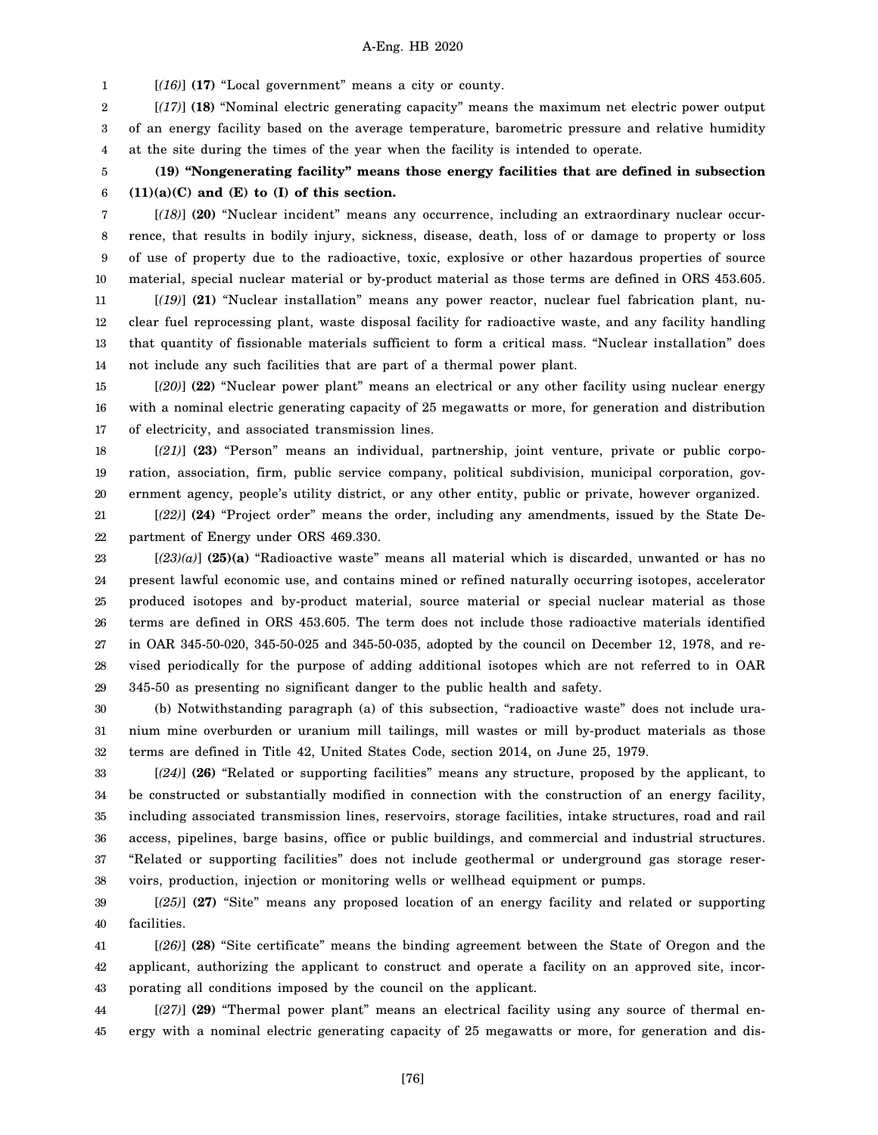1 [*(16)*] **(17)** "Local government" means a city or county.

2 3 4 [*(17)*] **(18)** "Nominal electric generating capacity" means the maximum net electric power output of an energy facility based on the average temperature, barometric pressure and relative humidity at the site during the times of the year when the facility is intended to operate.

5 6 **(19) "Nongenerating facility" means those energy facilities that are defined in subsection (11)(a)(C) and (E) to (I) of this section.**

7 8 9 10 [*(18)*] **(20)** "Nuclear incident" means any occurrence, including an extraordinary nuclear occurrence, that results in bodily injury, sickness, disease, death, loss of or damage to property or loss of use of property due to the radioactive, toxic, explosive or other hazardous properties of source material, special nuclear material or by-product material as those terms are defined in ORS 453.605.

11 12 13 14 [*(19)*] **(21)** "Nuclear installation" means any power reactor, nuclear fuel fabrication plant, nuclear fuel reprocessing plant, waste disposal facility for radioactive waste, and any facility handling that quantity of fissionable materials sufficient to form a critical mass. "Nuclear installation" does not include any such facilities that are part of a thermal power plant.

15 16 17 [*(20)*] **(22)** "Nuclear power plant" means an electrical or any other facility using nuclear energy with a nominal electric generating capacity of 25 megawatts or more, for generation and distribution of electricity, and associated transmission lines.

18 19 20 [*(21)*] **(23)** "Person" means an individual, partnership, joint venture, private or public corporation, association, firm, public service company, political subdivision, municipal corporation, government agency, people's utility district, or any other entity, public or private, however organized.

21 22 [*(22)*] **(24)** "Project order" means the order, including any amendments, issued by the State Department of Energy under ORS 469.330.

23 24 25 26 27 28 29 [*(23)(a)*] **(25)(a)** "Radioactive waste" means all material which is discarded, unwanted or has no present lawful economic use, and contains mined or refined naturally occurring isotopes, accelerator produced isotopes and by-product material, source material or special nuclear material as those terms are defined in ORS 453.605. The term does not include those radioactive materials identified in OAR 345-50-020, 345-50-025 and 345-50-035, adopted by the council on December 12, 1978, and revised periodically for the purpose of adding additional isotopes which are not referred to in OAR 345-50 as presenting no significant danger to the public health and safety.

30 31 32 (b) Notwithstanding paragraph (a) of this subsection, "radioactive waste" does not include uranium mine overburden or uranium mill tailings, mill wastes or mill by-product materials as those terms are defined in Title 42, United States Code, section 2014, on June 25, 1979.

33 34 35 36 37 38 [*(24)*] **(26)** "Related or supporting facilities" means any structure, proposed by the applicant, to be constructed or substantially modified in connection with the construction of an energy facility, including associated transmission lines, reservoirs, storage facilities, intake structures, road and rail access, pipelines, barge basins, office or public buildings, and commercial and industrial structures. "Related or supporting facilities" does not include geothermal or underground gas storage reservoirs, production, injection or monitoring wells or wellhead equipment or pumps.

39 40 [*(25)*] **(27)** "Site" means any proposed location of an energy facility and related or supporting facilities.

41 42 43 [*(26)*] **(28)** "Site certificate" means the binding agreement between the State of Oregon and the applicant, authorizing the applicant to construct and operate a facility on an approved site, incorporating all conditions imposed by the council on the applicant.

44 45 [*(27)*] **(29)** "Thermal power plant" means an electrical facility using any source of thermal energy with a nominal electric generating capacity of 25 megawatts or more, for generation and dis-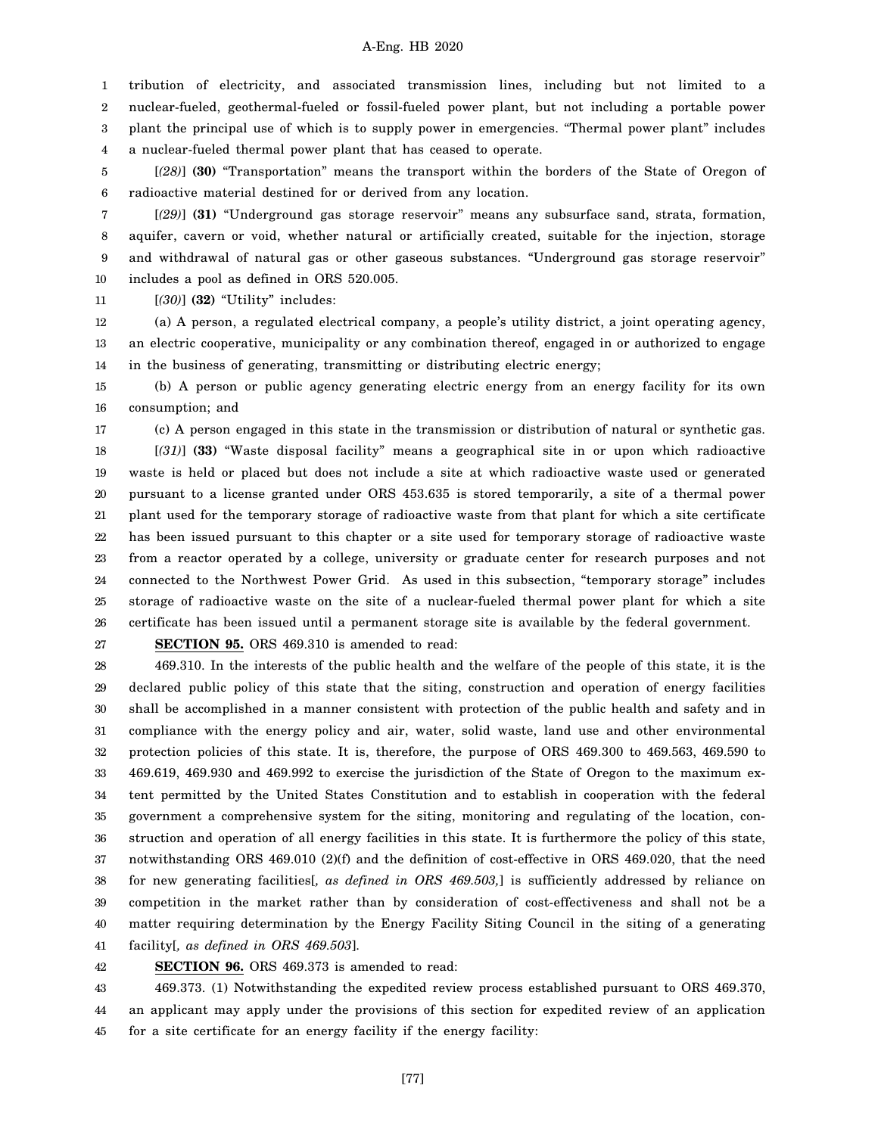1 2 3 4 tribution of electricity, and associated transmission lines, including but not limited to a nuclear-fueled, geothermal-fueled or fossil-fueled power plant, but not including a portable power plant the principal use of which is to supply power in emergencies. "Thermal power plant" includes a nuclear-fueled thermal power plant that has ceased to operate.

5 6 [*(28)*] **(30)** "Transportation" means the transport within the borders of the State of Oregon of radioactive material destined for or derived from any location.

7 8 9 10 [*(29)*] **(31)** "Underground gas storage reservoir" means any subsurface sand, strata, formation, aquifer, cavern or void, whether natural or artificially created, suitable for the injection, storage and withdrawal of natural gas or other gaseous substances. "Underground gas storage reservoir" includes a pool as defined in ORS 520.005.

11 [*(30)*] **(32)** "Utility" includes:

12 13 14 (a) A person, a regulated electrical company, a people's utility district, a joint operating agency, an electric cooperative, municipality or any combination thereof, engaged in or authorized to engage in the business of generating, transmitting or distributing electric energy;

15 16 (b) A person or public agency generating electric energy from an energy facility for its own consumption; and

17

18 19 20 21 22 23 24 25 26 (c) A person engaged in this state in the transmission or distribution of natural or synthetic gas. [*(31)*] **(33)** "Waste disposal facility" means a geographical site in or upon which radioactive waste is held or placed but does not include a site at which radioactive waste used or generated pursuant to a license granted under ORS 453.635 is stored temporarily, a site of a thermal power plant used for the temporary storage of radioactive waste from that plant for which a site certificate has been issued pursuant to this chapter or a site used for temporary storage of radioactive waste from a reactor operated by a college, university or graduate center for research purposes and not connected to the Northwest Power Grid. As used in this subsection, "temporary storage" includes storage of radioactive waste on the site of a nuclear-fueled thermal power plant for which a site certificate has been issued until a permanent storage site is available by the federal government.

27

**SECTION 95.** ORS 469.310 is amended to read:

28 29 30 31 32 33 34 35 36 37 38 39 40 41 469.310. In the interests of the public health and the welfare of the people of this state, it is the declared public policy of this state that the siting, construction and operation of energy facilities shall be accomplished in a manner consistent with protection of the public health and safety and in compliance with the energy policy and air, water, solid waste, land use and other environmental protection policies of this state. It is, therefore, the purpose of ORS 469.300 to 469.563, 469.590 to 469.619, 469.930 and 469.992 to exercise the jurisdiction of the State of Oregon to the maximum extent permitted by the United States Constitution and to establish in cooperation with the federal government a comprehensive system for the siting, monitoring and regulating of the location, construction and operation of all energy facilities in this state. It is furthermore the policy of this state, notwithstanding ORS 469.010 (2)(f) and the definition of cost-effective in ORS 469.020, that the need for new generating facilities[*, as defined in ORS 469.503,*] is sufficiently addressed by reliance on competition in the market rather than by consideration of cost-effectiveness and shall not be a matter requiring determination by the Energy Facility Siting Council in the siting of a generating facility[*, as defined in ORS 469.503*].

42 **SECTION 96.** ORS 469.373 is amended to read:

43 44 45 469.373. (1) Notwithstanding the expedited review process established pursuant to ORS 469.370, an applicant may apply under the provisions of this section for expedited review of an application for a site certificate for an energy facility if the energy facility:

[77]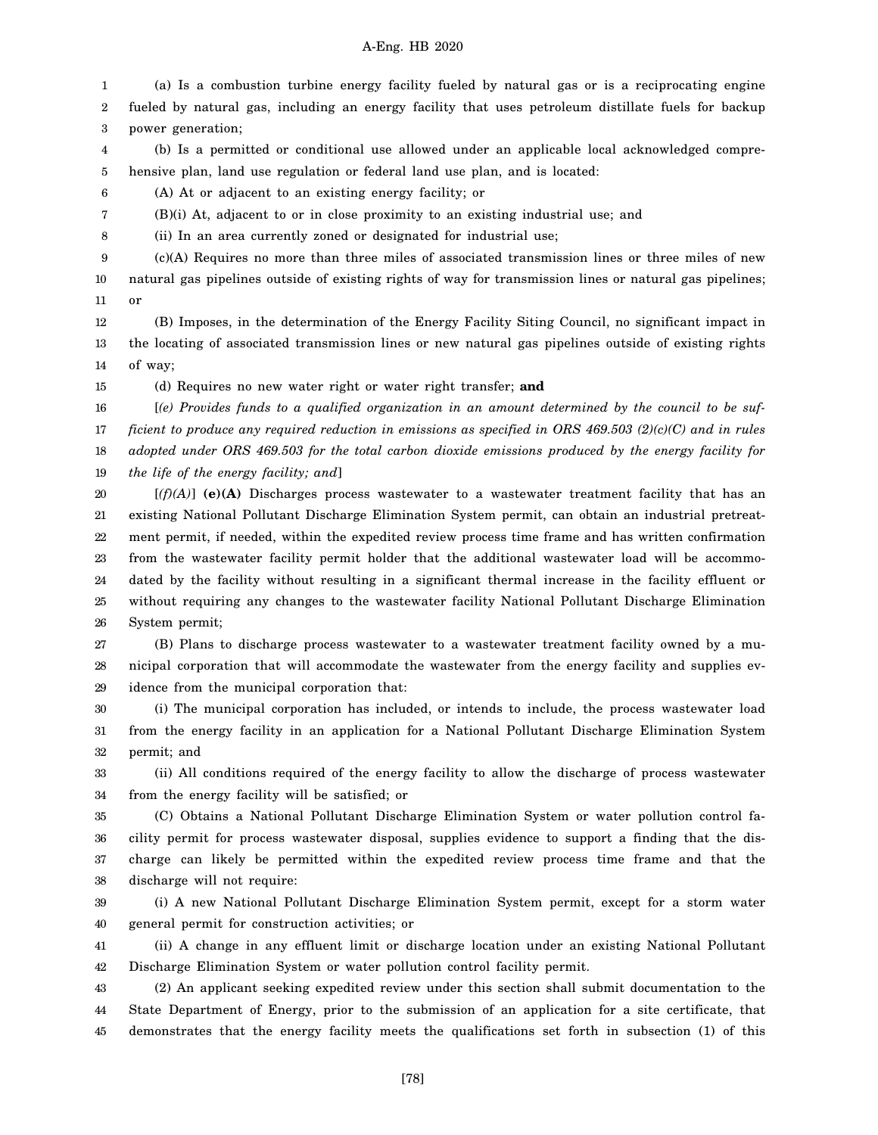1 2 3 (a) Is a combustion turbine energy facility fueled by natural gas or is a reciprocating engine fueled by natural gas, including an energy facility that uses petroleum distillate fuels for backup power generation;

4 5 (b) Is a permitted or conditional use allowed under an applicable local acknowledged comprehensive plan, land use regulation or federal land use plan, and is located:

6 (A) At or adjacent to an existing energy facility; or

7 (B)(i) At, adjacent to or in close proximity to an existing industrial use; and

8 (ii) In an area currently zoned or designated for industrial use;

9 10 11 (c)(A) Requires no more than three miles of associated transmission lines or three miles of new natural gas pipelines outside of existing rights of way for transmission lines or natural gas pipelines; or

12 13 14 (B) Imposes, in the determination of the Energy Facility Siting Council, no significant impact in the locating of associated transmission lines or new natural gas pipelines outside of existing rights of way;

15 (d) Requires no new water right or water right transfer; **and**

16 17 18 19 [*(e) Provides funds to a qualified organization in an amount determined by the council to be sufficient to produce any required reduction in emissions as specified in ORS 469.503 (2)(c)(C) and in rules adopted under ORS 469.503 for the total carbon dioxide emissions produced by the energy facility for the life of the energy facility; and*]

20 21 22 23 24 25 26 [*(f)(A)*] **(e)(A)** Discharges process wastewater to a wastewater treatment facility that has an existing National Pollutant Discharge Elimination System permit, can obtain an industrial pretreatment permit, if needed, within the expedited review process time frame and has written confirmation from the wastewater facility permit holder that the additional wastewater load will be accommodated by the facility without resulting in a significant thermal increase in the facility effluent or without requiring any changes to the wastewater facility National Pollutant Discharge Elimination System permit;

27 28 29 (B) Plans to discharge process wastewater to a wastewater treatment facility owned by a municipal corporation that will accommodate the wastewater from the energy facility and supplies evidence from the municipal corporation that:

30 31 32 (i) The municipal corporation has included, or intends to include, the process wastewater load from the energy facility in an application for a National Pollutant Discharge Elimination System permit; and

33 34 (ii) All conditions required of the energy facility to allow the discharge of process wastewater from the energy facility will be satisfied; or

35 36 37 38 (C) Obtains a National Pollutant Discharge Elimination System or water pollution control facility permit for process wastewater disposal, supplies evidence to support a finding that the discharge can likely be permitted within the expedited review process time frame and that the discharge will not require:

39 40 (i) A new National Pollutant Discharge Elimination System permit, except for a storm water general permit for construction activities; or

41 42 (ii) A change in any effluent limit or discharge location under an existing National Pollutant Discharge Elimination System or water pollution control facility permit.

43 44 45 (2) An applicant seeking expedited review under this section shall submit documentation to the State Department of Energy, prior to the submission of an application for a site certificate, that demonstrates that the energy facility meets the qualifications set forth in subsection (1) of this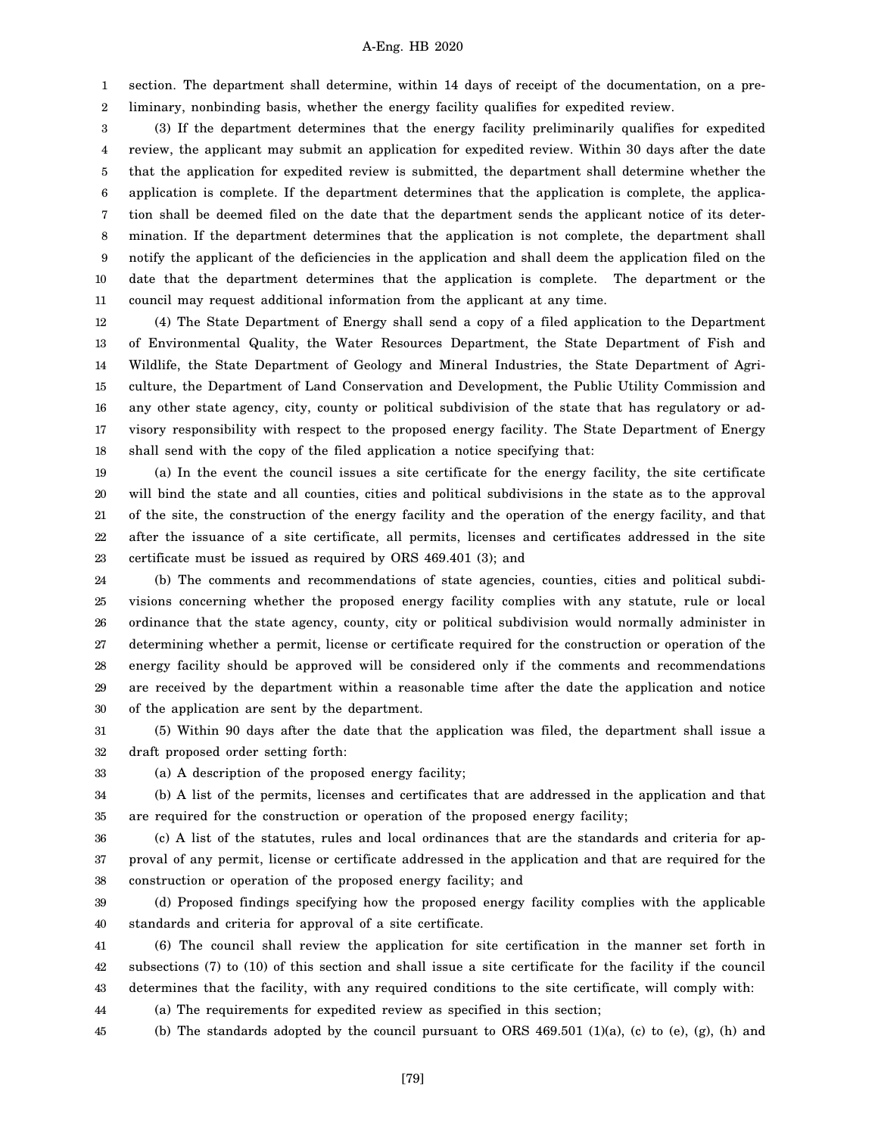1 2 section. The department shall determine, within 14 days of receipt of the documentation, on a preliminary, nonbinding basis, whether the energy facility qualifies for expedited review.

3 4 5 6 7 8 9 10 11 (3) If the department determines that the energy facility preliminarily qualifies for expedited review, the applicant may submit an application for expedited review. Within 30 days after the date that the application for expedited review is submitted, the department shall determine whether the application is complete. If the department determines that the application is complete, the application shall be deemed filed on the date that the department sends the applicant notice of its determination. If the department determines that the application is not complete, the department shall notify the applicant of the deficiencies in the application and shall deem the application filed on the date that the department determines that the application is complete. The department or the council may request additional information from the applicant at any time.

12 13 14 15 16 17 18 (4) The State Department of Energy shall send a copy of a filed application to the Department of Environmental Quality, the Water Resources Department, the State Department of Fish and Wildlife, the State Department of Geology and Mineral Industries, the State Department of Agriculture, the Department of Land Conservation and Development, the Public Utility Commission and any other state agency, city, county or political subdivision of the state that has regulatory or advisory responsibility with respect to the proposed energy facility. The State Department of Energy shall send with the copy of the filed application a notice specifying that:

19 20 21 22 23 (a) In the event the council issues a site certificate for the energy facility, the site certificate will bind the state and all counties, cities and political subdivisions in the state as to the approval of the site, the construction of the energy facility and the operation of the energy facility, and that after the issuance of a site certificate, all permits, licenses and certificates addressed in the site certificate must be issued as required by ORS 469.401 (3); and

24 25 26 27 28 29 30 (b) The comments and recommendations of state agencies, counties, cities and political subdivisions concerning whether the proposed energy facility complies with any statute, rule or local ordinance that the state agency, county, city or political subdivision would normally administer in determining whether a permit, license or certificate required for the construction or operation of the energy facility should be approved will be considered only if the comments and recommendations are received by the department within a reasonable time after the date the application and notice of the application are sent by the department.

31 32 (5) Within 90 days after the date that the application was filed, the department shall issue a draft proposed order setting forth:

(b) A list of the permits, licenses and certificates that are addressed in the application and that

33

34

35

36 37 38 (c) A list of the statutes, rules and local ordinances that are the standards and criteria for approval of any permit, license or certificate addressed in the application and that are required for the construction or operation of the proposed energy facility; and

are required for the construction or operation of the proposed energy facility;

39 40 (d) Proposed findings specifying how the proposed energy facility complies with the applicable standards and criteria for approval of a site certificate.

41 42 43 (6) The council shall review the application for site certification in the manner set forth in subsections (7) to (10) of this section and shall issue a site certificate for the facility if the council determines that the facility, with any required conditions to the site certificate, will comply with:

44 (a) The requirements for expedited review as specified in this section;

(a) A description of the proposed energy facility;

45 (b) The standards adopted by the council pursuant to ORS  $469.501$  (1)(a), (c) to (e), (g), (h) and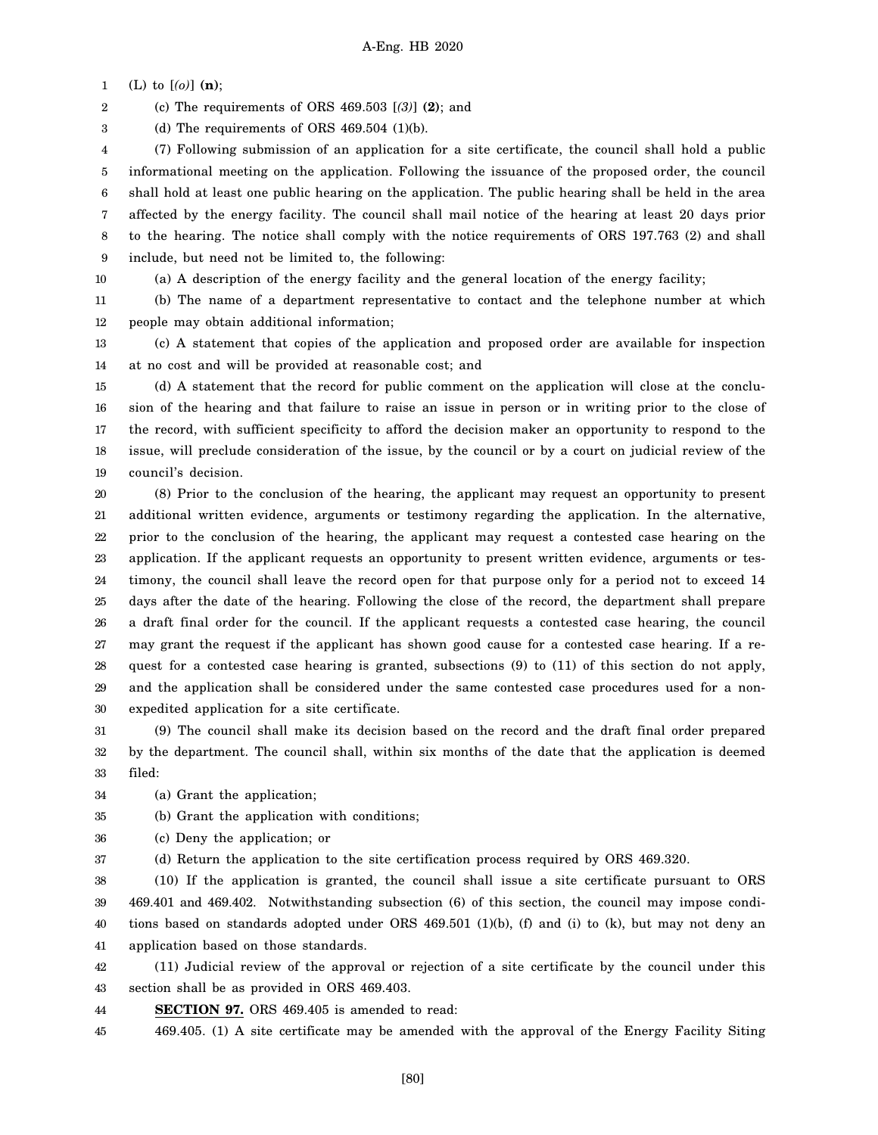1 (L) to [*(o)*] **(n)**;

2 (c) The requirements of ORS 469.503 [*(3)*] **(2)**; and

3 (d) The requirements of ORS  $469.504$  (1)(b).

4 5 6 7 8 9 (7) Following submission of an application for a site certificate, the council shall hold a public informational meeting on the application. Following the issuance of the proposed order, the council shall hold at least one public hearing on the application. The public hearing shall be held in the area affected by the energy facility. The council shall mail notice of the hearing at least 20 days prior to the hearing. The notice shall comply with the notice requirements of ORS 197.763 (2) and shall include, but need not be limited to, the following:

10

(a) A description of the energy facility and the general location of the energy facility;

11 12 (b) The name of a department representative to contact and the telephone number at which people may obtain additional information;

13 14 (c) A statement that copies of the application and proposed order are available for inspection at no cost and will be provided at reasonable cost; and

15 16 17 18 19 (d) A statement that the record for public comment on the application will close at the conclusion of the hearing and that failure to raise an issue in person or in writing prior to the close of the record, with sufficient specificity to afford the decision maker an opportunity to respond to the issue, will preclude consideration of the issue, by the council or by a court on judicial review of the council's decision.

20 21 22 23 24 25 26 27 28 29 30 (8) Prior to the conclusion of the hearing, the applicant may request an opportunity to present additional written evidence, arguments or testimony regarding the application. In the alternative, prior to the conclusion of the hearing, the applicant may request a contested case hearing on the application. If the applicant requests an opportunity to present written evidence, arguments or testimony, the council shall leave the record open for that purpose only for a period not to exceed 14 days after the date of the hearing. Following the close of the record, the department shall prepare a draft final order for the council. If the applicant requests a contested case hearing, the council may grant the request if the applicant has shown good cause for a contested case hearing. If a request for a contested case hearing is granted, subsections (9) to (11) of this section do not apply, and the application shall be considered under the same contested case procedures used for a nonexpedited application for a site certificate.

31 32 33 (9) The council shall make its decision based on the record and the draft final order prepared by the department. The council shall, within six months of the date that the application is deemed filed:

34 (a) Grant the application;

35 (b) Grant the application with conditions;

36 (c) Deny the application; or

37

(d) Return the application to the site certification process required by ORS 469.320.

38 39 40 41 (10) If the application is granted, the council shall issue a site certificate pursuant to ORS 469.401 and 469.402. Notwithstanding subsection (6) of this section, the council may impose conditions based on standards adopted under ORS 469.501 (1)(b), (f) and (i) to (k), but may not deny an application based on those standards.

42 43 (11) Judicial review of the approval or rejection of a site certificate by the council under this section shall be as provided in ORS 469.403.

44 **SECTION 97.** ORS 469.405 is amended to read:

45 469.405. (1) A site certificate may be amended with the approval of the Energy Facility Siting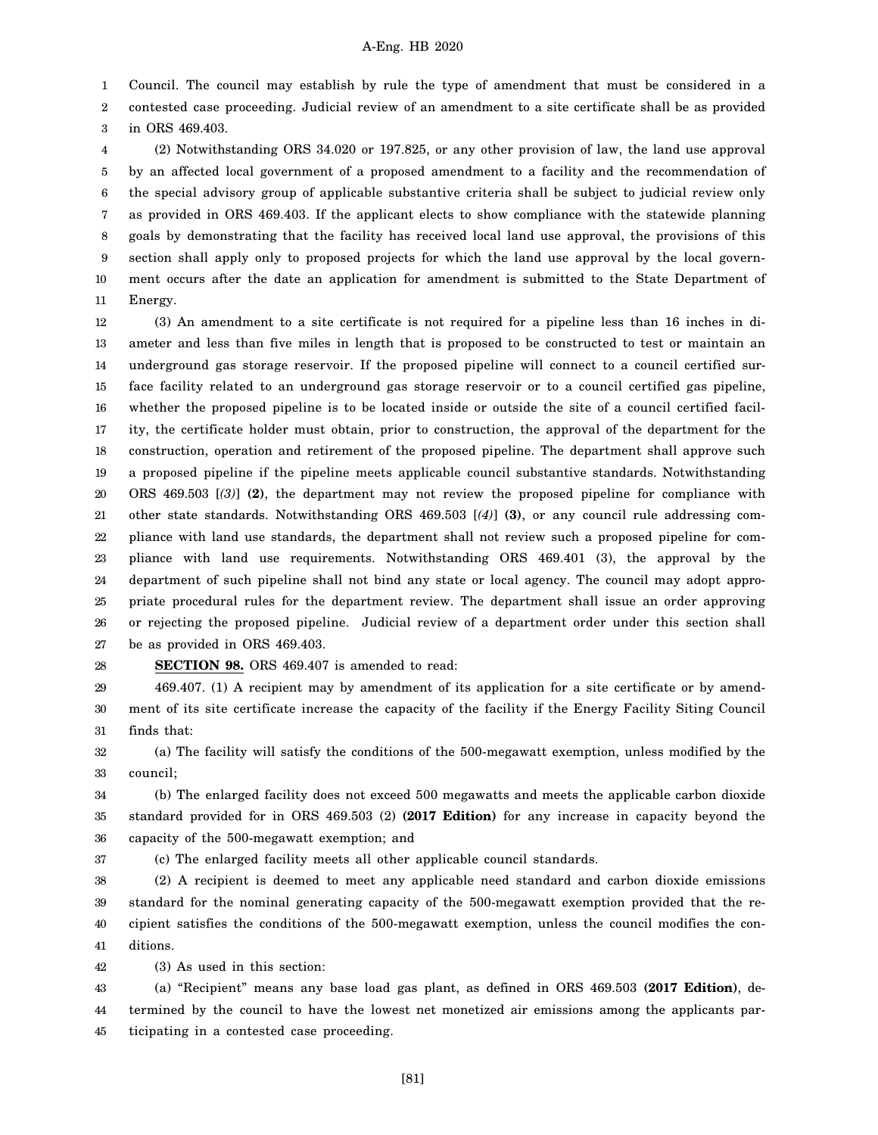1 Council. The council may establish by rule the type of amendment that must be considered in a

2 3 contested case proceeding. Judicial review of an amendment to a site certificate shall be as provided in ORS 469.403.

4 5 6 7 8 9 10 11 (2) Notwithstanding ORS 34.020 or 197.825, or any other provision of law, the land use approval by an affected local government of a proposed amendment to a facility and the recommendation of the special advisory group of applicable substantive criteria shall be subject to judicial review only as provided in ORS 469.403. If the applicant elects to show compliance with the statewide planning goals by demonstrating that the facility has received local land use approval, the provisions of this section shall apply only to proposed projects for which the land use approval by the local government occurs after the date an application for amendment is submitted to the State Department of Energy.

12 13 14 15 16 17 18 19 20 21 22 23 24 25 26 27 (3) An amendment to a site certificate is not required for a pipeline less than 16 inches in diameter and less than five miles in length that is proposed to be constructed to test or maintain an underground gas storage reservoir. If the proposed pipeline will connect to a council certified surface facility related to an underground gas storage reservoir or to a council certified gas pipeline, whether the proposed pipeline is to be located inside or outside the site of a council certified facility, the certificate holder must obtain, prior to construction, the approval of the department for the construction, operation and retirement of the proposed pipeline. The department shall approve such a proposed pipeline if the pipeline meets applicable council substantive standards. Notwithstanding ORS 469.503 [*(3)*] **(2)**, the department may not review the proposed pipeline for compliance with other state standards. Notwithstanding ORS 469.503 [*(4)*] **(3)**, or any council rule addressing compliance with land use standards, the department shall not review such a proposed pipeline for compliance with land use requirements. Notwithstanding ORS 469.401 (3), the approval by the department of such pipeline shall not bind any state or local agency. The council may adopt appropriate procedural rules for the department review. The department shall issue an order approving or rejecting the proposed pipeline. Judicial review of a department order under this section shall be as provided in ORS 469.403.

28 **SECTION 98.** ORS 469.407 is amended to read:

29 30 31 469.407. (1) A recipient may by amendment of its application for a site certificate or by amendment of its site certificate increase the capacity of the facility if the Energy Facility Siting Council finds that:

32 33 (a) The facility will satisfy the conditions of the 500-megawatt exemption, unless modified by the council;

34 35 36 (b) The enlarged facility does not exceed 500 megawatts and meets the applicable carbon dioxide standard provided for in ORS 469.503 (2) **(2017 Edition)** for any increase in capacity beyond the capacity of the 500-megawatt exemption; and

37 (c) The enlarged facility meets all other applicable council standards.

38 39 40 41 (2) A recipient is deemed to meet any applicable need standard and carbon dioxide emissions standard for the nominal generating capacity of the 500-megawatt exemption provided that the recipient satisfies the conditions of the 500-megawatt exemption, unless the council modifies the conditions.

42 (3) As used in this section:

43 44 45 (a) "Recipient" means any base load gas plant, as defined in ORS 469.503 **(2017 Edition)**, determined by the council to have the lowest net monetized air emissions among the applicants participating in a contested case proceeding.

[81]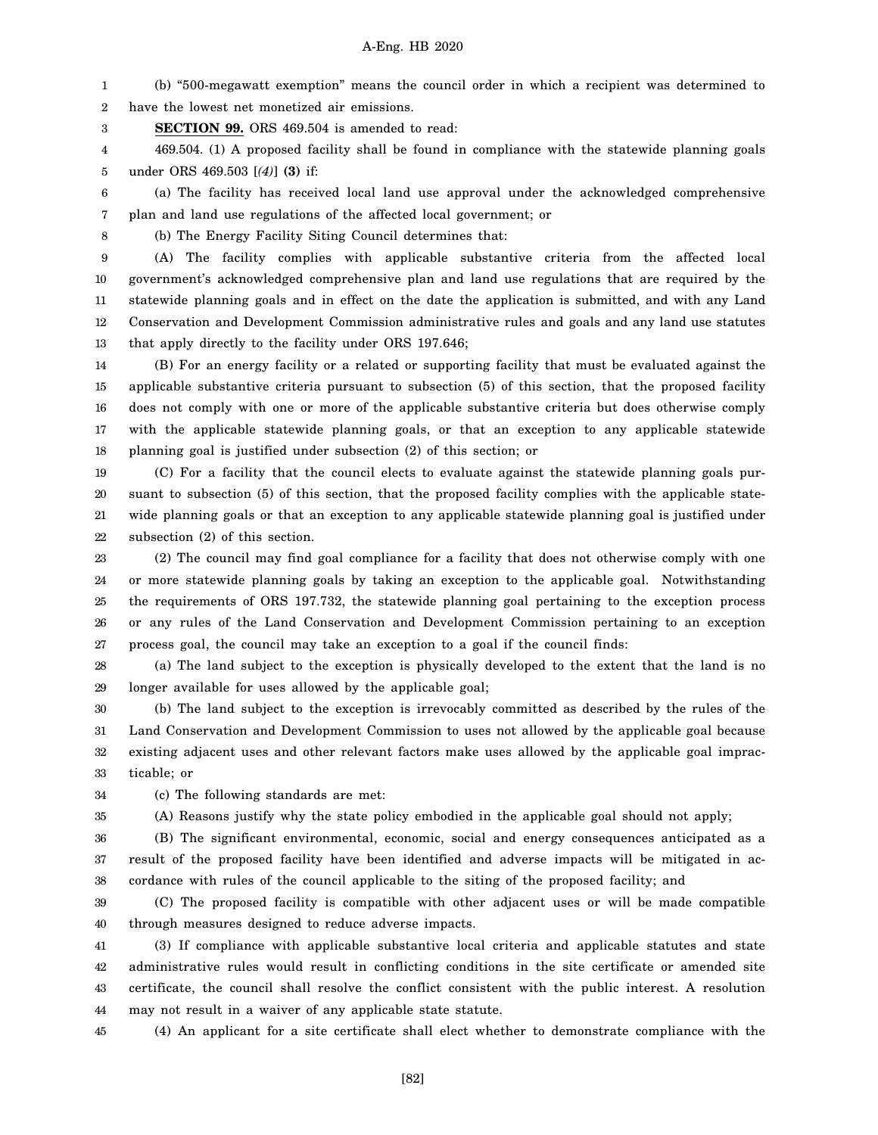1 2 (b) "500-megawatt exemption" means the council order in which a recipient was determined to have the lowest net monetized air emissions.

3 **SECTION 99.** ORS 469.504 is amended to read:

4 5 469.504. (1) A proposed facility shall be found in compliance with the statewide planning goals under ORS 469.503 [*(4)*] **(3)** if:

6 7 (a) The facility has received local land use approval under the acknowledged comprehensive plan and land use regulations of the affected local government; or

8

(b) The Energy Facility Siting Council determines that:

9 10 11 12 13 (A) The facility complies with applicable substantive criteria from the affected local government's acknowledged comprehensive plan and land use regulations that are required by the statewide planning goals and in effect on the date the application is submitted, and with any Land Conservation and Development Commission administrative rules and goals and any land use statutes that apply directly to the facility under ORS 197.646;

14 15 16 17 18 (B) For an energy facility or a related or supporting facility that must be evaluated against the applicable substantive criteria pursuant to subsection (5) of this section, that the proposed facility does not comply with one or more of the applicable substantive criteria but does otherwise comply with the applicable statewide planning goals, or that an exception to any applicable statewide planning goal is justified under subsection (2) of this section; or

19 20 21 22 (C) For a facility that the council elects to evaluate against the statewide planning goals pursuant to subsection (5) of this section, that the proposed facility complies with the applicable statewide planning goals or that an exception to any applicable statewide planning goal is justified under subsection (2) of this section.

23 24 25 26 27 (2) The council may find goal compliance for a facility that does not otherwise comply with one or more statewide planning goals by taking an exception to the applicable goal. Notwithstanding the requirements of ORS 197.732, the statewide planning goal pertaining to the exception process or any rules of the Land Conservation and Development Commission pertaining to an exception process goal, the council may take an exception to a goal if the council finds:

28 29 (a) The land subject to the exception is physically developed to the extent that the land is no longer available for uses allowed by the applicable goal;

30 31 32 33 (b) The land subject to the exception is irrevocably committed as described by the rules of the Land Conservation and Development Commission to uses not allowed by the applicable goal because existing adjacent uses and other relevant factors make uses allowed by the applicable goal impracticable; or

34 (c) The following standards are met:

35 (A) Reasons justify why the state policy embodied in the applicable goal should not apply;

36 37 38 (B) The significant environmental, economic, social and energy consequences anticipated as a result of the proposed facility have been identified and adverse impacts will be mitigated in accordance with rules of the council applicable to the siting of the proposed facility; and

39 40 (C) The proposed facility is compatible with other adjacent uses or will be made compatible through measures designed to reduce adverse impacts.

41 42 43 44 (3) If compliance with applicable substantive local criteria and applicable statutes and state administrative rules would result in conflicting conditions in the site certificate or amended site certificate, the council shall resolve the conflict consistent with the public interest. A resolution may not result in a waiver of any applicable state statute.

45 (4) An applicant for a site certificate shall elect whether to demonstrate compliance with the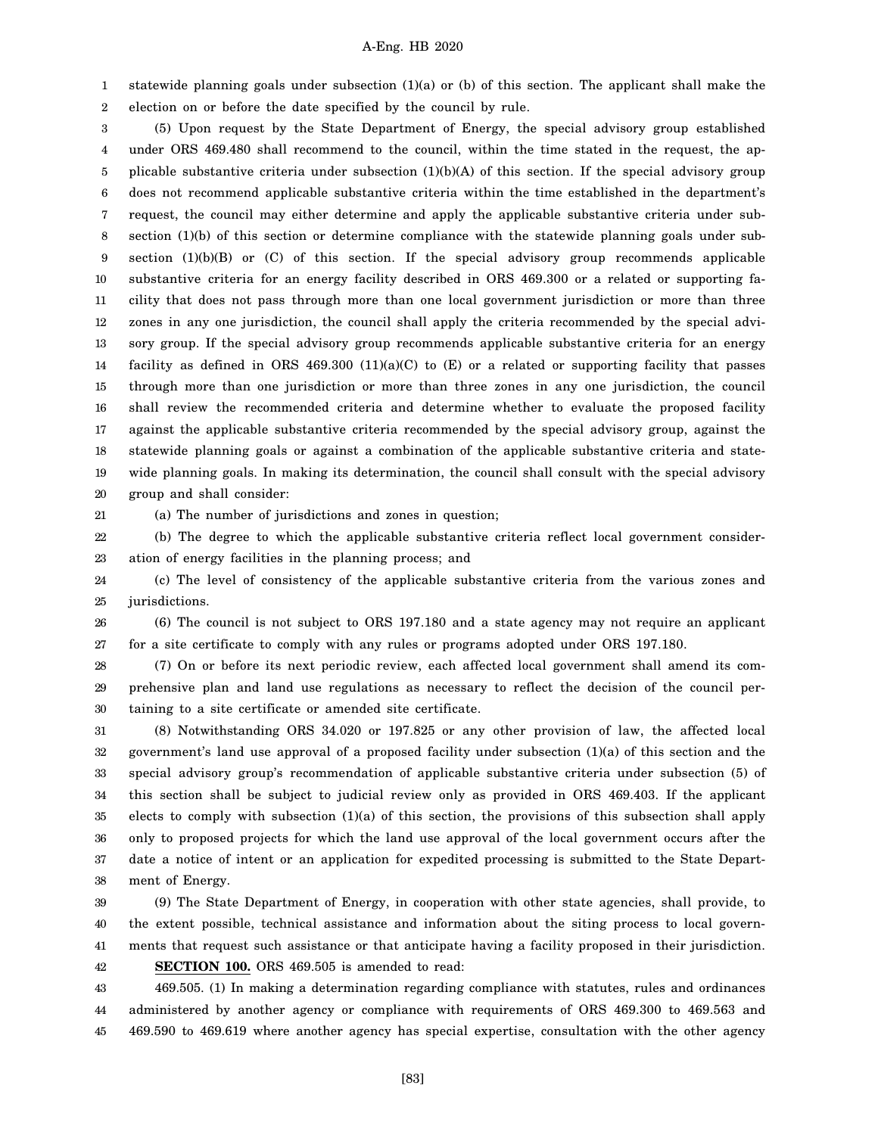1 2 statewide planning goals under subsection (1)(a) or (b) of this section. The applicant shall make the election on or before the date specified by the council by rule.

3 4 5 6 7 8 9 10 11 12 13 14 15 16 17 18 19 20 (5) Upon request by the State Department of Energy, the special advisory group established under ORS 469.480 shall recommend to the council, within the time stated in the request, the applicable substantive criteria under subsection  $(1)(b)(A)$  of this section. If the special advisory group does not recommend applicable substantive criteria within the time established in the department's request, the council may either determine and apply the applicable substantive criteria under subsection (1)(b) of this section or determine compliance with the statewide planning goals under subsection  $(1)(b)(B)$  or  $(C)$  of this section. If the special advisory group recommends applicable substantive criteria for an energy facility described in ORS 469.300 or a related or supporting facility that does not pass through more than one local government jurisdiction or more than three zones in any one jurisdiction, the council shall apply the criteria recommended by the special advisory group. If the special advisory group recommends applicable substantive criteria for an energy facility as defined in ORS 469.300  $(11)(a)(C)$  to  $(E)$  or a related or supporting facility that passes through more than one jurisdiction or more than three zones in any one jurisdiction, the council shall review the recommended criteria and determine whether to evaluate the proposed facility against the applicable substantive criteria recommended by the special advisory group, against the statewide planning goals or against a combination of the applicable substantive criteria and statewide planning goals. In making its determination, the council shall consult with the special advisory group and shall consider:

21

(a) The number of jurisdictions and zones in question;

22 23 (b) The degree to which the applicable substantive criteria reflect local government consideration of energy facilities in the planning process; and

24 25 (c) The level of consistency of the applicable substantive criteria from the various zones and jurisdictions.

26 27 (6) The council is not subject to ORS 197.180 and a state agency may not require an applicant for a site certificate to comply with any rules or programs adopted under ORS 197.180.

28 29 30 (7) On or before its next periodic review, each affected local government shall amend its comprehensive plan and land use regulations as necessary to reflect the decision of the council pertaining to a site certificate or amended site certificate.

31 32 33 34 35 36 37 38 (8) Notwithstanding ORS 34.020 or 197.825 or any other provision of law, the affected local government's land use approval of a proposed facility under subsection (1)(a) of this section and the special advisory group's recommendation of applicable substantive criteria under subsection (5) of this section shall be subject to judicial review only as provided in ORS 469.403. If the applicant elects to comply with subsection (1)(a) of this section, the provisions of this subsection shall apply only to proposed projects for which the land use approval of the local government occurs after the date a notice of intent or an application for expedited processing is submitted to the State Department of Energy.

39 40 41 42 (9) The State Department of Energy, in cooperation with other state agencies, shall provide, to the extent possible, technical assistance and information about the siting process to local governments that request such assistance or that anticipate having a facility proposed in their jurisdiction. **SECTION 100.** ORS 469.505 is amended to read:

43 44 45 469.505. (1) In making a determination regarding compliance with statutes, rules and ordinances administered by another agency or compliance with requirements of ORS 469.300 to 469.563 and 469.590 to 469.619 where another agency has special expertise, consultation with the other agency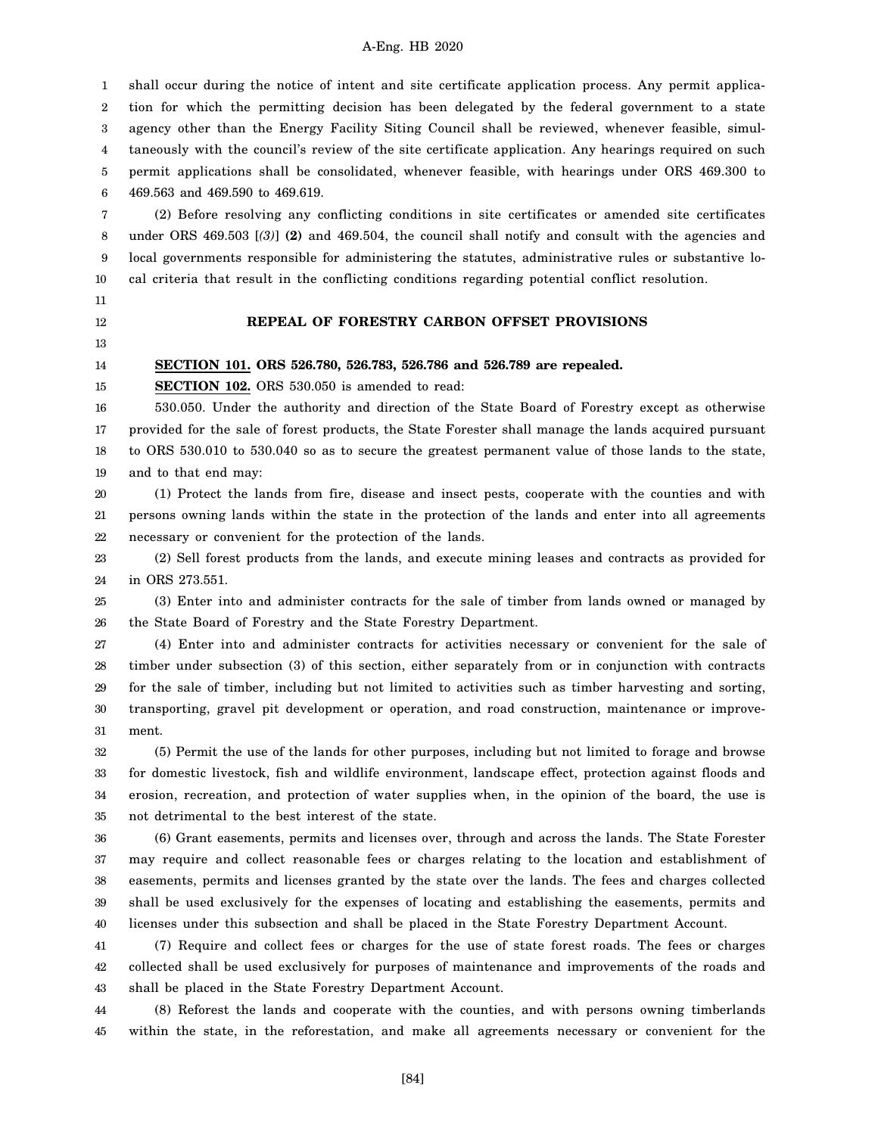1 2 3 4 5 6 shall occur during the notice of intent and site certificate application process. Any permit application for which the permitting decision has been delegated by the federal government to a state agency other than the Energy Facility Siting Council shall be reviewed, whenever feasible, simultaneously with the council's review of the site certificate application. Any hearings required on such permit applications shall be consolidated, whenever feasible, with hearings under ORS 469.300 to 469.563 and 469.590 to 469.619.

7 8 9 10 (2) Before resolving any conflicting conditions in site certificates or amended site certificates under ORS 469.503 [*(3)*] **(2)** and 469.504, the council shall notify and consult with the agencies and local governments responsible for administering the statutes, administrative rules or substantive local criteria that result in the conflicting conditions regarding potential conflict resolution.

- 11
- 12

# **REPEAL OF FORESTRY CARBON OFFSET PROVISIONS**

13

#### 14 **SECTION 101. ORS 526.780, 526.783, 526.786 and 526.789 are repealed.**

15

**SECTION 102.** ORS 530.050 is amended to read:

16 17 18 19 530.050. Under the authority and direction of the State Board of Forestry except as otherwise provided for the sale of forest products, the State Forester shall manage the lands acquired pursuant to ORS 530.010 to 530.040 so as to secure the greatest permanent value of those lands to the state, and to that end may:

20 21 22 (1) Protect the lands from fire, disease and insect pests, cooperate with the counties and with persons owning lands within the state in the protection of the lands and enter into all agreements necessary or convenient for the protection of the lands.

23 24 (2) Sell forest products from the lands, and execute mining leases and contracts as provided for in ORS 273.551.

25 26 (3) Enter into and administer contracts for the sale of timber from lands owned or managed by the State Board of Forestry and the State Forestry Department.

27 28 29 30 31 (4) Enter into and administer contracts for activities necessary or convenient for the sale of timber under subsection (3) of this section, either separately from or in conjunction with contracts for the sale of timber, including but not limited to activities such as timber harvesting and sorting, transporting, gravel pit development or operation, and road construction, maintenance or improvement.

32 33 34 35 (5) Permit the use of the lands for other purposes, including but not limited to forage and browse for domestic livestock, fish and wildlife environment, landscape effect, protection against floods and erosion, recreation, and protection of water supplies when, in the opinion of the board, the use is not detrimental to the best interest of the state.

36 37 38 39 40 (6) Grant easements, permits and licenses over, through and across the lands. The State Forester may require and collect reasonable fees or charges relating to the location and establishment of easements, permits and licenses granted by the state over the lands. The fees and charges collected shall be used exclusively for the expenses of locating and establishing the easements, permits and licenses under this subsection and shall be placed in the State Forestry Department Account.

41 42 43 (7) Require and collect fees or charges for the use of state forest roads. The fees or charges collected shall be used exclusively for purposes of maintenance and improvements of the roads and shall be placed in the State Forestry Department Account.

44 45 (8) Reforest the lands and cooperate with the counties, and with persons owning timberlands within the state, in the reforestation, and make all agreements necessary or convenient for the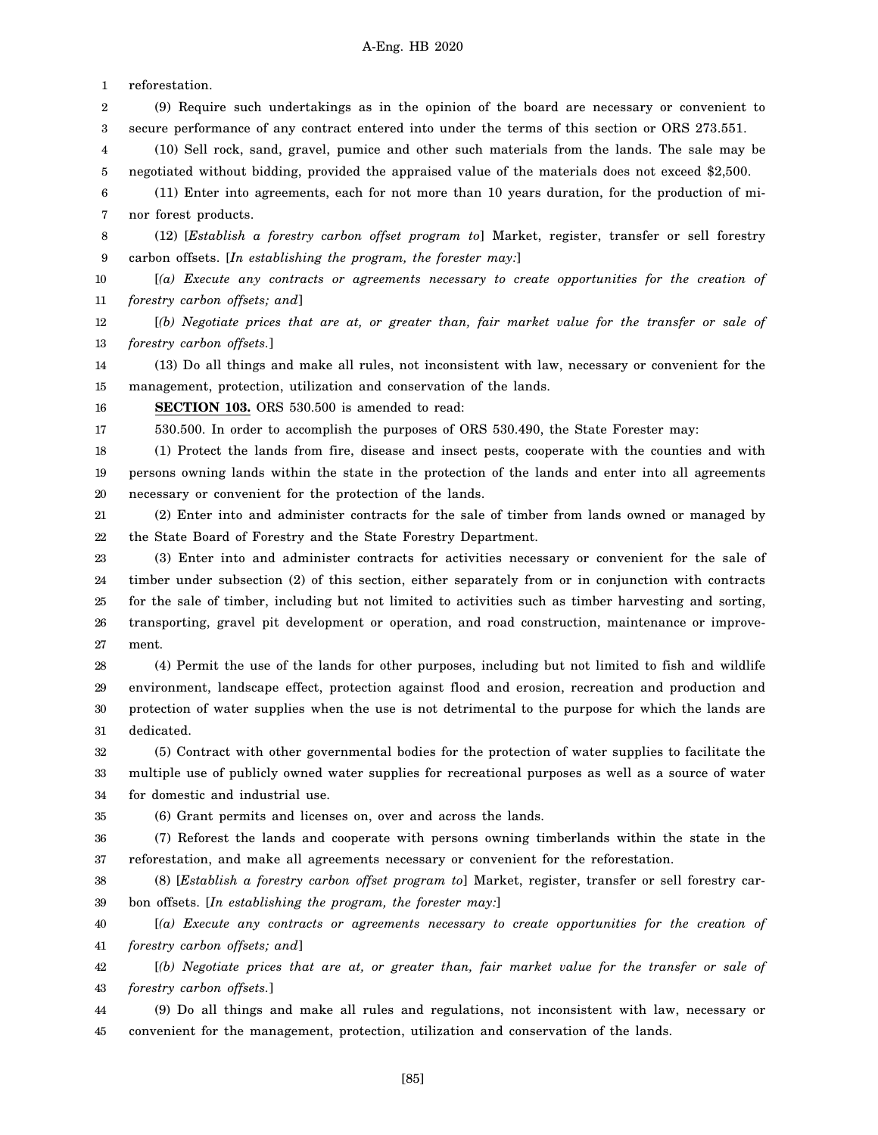1 reforestation.

- 2 3 (9) Require such undertakings as in the opinion of the board are necessary or convenient to secure performance of any contract entered into under the terms of this section or ORS 273.551.
- 4 5 (10) Sell rock, sand, gravel, pumice and other such materials from the lands. The sale may be negotiated without bidding, provided the appraised value of the materials does not exceed \$2,500.
- 6 7 (11) Enter into agreements, each for not more than 10 years duration, for the production of minor forest products.
- 8 9 (12) [*Establish a forestry carbon offset program to*] Market, register, transfer or sell forestry carbon offsets. [*In establishing the program, the forester may:*]
- 10 11 [*(a) Execute any contracts or agreements necessary to create opportunities for the creation of forestry carbon offsets; and*]
- 12 13 [*(b) Negotiate prices that are at, or greater than, fair market value for the transfer or sale of forestry carbon offsets.*]
- 14 15 (13) Do all things and make all rules, not inconsistent with law, necessary or convenient for the management, protection, utilization and conservation of the lands.
- 16 **SECTION 103.** ORS 530.500 is amended to read:

17

530.500. In order to accomplish the purposes of ORS 530.490, the State Forester may:

18 19 20 (1) Protect the lands from fire, disease and insect pests, cooperate with the counties and with persons owning lands within the state in the protection of the lands and enter into all agreements necessary or convenient for the protection of the lands.

21 22 (2) Enter into and administer contracts for the sale of timber from lands owned or managed by the State Board of Forestry and the State Forestry Department.

- 23 24 25 26 27 (3) Enter into and administer contracts for activities necessary or convenient for the sale of timber under subsection (2) of this section, either separately from or in conjunction with contracts for the sale of timber, including but not limited to activities such as timber harvesting and sorting, transporting, gravel pit development or operation, and road construction, maintenance or improvement.
- 28 29 30 31 (4) Permit the use of the lands for other purposes, including but not limited to fish and wildlife environment, landscape effect, protection against flood and erosion, recreation and production and protection of water supplies when the use is not detrimental to the purpose for which the lands are dedicated.
- 32 33 34 (5) Contract with other governmental bodies for the protection of water supplies to facilitate the multiple use of publicly owned water supplies for recreational purposes as well as a source of water for domestic and industrial use.

35

- (6) Grant permits and licenses on, over and across the lands.
- 36 37 (7) Reforest the lands and cooperate with persons owning timberlands within the state in the reforestation, and make all agreements necessary or convenient for the reforestation.
- 38 39 (8) [*Establish a forestry carbon offset program to*] Market, register, transfer or sell forestry carbon offsets. [*In establishing the program, the forester may:*]
- 40 41 [*(a) Execute any contracts or agreements necessary to create opportunities for the creation of forestry carbon offsets; and*]
- 42 43 [*(b) Negotiate prices that are at, or greater than, fair market value for the transfer or sale of forestry carbon offsets.*]
- 44 45 (9) Do all things and make all rules and regulations, not inconsistent with law, necessary or convenient for the management, protection, utilization and conservation of the lands.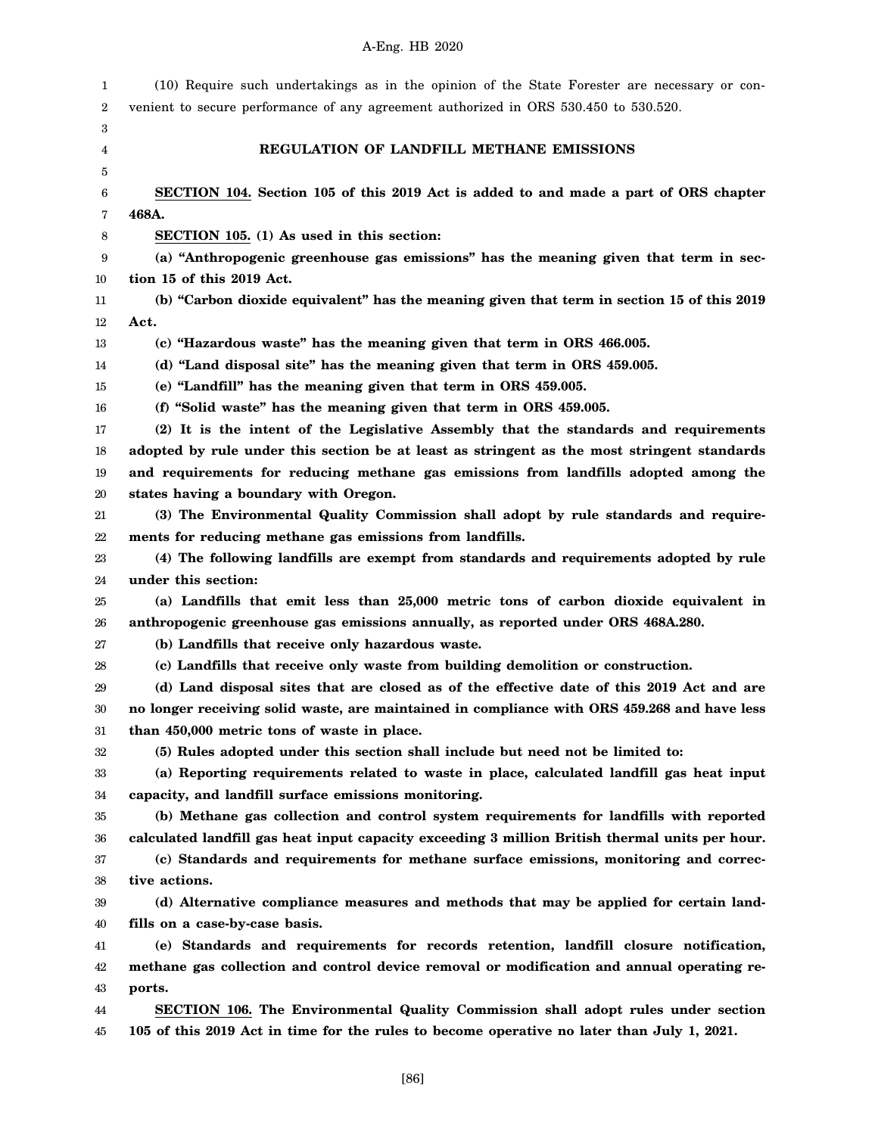| 1  | (10) Require such undertakings as in the opinion of the State Forester are necessary or con-    |
|----|-------------------------------------------------------------------------------------------------|
| 2  | venient to secure performance of any agreement authorized in ORS 530.450 to 530.520.            |
| 3  |                                                                                                 |
| 4  | REGULATION OF LANDFILL METHANE EMISSIONS                                                        |
| 5  |                                                                                                 |
| 6  | SECTION 104. Section 105 of this 2019 Act is added to and made a part of ORS chapter            |
| 7  | 468A.                                                                                           |
| 8  | SECTION 105. (1) As used in this section:                                                       |
| 9  | (a) "Anthropogenic greenhouse gas emissions" has the meaning given that term in sec-            |
| 10 | tion 15 of this 2019 Act.                                                                       |
| 11 | (b) "Carbon dioxide equivalent" has the meaning given that term in section 15 of this 2019      |
| 12 | Act.                                                                                            |
| 13 | (c) "Hazardous waste" has the meaning given that term in ORS 466.005.                           |
| 14 | (d) "Land disposal site" has the meaning given that term in ORS 459.005.                        |
| 15 | (e) "Landfill" has the meaning given that term in ORS 459.005.                                  |
| 16 | (f) "Solid waste" has the meaning given that term in ORS 459.005.                               |
| 17 | (2) It is the intent of the Legislative Assembly that the standards and requirements            |
| 18 | adopted by rule under this section be at least as stringent as the most stringent standards     |
| 19 | and requirements for reducing methane gas emissions from landfills adopted among the            |
| 20 | states having a boundary with Oregon.                                                           |
| 21 | (3) The Environmental Quality Commission shall adopt by rule standards and require-             |
| 22 | ments for reducing methane gas emissions from landfills.                                        |
| 23 | (4) The following landfills are exempt from standards and requirements adopted by rule          |
| 24 | under this section:                                                                             |
| 25 | (a) Landfills that emit less than 25,000 metric tons of carbon dioxide equivalent in            |
| 26 | anthropogenic greenhouse gas emissions annually, as reported under ORS 468A.280.                |
| 27 | (b) Landfills that receive only hazardous waste.                                                |
| 28 | (c) Landfills that receive only waste from building demolition or construction.                 |
| 29 | (d) Land disposal sites that are closed as of the effective date of this 2019 Act and are       |
| 30 | no longer receiving solid waste, are maintained in compliance with ORS 459.268 and have less    |
| 31 | than 450,000 metric tons of waste in place.                                                     |
| 32 | (5) Rules adopted under this section shall include but need not be limited to:                  |
| 33 | (a) Reporting requirements related to waste in place, calculated landfill gas heat input        |
| 34 | capacity, and landfill surface emissions monitoring.                                            |
| 35 | (b) Methane gas collection and control system requirements for landfills with reported          |
| 36 | calculated landfill gas heat input capacity exceeding 3 million British thermal units per hour. |
| 37 | (c) Standards and requirements for methane surface emissions, monitoring and correc-            |
| 38 | tive actions.                                                                                   |
| 39 | (d) Alternative compliance measures and methods that may be applied for certain land-           |
| 40 | fills on a case-by-case basis.                                                                  |
| 41 | (e) Standards and requirements for records retention, landfill closure notification,            |
| 42 | methane gas collection and control device removal or modification and annual operating re-      |
| 43 | ports.                                                                                          |
| 44 | SECTION 106. The Environmental Quality Commission shall adopt rules under section               |
| 45 | 105 of this 2019 Act in time for the rules to become operative no later than July 1, 2021.      |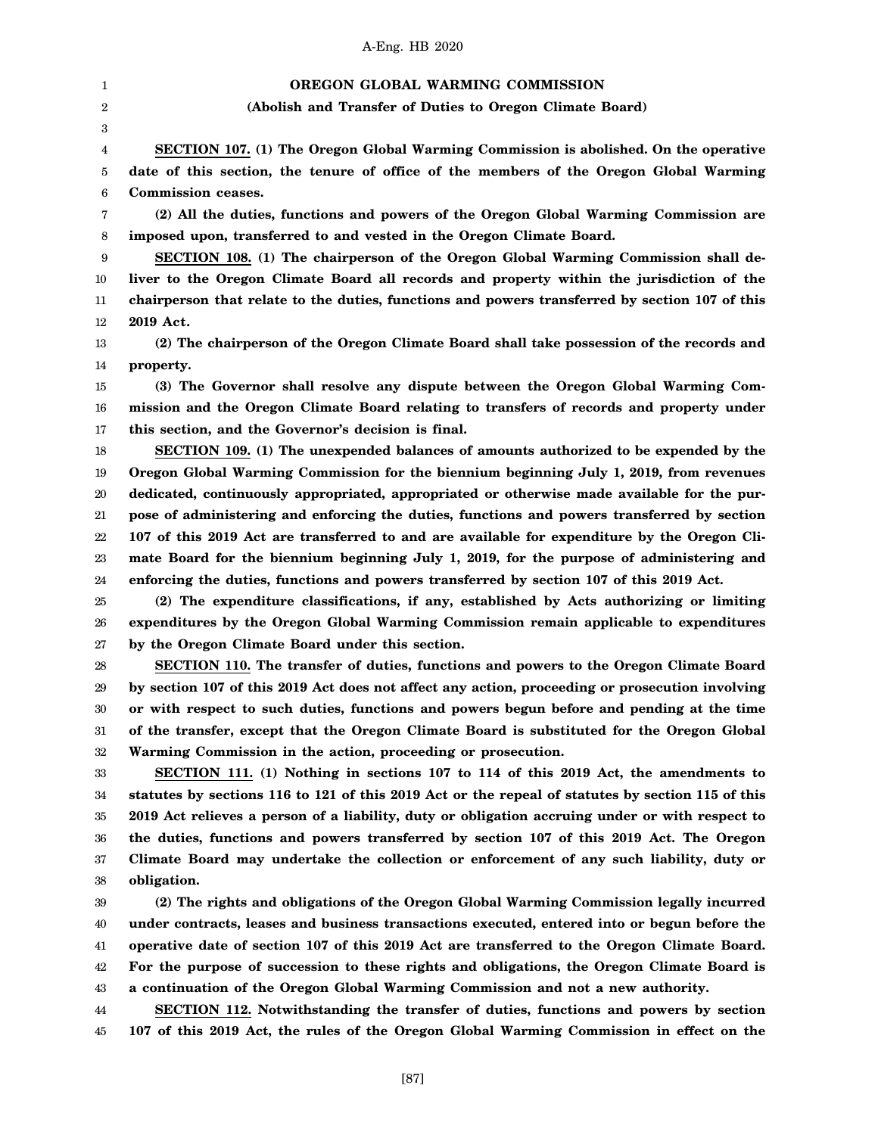1 2 3 4 5 6 7 8 9 10 11 12 13 14 15 16 17 18 19 20 21 22 23 24 25 26 27 28 29 30 31 32 33 34 35 36 37 38 39 40 41 42 43 44 45 **OREGON GLOBAL WARMING COMMISSION (Abolish and Transfer of Duties to Oregon Climate Board) SECTION 107. (1) The Oregon Global Warming Commission is abolished. On the operative date of this section, the tenure of office of the members of the Oregon Global Warming Commission ceases. (2) All the duties, functions and powers of the Oregon Global Warming Commission are imposed upon, transferred to and vested in the Oregon Climate Board. SECTION 108. (1) The chairperson of the Oregon Global Warming Commission shall deliver to the Oregon Climate Board all records and property within the jurisdiction of the chairperson that relate to the duties, functions and powers transferred by section 107 of this 2019 Act. (2) The chairperson of the Oregon Climate Board shall take possession of the records and property. (3) The Governor shall resolve any dispute between the Oregon Global Warming Commission and the Oregon Climate Board relating to transfers of records and property under this section, and the Governor's decision is final. SECTION 109. (1) The unexpended balances of amounts authorized to be expended by the Oregon Global Warming Commission for the biennium beginning July 1, 2019, from revenues dedicated, continuously appropriated, appropriated or otherwise made available for the purpose of administering and enforcing the duties, functions and powers transferred by section 107 of this 2019 Act are transferred to and are available for expenditure by the Oregon Climate Board for the biennium beginning July 1, 2019, for the purpose of administering and enforcing the duties, functions and powers transferred by section 107 of this 2019 Act. (2) The expenditure classifications, if any, established by Acts authorizing or limiting expenditures by the Oregon Global Warming Commission remain applicable to expenditures by the Oregon Climate Board under this section. SECTION 110. The transfer of duties, functions and powers to the Oregon Climate Board by section 107 of this 2019 Act does not affect any action, proceeding or prosecution involving or with respect to such duties, functions and powers begun before and pending at the time of the transfer, except that the Oregon Climate Board is substituted for the Oregon Global Warming Commission in the action, proceeding or prosecution. SECTION 111. (1) Nothing in sections 107 to 114 of this 2019 Act, the amendments to statutes by sections 116 to 121 of this 2019 Act or the repeal of statutes by section 115 of this 2019 Act relieves a person of a liability, duty or obligation accruing under or with respect to the duties, functions and powers transferred by section 107 of this 2019 Act. The Oregon Climate Board may undertake the collection or enforcement of any such liability, duty or obligation. (2) The rights and obligations of the Oregon Global Warming Commission legally incurred under contracts, leases and business transactions executed, entered into or begun before the operative date of section 107 of this 2019 Act are transferred to the Oregon Climate Board. For the purpose of succession to these rights and obligations, the Oregon Climate Board is a continuation of the Oregon Global Warming Commission and not a new authority. SECTION 112. Notwithstanding the transfer of duties, functions and powers by section 107 of this 2019 Act, the rules of the Oregon Global Warming Commission in effect on the**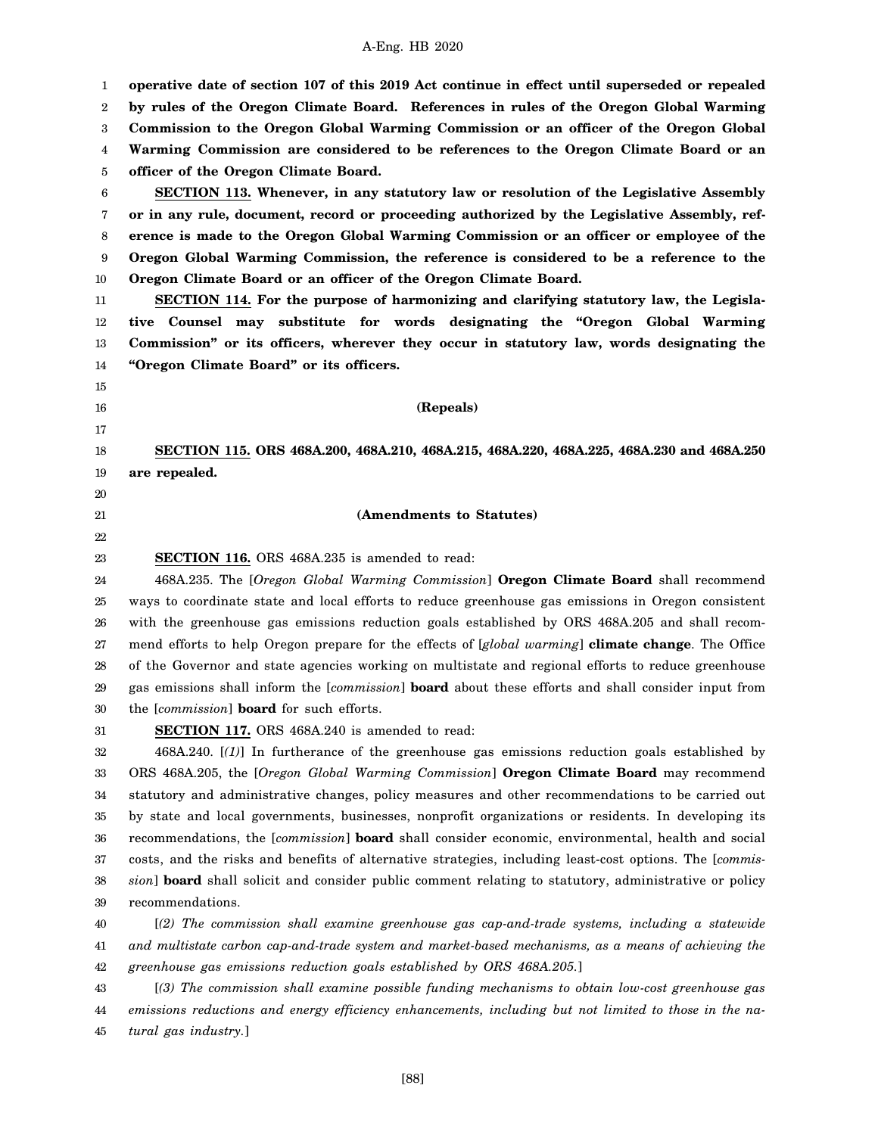1 2 3 4 5 6 7 8 9 10 11 12 13 14 15 16 17 18 19 20 21 22 23 24 25 26 27 28 29 30 31 32 33 34 35 36 37 38 39 40 41 42 43 **operative date of section 107 of this 2019 Act continue in effect until superseded or repealed by rules of the Oregon Climate Board. References in rules of the Oregon Global Warming Commission to the Oregon Global Warming Commission or an officer of the Oregon Global Warming Commission are considered to be references to the Oregon Climate Board or an officer of the Oregon Climate Board. SECTION 113. Whenever, in any statutory law or resolution of the Legislative Assembly or in any rule, document, record or proceeding authorized by the Legislative Assembly, reference is made to the Oregon Global Warming Commission or an officer or employee of the Oregon Global Warming Commission, the reference is considered to be a reference to the Oregon Climate Board or an officer of the Oregon Climate Board. SECTION 114. For the purpose of harmonizing and clarifying statutory law, the Legislative Counsel may substitute for words designating the "Oregon Global Warming Commission" or its officers, wherever they occur in statutory law, words designating the "Oregon Climate Board" or its officers. (Repeals) SECTION 115. ORS 468A.200, 468A.210, 468A.215, 468A.220, 468A.225, 468A.230 and 468A.250 are repealed. (Amendments to Statutes) SECTION 116.** ORS 468A.235 is amended to read: 468A.235. The [*Oregon Global Warming Commission*] **Oregon Climate Board** shall recommend ways to coordinate state and local efforts to reduce greenhouse gas emissions in Oregon consistent with the greenhouse gas emissions reduction goals established by ORS 468A.205 and shall recommend efforts to help Oregon prepare for the effects of [*global warming*] **climate change**. The Office of the Governor and state agencies working on multistate and regional efforts to reduce greenhouse gas emissions shall inform the [*commission*] **board** about these efforts and shall consider input from the [*commission*] **board** for such efforts. **SECTION 117.** ORS 468A.240 is amended to read: 468A.240. [*(1)*] In furtherance of the greenhouse gas emissions reduction goals established by ORS 468A.205, the [*Oregon Global Warming Commission*] **Oregon Climate Board** may recommend statutory and administrative changes, policy measures and other recommendations to be carried out by state and local governments, businesses, nonprofit organizations or residents. In developing its recommendations, the [*commission*] **board** shall consider economic, environmental, health and social costs, and the risks and benefits of alternative strategies, including least-cost options. The [*commission*] **board** shall solicit and consider public comment relating to statutory, administrative or policy recommendations. [*(2) The commission shall examine greenhouse gas cap-and-trade systems, including a statewide and multistate carbon cap-and-trade system and market-based mechanisms, as a means of achieving the greenhouse gas emissions reduction goals established by ORS 468A.205.*] [*(3) The commission shall examine possible funding mechanisms to obtain low-cost greenhouse gas*

44 45 *emissions reductions and energy efficiency enhancements, including but not limited to those in the natural gas industry.*]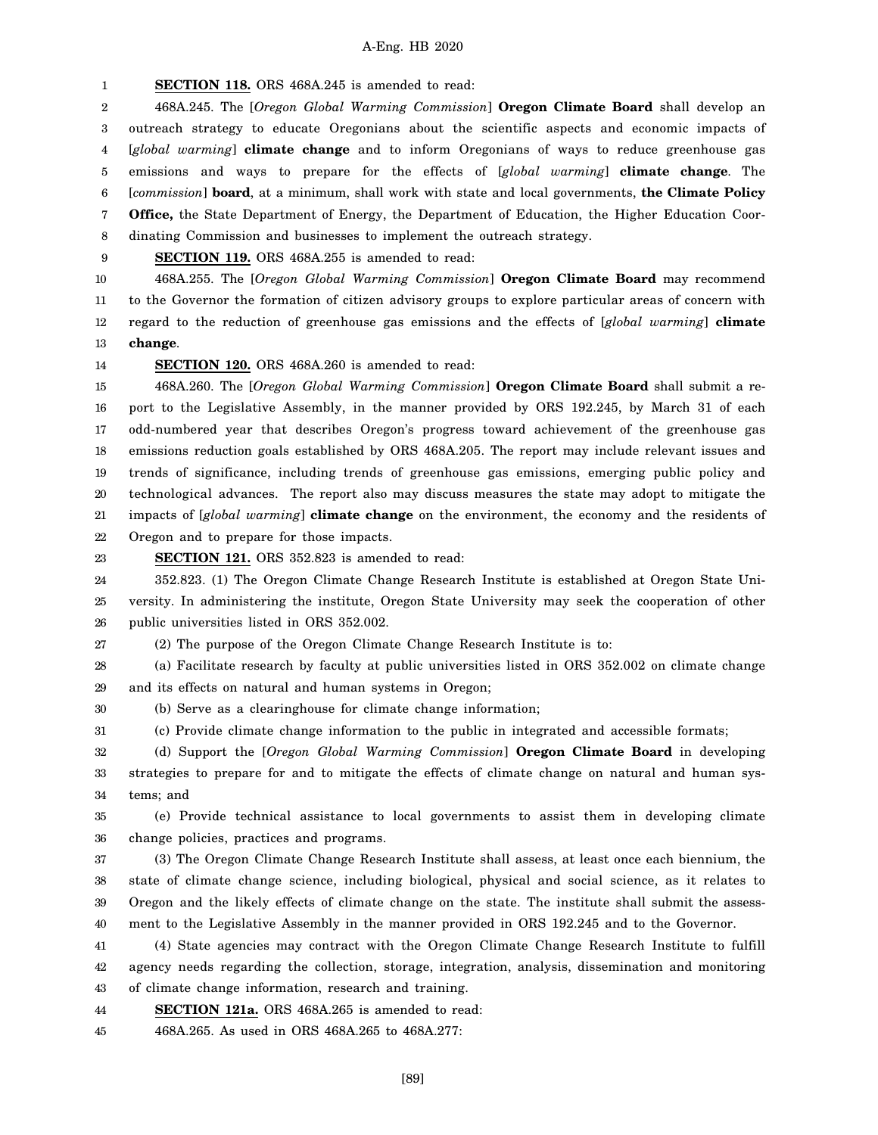1 **SECTION 118.** ORS 468A.245 is amended to read:

2 3 4 5 6 7 8 468A.245. The [*Oregon Global Warming Commission*] **Oregon Climate Board** shall develop an outreach strategy to educate Oregonians about the scientific aspects and economic impacts of [*global warming*] **climate change** and to inform Oregonians of ways to reduce greenhouse gas emissions and ways to prepare for the effects of [*global warming*] **climate change**. The [*commission*] **board**, at a minimum, shall work with state and local governments, **the Climate Policy Office,** the State Department of Energy, the Department of Education, the Higher Education Coordinating Commission and businesses to implement the outreach strategy.

9

**SECTION 119.** ORS 468A.255 is amended to read:

10 11 12 13 468A.255. The [*Oregon Global Warming Commission*] **Oregon Climate Board** may recommend to the Governor the formation of citizen advisory groups to explore particular areas of concern with regard to the reduction of greenhouse gas emissions and the effects of [*global warming*] **climate change**.

14

# **SECTION 120.** ORS 468A.260 is amended to read:

15 16 17 18 19 20 21 22 468A.260. The [*Oregon Global Warming Commission*] **Oregon Climate Board** shall submit a report to the Legislative Assembly, in the manner provided by ORS 192.245, by March 31 of each odd-numbered year that describes Oregon's progress toward achievement of the greenhouse gas emissions reduction goals established by ORS 468A.205. The report may include relevant issues and trends of significance, including trends of greenhouse gas emissions, emerging public policy and technological advances. The report also may discuss measures the state may adopt to mitigate the impacts of [*global warming*] **climate change** on the environment, the economy and the residents of Oregon and to prepare for those impacts.

23 **SECTION 121.** ORS 352.823 is amended to read:

24 25 26 352.823. (1) The Oregon Climate Change Research Institute is established at Oregon State University. In administering the institute, Oregon State University may seek the cooperation of other public universities listed in ORS 352.002.

27 (2) The purpose of the Oregon Climate Change Research Institute is to:

28 29 (a) Facilitate research by faculty at public universities listed in ORS 352.002 on climate change and its effects on natural and human systems in Oregon;

30 (b) Serve as a clearinghouse for climate change information;

31 (c) Provide climate change information to the public in integrated and accessible formats;

32 33 34 (d) Support the [*Oregon Global Warming Commission*] **Oregon Climate Board** in developing strategies to prepare for and to mitigate the effects of climate change on natural and human systems; and

35 36 (e) Provide technical assistance to local governments to assist them in developing climate change policies, practices and programs.

37 38 39 40 (3) The Oregon Climate Change Research Institute shall assess, at least once each biennium, the state of climate change science, including biological, physical and social science, as it relates to Oregon and the likely effects of climate change on the state. The institute shall submit the assessment to the Legislative Assembly in the manner provided in ORS 192.245 and to the Governor.

41 42 43 (4) State agencies may contract with the Oregon Climate Change Research Institute to fulfill agency needs regarding the collection, storage, integration, analysis, dissemination and monitoring of climate change information, research and training.

44 **SECTION 121a.** ORS 468A.265 is amended to read:

45 468A.265. As used in ORS 468A.265 to 468A.277: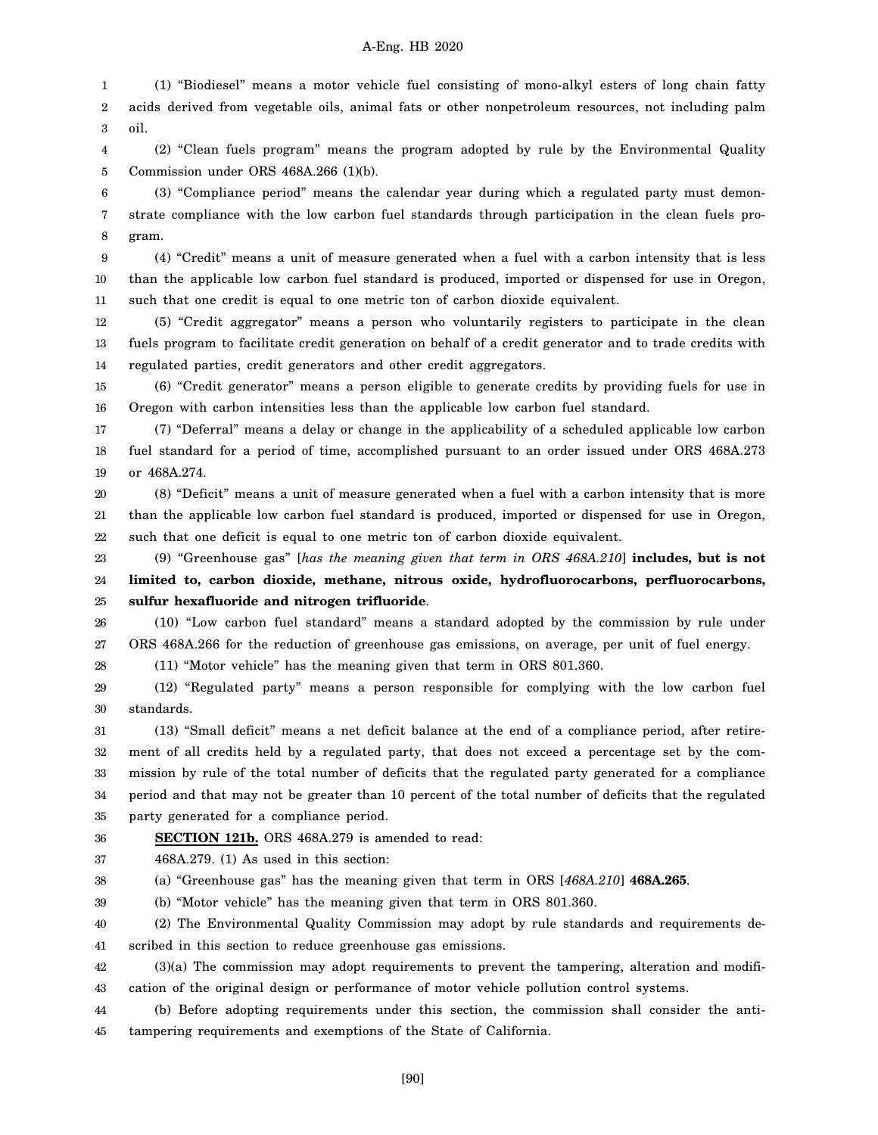1 2 3 (1) "Biodiesel" means a motor vehicle fuel consisting of mono-alkyl esters of long chain fatty acids derived from vegetable oils, animal fats or other nonpetroleum resources, not including palm oil.

4 5 (2) "Clean fuels program" means the program adopted by rule by the Environmental Quality Commission under ORS 468A.266 (1)(b).

6 7 8 (3) "Compliance period" means the calendar year during which a regulated party must demonstrate compliance with the low carbon fuel standards through participation in the clean fuels program.

9 10 11 (4) "Credit" means a unit of measure generated when a fuel with a carbon intensity that is less than the applicable low carbon fuel standard is produced, imported or dispensed for use in Oregon, such that one credit is equal to one metric ton of carbon dioxide equivalent.

12 13 14 (5) "Credit aggregator" means a person who voluntarily registers to participate in the clean fuels program to facilitate credit generation on behalf of a credit generator and to trade credits with regulated parties, credit generators and other credit aggregators.

15 16 (6) "Credit generator" means a person eligible to generate credits by providing fuels for use in Oregon with carbon intensities less than the applicable low carbon fuel standard.

17 18 19 (7) "Deferral" means a delay or change in the applicability of a scheduled applicable low carbon fuel standard for a period of time, accomplished pursuant to an order issued under ORS 468A.273 or 468A.274.

20 21 22 (8) "Deficit" means a unit of measure generated when a fuel with a carbon intensity that is more than the applicable low carbon fuel standard is produced, imported or dispensed for use in Oregon, such that one deficit is equal to one metric ton of carbon dioxide equivalent.

23 24 25 (9) "Greenhouse gas" [*has the meaning given that term in ORS 468A.210*] **includes, but is not limited to, carbon dioxide, methane, nitrous oxide, hydrofluorocarbons, perfluorocarbons, sulfur hexafluoride and nitrogen trifluoride**.

26 27 (10) "Low carbon fuel standard" means a standard adopted by the commission by rule under ORS 468A.266 for the reduction of greenhouse gas emissions, on average, per unit of fuel energy.

28 (11) "Motor vehicle" has the meaning given that term in ORS 801.360.

29 30 (12) "Regulated party" means a person responsible for complying with the low carbon fuel standards.

31 32 33 34 35 (13) "Small deficit" means a net deficit balance at the end of a compliance period, after retirement of all credits held by a regulated party, that does not exceed a percentage set by the commission by rule of the total number of deficits that the regulated party generated for a compliance period and that may not be greater than 10 percent of the total number of deficits that the regulated party generated for a compliance period.

36 **SECTION 121b.** ORS 468A.279 is amended to read:

37 468A.279. (1) As used in this section:

38 (a) "Greenhouse gas" has the meaning given that term in ORS [*468A.210*] **468A.265**.

39 (b) "Motor vehicle" has the meaning given that term in ORS 801.360.

40 41 (2) The Environmental Quality Commission may adopt by rule standards and requirements described in this section to reduce greenhouse gas emissions.

42 43 (3)(a) The commission may adopt requirements to prevent the tampering, alteration and modification of the original design or performance of motor vehicle pollution control systems.

44 45 (b) Before adopting requirements under this section, the commission shall consider the antitampering requirements and exemptions of the State of California.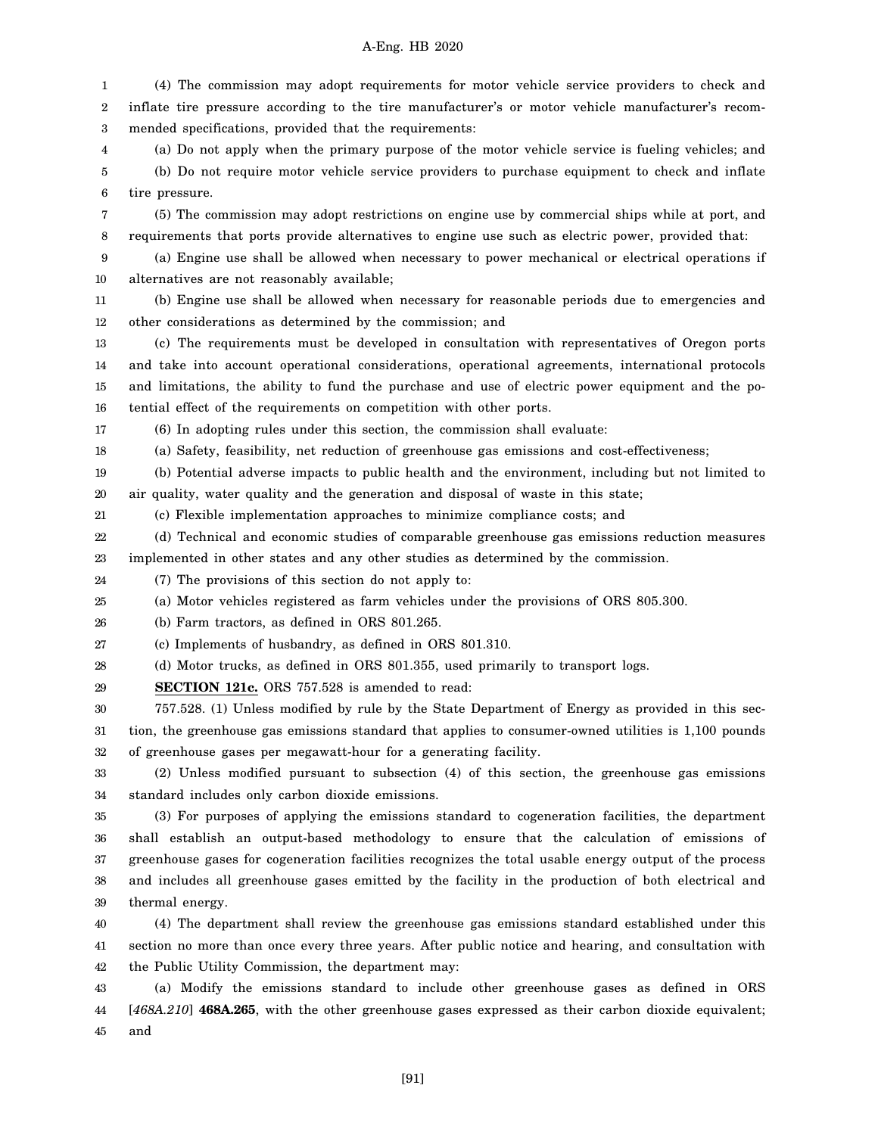1 2 3 4 5 6 7 8 9 10 11 12 13 14 15 16 17 18 19 20 21 22 23 24 25 26 27 28 29 30 31 32 33 34 35 36 37 38 39 40 41 42 (4) The commission may adopt requirements for motor vehicle service providers to check and inflate tire pressure according to the tire manufacturer's or motor vehicle manufacturer's recommended specifications, provided that the requirements: (a) Do not apply when the primary purpose of the motor vehicle service is fueling vehicles; and (b) Do not require motor vehicle service providers to purchase equipment to check and inflate tire pressure. (5) The commission may adopt restrictions on engine use by commercial ships while at port, and requirements that ports provide alternatives to engine use such as electric power, provided that: (a) Engine use shall be allowed when necessary to power mechanical or electrical operations if alternatives are not reasonably available; (b) Engine use shall be allowed when necessary for reasonable periods due to emergencies and other considerations as determined by the commission; and (c) The requirements must be developed in consultation with representatives of Oregon ports and take into account operational considerations, operational agreements, international protocols and limitations, the ability to fund the purchase and use of electric power equipment and the potential effect of the requirements on competition with other ports. (6) In adopting rules under this section, the commission shall evaluate: (a) Safety, feasibility, net reduction of greenhouse gas emissions and cost-effectiveness; (b) Potential adverse impacts to public health and the environment, including but not limited to air quality, water quality and the generation and disposal of waste in this state; (c) Flexible implementation approaches to minimize compliance costs; and (d) Technical and economic studies of comparable greenhouse gas emissions reduction measures implemented in other states and any other studies as determined by the commission. (7) The provisions of this section do not apply to: (a) Motor vehicles registered as farm vehicles under the provisions of ORS 805.300. (b) Farm tractors, as defined in ORS 801.265. (c) Implements of husbandry, as defined in ORS 801.310. (d) Motor trucks, as defined in ORS 801.355, used primarily to transport logs. **SECTION 121c.** ORS 757.528 is amended to read: 757.528. (1) Unless modified by rule by the State Department of Energy as provided in this section, the greenhouse gas emissions standard that applies to consumer-owned utilities is 1,100 pounds of greenhouse gases per megawatt-hour for a generating facility. (2) Unless modified pursuant to subsection (4) of this section, the greenhouse gas emissions standard includes only carbon dioxide emissions. (3) For purposes of applying the emissions standard to cogeneration facilities, the department shall establish an output-based methodology to ensure that the calculation of emissions of greenhouse gases for cogeneration facilities recognizes the total usable energy output of the process and includes all greenhouse gases emitted by the facility in the production of both electrical and thermal energy. (4) The department shall review the greenhouse gas emissions standard established under this section no more than once every three years. After public notice and hearing, and consultation with the Public Utility Commission, the department may:

43 44 45 (a) Modify the emissions standard to include other greenhouse gases as defined in ORS [*468A.210*] **468A.265**, with the other greenhouse gases expressed as their carbon dioxide equivalent; and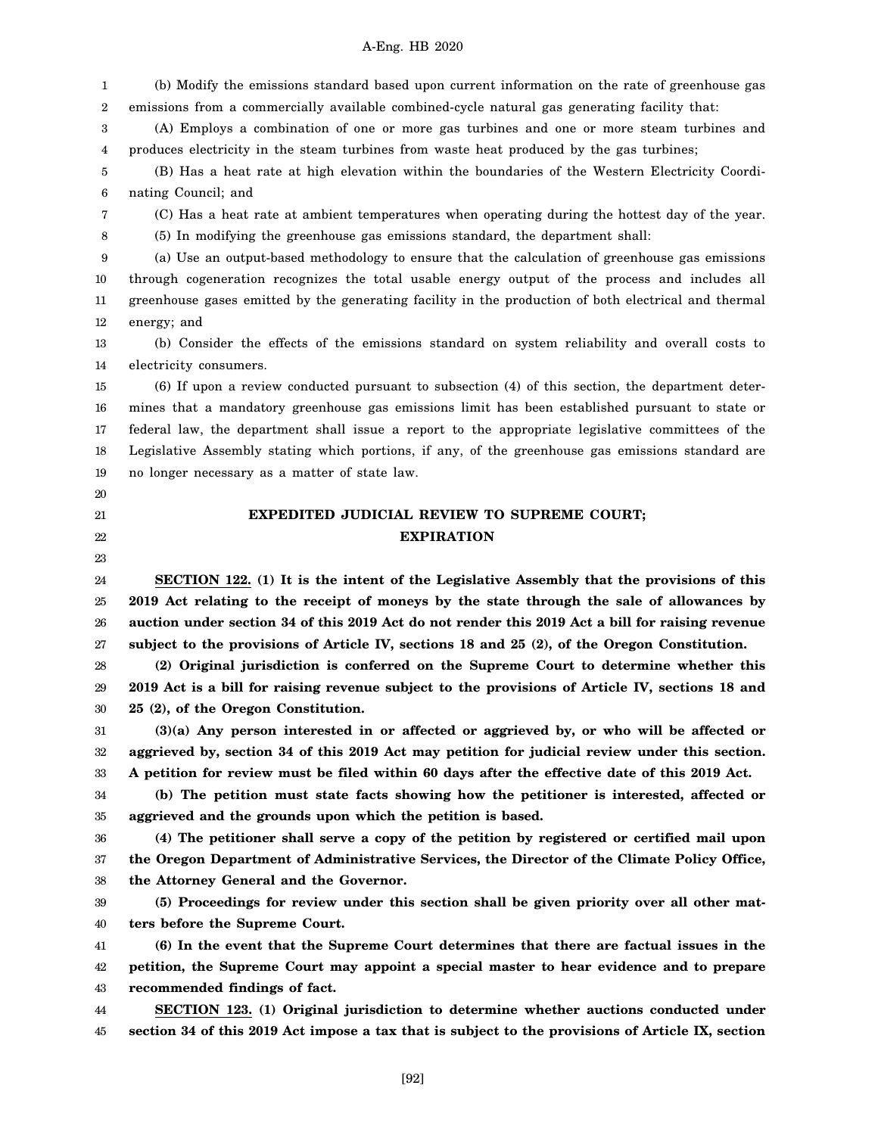1 2 (b) Modify the emissions standard based upon current information on the rate of greenhouse gas emissions from a commercially available combined-cycle natural gas generating facility that:

3 4 (A) Employs a combination of one or more gas turbines and one or more steam turbines and produces electricity in the steam turbines from waste heat produced by the gas turbines;

5 6 (B) Has a heat rate at high elevation within the boundaries of the Western Electricity Coordinating Council; and

(C) Has a heat rate at ambient temperatures when operating during the hottest day of the year.

8 (5) In modifying the greenhouse gas emissions standard, the department shall:

9 10 11 12 (a) Use an output-based methodology to ensure that the calculation of greenhouse gas emissions through cogeneration recognizes the total usable energy output of the process and includes all greenhouse gases emitted by the generating facility in the production of both electrical and thermal energy; and

13 14 (b) Consider the effects of the emissions standard on system reliability and overall costs to electricity consumers.

15 16 17 18 19 (6) If upon a review conducted pursuant to subsection (4) of this section, the department determines that a mandatory greenhouse gas emissions limit has been established pursuant to state or federal law, the department shall issue a report to the appropriate legislative committees of the Legislative Assembly stating which portions, if any, of the greenhouse gas emissions standard are no longer necessary as a matter of state law.

20

7

- 21 22
- 23

# **EXPEDITED JUDICIAL REVIEW TO SUPREME COURT; EXPIRATION**

24 25 26 27 **SECTION 122. (1) It is the intent of the Legislative Assembly that the provisions of this 2019 Act relating to the receipt of moneys by the state through the sale of allowances by auction under section 34 of this 2019 Act do not render this 2019 Act a bill for raising revenue subject to the provisions of Article IV, sections 18 and 25 (2), of the Oregon Constitution.**

28 29 30 **(2) Original jurisdiction is conferred on the Supreme Court to determine whether this 2019 Act is a bill for raising revenue subject to the provisions of Article IV, sections 18 and 25 (2), of the Oregon Constitution.**

31 32 33 **(3)(a) Any person interested in or affected or aggrieved by, or who will be affected or aggrieved by, section 34 of this 2019 Act may petition for judicial review under this section. A petition for review must be filed within 60 days after the effective date of this 2019 Act.**

34 35 **(b) The petition must state facts showing how the petitioner is interested, affected or aggrieved and the grounds upon which the petition is based.**

36 37 38 **(4) The petitioner shall serve a copy of the petition by registered or certified mail upon the Oregon Department of Administrative Services, the Director of the Climate Policy Office, the Attorney General and the Governor.**

39 40 **(5) Proceedings for review under this section shall be given priority over all other matters before the Supreme Court.**

41 42 43 **(6) In the event that the Supreme Court determines that there are factual issues in the petition, the Supreme Court may appoint a special master to hear evidence and to prepare recommended findings of fact.**

44 45 **SECTION 123. (1) Original jurisdiction to determine whether auctions conducted under section 34 of this 2019 Act impose a tax that is subject to the provisions of Article IX, section**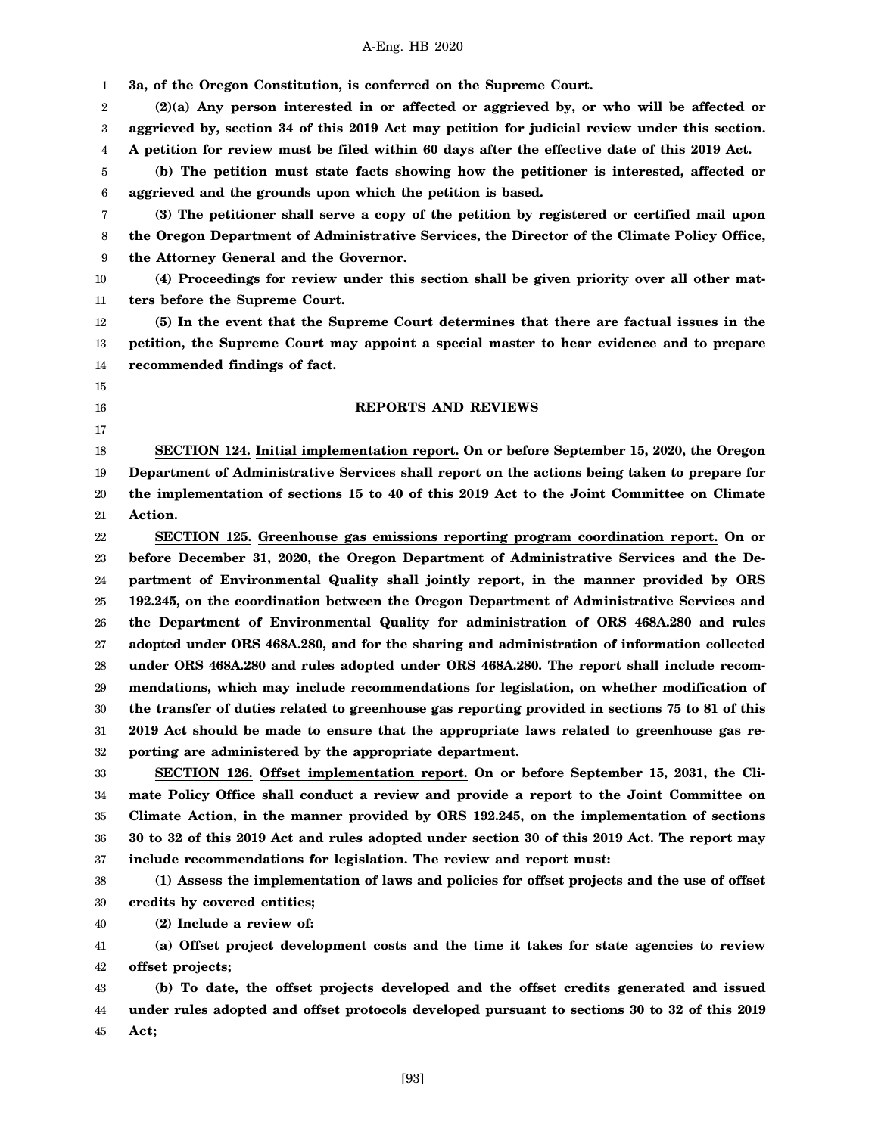A-Eng. HB 2020 **3a, of the Oregon Constitution, is conferred on the Supreme Court. (2)(a) Any person interested in or affected or aggrieved by, or who will be affected or aggrieved by, section 34 of this 2019 Act may petition for judicial review under this section. A petition for review must be filed within 60 days after the effective date of this 2019 Act. (b) The petition must state facts showing how the petitioner is interested, affected or aggrieved and the grounds upon which the petition is based. (3) The petitioner shall serve a copy of the petition by registered or certified mail upon the Oregon Department of Administrative Services, the Director of the Climate Policy Office, the Attorney General and the Governor. (4) Proceedings for review under this section shall be given priority over all other matters before the Supreme Court. (5) In the event that the Supreme Court determines that there are factual issues in the petition, the Supreme Court may appoint a special master to hear evidence and to prepare recommended findings of fact. REPORTS AND REVIEWS SECTION 124. Initial implementation report. On or before September 15, 2020, the Oregon Department of Administrative Services shall report on the actions being taken to prepare for the implementation of sections 15 to 40 of this 2019 Act to the Joint Committee on Climate Action. SECTION 125. Greenhouse gas emissions reporting program coordination report. On or before December 31, 2020, the Oregon Department of Administrative Services and the Department of Environmental Quality shall jointly report, in the manner provided by ORS 192.245, on the coordination between the Oregon Department of Administrative Services and the Department of Environmental Quality for administration of ORS 468A.280 and rules adopted under ORS 468A.280, and for the sharing and administration of information collected under ORS 468A.280 and rules adopted under ORS 468A.280. The report shall include recommendations, which may include recommendations for legislation, on whether modification of the transfer of duties related to greenhouse gas reporting provided in sections 75 to 81 of this 2019 Act should be made to ensure that the appropriate laws related to greenhouse gas reporting are administered by the appropriate department. SECTION 126. Offset implementation report. On or before September 15, 2031, the Climate Policy Office shall conduct a review and provide a report to the Joint Committee on Climate Action, in the manner provided by ORS 192.245, on the implementation of sections 30 to 32 of this 2019 Act and rules adopted under section 30 of this 2019 Act. The report may include recommendations for legislation. The review and report must:**

38 39 **(1) Assess the implementation of laws and policies for offset projects and the use of offset credits by covered entities;**

40 **(2) Include a review of:**

41 42 **(a) Offset project development costs and the time it takes for state agencies to review offset projects;**

43 44 45 **(b) To date, the offset projects developed and the offset credits generated and issued under rules adopted and offset protocols developed pursuant to sections 30 to 32 of this 2019 Act;**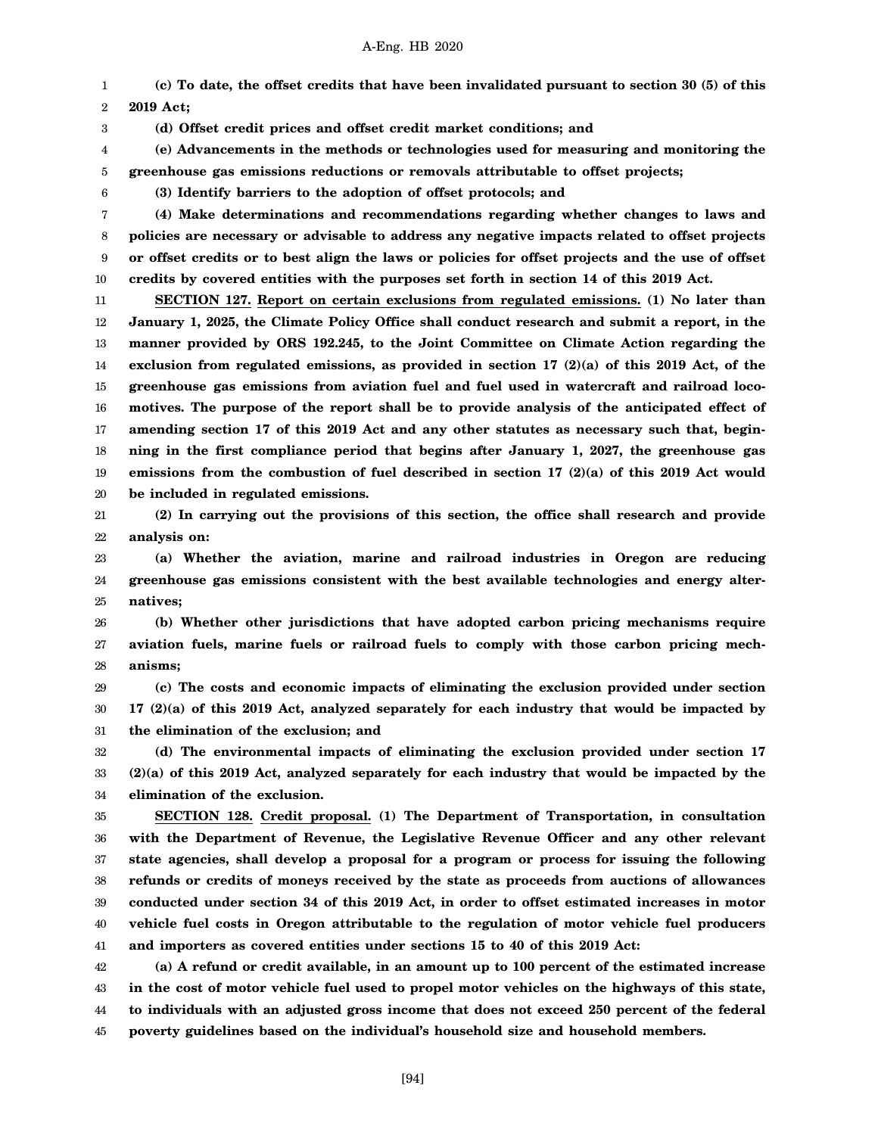2 **(c) To date, the offset credits that have been invalidated pursuant to section 30 (5) of this 2019 Act;**

**(d) Offset credit prices and offset credit market conditions; and**

4 5 **(e) Advancements in the methods or technologies used for measuring and monitoring the greenhouse gas emissions reductions or removals attributable to offset projects;**

6

1

3

**(3) Identify barriers to the adoption of offset protocols; and**

7 8 9 10 **(4) Make determinations and recommendations regarding whether changes to laws and policies are necessary or advisable to address any negative impacts related to offset projects or offset credits or to best align the laws or policies for offset projects and the use of offset credits by covered entities with the purposes set forth in section 14 of this 2019 Act.**

11 12 13 14 15 16 17 18 19 20 **SECTION 127. Report on certain exclusions from regulated emissions. (1) No later than January 1, 2025, the Climate Policy Office shall conduct research and submit a report, in the manner provided by ORS 192.245, to the Joint Committee on Climate Action regarding the exclusion from regulated emissions, as provided in section 17 (2)(a) of this 2019 Act, of the greenhouse gas emissions from aviation fuel and fuel used in watercraft and railroad locomotives. The purpose of the report shall be to provide analysis of the anticipated effect of amending section 17 of this 2019 Act and any other statutes as necessary such that, beginning in the first compliance period that begins after January 1, 2027, the greenhouse gas emissions from the combustion of fuel described in section 17 (2)(a) of this 2019 Act would be included in regulated emissions.**

21 22 **(2) In carrying out the provisions of this section, the office shall research and provide analysis on:**

23 24 25 **(a) Whether the aviation, marine and railroad industries in Oregon are reducing greenhouse gas emissions consistent with the best available technologies and energy alternatives;**

26 27 28 **(b) Whether other jurisdictions that have adopted carbon pricing mechanisms require aviation fuels, marine fuels or railroad fuels to comply with those carbon pricing mechanisms;**

29 30 31 **(c) The costs and economic impacts of eliminating the exclusion provided under section 17 (2)(a) of this 2019 Act, analyzed separately for each industry that would be impacted by the elimination of the exclusion; and**

32 33 34 **(d) The environmental impacts of eliminating the exclusion provided under section 17 (2)(a) of this 2019 Act, analyzed separately for each industry that would be impacted by the elimination of the exclusion.**

35 36 37 38 39 40 41 **SECTION 128. Credit proposal. (1) The Department of Transportation, in consultation with the Department of Revenue, the Legislative Revenue Officer and any other relevant state agencies, shall develop a proposal for a program or process for issuing the following refunds or credits of moneys received by the state as proceeds from auctions of allowances conducted under section 34 of this 2019 Act, in order to offset estimated increases in motor vehicle fuel costs in Oregon attributable to the regulation of motor vehicle fuel producers and importers as covered entities under sections 15 to 40 of this 2019 Act:**

42 43 44 45 **(a) A refund or credit available, in an amount up to 100 percent of the estimated increase in the cost of motor vehicle fuel used to propel motor vehicles on the highways of this state, to individuals with an adjusted gross income that does not exceed 250 percent of the federal poverty guidelines based on the individual's household size and household members.**

[94]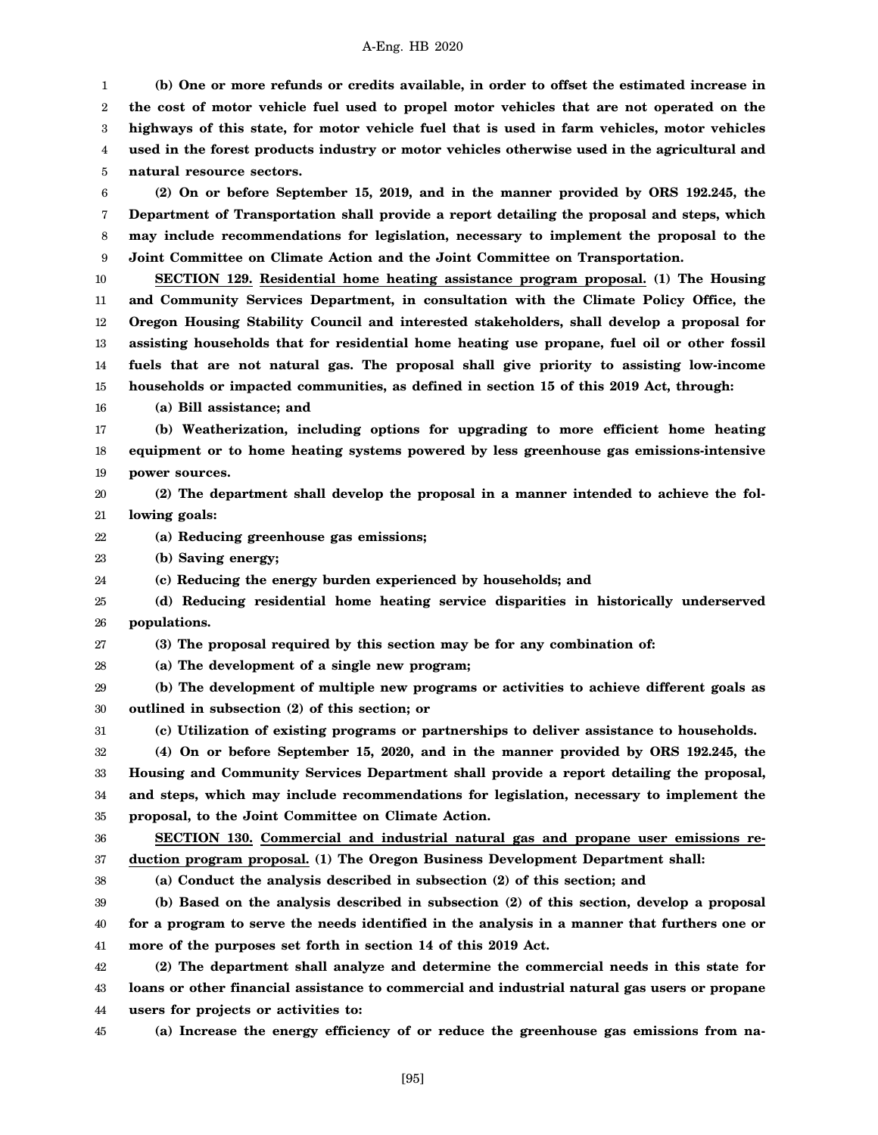1 2 3 4 5 **(b) One or more refunds or credits available, in order to offset the estimated increase in the cost of motor vehicle fuel used to propel motor vehicles that are not operated on the highways of this state, for motor vehicle fuel that is used in farm vehicles, motor vehicles used in the forest products industry or motor vehicles otherwise used in the agricultural and natural resource sectors.**

6 7 8 9 **(2) On or before September 15, 2019, and in the manner provided by ORS 192.245, the Department of Transportation shall provide a report detailing the proposal and steps, which may include recommendations for legislation, necessary to implement the proposal to the Joint Committee on Climate Action and the Joint Committee on Transportation.**

10 11 12 13 14 15 **SECTION 129. Residential home heating assistance program proposal. (1) The Housing and Community Services Department, in consultation with the Climate Policy Office, the Oregon Housing Stability Council and interested stakeholders, shall develop a proposal for assisting households that for residential home heating use propane, fuel oil or other fossil fuels that are not natural gas. The proposal shall give priority to assisting low-income households or impacted communities, as defined in section 15 of this 2019 Act, through:**

16 **(a) Bill assistance; and**

17 18 19 **(b) Weatherization, including options for upgrading to more efficient home heating equipment or to home heating systems powered by less greenhouse gas emissions-intensive power sources.**

- 20 21 **(2) The department shall develop the proposal in a manner intended to achieve the following goals:**
- 22 **(a) Reducing greenhouse gas emissions;**
- 23 **(b) Saving energy;**
- 24 **(c) Reducing the energy burden experienced by households; and**
- 25 26 **(d) Reducing residential home heating service disparities in historically underserved populations.**
- 27 **(3) The proposal required by this section may be for any combination of:**
- 28 **(a) The development of a single new program;**
- 29 30 **(b) The development of multiple new programs or activities to achieve different goals as outlined in subsection (2) of this section; or**
- 31 **(c) Utilization of existing programs or partnerships to deliver assistance to households.**

32 33 34 **(4) On or before September 15, 2020, and in the manner provided by ORS 192.245, the Housing and Community Services Department shall provide a report detailing the proposal, and steps, which may include recommendations for legislation, necessary to implement the**

- 35 **proposal, to the Joint Committee on Climate Action.**
- 36

38

37 **duction program proposal. (1) The Oregon Business Development Department shall:**

**SECTION 130. Commercial and industrial natural gas and propane user emissions re-**

**(a) Conduct the analysis described in subsection (2) of this section; and**

39 40 41 **(b) Based on the analysis described in subsection (2) of this section, develop a proposal for a program to serve the needs identified in the analysis in a manner that furthers one or more of the purposes set forth in section 14 of this 2019 Act.**

42 43 44 **(2) The department shall analyze and determine the commercial needs in this state for loans or other financial assistance to commercial and industrial natural gas users or propane users for projects or activities to:**

45

**(a) Increase the energy efficiency of or reduce the greenhouse gas emissions from na-**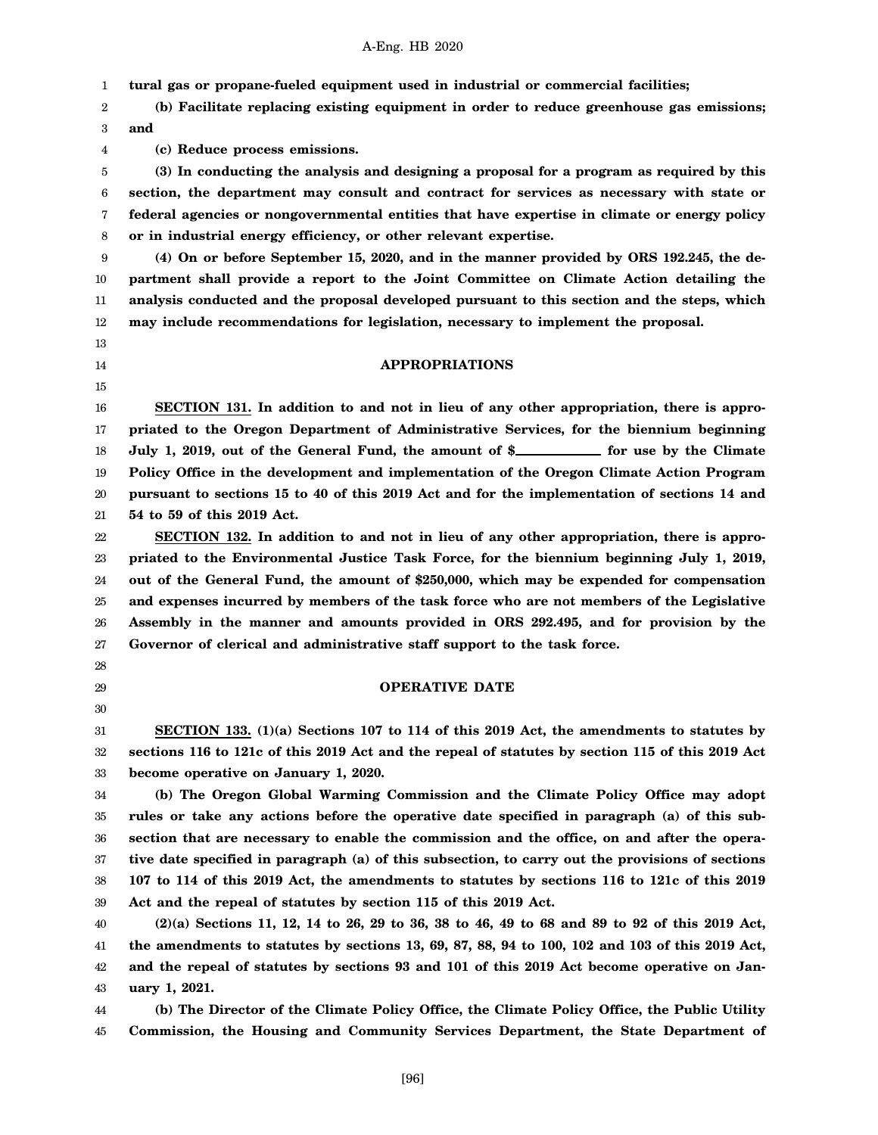1 **tural gas or propane-fueled equipment used in industrial or commercial facilities;**

2 3 **(b) Facilitate replacing existing equipment in order to reduce greenhouse gas emissions; and**

**(c) Reduce process emissions.**

5 6 7 8 **(3) In conducting the analysis and designing a proposal for a program as required by this section, the department may consult and contract for services as necessary with state or federal agencies or nongovernmental entities that have expertise in climate or energy policy or in industrial energy efficiency, or other relevant expertise.**

9 10 11 12 **(4) On or before September 15, 2020, and in the manner provided by ORS 192.245, the department shall provide a report to the Joint Committee on Climate Action detailing the analysis conducted and the proposal developed pursuant to this section and the steps, which may include recommendations for legislation, necessary to implement the proposal.**

13

4

- 14
- 15

# **APPROPRIATIONS**

16 17 18 19 20 21 **SECTION 131. In addition to and not in lieu of any other appropriation, there is appropriated to the Oregon Department of Administrative Services, for the biennium beginning** July 1, 2019, out of the General Fund, the amount of \$\_\_\_\_\_\_\_\_\_\_\_ for use by the Climate **Policy Office in the development and implementation of the Oregon Climate Action Program pursuant to sections 15 to 40 of this 2019 Act and for the implementation of sections 14 and 54 to 59 of this 2019 Act.**

22 23 24 25 26 27 **SECTION 132. In addition to and not in lieu of any other appropriation, there is appropriated to the Environmental Justice Task Force, for the biennium beginning July 1, 2019, out of the General Fund, the amount of \$250,000, which may be expended for compensation and expenses incurred by members of the task force who are not members of the Legislative Assembly in the manner and amounts provided in ORS 292.495, and for provision by the Governor of clerical and administrative staff support to the task force.**

- 28 29
- 30

# **OPERATIVE DATE**

31 32 33 **SECTION 133. (1)(a) Sections 107 to 114 of this 2019 Act, the amendments to statutes by sections 116 to 121c of this 2019 Act and the repeal of statutes by section 115 of this 2019 Act become operative on January 1, 2020.**

34 35 36 37 38 39 **(b) The Oregon Global Warming Commission and the Climate Policy Office may adopt rules or take any actions before the operative date specified in paragraph (a) of this subsection that are necessary to enable the commission and the office, on and after the operative date specified in paragraph (a) of this subsection, to carry out the provisions of sections 107 to 114 of this 2019 Act, the amendments to statutes by sections 116 to 121c of this 2019 Act and the repeal of statutes by section 115 of this 2019 Act.**

40 41 42 43 **(2)(a) Sections 11, 12, 14 to 26, 29 to 36, 38 to 46, 49 to 68 and 89 to 92 of this 2019 Act, the amendments to statutes by sections 13, 69, 87, 88, 94 to 100, 102 and 103 of this 2019 Act, and the repeal of statutes by sections 93 and 101 of this 2019 Act become operative on January 1, 2021.**

44 45 **(b) The Director of the Climate Policy Office, the Climate Policy Office, the Public Utility Commission, the Housing and Community Services Department, the State Department of**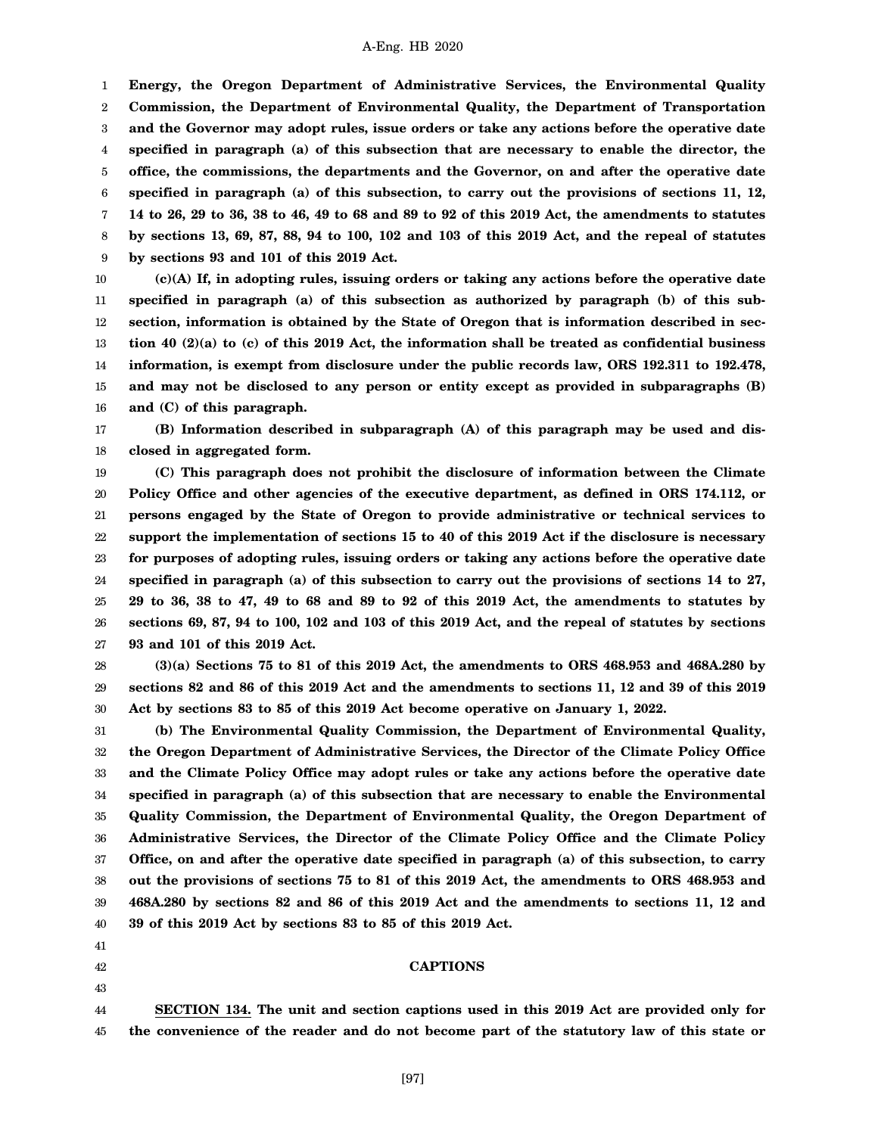1 2 3 4 5 6 7 8 9 **Energy, the Oregon Department of Administrative Services, the Environmental Quality Commission, the Department of Environmental Quality, the Department of Transportation and the Governor may adopt rules, issue orders or take any actions before the operative date specified in paragraph (a) of this subsection that are necessary to enable the director, the office, the commissions, the departments and the Governor, on and after the operative date specified in paragraph (a) of this subsection, to carry out the provisions of sections 11, 12, 14 to 26, 29 to 36, 38 to 46, 49 to 68 and 89 to 92 of this 2019 Act, the amendments to statutes by sections 13, 69, 87, 88, 94 to 100, 102 and 103 of this 2019 Act, and the repeal of statutes by sections 93 and 101 of this 2019 Act.**

10 11 12 13 14 15 16 **(c)(A) If, in adopting rules, issuing orders or taking any actions before the operative date specified in paragraph (a) of this subsection as authorized by paragraph (b) of this subsection, information is obtained by the State of Oregon that is information described in section 40 (2)(a) to (c) of this 2019 Act, the information shall be treated as confidential business information, is exempt from disclosure under the public records law, ORS 192.311 to 192.478, and may not be disclosed to any person or entity except as provided in subparagraphs (B) and (C) of this paragraph.**

17 18 **(B) Information described in subparagraph (A) of this paragraph may be used and disclosed in aggregated form.**

19 20 21 22 23 24 25 26 27 **(C) This paragraph does not prohibit the disclosure of information between the Climate Policy Office and other agencies of the executive department, as defined in ORS 174.112, or persons engaged by the State of Oregon to provide administrative or technical services to support the implementation of sections 15 to 40 of this 2019 Act if the disclosure is necessary for purposes of adopting rules, issuing orders or taking any actions before the operative date specified in paragraph (a) of this subsection to carry out the provisions of sections 14 to 27, 29 to 36, 38 to 47, 49 to 68 and 89 to 92 of this 2019 Act, the amendments to statutes by sections 69, 87, 94 to 100, 102 and 103 of this 2019 Act, and the repeal of statutes by sections 93 and 101 of this 2019 Act.**

28 29 30 **(3)(a) Sections 75 to 81 of this 2019 Act, the amendments to ORS 468.953 and 468A.280 by sections 82 and 86 of this 2019 Act and the amendments to sections 11, 12 and 39 of this 2019 Act by sections 83 to 85 of this 2019 Act become operative on January 1, 2022.**

31 32 33 34 35 36 37 38 39 40 **(b) The Environmental Quality Commission, the Department of Environmental Quality, the Oregon Department of Administrative Services, the Director of the Climate Policy Office and the Climate Policy Office may adopt rules or take any actions before the operative date specified in paragraph (a) of this subsection that are necessary to enable the Environmental Quality Commission, the Department of Environmental Quality, the Oregon Department of Administrative Services, the Director of the Climate Policy Office and the Climate Policy Office, on and after the operative date specified in paragraph (a) of this subsection, to carry out the provisions of sections 75 to 81 of this 2019 Act, the amendments to ORS 468.953 and 468A.280 by sections 82 and 86 of this 2019 Act and the amendments to sections 11, 12 and 39 of this 2019 Act by sections 83 to 85 of this 2019 Act.**

- 41
- 42
- 43

# **CAPTIONS**

44 45 **SECTION 134. The unit and section captions used in this 2019 Act are provided only for the convenience of the reader and do not become part of the statutory law of this state or**